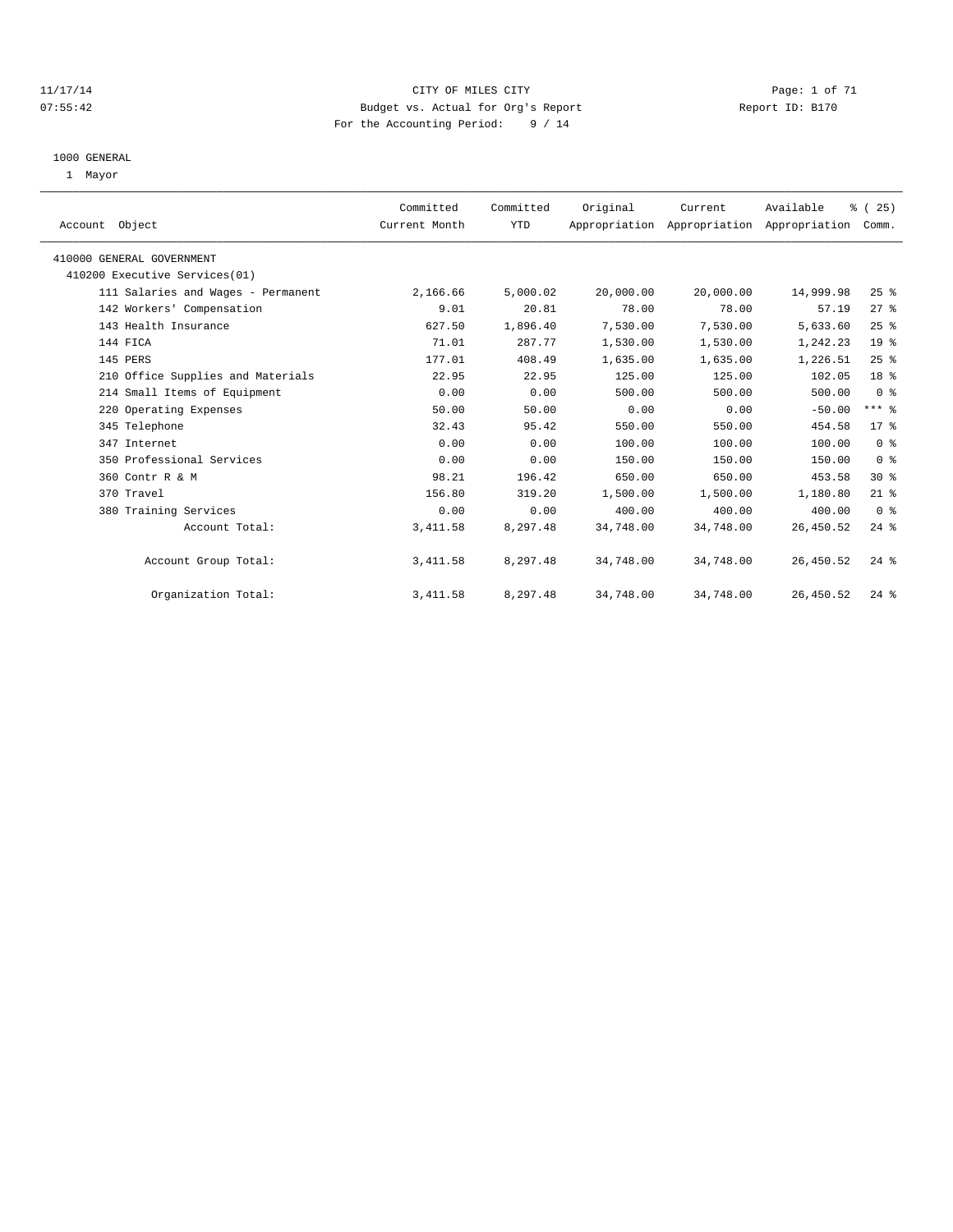#### 11/17/14 CITY OF MILES CITY Page: 1 of 71 07:55:42 Budget vs. Actual for Org's Report Changer Report ID: B170 For the Accounting Period: 9 / 14

#### 1000 GENERAL

1 Mayor

| Account Object                     | Committed<br>Current Month | Committed<br>YTD | Original  | Current<br>Appropriation Appropriation Appropriation | Available | % (25)<br>Comm. |  |
|------------------------------------|----------------------------|------------------|-----------|------------------------------------------------------|-----------|-----------------|--|
| 410000 GENERAL GOVERNMENT          |                            |                  |           |                                                      |           |                 |  |
| 410200 Executive Services(01)      |                            |                  |           |                                                      |           |                 |  |
| 111 Salaries and Wages - Permanent | 2,166.66                   | 5,000.02         | 20,000.00 | 20,000.00                                            | 14,999.98 | $25$ %          |  |
| 142 Workers' Compensation          | 9.01                       | 20.81            | 78.00     | 78.00                                                | 57.19     | 27%             |  |
| 143 Health Insurance               | 627.50                     | 1,896.40         | 7.530.00  | 7,530.00                                             | 5,633.60  | 25%             |  |
| 144 FICA                           | 71.01                      | 287.77           | 1,530.00  | 1,530.00                                             | 1,242.23  | 19 <sup>°</sup> |  |
| 145 PERS                           | 177.01                     | 408.49           | 1,635.00  | 1,635.00                                             | 1,226.51  | 25%             |  |
| 210 Office Supplies and Materials  | 22.95                      | 22.95            | 125.00    | 125.00                                               | 102.05    | 18 %            |  |
| 214 Small Items of Equipment       | 0.00                       | 0.00             | 500.00    | 500.00                                               | 500.00    | 0 <sup>8</sup>  |  |
| 220 Operating Expenses             | 50.00                      | 50.00            | 0.00      | 0.00                                                 | $-50.00$  | $***$ $-$       |  |
| 345 Telephone                      | 32.43                      | 95.42            | 550.00    | 550.00                                               | 454.58    | 17 <sup>8</sup> |  |
| 347 Internet                       | 0.00                       | 0.00             | 100.00    | 100.00                                               | 100.00    | 0 <sup>8</sup>  |  |
| 350 Professional Services          | 0.00                       | 0.00             | 150.00    | 150.00                                               | 150.00    | 0 <sup>8</sup>  |  |
| 360 Contr R & M                    | 98.21                      | 196.42           | 650.00    | 650.00                                               | 453.58    | $30*$           |  |
| 370 Travel                         | 156.80                     | 319.20           | 1,500.00  | 1,500.00                                             | 1,180.80  | $21$ %          |  |
| 380 Training Services              | 0.00                       | 0.00             | 400.00    | 400.00                                               | 400.00    | 0 <sup>8</sup>  |  |
| Account Total:                     | 3, 411.58                  | 8,297.48         | 34,748.00 | 34,748.00                                            | 26,450.52 | $24$ %          |  |
| Account Group Total:               | 3, 411.58                  | 8,297.48         | 34,748.00 | 34,748.00                                            | 26,450.52 | $24$ $%$        |  |
| Organization Total:                | 3, 411.58                  | 8,297.48         | 34,748.00 | 34,748.00                                            | 26,450.52 | $24$ %          |  |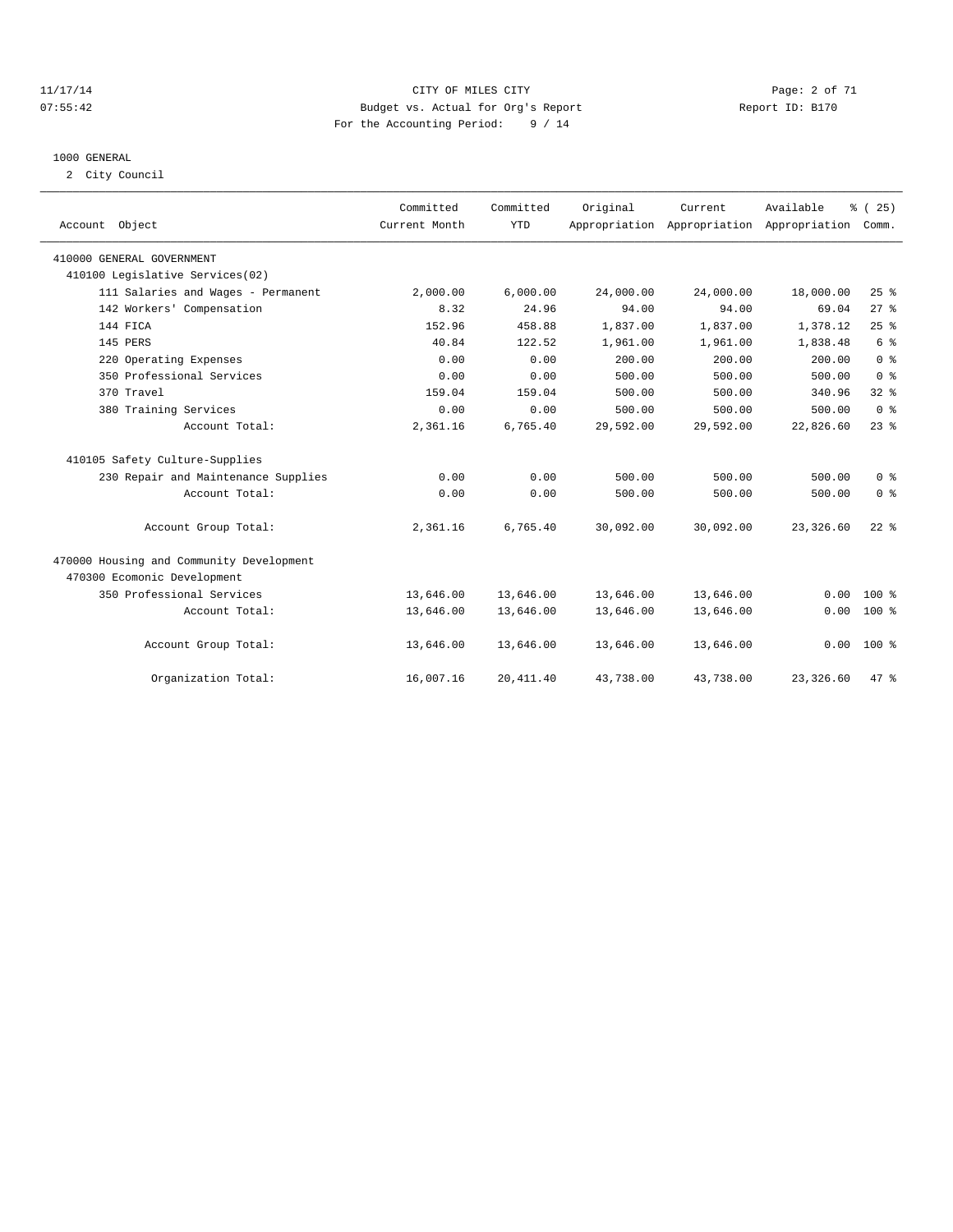#### 11/17/14 CITY OF MILES CITY Page: 2 of 71 07:55:42 Budget vs. Actual for Org's Report Changer Report ID: B170 For the Accounting Period: 9 / 14

#### 1000 GENERAL

2 City Council

| Account Object                           | Committed<br>Current Month | Committed<br><b>YTD</b> | Original  | Current   | Available<br>Appropriation Appropriation Appropriation | % (25)<br>Comm. |  |
|------------------------------------------|----------------------------|-------------------------|-----------|-----------|--------------------------------------------------------|-----------------|--|
| 410000 GENERAL GOVERNMENT                |                            |                         |           |           |                                                        |                 |  |
| 410100 Legislative Services(02)          |                            |                         |           |           |                                                        |                 |  |
| 111 Salaries and Wages - Permanent       | 2,000.00                   | 6,000.00                | 24,000.00 | 24,000.00 | 18,000.00                                              | 25%             |  |
| 142 Workers' Compensation                | 8.32                       | 24.96                   | 94.00     | 94.00     | 69.04                                                  | 27%             |  |
| 144 FICA                                 | 152.96                     | 458.88                  | 1,837.00  | 1,837.00  | 1,378.12                                               | 25%             |  |
| 145 PERS                                 | 40.84                      | 122.52                  | 1,961.00  | 1,961.00  | 1,838.48                                               | $6\degree$      |  |
| 220 Operating Expenses                   | 0.00                       | 0.00                    | 200.00    | 200.00    | 200.00                                                 | 0 <sup>8</sup>  |  |
| 350 Professional Services                | 0.00                       | 0.00                    | 500.00    | 500.00    | 500.00                                                 | 0 <sup>8</sup>  |  |
| 370 Travel                               | 159.04                     | 159.04                  | 500.00    | 500.00    | 340.96                                                 | 32%             |  |
| 380 Training Services                    | 0.00                       | 0.00                    | 500.00    | 500.00    | 500.00                                                 | 0 <sup>8</sup>  |  |
| Account Total:                           | 2,361.16                   | 6.765.40                | 29,592.00 | 29,592.00 | 22,826.60                                              | $23$ $%$        |  |
| 410105 Safety Culture-Supplies           |                            |                         |           |           |                                                        |                 |  |
| 230 Repair and Maintenance Supplies      | 0.00                       | 0.00                    | 500.00    | 500.00    | 500.00                                                 | 0 <sup>8</sup>  |  |
| Account Total:                           | 0.00                       | 0.00                    | 500.00    | 500.00    | 500.00                                                 | 0 <sup>8</sup>  |  |
| Account Group Total:                     | 2,361.16                   | 6,765.40                | 30,092.00 | 30,092.00 | 23,326.60                                              | $22*$           |  |
| 470000 Housing and Community Development |                            |                         |           |           |                                                        |                 |  |
| 470300 Ecomonic Development              |                            |                         |           |           |                                                        |                 |  |
| 350 Professional Services                | 13,646.00                  | 13,646.00               | 13,646.00 | 13,646.00 | 0.00                                                   | $100*$          |  |
| Account Total:                           | 13,646.00                  | 13,646.00               | 13,646.00 | 13,646.00 | 0.00                                                   | $100*$          |  |
| Account Group Total:                     | 13,646.00                  | 13,646.00               | 13,646.00 | 13,646.00 |                                                        | $0.00$ 100 %    |  |
| Organization Total:                      | 16,007.16                  | 20, 411.40              | 43,738.00 | 43,738.00 | 23,326.60                                              | $47*$           |  |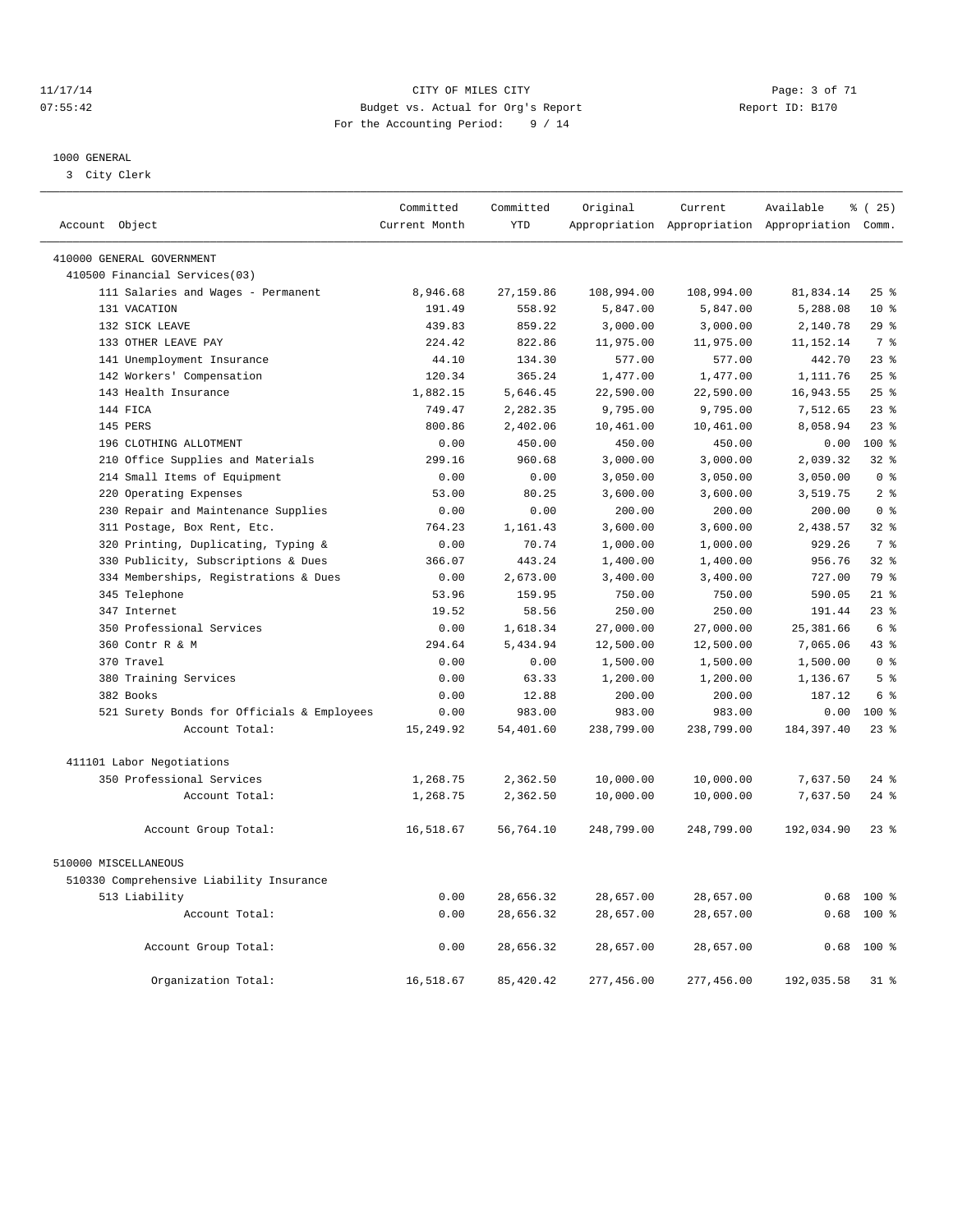#### 11/17/14 CITY OF MILES CITY Page: 3 of 71 07:55:42 Budget vs. Actual for Org's Report Changer Report ID: B170 For the Accounting Period: 9 / 14

————————————————————————————————————————————————————————————————————————————————————————————————————————————————————————————————————

#### 1000 GENERAL

3 City Clerk

|                |                                                    | Committed          | Committed           | Original            | Current    | Available                                       | <sub>ර</sub> ි (25) |
|----------------|----------------------------------------------------|--------------------|---------------------|---------------------|------------|-------------------------------------------------|---------------------|
| Account Object |                                                    | Current Month      | <b>YTD</b>          |                     |            | Appropriation Appropriation Appropriation Comm. |                     |
|                |                                                    |                    |                     |                     |            |                                                 |                     |
|                | 410000 GENERAL GOVERNMENT                          |                    |                     |                     |            |                                                 |                     |
|                | 410500 Financial Services(03)                      |                    |                     | 108,994.00          | 108,994.00 | 81,834.14                                       | $25$ %              |
|                | 111 Salaries and Wages - Permanent<br>131 VACATION | 8,946.68<br>191.49 | 27,159.86<br>558.92 | 5,847.00            | 5,847.00   |                                                 | $10*$               |
|                | 132 SICK LEAVE                                     | 439.83             | 859.22              | 3,000.00            | 3,000.00   | 5,288.08<br>2,140.78                            | 29%                 |
|                | 133 OTHER LEAVE PAY                                | 224.42             | 822.86              | 11,975.00           | 11,975.00  | 11, 152. 14                                     | 7 %                 |
|                | 141 Unemployment Insurance                         | 44.10              | 134.30              | 577.00              | 577.00     | 442.70                                          | 23 <sup>8</sup>     |
|                | 142 Workers' Compensation                          | 120.34             | 365.24              | 1,477.00            | 1,477.00   | 1,111.76                                        | 25%                 |
|                | 143 Health Insurance                               | 1,882.15           | 5,646.45            | 22,590.00           | 22,590.00  | 16,943.55                                       | 25%                 |
|                | 144 FICA                                           | 749.47             | 2,282.35            | 9,795.00            | 9,795.00   | 7,512.65                                        | 23%                 |
|                | 145 PERS                                           |                    | 2,402.06            |                     | 10,461.00  | 8,058.94                                        | 23 <sup>8</sup>     |
|                | 196 CLOTHING ALLOTMENT                             | 800.86<br>0.00     | 450.00              | 10,461.00<br>450.00 | 450.00     |                                                 | $100*$              |
|                |                                                    |                    |                     | 3,000.00            | 3,000.00   | 0.00<br>2,039.32                                | $32$ $%$            |
|                | 210 Office Supplies and Materials                  | 299.16             | 960.68              |                     |            |                                                 |                     |
|                | 214 Small Items of Equipment                       | 0.00               | 0.00                | 3,050.00            | 3,050.00   | 3,050.00                                        | 0 <sup>8</sup>      |
|                | 220 Operating Expenses                             | 53.00              | 80.25               | 3,600.00            | 3,600.00   | 3,519.75                                        | 2 <sup>°</sup>      |
|                | 230 Repair and Maintenance Supplies                | 0.00               | 0.00                | 200.00              | 200.00     | 200.00                                          | 0 <sup>8</sup>      |
|                | 311 Postage, Box Rent, Etc.                        | 764.23             | 1,161.43            | 3,600.00            | 3,600.00   | 2,438.57                                        | $32*$               |
|                | 320 Printing, Duplicating, Typing &                | 0.00               | 70.74               | 1,000.00            | 1,000.00   | 929.26                                          | 7 %                 |
|                | 330 Publicity, Subscriptions & Dues                | 366.07             | 443.24              | 1,400.00            | 1,400.00   | 956.76                                          | $32*$               |
|                | 334 Memberships, Registrations & Dues              | 0.00               | 2,673.00            | 3,400.00            | 3,400.00   | 727.00                                          | 79 %                |
|                | 345 Telephone                                      | 53.96              | 159.95              | 750.00              | 750.00     | 590.05                                          | $21*$               |
|                | 347 Internet                                       | 19.52              | 58.56               | 250.00              | 250.00     | 191.44                                          | $23$ $%$            |
|                | 350 Professional Services                          | 0.00               | 1,618.34            | 27,000.00           | 27,000.00  | 25, 381.66                                      | 6 %                 |
|                | 360 Contr R & M                                    | 294.64             | 5,434.94            | 12,500.00           | 12,500.00  | 7,065.06                                        | 43 %                |
|                | 370 Travel                                         | 0.00               | 0.00                | 1,500.00            | 1,500.00   | 1,500.00                                        | 0 <sup>8</sup>      |
|                | 380 Training Services                              | 0.00               | 63.33               | 1,200.00            | 1,200.00   | 1,136.67                                        | 5 <sup>8</sup>      |
|                | 382 Books                                          | 0.00               | 12.88               | 200.00              | 200.00     | 187.12                                          | 6 %                 |
|                | 521 Surety Bonds for Officials & Employees         | 0.00               | 983.00              | 983.00              | 983.00     | 0.00                                            | 100 %               |
|                | Account Total:                                     | 15,249.92          | 54,401.60           | 238,799.00          | 238,799.00 | 184, 397.40                                     | 23%                 |
|                | 411101 Labor Negotiations                          |                    |                     |                     |            |                                                 |                     |
|                | 350 Professional Services                          | 1,268.75           | 2,362.50            | 10,000.00           | 10,000.00  | 7,637.50                                        | $24$ $%$            |
|                | Account Total:                                     | 1,268.75           | 2,362.50            | 10,000.00           | 10,000.00  | 7,637.50                                        | $24$ %              |
|                |                                                    |                    |                     |                     |            |                                                 |                     |
|                | Account Group Total:                               | 16,518.67          | 56,764.10           | 248,799.00          | 248,799.00 | 192,034.90                                      | $23*$               |
|                | 510000 MISCELLANEOUS                               |                    |                     |                     |            |                                                 |                     |
|                | 510330 Comprehensive Liability Insurance           |                    |                     |                     |            |                                                 |                     |
|                | 513 Liability                                      | 0.00               | 28,656.32           | 28,657.00           | 28,657.00  |                                                 | $0.68$ 100 %        |
|                | Account Total:                                     | 0.00               | 28,656.32           | 28,657.00           | 28,657.00  | 0.68                                            | $100*$              |
|                |                                                    |                    |                     |                     |            |                                                 |                     |
|                | Account Group Total:                               | 0.00               | 28,656.32           | 28,657.00           | 28,657.00  | 0.68                                            | $100*$              |
|                | Organization Total:                                | 16,518.67          | 85, 420.42          | 277,456.00          | 277,456.00 | 192,035.58                                      | 31 %                |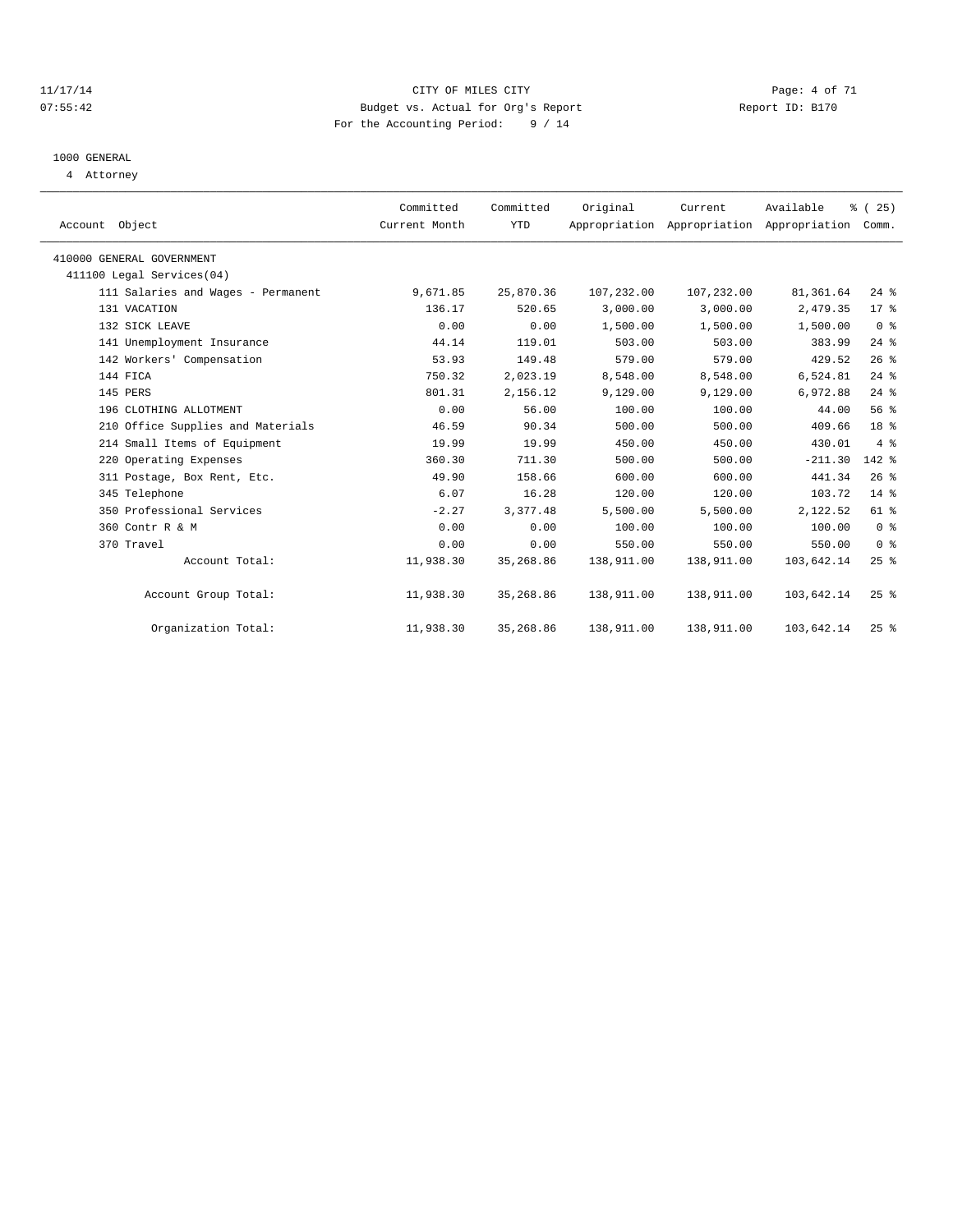#### 11/17/14 CITY OF MILES CITY Page: 4 of 71 07:55:42 Budget vs. Actual for Org's Report Changer Report ID: B170 For the Accounting Period: 9 / 14

# 1000 GENERAL

4 Attorney

| Account Object                     | Committed<br>Current Month | Committed<br><b>YTD</b> | Original   | Current<br>Appropriation Appropriation Appropriation | Available  | $\frac{3}{2}$ ( 25 )<br>Comm. |  |
|------------------------------------|----------------------------|-------------------------|------------|------------------------------------------------------|------------|-------------------------------|--|
| 410000 GENERAL GOVERNMENT          |                            |                         |            |                                                      |            |                               |  |
| 411100 Legal Services(04)          |                            |                         |            |                                                      |            |                               |  |
| 111 Salaries and Wages - Permanent | 9,671.85                   | 25,870.36               | 107,232.00 | 107,232.00                                           | 81,361.64  | $24$ %                        |  |
| 131 VACATION                       | 136.17                     | 520.65                  | 3,000.00   | 3,000.00                                             | 2,479.35   | 17.8                          |  |
| 132 SICK LEAVE                     | 0.00                       | 0.00                    | 1,500.00   | 1,500.00                                             | 1,500.00   | 0 <sup>8</sup>                |  |
| 141 Unemployment Insurance         | 44.14                      | 119.01                  | 503.00     | 503.00                                               | 383.99     | $24$ $%$                      |  |
| 142 Workers' Compensation          | 53.93                      | 149.48                  | 579.00     | 579.00                                               | 429.52     | 26%                           |  |
| 144 FICA                           | 750.32                     | 2,023.19                | 8,548.00   | 8,548.00                                             | 6,524.81   | $24$ $%$                      |  |
| 145 PERS                           | 801.31                     | 2,156.12                | 9,129.00   | 9,129.00                                             | 6,972.88   | $24$ %                        |  |
| 196 CLOTHING ALLOTMENT             | 0.00                       | 56.00                   | 100.00     | 100.00                                               | 44.00      | 56%                           |  |
| 210 Office Supplies and Materials  | 46.59                      | 90.34                   | 500.00     | 500.00                                               | 409.66     | 18 <sup>8</sup>               |  |
| 214 Small Items of Equipment       | 19.99                      | 19.99                   | 450.00     | 450.00                                               | 430.01     | 4%                            |  |
| 220 Operating Expenses             | 360.30                     | 711.30                  | 500.00     | 500.00                                               | $-211.30$  | $142$ $%$                     |  |
| 311 Postage, Box Rent, Etc.        | 49.90                      | 158.66                  | 600.00     | 600.00                                               | 441.34     | 26%                           |  |
| 345 Telephone                      | 6.07                       | 16.28                   | 120.00     | 120.00                                               | 103.72     | $14*$                         |  |
| 350 Professional Services          | $-2.27$                    | 3,377.48                | 5,500.00   | 5,500.00                                             | 2,122.52   | 61 %                          |  |
| 360 Contr R & M                    | 0.00                       | 0.00                    | 100.00     | 100.00                                               | 100.00     | 0 <sup>8</sup>                |  |
| 370 Travel                         | 0.00                       | 0.00                    | 550.00     | 550.00                                               | 550.00     | 0 <sup>8</sup>                |  |
| Account Total:                     | 11,938.30                  | 35,268.86               | 138,911.00 | 138,911.00                                           | 103,642.14 | $25$ $%$                      |  |
| Account Group Total:               | 11,938.30                  | 35,268.86               | 138,911.00 | 138,911.00                                           | 103,642.14 | $25$ %                        |  |
| Organization Total:                | 11,938.30                  | 35,268.86               | 138,911.00 | 138,911.00                                           | 103,642.14 | 25%                           |  |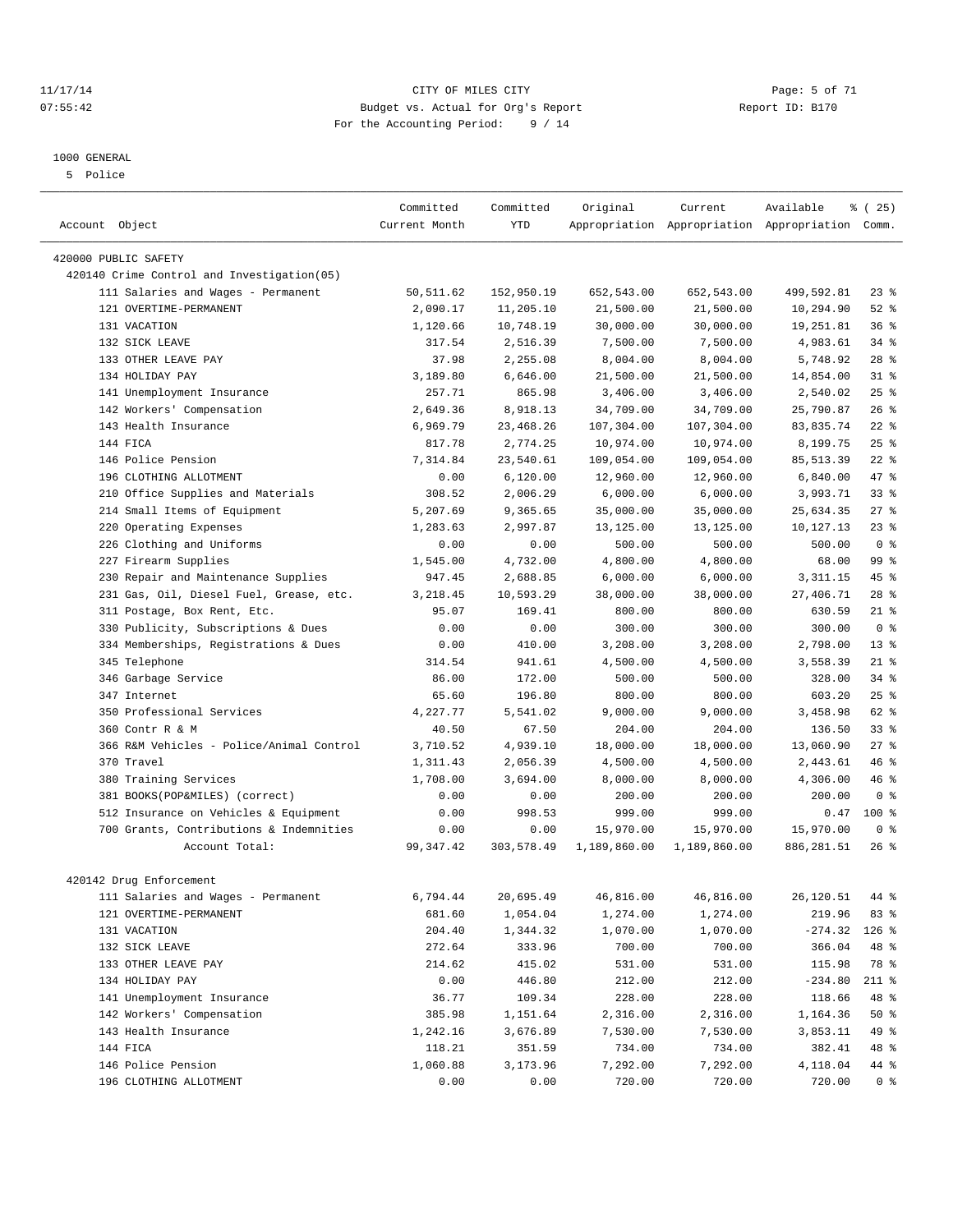#### 1000 GENERAL

5 Police

#### 11/17/14 CITY OF MILES CITY Page: 5 of 71 07:55:42 Budget vs. Actual for Org's Report Changer Report ID: B170 For the Accounting Period: 9 / 14

————————————————————————————————————————————————————————————————————————————————————————————————————————————————————————————————————

|                                                                    | Committed     | Committed  | Original     | Current      | Available                                       | % (25)         |
|--------------------------------------------------------------------|---------------|------------|--------------|--------------|-------------------------------------------------|----------------|
| Account Object                                                     | Current Month | YTD        |              |              | Appropriation Appropriation Appropriation Comm. |                |
|                                                                    |               |            |              |              |                                                 |                |
| 420000 PUBLIC SAFETY<br>420140 Crime Control and Investigation(05) |               |            |              |              |                                                 |                |
| 111 Salaries and Wages - Permanent                                 | 50,511.62     | 152,950.19 | 652,543.00   | 652,543.00   | 499,592.81                                      | $23$ $%$       |
| 121 OVERTIME-PERMANENT                                             | 2,090.17      | 11,205.10  | 21,500.00    | 21,500.00    | 10,294.90                                       | $52$ $%$       |
| 131 VACATION                                                       | 1,120.66      | 10,748.19  | 30,000.00    | 30,000.00    | 19,251.81                                       | 36%            |
| 132 SICK LEAVE                                                     | 317.54        | 2,516.39   | 7,500.00     | 7,500.00     | 4,983.61                                        | 34 %           |
| 133 OTHER LEAVE PAY                                                | 37.98         | 2,255.08   | 8,004.00     | 8,004.00     | 5,748.92                                        | $28$ %         |
| 134 HOLIDAY PAY                                                    | 3,189.80      | 6,646.00   | 21,500.00    | 21,500.00    | 14,854.00                                       | $31$ %         |
| 141 Unemployment Insurance                                         | 257.71        | 865.98     | 3,406.00     | 3,406.00     | 2,540.02                                        | 25%            |
| 142 Workers' Compensation                                          | 2,649.36      | 8,918.13   | 34,709.00    | 34,709.00    | 25,790.87                                       | $26$ %         |
| 143 Health Insurance                                               | 6,969.79      | 23, 468.26 | 107,304.00   | 107,304.00   | 83, 835.74                                      | $22$ %         |
| 144 FICA                                                           | 817.78        | 2,774.25   | 10,974.00    | 10,974.00    | 8,199.75                                        | $25$ $%$       |
| 146 Police Pension                                                 | 7,314.84      | 23,540.61  | 109,054.00   | 109,054.00   | 85, 513.39                                      | $22$ %         |
| 196 CLOTHING ALLOTMENT                                             | 0.00          | 6,120.00   | 12,960.00    | 12,960.00    | 6,840.00                                        | 47 %           |
| 210 Office Supplies and Materials                                  | 308.52        | 2,006.29   | 6,000.00     | 6,000.00     | 3,993.71                                        | $33$ $%$       |
| 214 Small Items of Equipment                                       | 5,207.69      | 9,365.65   | 35,000.00    | 35,000.00    | 25,634.35                                       | $27$ %         |
| 220 Operating Expenses                                             | 1,283.63      | 2,997.87   | 13,125.00    | 13,125.00    | 10,127.13                                       | $23$ $%$       |
| 226 Clothing and Uniforms                                          | 0.00          | 0.00       | 500.00       | 500.00       | 500.00                                          | 0 <sup>8</sup> |
| 227 Firearm Supplies                                               | 1,545.00      | 4,732.00   | 4,800.00     | 4,800.00     | 68.00                                           | 99 %           |
| 230 Repair and Maintenance Supplies                                | 947.45        | 2,688.85   | 6,000.00     | 6,000.00     | 3, 311.15                                       | 45 %           |
| 231 Gas, Oil, Diesel Fuel, Grease, etc.                            | 3,218.45      | 10,593.29  | 38,000.00    | 38,000.00    | 27,406.71                                       | $28$ %         |
| 311 Postage, Box Rent, Etc.                                        | 95.07         | 169.41     | 800.00       | 800.00       | 630.59                                          | $21$ %         |
| 330 Publicity, Subscriptions & Dues                                | 0.00          | 0.00       | 300.00       | 300.00       | 300.00                                          | 0 <sup>8</sup> |
| 334 Memberships, Registrations & Dues                              | 0.00          | 410.00     | 3,208.00     | 3,208.00     | 2,798.00                                        | $13*$          |
| 345 Telephone                                                      | 314.54        | 941.61     | 4,500.00     | 4,500.00     | 3,558.39                                        | $21$ %         |
| 346 Garbage Service                                                | 86.00         | 172.00     | 500.00       | 500.00       | 328.00                                          | 34 %           |
| 347 Internet                                                       | 65.60         | 196.80     | 800.00       | 800.00       | 603.20                                          | $25$ $%$       |
| 350 Professional Services                                          | 4,227.77      | 5,541.02   | 9,000.00     | 9,000.00     | 3,458.98                                        | 62 %           |
| 360 Contr R & M                                                    | 40.50         | 67.50      | 204.00       | 204.00       | 136.50                                          | $33$ $%$       |
| 366 R&M Vehicles - Police/Animal Control                           | 3,710.52      | 4,939.10   | 18,000.00    | 18,000.00    | 13,060.90                                       | 27%            |
| 370 Travel                                                         | 1,311.43      | 2,056.39   | 4,500.00     | 4,500.00     | 2,443.61                                        | 46%            |
| 380 Training Services                                              | 1,708.00      | 3,694.00   | 8,000.00     | 8,000.00     | 4,306.00                                        | 46 %           |
| 381 BOOKS(POP&MILES) (correct)                                     | 0.00          | 0.00       | 200.00       | 200.00       | 200.00                                          | 0 <sup>8</sup> |
| 512 Insurance on Vehicles & Equipment                              | 0.00          | 998.53     | 999.00       | 999.00       | 0.47                                            | $100*$         |
| 700 Grants, Contributions & Indemnities                            | 0.00          | 0.00       | 15,970.00    | 15,970.00    | 15,970.00                                       | 0 <sup>8</sup> |
| Account Total:                                                     | 99, 347.42    | 303,578.49 | 1,189,860.00 | 1,189,860.00 | 886,281.51                                      | $26$ %         |
|                                                                    |               |            |              |              |                                                 |                |
| 420142 Drug Enforcement                                            |               |            |              |              |                                                 |                |
| 111 Salaries and Wages - Permanent                                 | 6,794.44      | 20,695.49  | 46,816.00    | 46,816.00    | 26,120.51                                       | 44 %           |
| 121 OVERTIME-PERMANENT                                             | 681.60        | 1,054.04   | 1,274.00     | 1,274.00     | 219.96                                          | 83 %           |
| 131 VACATION                                                       | 204.40        | 1,344.32   | 1,070.00     | 1,070.00     | $-274.32$                                       | $126$ %        |
| 132 SICK LEAVE                                                     | 272.64        | 333.96     | 700.00       | 700.00       | 366.04                                          | 48 %           |
| 133 OTHER LEAVE PAY                                                | 214.62        | 415.02     | 531.00       | 531.00       | 115.98                                          | 78 %           |
| 134 HOLIDAY PAY                                                    | 0.00          | 446.80     | 212.00       | 212.00       | $-234.80$                                       | 211 %          |
| 141 Unemployment Insurance                                         | 36.77         | 109.34     | 228.00       | 228.00       | 118.66                                          | 48 %           |
| 142 Workers' Compensation                                          | 385.98        | 1,151.64   | 2,316.00     | 2,316.00     | 1,164.36                                        | 50%            |
| 143 Health Insurance                                               | 1,242.16      | 3,676.89   | 7,530.00     | 7,530.00     | 3,853.11                                        | 49 %           |
| 144 FICA                                                           | 118.21        | 351.59     | 734.00       | 734.00       | 382.41                                          | 48 %           |
| 146 Police Pension                                                 | 1,060.88      | 3,173.96   | 7,292.00     | 7,292.00     | 4,118.04                                        | 44 %           |
| 196 CLOTHING ALLOTMENT                                             | 0.00          | 0.00       | 720.00       | 720.00       | 720.00                                          | 0 <sup>8</sup> |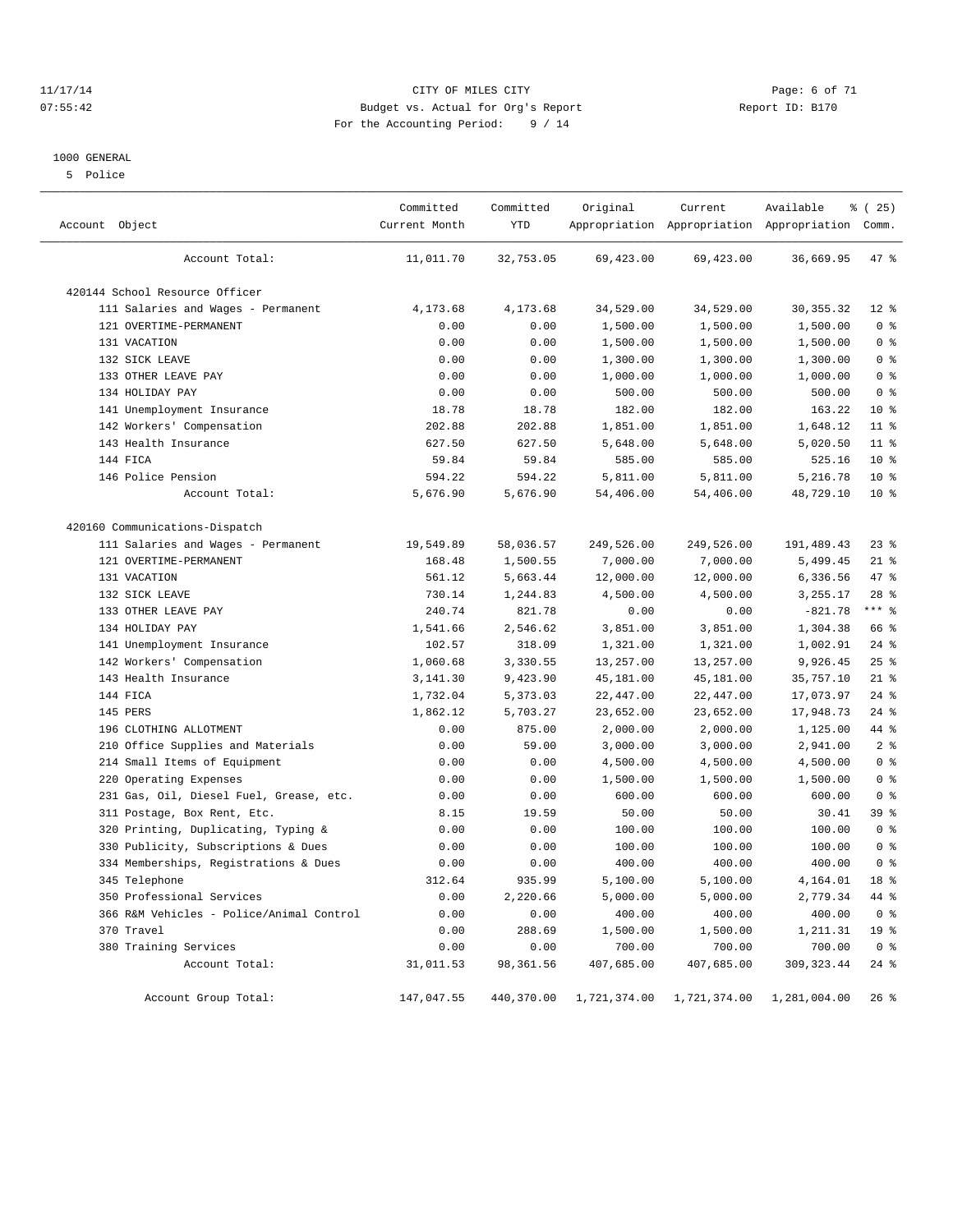#### 11/17/14 CITY OF MILES CITY Page: 6 of 71 07:55:42 Budget vs. Actual for Org's Report Changer Report ID: B170 For the Accounting Period: 9 / 14

#### 1000 GENERAL

5 Police

| Account Object                           | Committed<br>Current Month | Committed<br>YTD | Original     | Current      | Available<br>Appropriation Appropriation Appropriation Comm. | % (25)          |
|------------------------------------------|----------------------------|------------------|--------------|--------------|--------------------------------------------------------------|-----------------|
| Account Total:                           | 11,011.70                  | 32,753.05        | 69,423.00    | 69,423.00    | 36,669.95                                                    | 47 %            |
| 420144 School Resource Officer           |                            |                  |              |              |                                                              |                 |
| 111 Salaries and Wages - Permanent       | 4,173.68                   | 4,173.68         | 34,529.00    | 34,529.00    | 30, 355. 32                                                  | $12*$           |
| 121 OVERTIME-PERMANENT                   | 0.00                       | 0.00             | 1,500.00     | 1,500.00     | 1,500.00                                                     | 0 <sup>8</sup>  |
| 131 VACATION                             | 0.00                       | 0.00             | 1,500.00     | 1,500.00     | 1,500.00                                                     | 0 <sup>8</sup>  |
| 132 SICK LEAVE                           | 0.00                       | 0.00             | 1,300.00     | 1,300.00     | 1,300.00                                                     | 0 <sup>8</sup>  |
| 133 OTHER LEAVE PAY                      | 0.00                       | 0.00             | 1,000.00     | 1,000.00     | 1,000.00                                                     | 0 <sup>8</sup>  |
| 134 HOLIDAY PAY                          | 0.00                       | 0.00             | 500.00       | 500.00       | 500.00                                                       | 0 <sup>8</sup>  |
| 141 Unemployment Insurance               | 18.78                      | 18.78            | 182.00       | 182.00       | 163.22                                                       | $10*$           |
| 142 Workers' Compensation                | 202.88                     | 202.88           | 1,851.00     | 1,851.00     | 1,648.12                                                     | 11 %            |
| 143 Health Insurance                     | 627.50                     | 627.50           | 5,648.00     | 5,648.00     | 5,020.50                                                     | $11*$           |
| 144 FICA                                 | 59.84                      | 59.84            | 585.00       | 585.00       | 525.16                                                       | $10*$           |
| 146 Police Pension                       | 594.22                     | 594.22           | 5,811.00     | 5,811.00     | 5,216.78                                                     | $10*$           |
| Account Total:                           | 5,676.90                   | 5,676.90         | 54,406.00    | 54,406.00    | 48,729.10                                                    | $10*$           |
| 420160 Communications-Dispatch           |                            |                  |              |              |                                                              |                 |
| 111 Salaries and Wages - Permanent       | 19,549.89                  | 58,036.57        | 249,526.00   | 249,526.00   | 191,489.43                                                   | $23$ $%$        |
| 121 OVERTIME-PERMANENT                   | 168.48                     | 1,500.55         | 7,000.00     | 7,000.00     | 5,499.45                                                     | $21$ %          |
| 131 VACATION                             | 561.12                     | 5,663.44         | 12,000.00    | 12,000.00    | 6,336.56                                                     | 47 %            |
| 132 SICK LEAVE                           | 730.14                     | 1,244.83         | 4,500.00     | 4,500.00     | 3,255.17                                                     | $28$ %          |
| 133 OTHER LEAVE PAY                      | 240.74                     | 821.78           | 0.00         | 0.00         | $-821.78$                                                    | $***$ $-$       |
| 134 HOLIDAY PAY                          | 1,541.66                   | 2,546.62         | 3,851.00     | 3,851.00     | 1,304.38                                                     | 66 %            |
| 141 Unemployment Insurance               | 102.57                     | 318.09           | 1,321.00     | 1,321.00     | 1,002.91                                                     | $24$ %          |
| 142 Workers' Compensation                | 1,060.68                   | 3,330.55         | 13,257.00    | 13,257.00    | 9,926.45                                                     | 25%             |
| 143 Health Insurance                     | 3,141.30                   | 9,423.90         | 45,181.00    | 45,181.00    | 35,757.10                                                    | $21$ %          |
| 144 FICA                                 | 1,732.04                   | 5,373.03         | 22,447.00    | 22,447.00    | 17,073.97                                                    | $24$ %          |
| 145 PERS                                 | 1,862.12                   | 5,703.27         | 23,652.00    | 23,652.00    | 17,948.73                                                    | $24$ %          |
| 196 CLOTHING ALLOTMENT                   | 0.00                       | 875.00           | 2,000.00     | 2,000.00     | 1,125.00                                                     | 44 %            |
| Office Supplies and Materials<br>210     | 0.00                       | 59.00            | 3,000.00     | 3,000.00     | 2,941.00                                                     | 2 <sup>°</sup>  |
| 214 Small Items of Equipment             | 0.00                       | 0.00             | 4,500.00     | 4,500.00     | 4,500.00                                                     | 0 <sup>8</sup>  |
| 220 Operating Expenses                   | 0.00                       | 0.00             | 1,500.00     | 1,500.00     | 1,500.00                                                     | 0 <sup>8</sup>  |
| 231 Gas, Oil, Diesel Fuel, Grease, etc.  | 0.00                       | 0.00             | 600.00       | 600.00       | 600.00                                                       | 0 <sup>8</sup>  |
| 311 Postage, Box Rent, Etc.              | 8.15                       | 19.59            | 50.00        | 50.00        | 30.41                                                        | 39 %            |
| Printing, Duplicating, Typing &<br>320   | 0.00                       | 0.00             | 100.00       | 100.00       | 100.00                                                       | 0 <sup>8</sup>  |
| 330 Publicity, Subscriptions & Dues      | 0.00                       | 0.00             | 100.00       | 100.00       | 100.00                                                       | 0 <sup>8</sup>  |
| 334 Memberships, Registrations & Dues    | 0.00                       | 0.00             | 400.00       | 400.00       | 400.00                                                       | 0 <sup>8</sup>  |
| 345 Telephone                            | 312.64                     | 935.99           | 5,100.00     | 5,100.00     | 4,164.01                                                     | 18 %            |
| 350 Professional Services                | 0.00                       | 2,220.66         | 5,000.00     | 5,000.00     | 2,779.34                                                     | 44 %            |
| 366 R&M Vehicles - Police/Animal Control | 0.00                       | 0.00             | 400.00       | 400.00       | 400.00                                                       | 0 <sup>8</sup>  |
| 370 Travel                               | 0.00                       | 288.69           | 1,500.00     | 1,500.00     | 1,211.31                                                     | 19 <sup>°</sup> |
| 380 Training Services                    | 0.00                       | 0.00             | 700.00       | 700.00       | 700.00                                                       | 0 <sup>8</sup>  |
| Account Total:                           | 31,011.53                  | 98,361.56        | 407,685.00   | 407,685.00   | 309, 323.44                                                  | $24$ %          |
| Account Group Total:                     | 147,047.55                 | 440,370.00       | 1,721,374.00 | 1,721,374.00 | 1,281,004.00                                                 | $26$ %          |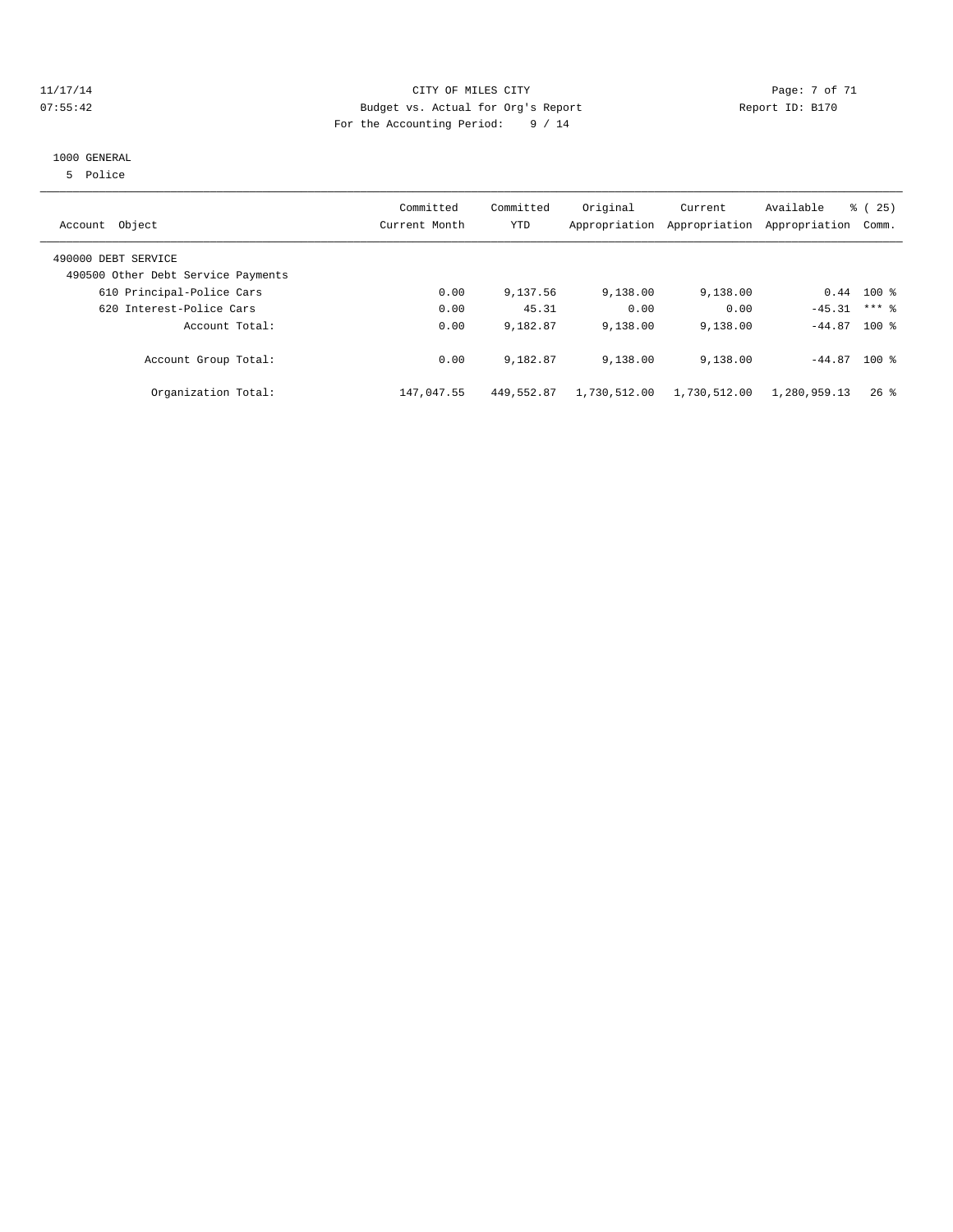#### 11/17/14 CITY OF MILES CITY Page: 7 of 71 07:55:42 Budget vs. Actual for Org's Report Changer Report ID: B170 For the Accounting Period: 9 / 14

#### 1000 GENERAL

5 Police

| Account Object                                            | Committed<br>Current Month | Committed<br><b>YTD</b> | Original     | Current<br>Appropriation Appropriation | Available<br>Appropriation | $\frac{3}{6}$ ( 25 )<br>Comm. |
|-----------------------------------------------------------|----------------------------|-------------------------|--------------|----------------------------------------|----------------------------|-------------------------------|
| 490000 DEBT SERVICE<br>490500 Other Debt Service Payments |                            |                         |              |                                        |                            |                               |
| 610 Principal-Police Cars                                 | 0.00                       | 9,137.56                | 9,138.00     | 9,138.00                               |                            | $0.44$ 100 %                  |
| 620 Interest-Police Cars                                  | 0.00                       | 45.31                   | 0.00         | 0.00                                   | $-45.31$                   | $***$ 2                       |
| Account Total:                                            | 0.00                       | 9,182.87                | 9,138.00     | 9,138.00                               | $-44.87$ 100 %             |                               |
| Account Group Total:                                      | 0.00                       | 9,182.87                | 9,138.00     | 9,138.00                               | $-44.87$ 100 %             |                               |
| Organization Total:                                       | 147,047.55                 | 449,552.87              | 1,730,512.00 | 1,730,512.00                           | 1,280,959.13               | $26$ %                        |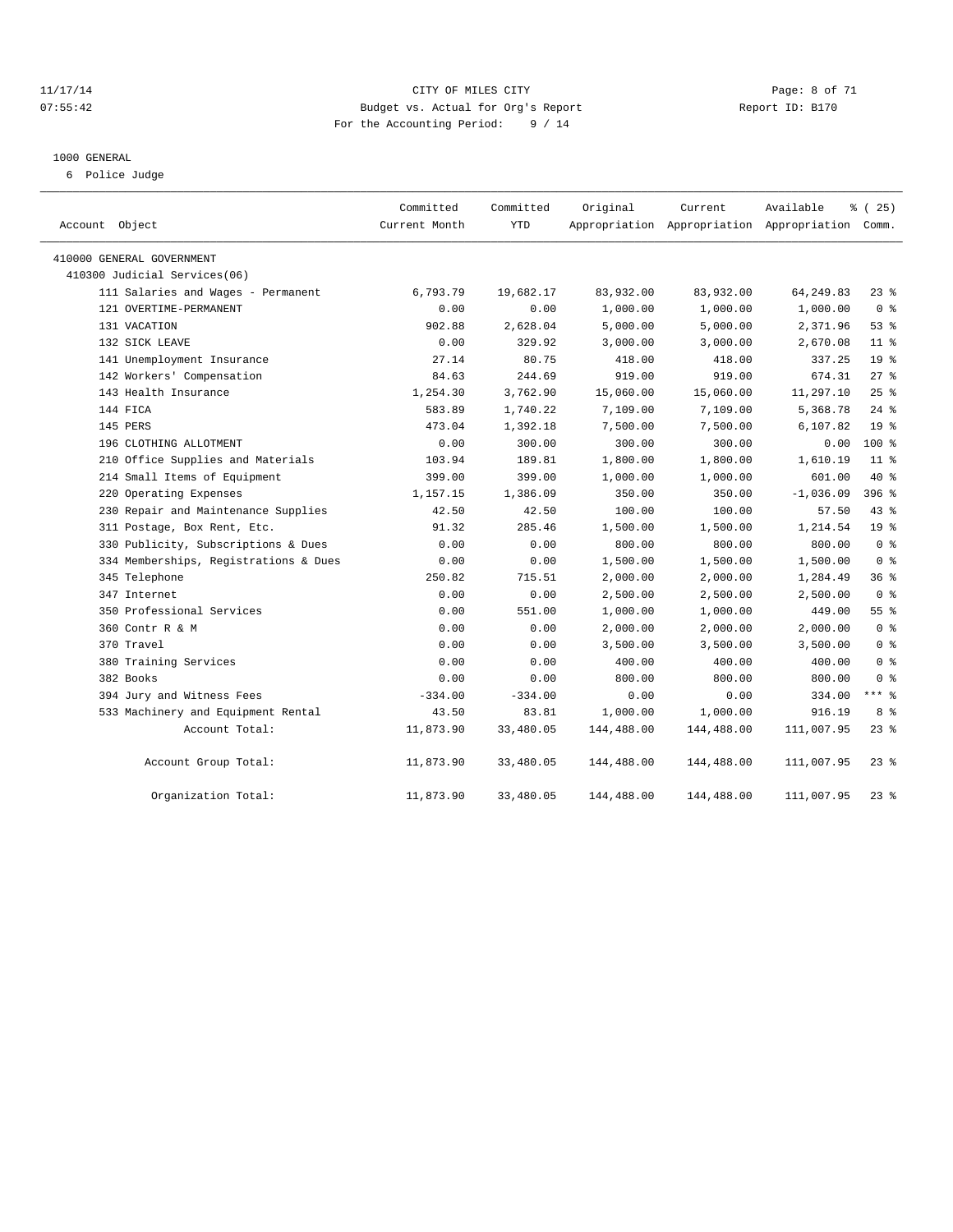#### 11/17/14 CITY OF MILES CITY Page: 8 of 71 07:55:42 Budget vs. Actual for Org's Report Changer Report ID: B170 For the Accounting Period: 9 / 14

#### 1000 GENERAL

6 Police Judge

| Account Object                        | Committed<br>Current Month | Committed<br><b>YTD</b> | Original   | Current    | Available<br>Appropriation Appropriation Appropriation Comm. | % (25)          |
|---------------------------------------|----------------------------|-------------------------|------------|------------|--------------------------------------------------------------|-----------------|
| 410000 GENERAL GOVERNMENT             |                            |                         |            |            |                                                              |                 |
| 410300 Judicial Services(06)          |                            |                         |            |            |                                                              |                 |
| 111 Salaries and Wages - Permanent    | 6,793.79                   | 19,682.17               | 83,932.00  | 83,932.00  | 64, 249.83                                                   | $23$ %          |
| 121 OVERTIME-PERMANENT                | 0.00                       | 0.00                    | 1,000.00   | 1,000.00   | 1,000.00                                                     | 0 <sup>8</sup>  |
| 131 VACATION                          | 902.88                     | 2,628.04                | 5,000.00   | 5,000.00   | 2,371.96                                                     | 53%             |
| 132 SICK LEAVE                        | 0.00                       | 329.92                  | 3,000.00   | 3,000.00   | 2,670.08                                                     | 11 <sup>8</sup> |
| 141 Unemployment Insurance            | 27.14                      | 80.75                   | 418.00     | 418.00     | 337.25                                                       | 19 <sup>8</sup> |
| 142 Workers' Compensation             | 84.63                      | 244.69                  | 919.00     | 919.00     | 674.31                                                       | $27$ $%$        |
| 143 Health Insurance                  | 1,254.30                   | 3,762.90                | 15,060.00  | 15,060.00  | 11,297.10                                                    | 25%             |
| 144 FICA                              | 583.89                     | 1,740.22                | 7,109.00   | 7,109.00   | 5,368.78                                                     | $24$ $%$        |
| 145 PERS                              | 473.04                     | 1,392.18                | 7,500.00   | 7,500.00   | 6,107.82                                                     | 19 <sup>°</sup> |
| 196 CLOTHING ALLOTMENT                | 0.00                       | 300.00                  | 300.00     | 300.00     | 0.00                                                         | $100*$          |
| 210 Office Supplies and Materials     | 103.94                     | 189.81                  | 1,800.00   | 1,800.00   | 1,610.19                                                     | $11$ %          |
| 214 Small Items of Equipment          | 399.00                     | 399.00                  | 1,000.00   | 1,000.00   | 601.00                                                       | $40*$           |
| 220 Operating Expenses                | 1,157.15                   | 1,386.09                | 350.00     | 350.00     | $-1,036.09$                                                  | 396 %           |
| 230 Repair and Maintenance Supplies   | 42.50                      | 42.50                   | 100.00     | 100.00     | 57.50                                                        | $43$ %          |
| 311 Postage, Box Rent, Etc.           | 91.32                      | 285.46                  | 1,500.00   | 1,500.00   | 1,214.54                                                     | 19 <sup>°</sup> |
| 330 Publicity, Subscriptions & Dues   | 0.00                       | 0.00                    | 800.00     | 800.00     | 800.00                                                       | 0 <sup>8</sup>  |
| 334 Memberships, Registrations & Dues | 0.00                       | 0.00                    | 1,500.00   | 1,500.00   | 1,500.00                                                     | 0 <sup>8</sup>  |
| 345 Telephone                         | 250.82                     | 715.51                  | 2,000.00   | 2,000.00   | 1,284.49                                                     | 36%             |
| 347 Internet                          | 0.00                       | 0.00                    | 2,500.00   | 2,500.00   | 2,500.00                                                     | 0 <sup>8</sup>  |
| 350 Professional Services             | 0.00                       | 551.00                  | 1,000.00   | 1,000.00   | 449.00                                                       | 55 <sup>8</sup> |
| 360 Contr R & M                       | 0.00                       | 0.00                    | 2,000.00   | 2,000.00   | 2,000.00                                                     | 0 <sup>8</sup>  |
| 370 Travel                            | 0.00                       | 0.00                    | 3,500.00   | 3,500.00   | 3,500.00                                                     | 0 <sup>8</sup>  |
| 380 Training Services                 | 0.00                       | 0.00                    | 400.00     | 400.00     | 400.00                                                       | 0 <sup>8</sup>  |
| 382 Books                             | 0.00                       | 0.00                    | 800.00     | 800.00     | 800.00                                                       | 0 <sup>8</sup>  |
| 394 Jury and Witness Fees             | $-334.00$                  | $-334.00$               | 0.00       | 0.00       | 334.00                                                       | $***$ 8         |
| 533 Machinery and Equipment Rental    | 43.50                      | 83.81                   | 1,000.00   | 1,000.00   | 916.19                                                       | 8 %             |
| Account Total:                        | 11,873.90                  | 33,480.05               | 144,488.00 | 144,488.00 | 111,007.95                                                   | $23$ %          |
| Account Group Total:                  | 11,873.90                  | 33,480.05               | 144,488.00 | 144,488.00 | 111,007.95                                                   | $23$ %          |
| Organization Total:                   | 11,873.90                  | 33,480.05               | 144,488.00 | 144,488.00 | 111,007.95                                                   | $23$ %          |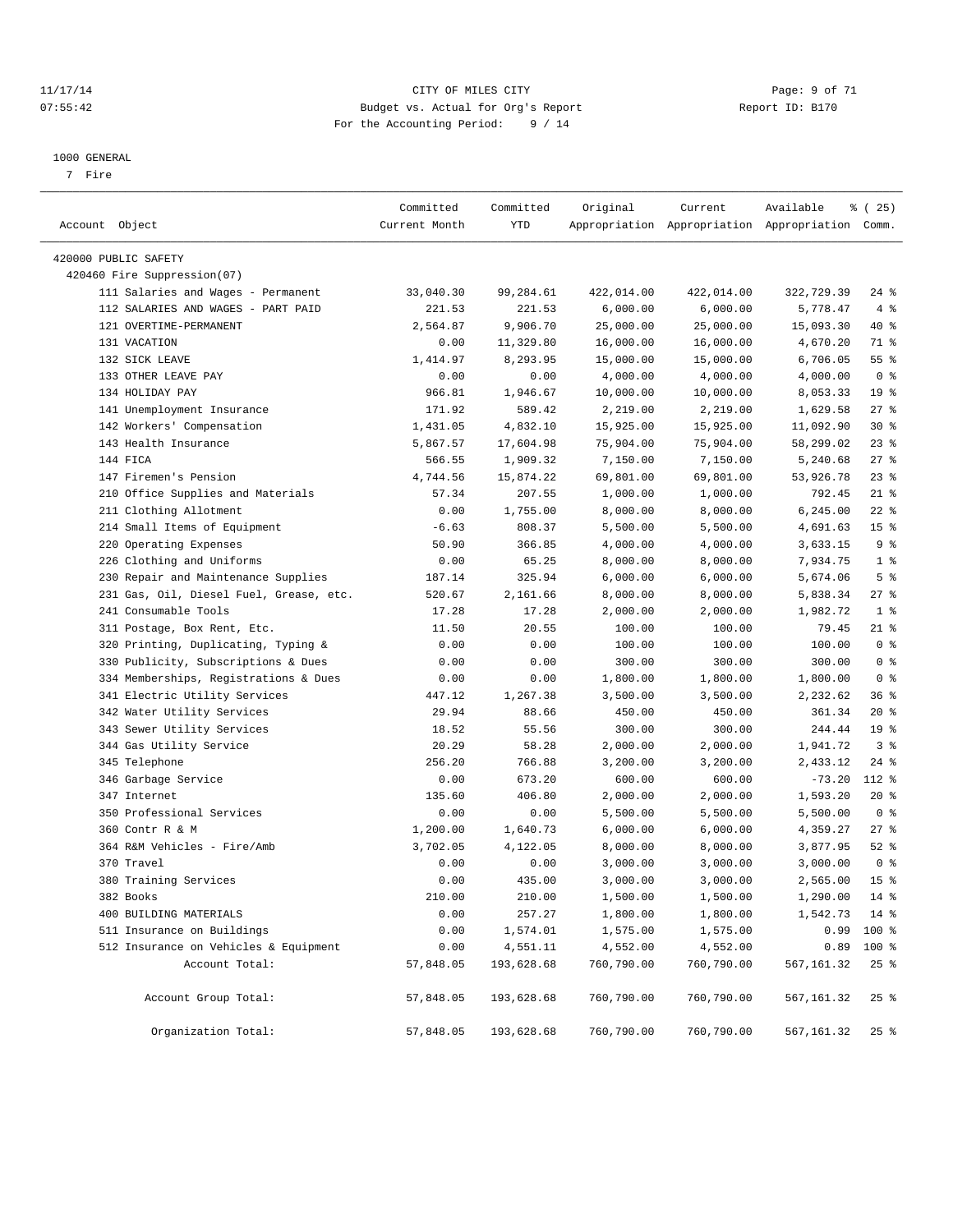#### 11/17/14 CITY OF MILES CITY Page: 9 of 71 07:55:42 Budget vs. Actual for Org's Report Changer Report ID: B170 For the Accounting Period: 9 / 14

————————————————————————————————————————————————————————————————————————————————————————————————————————————————————————————————————

#### 1000 GENERAL

7 Fire

|                                         | Committed     | Committed  | Original   | Current    | Available                                       | <sub>है</sub> (25) |
|-----------------------------------------|---------------|------------|------------|------------|-------------------------------------------------|--------------------|
| Account Object                          | Current Month | YTD        |            |            | Appropriation Appropriation Appropriation Comm. |                    |
| 420000 PUBLIC SAFETY                    |               |            |            |            |                                                 |                    |
| 420460 Fire Suppression(07)             |               |            |            |            |                                                 |                    |
| 111 Salaries and Wages - Permanent      | 33,040.30     | 99,284.61  | 422,014.00 | 422,014.00 | 322,729.39                                      | $24$ %             |
| 112 SALARIES AND WAGES - PART PAID      | 221.53        | 221.53     | 6,000.00   | 6,000.00   | 5,778.47                                        | 4%                 |
| 121 OVERTIME-PERMANENT                  | 2,564.87      | 9,906.70   | 25,000.00  | 25,000.00  | 15,093.30                                       | 40 %               |
| 131 VACATION                            | 0.00          | 11,329.80  | 16,000.00  | 16,000.00  | 4,670.20                                        | 71 %               |
| 132 SICK LEAVE                          | 1,414.97      | 8,293.95   | 15,000.00  | 15,000.00  | 6,706.05                                        | 55%                |
| 133 OTHER LEAVE PAY                     | 0.00          | 0.00       | 4,000.00   | 4,000.00   | 4,000.00                                        | 0 <sup>8</sup>     |
| 134 HOLIDAY PAY                         | 966.81        | 1,946.67   | 10,000.00  | 10,000.00  | 8,053.33                                        | 19 <sup>°</sup>    |
| 141 Unemployment Insurance              | 171.92        | 589.42     | 2,219.00   | 2,219.00   | 1,629.58                                        | 27%                |
| 142 Workers' Compensation               | 1,431.05      | 4,832.10   | 15,925.00  | 15,925.00  | 11,092.90                                       | $30*$              |
| 143 Health Insurance                    | 5,867.57      | 17,604.98  | 75,904.00  | 75,904.00  | 58,299.02                                       | $23$ $%$           |
| 144 FICA                                | 566.55        | 1,909.32   | 7,150.00   | 7,150.00   | 5,240.68                                        | $27$ %             |
| 147 Firemen's Pension                   | 4,744.56      | 15,874.22  | 69,801.00  | 69,801.00  | 53,926.78                                       | $23$ $%$           |
| 210 Office Supplies and Materials       | 57.34         | 207.55     | 1,000.00   | 1,000.00   | 792.45                                          | $21$ %             |
| 211 Clothing Allotment                  | 0.00          | 1,755.00   | 8,000.00   | 8,000.00   | 6,245.00                                        | $22$ %             |
| 214 Small Items of Equipment            | $-6.63$       | 808.37     | 5,500.00   | 5,500.00   | 4,691.63                                        | 15 <sup>°</sup>    |
| 220 Operating Expenses                  | 50.90         | 366.85     | 4,000.00   | 4,000.00   | 3,633.15                                        | 9%                 |
| 226 Clothing and Uniforms               | 0.00          | 65.25      | 8,000.00   | 8,000.00   | 7,934.75                                        | 1 <sup>8</sup>     |
| 230 Repair and Maintenance Supplies     | 187.14        | 325.94     | 6,000.00   | 6,000.00   | 5,674.06                                        | 5 <sup>°</sup>     |
| 231 Gas, Oil, Diesel Fuel, Grease, etc. | 520.67        | 2,161.66   | 8,000.00   | 8,000.00   | 5,838.34                                        | $27$ %             |
| 241 Consumable Tools                    | 17.28         | 17.28      | 2,000.00   | 2,000.00   | 1,982.72                                        | 1 <sup>8</sup>     |
| 311 Postage, Box Rent, Etc.             | 11.50         | 20.55      | 100.00     | 100.00     | 79.45                                           | 21 %               |
| 320 Printing, Duplicating, Typing &     | 0.00          | 0.00       | 100.00     | 100.00     | 100.00                                          | 0 <sup>8</sup>     |
| 330 Publicity, Subscriptions & Dues     | 0.00          | 0.00       | 300.00     | 300.00     | 300.00                                          | 0 <sup>8</sup>     |
| 334 Memberships, Registrations & Dues   | 0.00          | 0.00       | 1,800.00   | 1,800.00   | 1,800.00                                        | 0 <sup>8</sup>     |
| 341 Electric Utility Services           | 447.12        | 1,267.38   | 3,500.00   | 3,500.00   | 2,232.62                                        | 36%                |
| 342 Water Utility Services              | 29.94         | 88.66      | 450.00     | 450.00     | 361.34                                          | $20*$              |
| 343 Sewer Utility Services              | 18.52         | 55.56      | 300.00     | 300.00     | 244.44                                          | 19 <sup>°</sup>    |
| 344 Gas Utility Service                 | 20.29         | 58.28      | 2,000.00   | 2,000.00   | 1,941.72                                        | 3 <sup>8</sup>     |
| 345 Telephone                           | 256.20        | 766.88     | 3,200.00   | 3,200.00   | 2,433.12                                        | $24$ %             |
| 346 Garbage Service                     | 0.00          | 673.20     | 600.00     | 600.00     | $-73.20$                                        | 112 %              |
| 347 Internet                            | 135.60        | 406.80     | 2,000.00   | 2,000.00   | 1,593.20                                        | $20*$              |
| 350 Professional Services               | 0.00          | 0.00       | 5,500.00   | 5,500.00   | 5,500.00                                        | 0 <sup>8</sup>     |
| 360 Contr R & M                         | 1,200.00      | 1,640.73   | 6,000.00   | 6,000.00   | 4,359.27                                        | $27$ %             |
| 364 R&M Vehicles - Fire/Amb             | 3,702.05      | 4,122.05   | 8,000.00   | 8,000.00   | 3,877.95                                        | $52$ $%$           |
| 370 Travel                              | 0.00          | 0.00       | 3,000.00   | 3,000.00   | 3,000.00                                        | 0 <sup>8</sup>     |
| 380 Training Services                   | 0.00          | 435.00     | 3,000.00   | 3,000.00   | 2,565.00                                        | 15 <sup>°</sup>    |
| 382 Books                               | 210.00        | 210.00     | 1,500.00   | 1,500.00   | 1,290.00                                        | 14 %               |
| 400 BUILDING MATERIALS                  | 0.00          | 257.27     | 1,800.00   | 1,800.00   | 1,542.73 14 %                                   |                    |
| 511 Insurance on Buildings              | 0.00          | 1,574.01   | 1,575.00   | 1,575.00   |                                                 | $0.99$ 100 %       |
| 512 Insurance on Vehicles & Equipment   | 0.00          | 4,551.11   | 4,552.00   | 4,552.00   |                                                 | $0.89$ 100 %       |
| Account Total:                          | 57,848.05     | 193,628.68 | 760,790.00 | 760,790.00 | 567,161.32                                      | $25$ %             |
| Account Group Total:                    | 57,848.05     | 193,628.68 | 760,790.00 | 760,790.00 | 567, 161.32                                     | 25%                |
| Organization Total:                     | 57,848.05     | 193,628.68 | 760,790.00 | 760,790.00 | 567,161.32                                      | $25$ %             |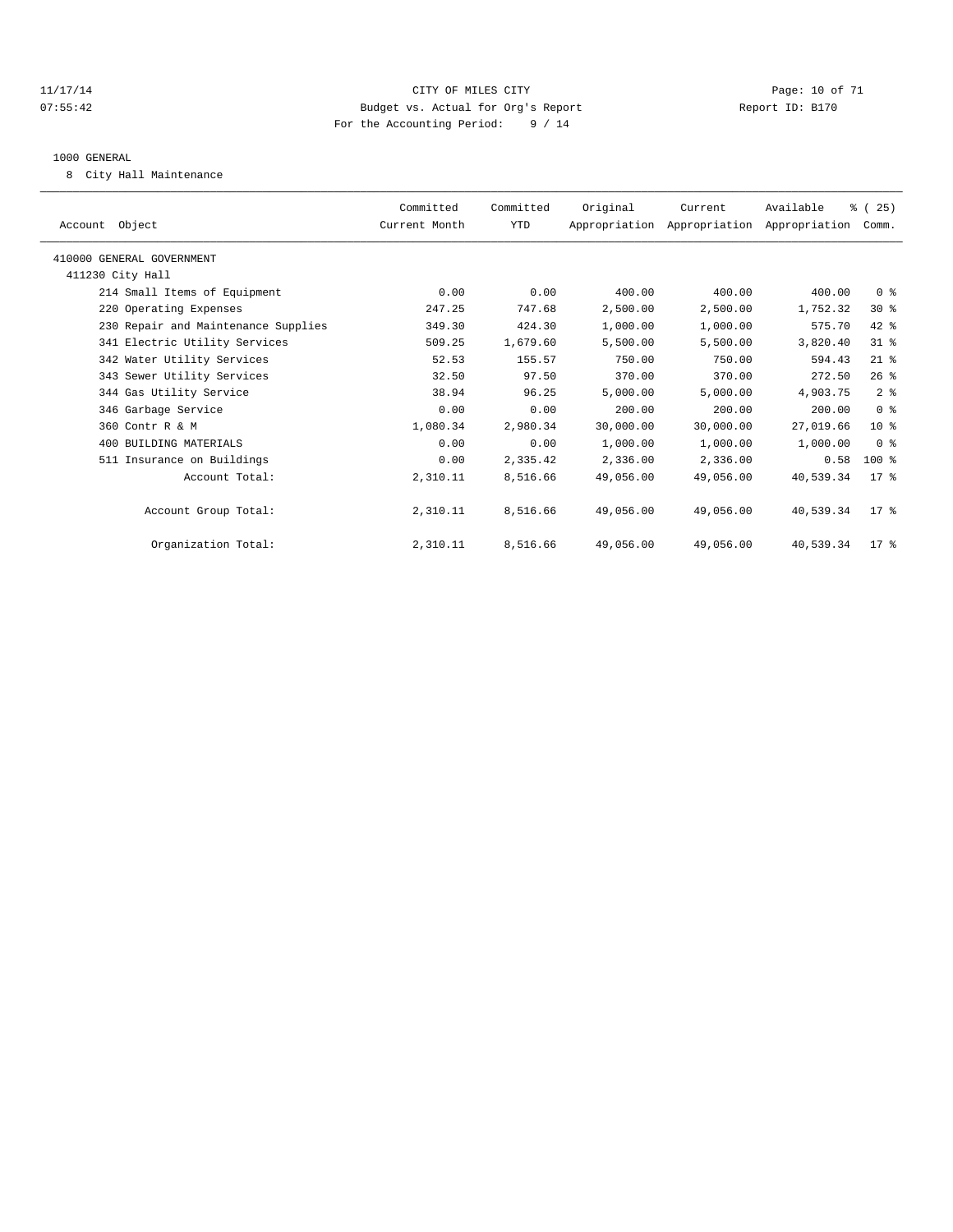#### 11/17/14 Page: 10 of 71 07:55:42 Budget vs. Actual for Org's Report Changer Report ID: B170 For the Accounting Period: 9 / 14

#### 1000 GENERAL

8 City Hall Maintenance

| Account Object                      | Committed<br>Current Month | Committed<br>YTD | Original  | Current<br>Appropriation Appropriation Appropriation Comm. | Available | % (25)         |  |
|-------------------------------------|----------------------------|------------------|-----------|------------------------------------------------------------|-----------|----------------|--|
| 410000 GENERAL GOVERNMENT           |                            |                  |           |                                                            |           |                |  |
| 411230 City Hall                    |                            |                  |           |                                                            |           |                |  |
| 214 Small Items of Equipment        | 0.00                       | 0.00             | 400.00    | 400.00                                                     | 400.00    | 0 <sup>8</sup> |  |
| 220 Operating Expenses              | 247.25                     | 747.68           | 2,500.00  | 2,500.00                                                   | 1,752.32  | $30*$          |  |
| 230 Repair and Maintenance Supplies | 349.30                     | 424.30           | 1,000.00  | 1,000.00                                                   | 575.70    | 42 %           |  |
| 341 Electric Utility Services       | 509.25                     | 1,679.60         | 5,500.00  | 5,500.00                                                   | 3,820.40  | 31.8           |  |
| 342 Water Utility Services          | 52.53                      | 155.57           | 750.00    | 750.00                                                     | 594.43    | $21$ %         |  |
| 343 Sewer Utility Services          | 32.50                      | 97.50            | 370.00    | 370.00                                                     | 272.50    | 26%            |  |
| 344 Gas Utility Service             | 38.94                      | 96.25            | 5,000.00  | 5,000.00                                                   | 4,903.75  | 2 <sup>8</sup> |  |
| 346 Garbage Service                 | 0.00                       | 0.00             | 200.00    | 200.00                                                     | 200.00    | 0 <sup>8</sup> |  |
| 360 Contr R & M                     | 1,080.34                   | 2,980.34         | 30,000.00 | 30,000.00                                                  | 27,019.66 | $10*$          |  |
| 400 BUILDING MATERIALS              | 0.00                       | 0.00             | 1,000.00  | 1,000.00                                                   | 1,000.00  | 0 <sup>8</sup> |  |
| 511 Insurance on Buildings          | 0.00                       | 2,335.42         | 2,336.00  | 2,336.00                                                   | 0.58      | $100*$         |  |
| Account Total:                      | 2,310.11                   | 8,516.66         | 49,056.00 | 49,056.00                                                  | 40,539.34 | $17*$          |  |
| Account Group Total:                | 2,310.11                   | 8,516.66         | 49,056.00 | 49,056.00                                                  | 40,539.34 | $17*$          |  |
| Organization Total:                 | 2,310.11                   | 8,516.66         | 49,056.00 | 49,056.00                                                  | 40,539.34 | 17.8           |  |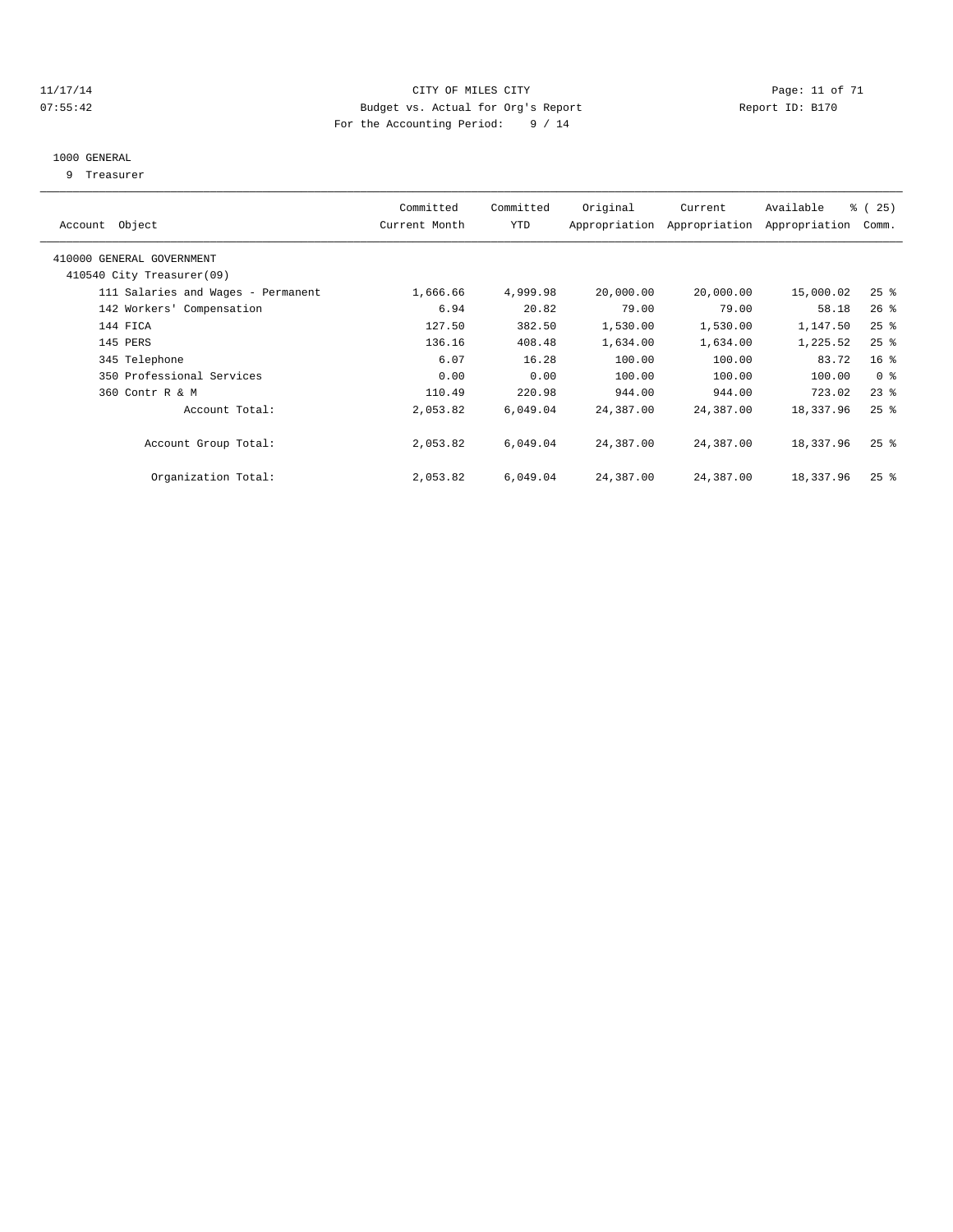#### 11/17/14 Page: 11 of 71 07:55:42 Budget vs. Actual for Org's Report Changer Report ID: B170 For the Accounting Period: 9 / 14

#### 1000 GENERAL

9 Treasurer

| Account Object                                         | Committed<br>Current Month | Committed<br>YTD | Original  | Current<br>Appropriation Appropriation | Available<br>Appropriation | % (25)<br>Comm.    |  |
|--------------------------------------------------------|----------------------------|------------------|-----------|----------------------------------------|----------------------------|--------------------|--|
| 410000 GENERAL GOVERNMENT<br>410540 City Treasurer(09) |                            |                  |           |                                        |                            |                    |  |
|                                                        |                            |                  |           |                                        |                            |                    |  |
| 111 Salaries and Wages - Permanent                     | 1,666.66                   | 4,999.98         | 20,000.00 | 20,000.00                              | 15,000.02                  | $25$ %             |  |
| 142 Workers' Compensation                              | 6.94                       | 20.82            | 79.00     | 79.00                                  | 58.18                      | $26$ %             |  |
| 144 FICA                                               | 127.50                     | 382.50           | 1,530.00  | 1,530.00                               | 1,147.50                   | 25%                |  |
| 145 PERS                                               | 136.16                     | 408.48           | 1,634.00  | 1,634.00                               | 1,225.52                   | $25$ %             |  |
| 345 Telephone                                          | 6.07                       | 16.28            | 100.00    | 100.00                                 | 83.72                      | 16 <sup>°</sup>    |  |
| 350 Professional Services                              | 0.00                       | 0.00             | 100.00    | 100.00                                 | 100.00                     | 0 <sup>8</sup>     |  |
| 360 Contr R & M                                        | 110.49                     | 220.98           | 944.00    | 944.00                                 | 723.02                     | $23$ $%$           |  |
| Account Total:                                         | 2,053.82                   | 6,049.04         | 24,387.00 | 24,387.00                              | 18,337.96                  | $25$ %             |  |
| Account Group Total:                                   | 2,053.82                   | 6,049.04         | 24,387.00 | 24,387.00                              | 18,337.96                  | $25$ $\frac{6}{5}$ |  |
| Organization Total:                                    | 2,053.82                   | 6,049.04         | 24,387.00 | 24,387.00                              | 18,337.96                  | $25$ %             |  |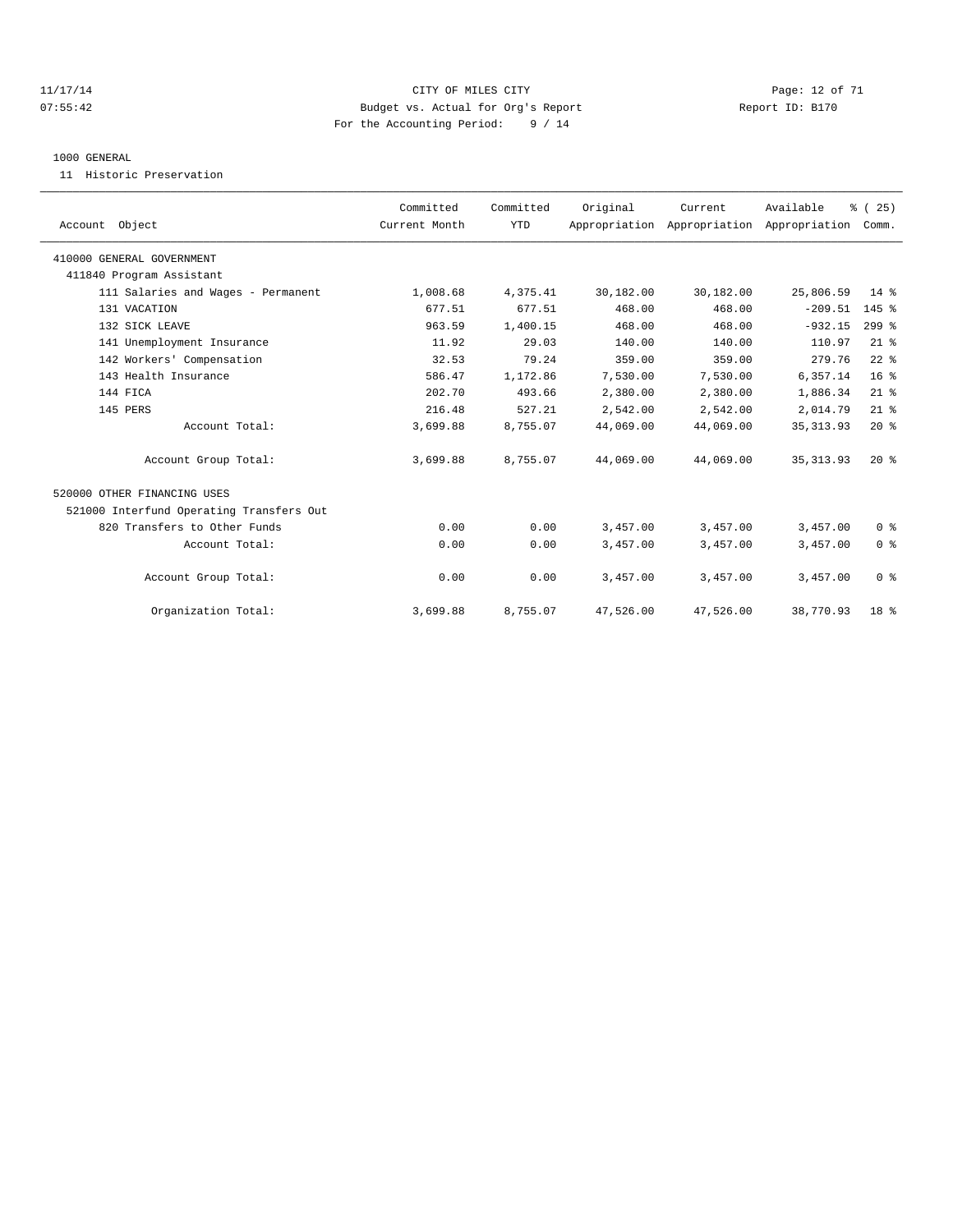#### 11/17/14 Page: 12 of 71 07:55:42 Budget vs. Actual for Org's Report Changer Report ID: B170 For the Accounting Period: 9 / 14

#### 1000 GENERAL

11 Historic Preservation

|                                          | Committed     | Committed  | Original  | Current                                   | Available  | % (25)          |  |
|------------------------------------------|---------------|------------|-----------|-------------------------------------------|------------|-----------------|--|
| Account Object                           | Current Month | <b>YTD</b> |           | Appropriation Appropriation Appropriation |            | Comm.           |  |
| 410000 GENERAL GOVERNMENT                |               |            |           |                                           |            |                 |  |
| 411840 Program Assistant                 |               |            |           |                                           |            |                 |  |
| 111 Salaries and Wages - Permanent       | 1,008.68      | 4,375.41   | 30,182.00 | 30,182.00                                 | 25,806.59  | $14*$           |  |
| 131 VACATION                             | 677.51        | 677.51     | 468.00    | 468.00                                    | $-209.51$  | 145 %           |  |
| 132 SICK LEAVE                           | 963.59        | 1,400.15   | 468.00    | 468.00                                    | $-932.15$  | $299$ $%$       |  |
| 141 Unemployment Insurance               | 11.92         | 29.03      | 140.00    | 140.00                                    | 110.97     | $21$ %          |  |
| 142 Workers' Compensation                | 32.53         | 79.24      | 359.00    | 359.00                                    | 279.76     | $22$ $%$        |  |
| 143 Health Insurance                     | 586.47        | 1,172.86   | 7,530.00  | 7,530.00                                  | 6,357.14   | 16 <sup>°</sup> |  |
| 144 FICA                                 | 202.70        | 493.66     | 2,380.00  | 2,380.00                                  | 1,886.34   | $21$ %          |  |
| 145 PERS                                 | 216.48        | 527.21     | 2,542.00  | 2,542.00                                  | 2,014.79   | $21$ %          |  |
| Account Total:                           | 3,699.88      | 8,755.07   | 44,069.00 | 44,069.00                                 | 35, 313.93 | $20*$           |  |
| Account Group Total:                     | 3,699.88      | 8,755.07   | 44,069.00 | 44,069.00                                 | 35, 313.93 | $20*$           |  |
| 520000 OTHER FINANCING USES              |               |            |           |                                           |            |                 |  |
| 521000 Interfund Operating Transfers Out |               |            |           |                                           |            |                 |  |
| 820 Transfers to Other Funds             | 0.00          | 0.00       | 3,457.00  | 3,457.00                                  | 3,457.00   | 0 <sup>8</sup>  |  |
| Account Total:                           | 0.00          | 0.00       | 3,457.00  | 3,457.00                                  | 3,457.00   | 0 <sup>8</sup>  |  |
| Account Group Total:                     | 0.00          | 0.00       | 3,457.00  | 3,457.00                                  | 3,457.00   | 0 <sup>8</sup>  |  |
| Organization Total:                      | 3,699.88      | 8,755.07   | 47,526.00 | 47,526.00                                 | 38,770.93  | 18 %            |  |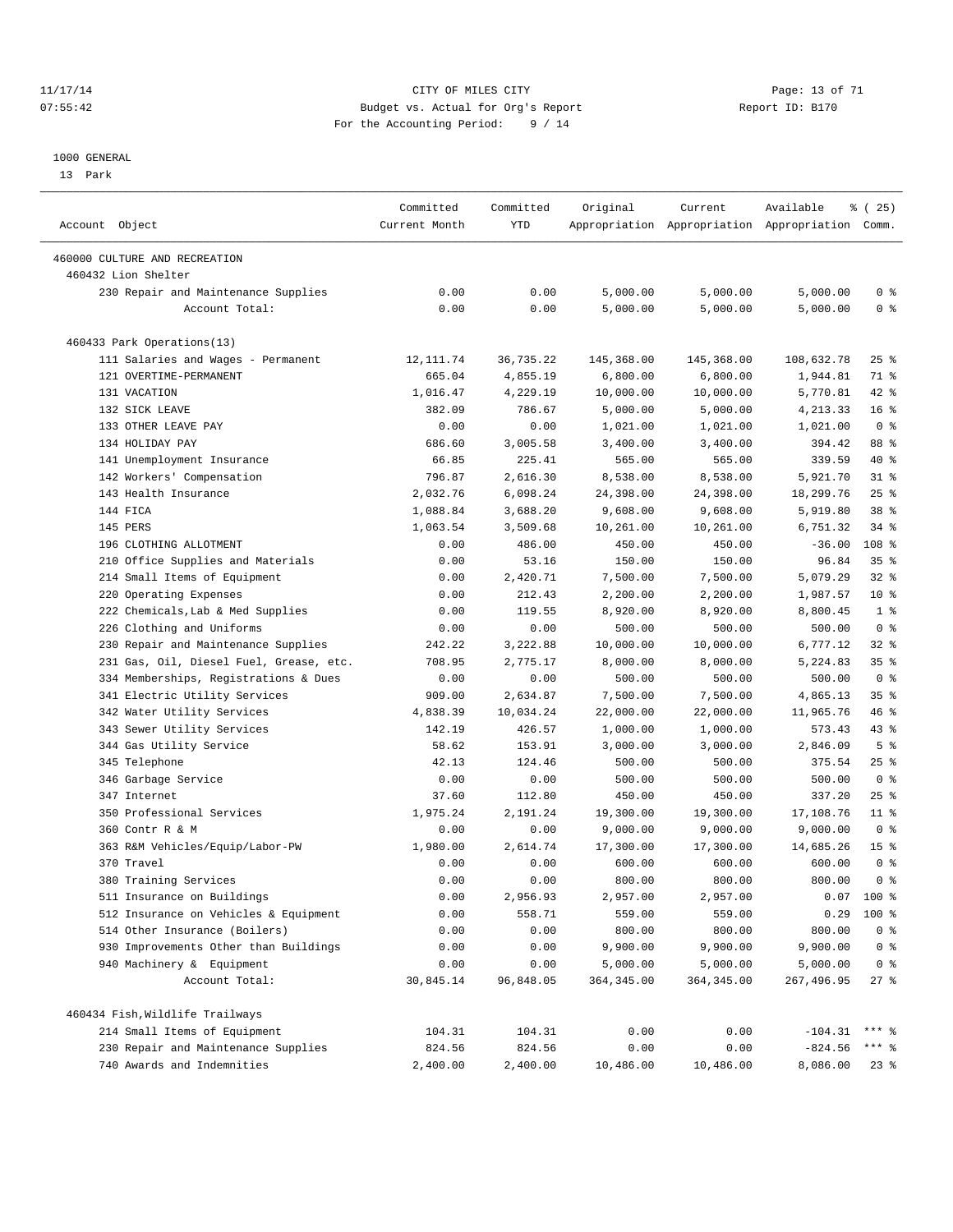#### 11/17/14 Page: 13 of 71 07:55:42 Budget vs. Actual for Org's Report Changer Report ID: B170 For the Accounting Period: 9 / 14

————————————————————————————————————————————————————————————————————————————————————————————————————————————————————————————————————

#### 1000 GENERAL

13 Park

|                                         | Committed     | Committed  | Original    | Current                                         | Available  | $\frac{1}{6}$ ( 25) |
|-----------------------------------------|---------------|------------|-------------|-------------------------------------------------|------------|---------------------|
| Account Object                          | Current Month | <b>YTD</b> |             | Appropriation Appropriation Appropriation Comm. |            |                     |
| 460000 CULTURE AND RECREATION           |               |            |             |                                                 |            |                     |
| 460432 Lion Shelter                     |               |            |             |                                                 |            |                     |
| 230 Repair and Maintenance Supplies     | 0.00          | 0.00       | 5,000.00    | 5,000.00                                        | 5,000.00   | 0 <sup>8</sup>      |
| Account Total:                          | 0.00          | 0.00       | 5,000.00    | 5,000.00                                        | 5,000.00   | 0 <sup>8</sup>      |
|                                         |               |            |             |                                                 |            |                     |
| 460433 Park Operations(13)              |               |            |             |                                                 |            |                     |
| 111 Salaries and Wages - Permanent      | 12, 111.74    | 36,735.22  | 145,368.00  | 145,368.00                                      | 108,632.78 | $25$ %              |
| 121 OVERTIME-PERMANENT                  | 665.04        | 4,855.19   | 6,800.00    | 6,800.00                                        | 1,944.81   | 71 %                |
| 131 VACATION                            | 1,016.47      | 4,229.19   | 10,000.00   | 10,000.00                                       | 5,770.81   | 42 %                |
| 132 SICK LEAVE                          | 382.09        | 786.67     | 5,000.00    | 5,000.00                                        | 4,213.33   | 16 <sup>8</sup>     |
| 133 OTHER LEAVE PAY                     | 0.00          | 0.00       | 1,021.00    | 1,021.00                                        | 1,021.00   | 0 <sup>8</sup>      |
| 134 HOLIDAY PAY                         | 686.60        | 3,005.58   | 3,400.00    | 3,400.00                                        | 394.42     | 88 %                |
| 141 Unemployment Insurance              | 66.85         | 225.41     | 565.00      | 565.00                                          | 339.59     | 40 %                |
| 142 Workers' Compensation               | 796.87        | 2,616.30   | 8,538.00    | 8,538.00                                        | 5,921.70   | $31$ $%$            |
| 143 Health Insurance                    | 2,032.76      | 6,098.24   | 24,398.00   | 24,398.00                                       | 18,299.76  | $25$ $%$            |
| 144 FICA                                | 1,088.84      | 3,688.20   | 9,608.00    | 9,608.00                                        | 5,919.80   | 38 %                |
| 145 PERS                                | 1,063.54      | 3,509.68   | 10,261.00   | 10,261.00                                       | 6,751.32   | $34$ $%$            |
| 196 CLOTHING ALLOTMENT                  | 0.00          | 486.00     | 450.00      | 450.00                                          | $-36.00$   | 108 <sup>8</sup>    |
| 210 Office Supplies and Materials       | 0.00          | 53.16      | 150.00      | 150.00                                          | 96.84      | 35%                 |
| 214 Small Items of Equipment            | 0.00          | 2,420.71   | 7,500.00    | 7,500.00                                        | 5,079.29   | 32%                 |
| 220 Operating Expenses                  | 0.00          | 212.43     | 2,200.00    | 2,200.00                                        | 1,987.57   | $10*$               |
| 222 Chemicals, Lab & Med Supplies       | 0.00          | 119.55     | 8,920.00    | 8,920.00                                        | 8,800.45   | 1 <sup>8</sup>      |
| 226 Clothing and Uniforms               | 0.00          | 0.00       | 500.00      | 500.00                                          | 500.00     | 0 <sup>8</sup>      |
| 230 Repair and Maintenance Supplies     | 242.22        | 3,222.88   | 10,000.00   | 10,000.00                                       | 6,777.12   | $32$ $%$            |
| 231 Gas, Oil, Diesel Fuel, Grease, etc. | 708.95        | 2,775.17   | 8,000.00    | 8,000.00                                        | 5,224.83   | 35 <sup>8</sup>     |
| 334 Memberships, Registrations & Dues   | 0.00          | 0.00       | 500.00      | 500.00                                          | 500.00     | 0 <sup>8</sup>      |
| 341 Electric Utility Services           | 909.00        | 2,634.87   | 7,500.00    | 7,500.00                                        | 4,865.13   | 35%                 |
| 342 Water Utility Services              | 4,838.39      | 10,034.24  | 22,000.00   | 22,000.00                                       | 11,965.76  | 46 %                |
| 343 Sewer Utility Services              | 142.19        | 426.57     | 1,000.00    | 1,000.00                                        | 573.43     | $43$ $%$            |
| 344 Gas Utility Service                 | 58.62         | 153.91     | 3,000.00    | 3,000.00                                        | 2,846.09   | 5 <sup>°</sup>      |
| 345 Telephone                           | 42.13         | 124.46     | 500.00      | 500.00                                          | 375.54     | $25$ %              |
| 346 Garbage Service                     | 0.00          | 0.00       | 500.00      | 500.00                                          | 500.00     | 0 <sup>8</sup>      |
| 347 Internet                            | 37.60         | 112.80     | 450.00      | 450.00                                          | 337.20     | $25$ $%$            |
| 350 Professional Services               | 1,975.24      | 2,191.24   | 19,300.00   | 19,300.00                                       | 17,108.76  | $11$ %              |
| 360 Contr R & M                         | 0.00          | 0.00       | 9,000.00    | 9,000.00                                        | 9,000.00   | 0 <sup>8</sup>      |
| 363 R&M Vehicles/Equip/Labor-PW         | 1,980.00      | 2,614.74   | 17,300.00   | 17,300.00                                       | 14,685.26  | 15 <sup>°</sup>     |
| 370 Travel                              | 0.00          | 0.00       | 600.00      | 600.00                                          | 600.00     | 0 <sup>8</sup>      |
| 380 Training Services                   | 0.00          | 0.00       | 800.00      | 800.00                                          | 800.00     | 0 <sup>8</sup>      |
| 511 Insurance on Buildings              | 0.00          | 2,956.93   | 2,957.00    | 2,957.00                                        |            | $0.07$ 100 %        |
| 512 Insurance on Vehicles & Equipment   | 0.00          | 558.71     | 559.00      | 559.00                                          |            | $0.29$ 100 %        |
| 514 Other Insurance (Boilers)           | 0.00          | 0.00       | 800.00      | 800.00                                          | 800.00     | 0 <sup>8</sup>      |
| 930 Improvements Other than Buildings   | 0.00          | 0.00       | 9,900.00    | 9,900.00                                        | 9,900.00   | 0 <sup>8</sup>      |
| 940 Machinery & Equipment               | 0.00          | 0.00       | 5,000.00    | 5,000.00                                        | 5,000.00   | 0 <sup>8</sup>      |
| Account Total:                          | 30,845.14     | 96,848.05  | 364, 345.00 | 364, 345.00                                     | 267,496.95 | $27$ %              |
| 460434 Fish, Wildlife Trailways         |               |            |             |                                                 |            |                     |
| 214 Small Items of Equipment            | 104.31        | 104.31     | 0.00        | 0.00                                            | $-104.31$  | $***$ %             |
| 230 Repair and Maintenance Supplies     | 824.56        | 824.56     | 0.00        | 0.00                                            | $-824.56$  | *** 응               |
| 740 Awards and Indemnities              | 2,400.00      | 2,400.00   | 10,486.00   | 10,486.00                                       | 8,086.00   | $23$ %              |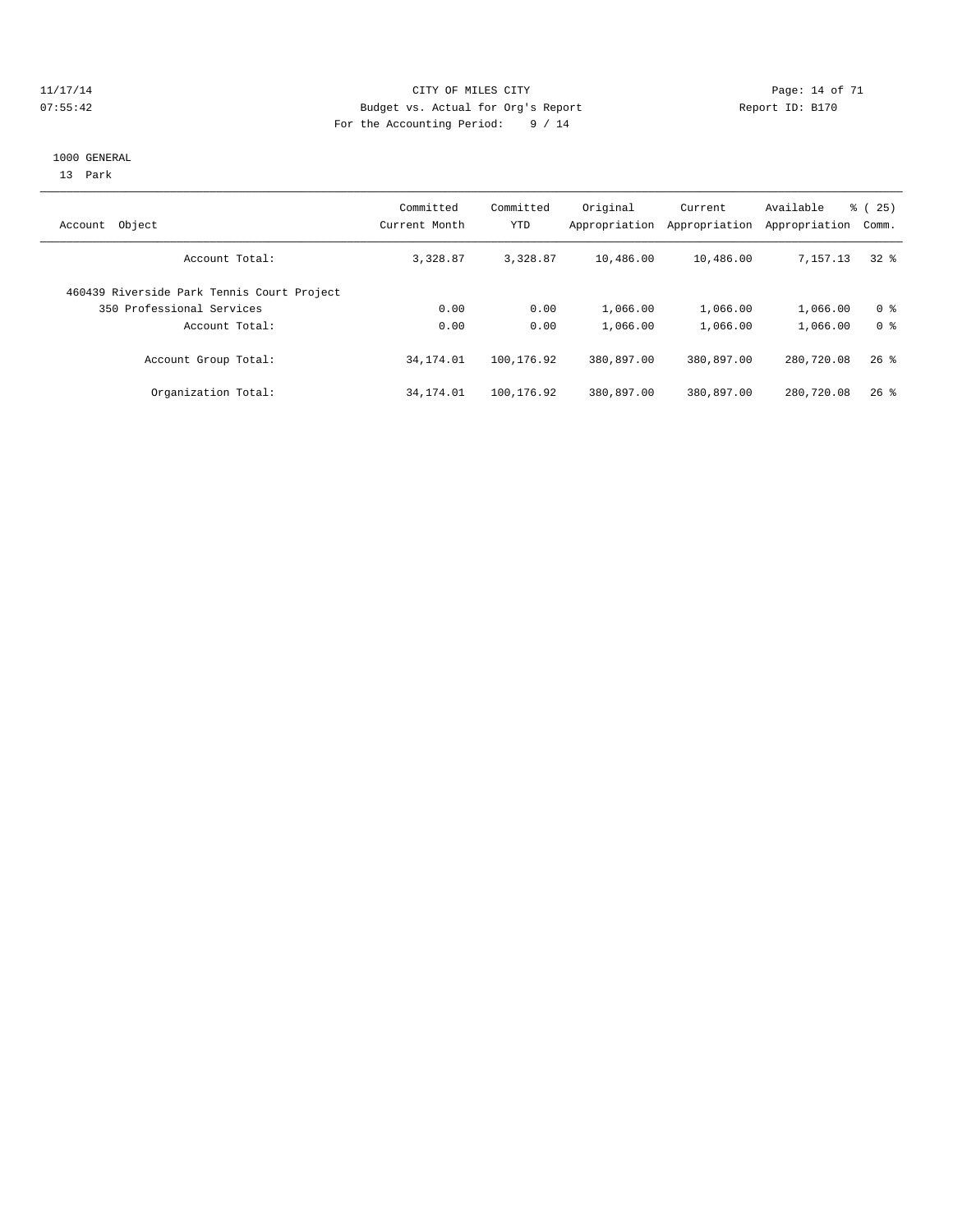#### 11/17/14 Page: 14 of 71 07:55:42 Budget vs. Actual for Org's Report Changer Report ID: B170 For the Accounting Period: 9 / 14

#### 1000 GENERAL

13 Park

| Object<br>Account                          | Committed<br>Current Month | Committed<br>YTD | Original<br>Appropriation | Current<br>Appropriation | Available<br>Appropriation | ී (<br>25)<br>Comm. |
|--------------------------------------------|----------------------------|------------------|---------------------------|--------------------------|----------------------------|---------------------|
| Account Total:                             | 3,328.87                   | 3,328.87         | 10,486.00                 | 10,486.00                | 7.157.13                   | 328                 |
| 460439 Riverside Park Tennis Court Project |                            |                  |                           |                          |                            |                     |
| 350 Professional Services                  | 0.00                       | 0.00             | 1,066.00                  | 1,066.00                 | 1,066.00                   | 0 <sup>8</sup>      |
| Account Total:                             | 0.00                       | 0.00             | 1,066.00                  | 1,066.00                 | 1,066.00                   | 0 <sup>8</sup>      |
| Account Group Total:                       | 34, 174.01                 | 100,176.92       | 380,897.00                | 380,897.00               | 280,720.08                 | $26$ %              |
| Organization Total:                        | 34, 174.01                 | 100,176.92       | 380,897.00                | 380,897.00               | 280,720.08                 | $26$ %              |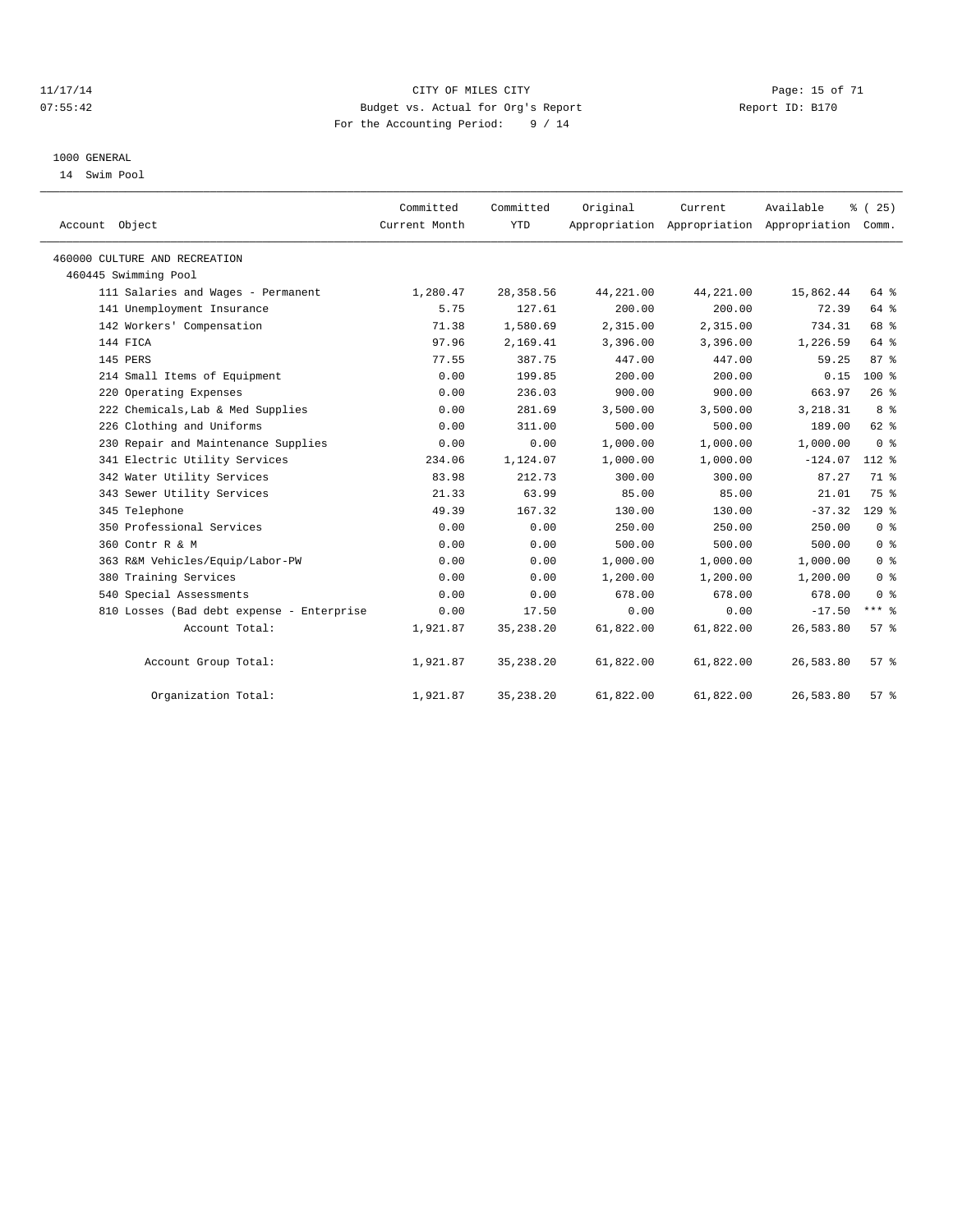#### 11/17/14 Page: 15 of 71 07:55:42 Budget vs. Actual for Org's Report Changer Report ID: B170 For the Accounting Period: 9 / 14

#### 1000 GENERAL

14 Swim Pool

| Account Object                            | Committed<br>Current Month | Committed<br><b>YTD</b> | Original  | Current   | Available<br>Appropriation Appropriation Appropriation | $\frac{3}{2}$ ( 25 )<br>Comm. |
|-------------------------------------------|----------------------------|-------------------------|-----------|-----------|--------------------------------------------------------|-------------------------------|
| 460000 CULTURE AND RECREATION             |                            |                         |           |           |                                                        |                               |
| 460445 Swimming Pool                      |                            |                         |           |           |                                                        |                               |
| 111 Salaries and Wages - Permanent        | 1,280.47                   | 28, 358.56              | 44,221.00 | 44,221.00 | 15,862.44                                              | 64 %                          |
| 141 Unemployment Insurance                | 5.75                       | 127.61                  | 200.00    | 200.00    | 72.39                                                  | 64 %                          |
| 142 Workers' Compensation                 | 71.38                      | 1,580.69                | 2,315.00  | 2,315.00  | 734.31                                                 | 68 %                          |
| 144 FICA                                  | 97.96                      | 2,169.41                | 3,396.00  | 3,396.00  | 1,226.59                                               | 64 %                          |
| 145 PERS                                  | 77.55                      | 387.75                  | 447.00    | 447.00    | 59.25                                                  | 87%                           |
| 214 Small Items of Equipment              | 0.00                       | 199.85                  | 200.00    | 200.00    | 0.15                                                   | $100*$                        |
| 220 Operating Expenses                    | 0.00                       | 236.03                  | 900.00    | 900.00    | 663.97                                                 | 26%                           |
| 222 Chemicals, Lab & Med Supplies         | 0.00                       | 281.69                  | 3,500.00  | 3,500.00  | 3,218.31                                               | 8 <sup>8</sup>                |
| 226 Clothing and Uniforms                 | 0.00                       | 311.00                  | 500.00    | 500.00    | 189.00                                                 | 62 %                          |
| 230 Repair and Maintenance Supplies       | 0.00                       | 0.00                    | 1,000.00  | 1,000.00  | 1,000.00                                               | 0 <sup>8</sup>                |
| 341 Electric Utility Services             | 234.06                     | 1,124.07                | 1,000.00  | 1,000.00  | $-124.07$                                              | 112 %                         |
| 342 Water Utility Services                | 83.98                      | 212.73                  | 300.00    | 300.00    | 87.27                                                  | 71 %                          |
| 343 Sewer Utility Services                | 21.33                      | 63.99                   | 85.00     | 85.00     | 21.01                                                  | 75 %                          |
| 345 Telephone                             | 49.39                      | 167.32                  | 130.00    | 130.00    | $-37.32$                                               | $129$ $%$                     |
| 350 Professional Services                 | 0.00                       | 0.00                    | 250.00    | 250.00    | 250.00                                                 | 0 <sup>8</sup>                |
| 360 Contr R & M                           | 0.00                       | 0.00                    | 500.00    | 500.00    | 500.00                                                 | 0 <sup>8</sup>                |
| 363 R&M Vehicles/Equip/Labor-PW           | 0.00                       | 0.00                    | 1,000.00  | 1,000.00  | 1,000.00                                               | 0 <sup>8</sup>                |
| 380 Training Services                     | 0.00                       | 0.00                    | 1,200.00  | 1,200.00  | 1,200.00                                               | 0 <sup>8</sup>                |
| 540 Special Assessments                   | 0.00                       | 0.00                    | 678.00    | 678.00    | 678.00                                                 | 0 <sup>8</sup>                |
| 810 Losses (Bad debt expense - Enterprise | 0.00                       | 17.50                   | 0.00      | 0.00      | $-17.50$                                               | $***$ $_{8}$                  |
| Account Total:                            | 1,921.87                   | 35, 238. 20             | 61,822.00 | 61,822.00 | 26,583.80                                              | 57%                           |
| Account Group Total:                      | 1,921.87                   | 35, 238. 20             | 61,822.00 | 61,822.00 | 26,583.80                                              | $57*$                         |
| Organization Total:                       | 1,921.87                   | 35, 238. 20             | 61,822.00 | 61,822.00 | 26,583.80                                              | 57%                           |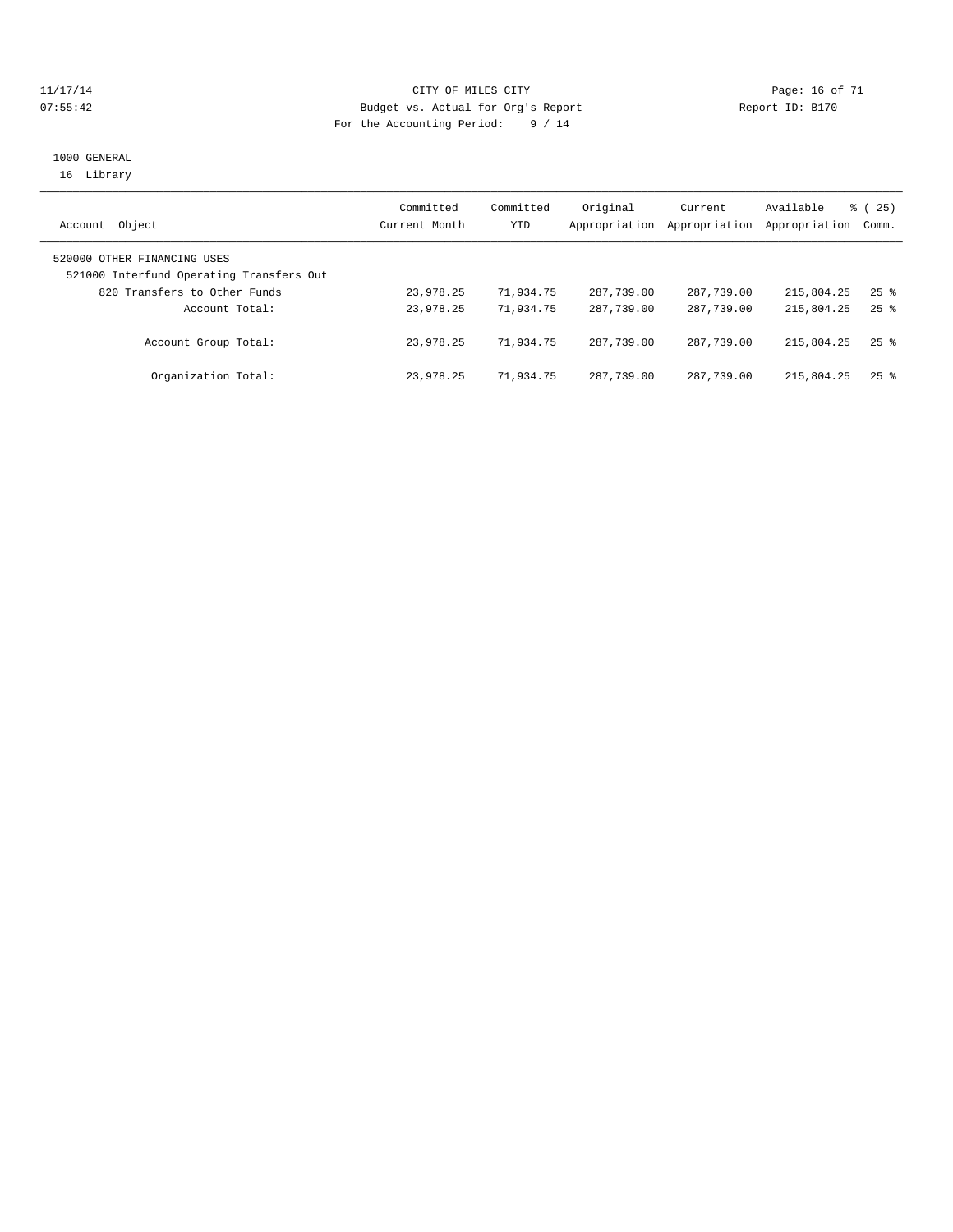#### 11/17/14 CITY OF MILES CITY Page: 16 of 71 07:55:42 Budget vs. Actual for Org's Report Changer Report ID: B170 For the Accounting Period: 9 / 14

#### 1000 GENERAL 16 Library

| Object<br>Account                                                       | Committed<br>Current Month | Committed<br>YTD | Original<br>Appropriation | Current<br>Appropriation | Available<br>Appropriation | % (25)<br>Comm.    |
|-------------------------------------------------------------------------|----------------------------|------------------|---------------------------|--------------------------|----------------------------|--------------------|
| 520000 OTHER FINANCING USES<br>521000 Interfund Operating Transfers Out |                            |                  |                           |                          |                            |                    |
| 820 Transfers to Other Funds                                            | 23,978.25                  | 71,934.75        | 287,739.00                | 287,739.00               | 215,804.25                 | $25$ $\frac{6}{3}$ |
| Account Total:                                                          | 23,978.25                  | 71,934.75        | 287,739.00                | 287,739.00               | 215,804.25                 | $25$ $%$           |
| Account Group Total:                                                    | 23,978.25                  | 71,934.75        | 287,739.00                | 287,739.00               | 215,804.25                 | $25$ $%$           |
| Organization Total:                                                     | 23,978.25                  | 71,934.75        | 287,739.00                | 287,739.00               | 215,804.25                 | $25$ %             |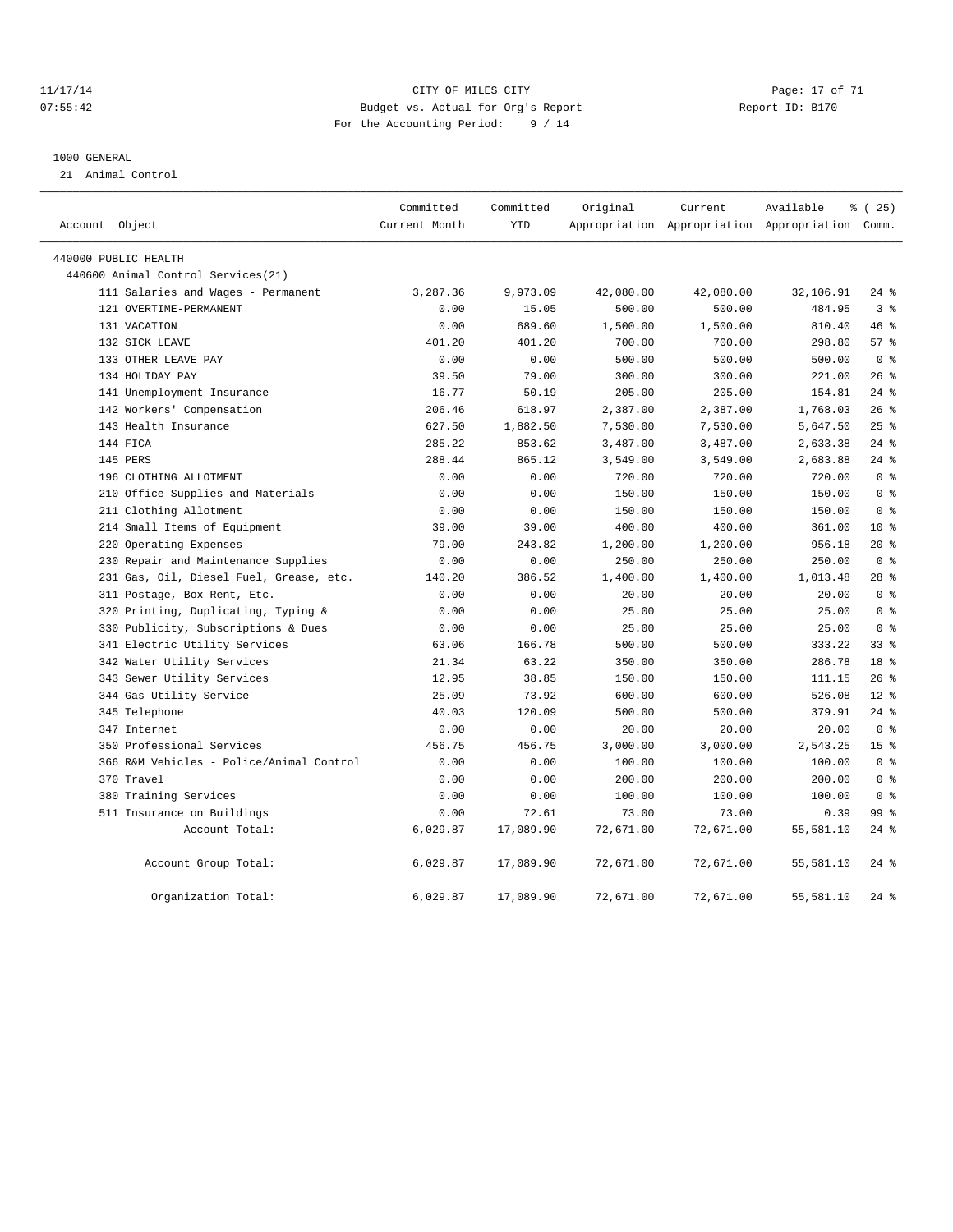#### 11/17/14 Page: 17 of 71 CHTY OF MILES CITY 07:55:42 Budget vs. Actual for Org's Report Changer Report ID: B170 For the Accounting Period: 9 / 14

#### 1000 GENERAL

21 Animal Control

| Account Object                           | Committed<br>Current Month | Committed<br><b>YTD</b> | Original  | Current   | Available                                       | % (25)          |
|------------------------------------------|----------------------------|-------------------------|-----------|-----------|-------------------------------------------------|-----------------|
|                                          |                            |                         |           |           | Appropriation Appropriation Appropriation Comm. |                 |
| 440000 PUBLIC HEALTH                     |                            |                         |           |           |                                                 |                 |
| 440600 Animal Control Services (21)      |                            |                         |           |           |                                                 |                 |
| 111 Salaries and Wages - Permanent       | 3,287.36                   | 9,973.09                | 42,080.00 | 42,080.00 | 32,106.91                                       | $24$ %          |
| 121 OVERTIME-PERMANENT                   | 0.00                       | 15.05                   | 500.00    | 500.00    | 484.95                                          | 3%              |
| 131 VACATION                             | 0.00                       | 689.60                  | 1,500.00  | 1,500.00  | 810.40                                          | 46%             |
| 132 SICK LEAVE                           | 401.20                     | 401.20                  | 700.00    | 700.00    | 298.80                                          | 57%             |
| 133 OTHER LEAVE PAY                      | 0.00                       | 0.00                    | 500.00    | 500.00    | 500.00                                          | 0 <sup>8</sup>  |
| 134 HOLIDAY PAY                          | 39.50                      | 79.00                   | 300.00    | 300.00    | 221.00                                          | 26%             |
| 141 Unemployment Insurance               | 16.77                      | 50.19                   | 205.00    | 205.00    | 154.81                                          | $24$ $%$        |
| 142 Workers' Compensation                | 206.46                     | 618.97                  | 2,387.00  | 2,387.00  | 1,768.03                                        | 26%             |
| 143 Health Insurance                     | 627.50                     | 1,882.50                | 7,530.00  | 7,530.00  | 5,647.50                                        | 25%             |
| 144 FICA                                 | 285.22                     | 853.62                  | 3,487.00  | 3,487.00  | 2,633.38                                        | $24$ %          |
| 145 PERS                                 | 288.44                     | 865.12                  | 3,549.00  | 3,549.00  | 2,683.88                                        | $24$ %          |
| 196 CLOTHING ALLOTMENT                   | 0.00                       | 0.00                    | 720.00    | 720.00    | 720.00                                          | 0 <sup>8</sup>  |
| 210 Office Supplies and Materials        | 0.00                       | 0.00                    | 150.00    | 150.00    | 150.00                                          | 0 <sup>8</sup>  |
| 211 Clothing Allotment                   | 0.00                       | 0.00                    | 150.00    | 150.00    | 150.00                                          | 0 <sup>°</sup>  |
| 214 Small Items of Equipment             | 39.00                      | 39.00                   | 400.00    | 400.00    | 361.00                                          | $10*$           |
| 220 Operating Expenses                   | 79.00                      | 243.82                  | 1,200.00  | 1,200.00  | 956.18                                          | $20*$           |
| 230 Repair and Maintenance Supplies      | 0.00                       | 0.00                    | 250.00    | 250.00    | 250.00                                          | 0 <sup>8</sup>  |
| 231 Gas, Oil, Diesel Fuel, Grease, etc.  | 140.20                     | 386.52                  | 1,400.00  | 1,400.00  | 1,013.48                                        | $28$ $%$        |
| 311 Postage, Box Rent, Etc.              | 0.00                       | 0.00                    | 20.00     | 20.00     | 20.00                                           | 0 <sup>8</sup>  |
| 320 Printing, Duplicating, Typing &      | 0.00                       | 0.00                    | 25.00     | 25.00     | 25.00                                           | 0 <sup>°</sup>  |
| 330 Publicity, Subscriptions & Dues      | 0.00                       | 0.00                    | 25.00     | 25.00     | 25.00                                           | 0 <sup>8</sup>  |
| 341 Electric Utility Services            | 63.06                      | 166.78                  | 500.00    | 500.00    | 333.22                                          | 33 <sup>8</sup> |
| 342 Water Utility Services               | 21.34                      | 63.22                   | 350.00    | 350.00    | 286.78                                          | 18 <sup>8</sup> |
| 343 Sewer Utility Services               | 12.95                      | 38.85                   | 150.00    | 150.00    | 111.15                                          | $26$ %          |
| 344 Gas Utility Service                  | 25.09                      | 73.92                   | 600.00    | 600.00    | 526.08                                          | $12*$           |
| 345 Telephone                            | 40.03                      | 120.09                  | 500.00    | 500.00    | 379.91                                          | $24$ %          |
| 347 Internet                             | 0.00                       | 0.00                    | 20.00     | 20.00     | 20.00                                           | 0 <sup>8</sup>  |
| 350 Professional Services                | 456.75                     | 456.75                  | 3,000.00  | 3,000.00  | 2,543.25                                        | 15 <sup>8</sup> |
| 366 R&M Vehicles - Police/Animal Control | 0.00                       | 0.00                    | 100.00    | 100.00    | 100.00                                          | 0 <sup>8</sup>  |
| 370 Travel                               | 0.00                       | 0.00                    | 200.00    | 200.00    | 200.00                                          | 0 <sup>8</sup>  |
| 380 Training Services                    | 0.00                       | 0.00                    | 100.00    | 100.00    | 100.00                                          | 0 <sup>8</sup>  |
| 511 Insurance on Buildings               | 0.00                       | 72.61                   | 73.00     | 73.00     | 0.39                                            | 99 <sub>8</sub> |
| Account Total:                           | 6,029.87                   | 17,089.90               | 72,671.00 | 72,671.00 | 55,581.10                                       | $24$ $%$        |
| Account Group Total:                     | 6,029.87                   | 17,089.90               | 72,671.00 | 72,671.00 | 55,581.10                                       | $24$ %          |
| Organization Total:                      | 6,029.87                   | 17,089.90               | 72,671.00 | 72,671.00 | 55,581.10                                       | $24$ %          |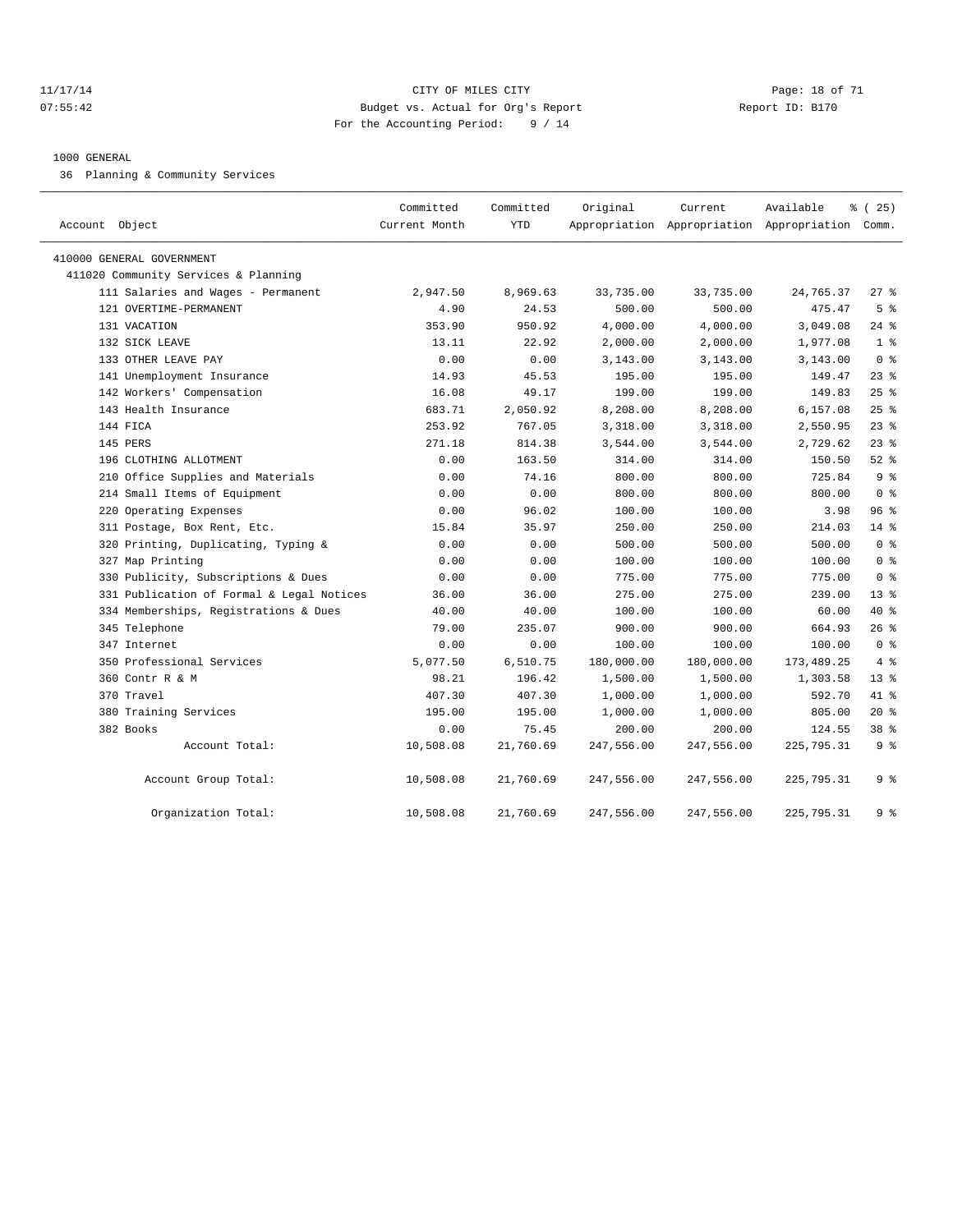#### 11/17/14 Page: 18 of 71 07:55:42 Budget vs. Actual for Org's Report Changer Report ID: B170 For the Accounting Period: 9 / 14

#### 1000 GENERAL

36 Planning & Community Services

| Account Object                            | Committed<br>Current Month | Committed<br>YTD | Original   | Current    | Available<br>Appropriation Appropriation Appropriation Comm. | % (25)         |
|-------------------------------------------|----------------------------|------------------|------------|------------|--------------------------------------------------------------|----------------|
| 410000 GENERAL GOVERNMENT                 |                            |                  |            |            |                                                              |                |
| 411020 Community Services & Planning      |                            |                  |            |            |                                                              |                |
| 111 Salaries and Wages - Permanent        | 2,947.50                   | 8,969.63         | 33,735.00  | 33,735.00  | 24,765.37                                                    | $27$ %         |
| 121 OVERTIME-PERMANENT                    | 4.90                       | 24.53            | 500.00     | 500.00     | 475.47                                                       | 5 <sup>°</sup> |
| 131 VACATION                              | 353.90                     | 950.92           | 4,000.00   | 4,000.00   | 3,049.08                                                     | $24$ $%$       |
| 132 SICK LEAVE                            | 13.11                      | 22.92            | 2,000.00   | 2,000.00   | 1,977.08                                                     | 1 <sup>8</sup> |
| 133 OTHER LEAVE PAY                       | 0.00                       | 0.00             | 3,143.00   | 3,143.00   | 3,143.00                                                     | 0 <sup>8</sup> |
| 141 Unemployment Insurance                | 14.93                      | 45.53            | 195.00     | 195.00     | 149.47                                                       | 238            |
| 142 Workers' Compensation                 | 16.08                      | 49.17            | 199.00     | 199.00     | 149.83                                                       | $25$ %         |
| 143 Health Insurance                      | 683.71                     | 2,050.92         | 8,208.00   | 8,208.00   | 6,157.08                                                     | $25$ %         |
| 144 FICA                                  | 253.92                     | 767.05           | 3,318.00   | 3,318.00   | 2,550.95                                                     | $23$ %         |
| 145 PERS                                  | 271.18                     | 814.38           | 3,544.00   | 3,544.00   | 2,729.62                                                     | $23$ $%$       |
| 196 CLOTHING ALLOTMENT                    | 0.00                       | 163.50           | 314.00     | 314.00     | 150.50                                                       | $52$ $%$       |
| 210 Office Supplies and Materials         | 0.00                       | 74.16            | 800.00     | 800.00     | 725.84                                                       | 9 <sup>8</sup> |
| 214 Small Items of Equipment              | 0.00                       | 0.00             | 800.00     | 800.00     | 800.00                                                       | 0 <sup>8</sup> |
| 220 Operating Expenses                    | 0.00                       | 96.02            | 100.00     | 100.00     | 3.98                                                         | 96%            |
| 311 Postage, Box Rent, Etc.               | 15.84                      | 35.97            | 250.00     | 250.00     | 214.03                                                       | 14 %           |
| 320 Printing, Duplicating, Typing &       | 0.00                       | 0.00             | 500.00     | 500.00     | 500.00                                                       | 0 <sup>8</sup> |
| 327 Map Printing                          | 0.00                       | 0.00             | 100.00     | 100.00     | 100.00                                                       | 0 <sup>8</sup> |
| 330 Publicity, Subscriptions & Dues       | 0.00                       | 0.00             | 775.00     | 775.00     | 775.00                                                       | 0 <sup>8</sup> |
| 331 Publication of Formal & Legal Notices | 36.00                      | 36.00            | 275.00     | 275.00     | 239.00                                                       | $13*$          |
| 334 Memberships, Registrations & Dues     | 40.00                      | 40.00            | 100.00     | 100.00     | 60.00                                                        | 40 %           |
| 345 Telephone                             | 79.00                      | 235.07           | 900.00     | 900.00     | 664.93                                                       | 26%            |
| 347 Internet                              | 0.00                       | 0.00             | 100.00     | 100.00     | 100.00                                                       | 0 <sup>8</sup> |
| 350 Professional Services                 | 5,077.50                   | 6,510.75         | 180,000.00 | 180,000.00 | 173, 489. 25                                                 | 4%             |
| 360 Contr R & M                           | 98.21                      | 196.42           | 1,500.00   | 1,500.00   | 1,303.58                                                     | $13*$          |
| 370 Travel                                | 407.30                     | 407.30           | 1,000.00   | 1,000.00   | 592.70                                                       | 41 %           |
| 380 Training Services                     | 195.00                     | 195.00           | 1,000.00   | 1,000.00   | 805.00                                                       | $20*$          |
| 382 Books                                 | 0.00                       | 75.45            | 200.00     | 200.00     | 124.55                                                       | 38 %           |
| Account Total:                            | 10,508.08                  | 21,760.69        | 247,556.00 | 247,556.00 | 225,795.31                                                   | 9 <sup>8</sup> |
| Account Group Total:                      | 10,508.08                  | 21,760.69        | 247,556.00 | 247,556.00 | 225,795.31                                                   | 9 <sup>8</sup> |
| Organization Total:                       | 10,508.08                  | 21,760.69        | 247,556.00 | 247,556.00 | 225,795.31                                                   | 9 <sup>8</sup> |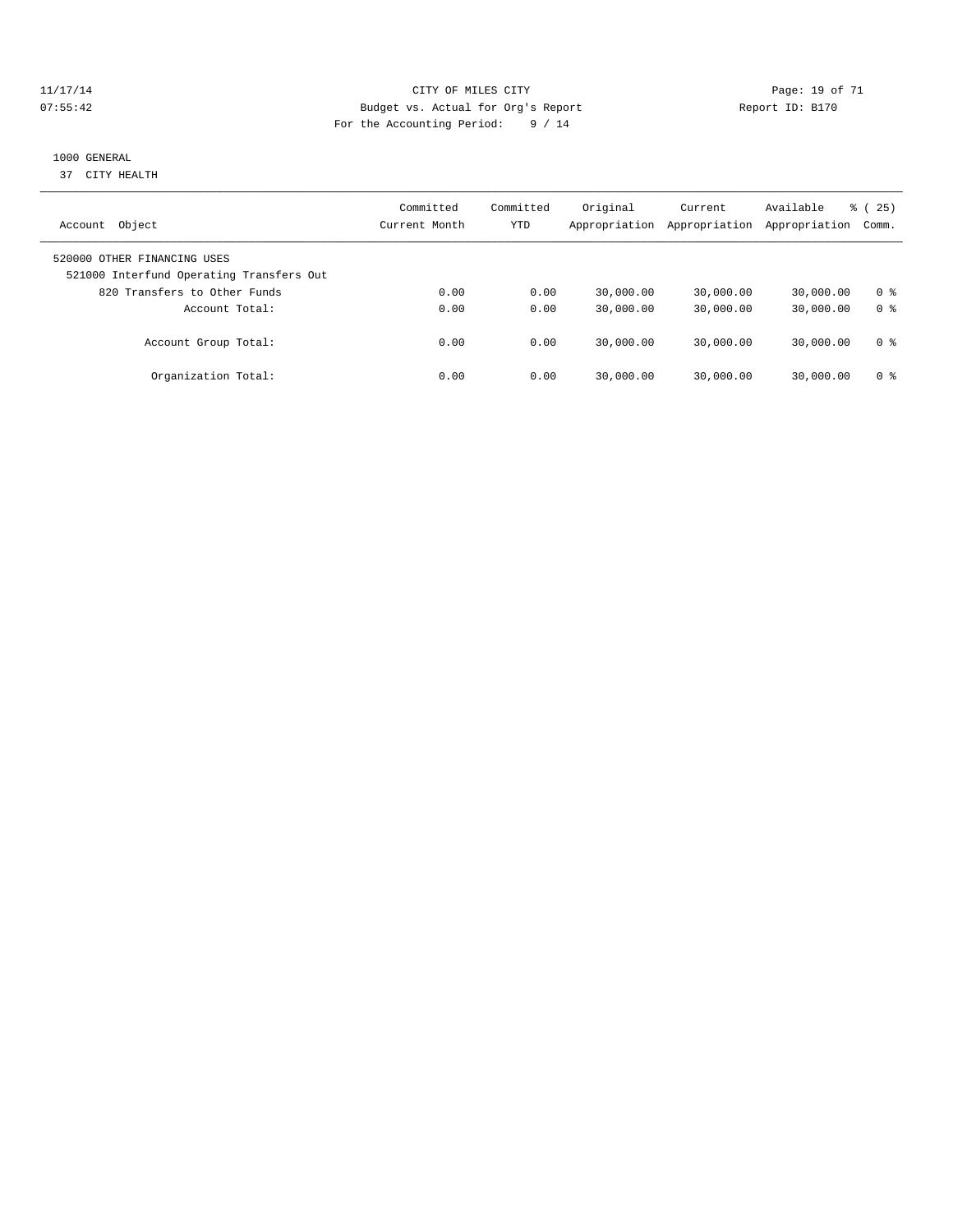#### 11/17/14 Page: 19 of 71 07:55:42 Budget vs. Actual for Org's Report Changer Report ID: B170 For the Accounting Period: 9 / 14

#### 1000 GENERAL

37 CITY HEALTH

| Object<br>Account                                                       | Committed<br>Current Month | Committed<br>YTD | Original<br>Appropriation | Current<br>Appropriation | Available<br>Appropriation | $\frac{3}{6}$ ( 25 )<br>Comm. |
|-------------------------------------------------------------------------|----------------------------|------------------|---------------------------|--------------------------|----------------------------|-------------------------------|
| 520000 OTHER FINANCING USES<br>521000 Interfund Operating Transfers Out |                            |                  |                           |                          |                            |                               |
| 820 Transfers to Other Funds                                            | 0.00                       | 0.00             | 30,000.00                 | 30,000.00                | 30,000.00                  | 0 ક                           |
| Account Total:                                                          | 0.00                       | 0.00             | 30,000.00                 | 30,000.00                | 30,000.00                  | 0 <sup>8</sup>                |
| Account Group Total:                                                    | 0.00                       | 0.00             | 30,000.00                 | 30,000.00                | 30,000.00                  | 0 ક                           |
| Organization Total:                                                     | 0.00                       | 0.00             | 30,000.00                 | 30,000.00                | 30,000.00                  | 0 ક                           |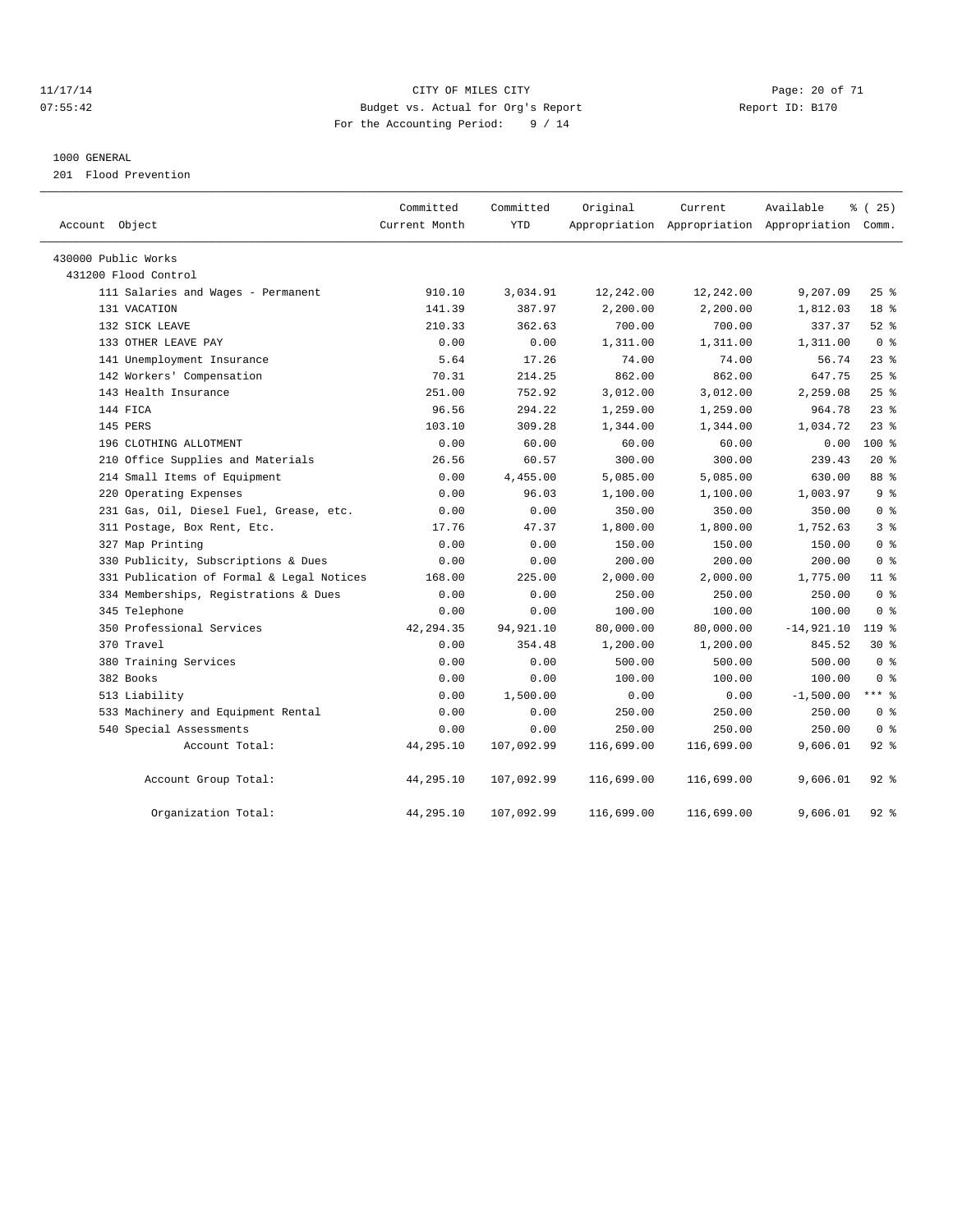#### 11/17/14 Page: 20 of 71 07:55:42 Budget vs. Actual for Org's Report Changer Report ID: B170 For the Accounting Period: 9 / 14

#### 1000 GENERAL

201 Flood Prevention

| Account Object                            | Committed<br>Current Month | Committed<br><b>YTD</b> | Original   | Current    | Available<br>Appropriation Appropriation Appropriation Comm. | % (25)          |
|-------------------------------------------|----------------------------|-------------------------|------------|------------|--------------------------------------------------------------|-----------------|
| 430000 Public Works                       |                            |                         |            |            |                                                              |                 |
| 431200 Flood Control                      |                            |                         |            |            |                                                              |                 |
| 111 Salaries and Wages - Permanent        | 910.10                     | 3,034.91                | 12,242.00  | 12,242.00  | 9,207.09                                                     | 25%             |
| 131 VACATION                              | 141.39                     | 387.97                  | 2,200.00   | 2,200.00   | 1,812.03                                                     | 18 <sup>°</sup> |
| 132 SICK LEAVE                            | 210.33                     | 362.63                  | 700.00     | 700.00     | 337.37                                                       | $52$ $%$        |
| 133 OTHER LEAVE PAY                       | 0.00                       | 0.00                    | 1,311.00   | 1,311.00   | 1,311.00                                                     | 0 <sup>8</sup>  |
| 141 Unemployment Insurance                | 5.64                       | 17.26                   | 74.00      | 74.00      | 56.74                                                        | $23$ $%$        |
| 142 Workers' Compensation                 | 70.31                      | 214.25                  | 862.00     | 862.00     | 647.75                                                       | 25%             |
| 143 Health Insurance                      | 251.00                     | 752.92                  | 3,012.00   | 3,012.00   | 2,259.08                                                     | 25%             |
| 144 FICA                                  | 96.56                      | 294.22                  | 1,259.00   | 1,259.00   | 964.78                                                       | $23$ $%$        |
| 145 PERS                                  | 103.10                     | 309.28                  | 1,344.00   | 1,344.00   | 1,034.72                                                     | 23%             |
| 196 CLOTHING ALLOTMENT                    | 0.00                       | 60.00                   | 60.00      | 60.00      | 0.00                                                         | 100 %           |
| 210 Office Supplies and Materials         | 26.56                      | 60.57                   | 300.00     | 300.00     | 239.43                                                       | $20*$           |
| 214 Small Items of Equipment              | 0.00                       | 4,455.00                | 5,085.00   | 5,085.00   | 630.00                                                       | 88 %            |
| 220 Operating Expenses                    | 0.00                       | 96.03                   | 1,100.00   | 1,100.00   | 1,003.97                                                     | 9 <sup>8</sup>  |
| 231 Gas, Oil, Diesel Fuel, Grease, etc.   | 0.00                       | 0.00                    | 350.00     | 350.00     | 350.00                                                       | 0 <sup>8</sup>  |
| 311 Postage, Box Rent, Etc.               | 17.76                      | 47.37                   | 1,800.00   | 1,800.00   | 1,752.63                                                     | 3%              |
| 327 Map Printing                          | 0.00                       | 0.00                    | 150.00     | 150.00     | 150.00                                                       | 0 <sup>8</sup>  |
| 330 Publicity, Subscriptions & Dues       | 0.00                       | 0.00                    | 200.00     | 200.00     | 200.00                                                       | 0 <sup>8</sup>  |
| 331 Publication of Formal & Legal Notices | 168.00                     | 225.00                  | 2,000.00   | 2,000.00   | 1,775.00                                                     | 11 <sup>°</sup> |
| 334 Memberships, Registrations & Dues     | 0.00                       | 0.00                    | 250.00     | 250.00     | 250.00                                                       | 0 <sup>8</sup>  |
| 345 Telephone                             | 0.00                       | 0.00                    | 100.00     | 100.00     | 100.00                                                       | 0 <sup>8</sup>  |
| 350 Professional Services                 | 42, 294.35                 | 94,921.10               | 80,000.00  | 80,000.00  | $-14,921.10$                                                 | 119 %           |
| 370 Travel                                | 0.00                       | 354.48                  | 1,200.00   | 1,200.00   | 845.52                                                       | $30*$           |
| 380 Training Services                     | 0.00                       | 0.00                    | 500.00     | 500.00     | 500.00                                                       | 0 <sup>8</sup>  |
| 382 Books                                 | 0.00                       | 0.00                    | 100.00     | 100.00     | 100.00                                                       | 0 <sup>8</sup>  |
| 513 Liability                             | 0.00                       | 1,500.00                | 0.00       | 0.00       | $-1,500.00$                                                  | *** 응           |
| 533 Machinery and Equipment Rental        | 0.00                       | 0.00                    | 250.00     | 250.00     | 250.00                                                       | 0 <sup>8</sup>  |
| 540 Special Assessments                   | 0.00                       | 0.00                    | 250.00     | 250.00     | 250.00                                                       | 0 <sup>8</sup>  |
| Account Total:                            | 44,295.10                  | 107,092.99              | 116,699.00 | 116,699.00 | 9,606.01                                                     | $92$ $%$        |
| Account Group Total:                      | 44,295.10                  | 107,092.99              | 116,699.00 | 116,699.00 | 9,606.01                                                     | $92$ $%$        |
| Organization Total:                       | 44,295.10                  | 107,092.99              | 116,699.00 | 116,699.00 | 9,606.01                                                     | $92$ $%$        |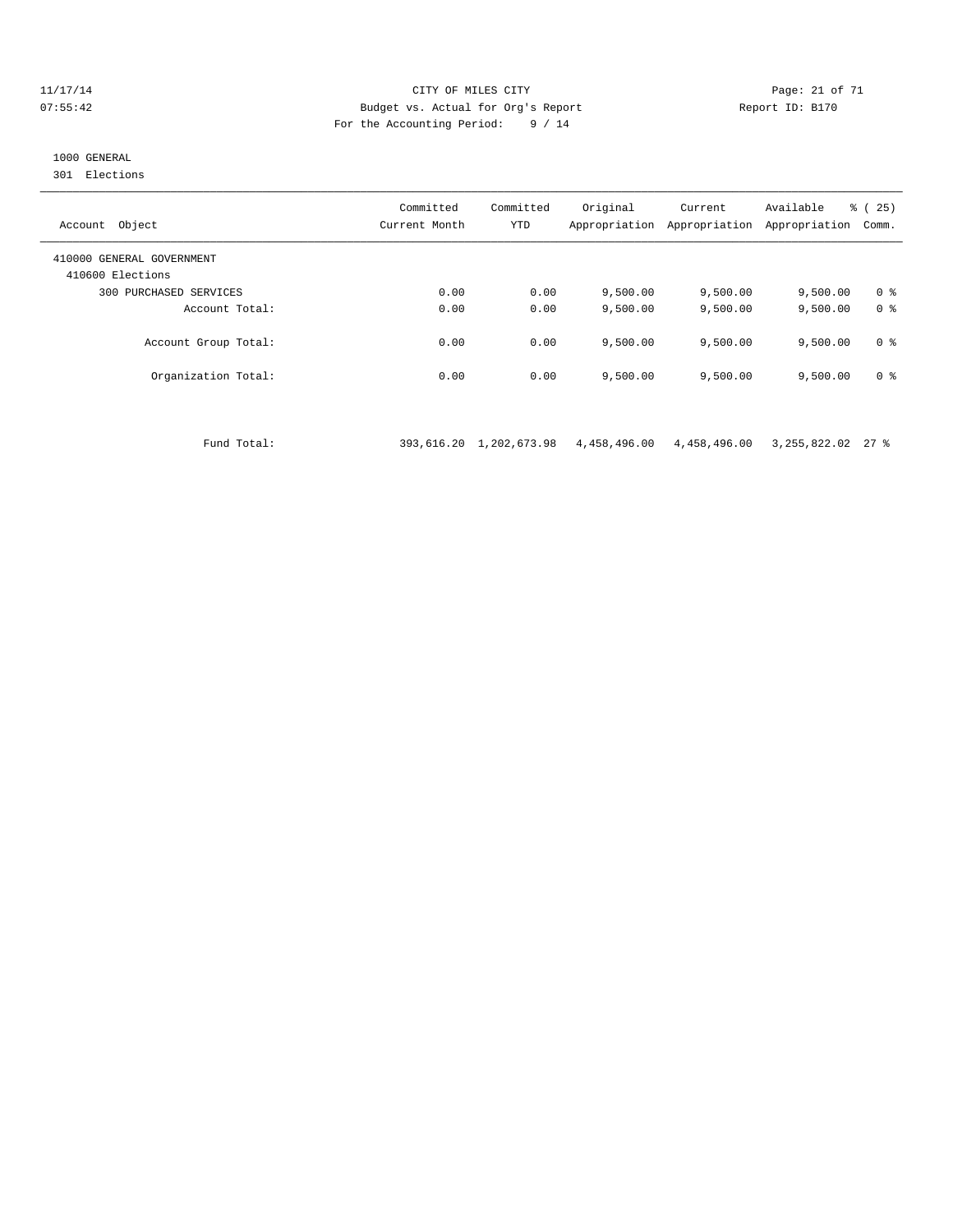#### 11/17/14 Page: 21 of 71 07:55:42 Budget vs. Actual for Org's Report Report ID: B170 For the Accounting Period: 9 / 14

# 1000 GENERAL

301 Elections

| Object<br>Account                             | Committed<br>Current Month | Committed<br>YTD | Original<br>Appropriation | Current<br>Appropriation | Available<br>Appropriation | % (25)<br>Comm. |
|-----------------------------------------------|----------------------------|------------------|---------------------------|--------------------------|----------------------------|-----------------|
| 410000 GENERAL GOVERNMENT<br>410600 Elections |                            |                  |                           |                          |                            |                 |
| 300 PURCHASED SERVICES                        | 0.00                       | 0.00             | 9.500.00                  | 9,500.00                 | 9,500.00                   | 0 <sup>8</sup>  |
| Account Total:                                | 0.00                       | 0.00             | 9.500.00                  | 9,500.00                 | 9,500.00                   | 0 <sup>8</sup>  |
| Account Group Total:                          | 0.00                       | 0.00             | 9.500.00                  | 9.500.00                 | 9,500.00                   | 0 <sup>8</sup>  |
| Organization Total:                           | 0.00                       | 0.00             | 9,500.00                  | 9,500.00                 | 9,500.00                   | 0 <sup>8</sup>  |

Fund Total: 393,616.20 1,202,673.98 4,458,496.00 4,458,496.00 3,255,822.02 27 %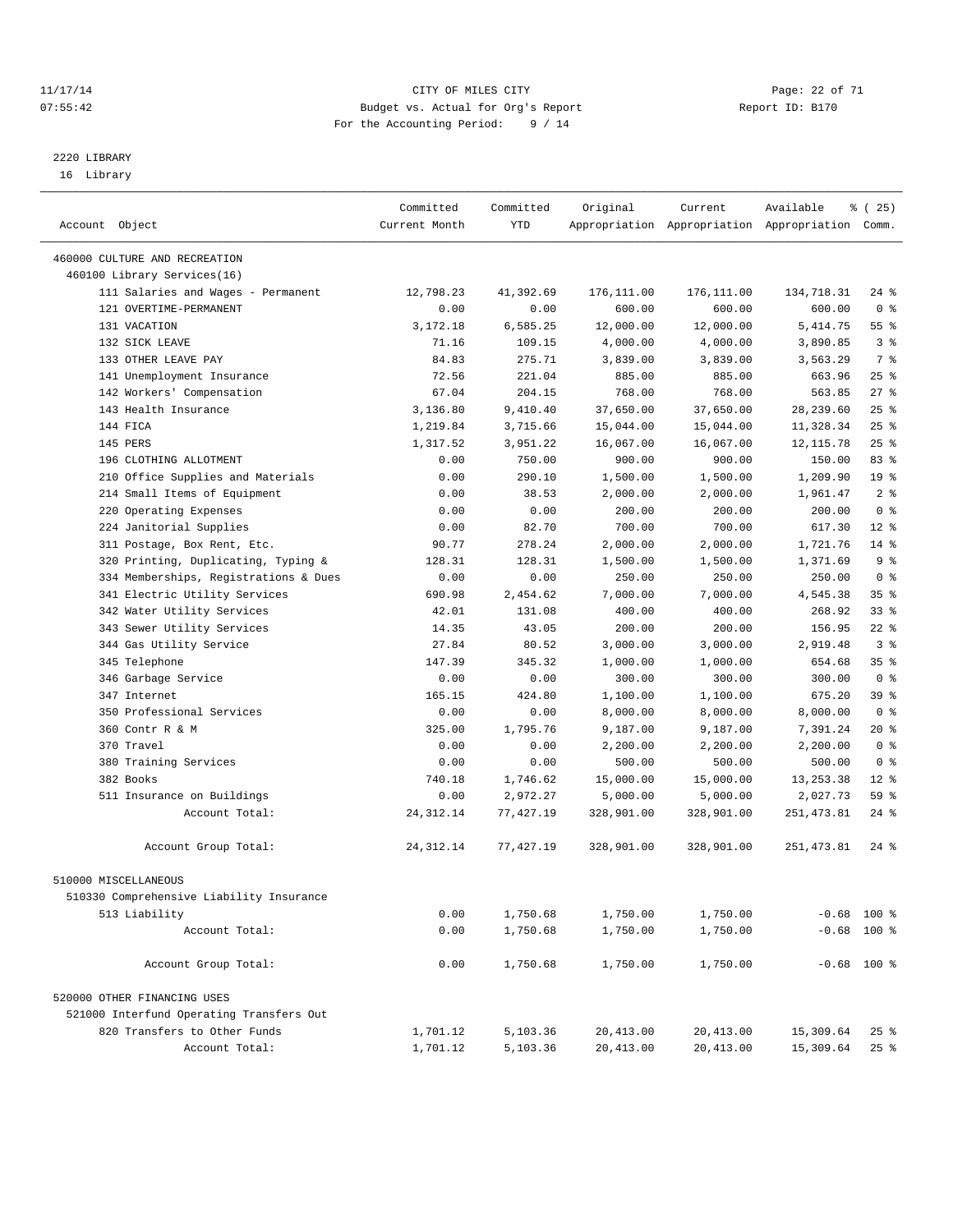#### 11/17/14 Page: 22 of 71 07:55:42 Budget vs. Actual for Org's Report Changer Report ID: B170 For the Accounting Period: 9 / 14

————————————————————————————————————————————————————————————————————————————————————————————————————————————————————————————————————

# 2220 LIBRARY

16 Library

|                                                              | Committed     | Committed | Original   | Current    | Available                                       | % (25)             |  |
|--------------------------------------------------------------|---------------|-----------|------------|------------|-------------------------------------------------|--------------------|--|
| Account Object                                               | Current Month | YTD       |            |            | Appropriation Appropriation Appropriation Comm. |                    |  |
|                                                              |               |           |            |            |                                                 |                    |  |
| 460000 CULTURE AND RECREATION<br>460100 Library Services(16) |               |           |            |            |                                                 |                    |  |
| 111 Salaries and Wages - Permanent                           | 12,798.23     | 41,392.69 | 176,111.00 | 176,111.00 | 134,718.31                                      | $24$ %             |  |
| 121 OVERTIME-PERMANENT                                       | 0.00          | 0.00      | 600.00     | 600.00     | 600.00                                          | 0 <sup>8</sup>     |  |
| 131 VACATION                                                 | 3,172.18      | 6,585.25  | 12,000.00  | 12,000.00  | 5,414.75                                        | 55 <sup>8</sup>    |  |
| 132 SICK LEAVE                                               | 71.16         | 109.15    | 4,000.00   | 4,000.00   |                                                 | 3 <sup>8</sup>     |  |
| 133 OTHER LEAVE PAY                                          | 84.83         | 275.71    | 3,839.00   | 3,839.00   | 3,890.85<br>3,563.29                            | 7 %                |  |
| 141 Unemployment Insurance                                   | 72.56         | 221.04    | 885.00     | 885.00     | 663.96                                          | $25$ $%$           |  |
|                                                              | 67.04         | 204.15    | 768.00     | 768.00     | 563.85                                          | $27$ %             |  |
| 142 Workers' Compensation<br>143 Health Insurance            |               |           |            |            | 28, 239.60                                      | $25$ %             |  |
|                                                              | 3,136.80      | 9,410.40  | 37,650.00  | 37,650.00  |                                                 |                    |  |
| 144 FICA                                                     | 1,219.84      | 3,715.66  | 15,044.00  | 15,044.00  | 11,328.34                                       | $25$ $%$<br>$25$ % |  |
| 145 PERS                                                     | 1,317.52      | 3,951.22  | 16,067.00  | 16,067.00  | 12, 115.78                                      |                    |  |
| 196 CLOTHING ALLOTMENT                                       | 0.00          | 750.00    | 900.00     | 900.00     | 150.00                                          | 83%                |  |
| 210 Office Supplies and Materials                            | 0.00          | 290.10    | 1,500.00   | 1,500.00   | 1,209.90                                        | 19 <sup>°</sup>    |  |
| 214 Small Items of Equipment                                 | 0.00          | 38.53     | 2,000.00   | 2,000.00   | 1,961.47                                        | 2 <sup>8</sup>     |  |
| 220 Operating Expenses                                       | 0.00          | 0.00      | 200.00     | 200.00     | 200.00                                          | 0 <sup>8</sup>     |  |
| 224 Janitorial Supplies                                      | 0.00          | 82.70     | 700.00     | 700.00     | 617.30                                          | $12*$              |  |
| 311 Postage, Box Rent, Etc.                                  | 90.77         | 278.24    | 2,000.00   | 2,000.00   | 1,721.76                                        | $14*$              |  |
| 320 Printing, Duplicating, Typing &                          | 128.31        | 128.31    | 1,500.00   | 1,500.00   | 1,371.69                                        | 9%                 |  |
| 334 Memberships, Registrations & Dues                        | 0.00          | 0.00      | 250.00     | 250.00     | 250.00                                          | 0 <sup>8</sup>     |  |
| 341 Electric Utility Services                                | 690.98        | 2,454.62  | 7,000.00   | 7,000.00   | 4,545.38                                        | 35 <sup>8</sup>    |  |
| 342 Water Utility Services                                   | 42.01         | 131.08    | 400.00     | 400.00     | 268.92                                          | $33$ $%$           |  |
| 343 Sewer Utility Services                                   | 14.35         | 43.05     | 200.00     | 200.00     | 156.95                                          | $22$ %             |  |
| 344 Gas Utility Service                                      | 27.84         | 80.52     | 3,000.00   | 3,000.00   | 2,919.48                                        | 3%                 |  |
| 345 Telephone                                                | 147.39        | 345.32    | 1,000.00   | 1,000.00   | 654.68                                          | 35 <sup>8</sup>    |  |
| 346 Garbage Service                                          | 0.00          | 0.00      | 300.00     | 300.00     | 300.00                                          | 0 <sup>8</sup>     |  |
| 347 Internet                                                 | 165.15        | 424.80    | 1,100.00   | 1,100.00   | 675.20                                          | 39 %               |  |
| 350 Professional Services                                    | 0.00          | 0.00      | 8,000.00   | 8,000.00   | 8,000.00                                        | 0 <sup>8</sup>     |  |
| 360 Contr R & M                                              | 325.00        | 1,795.76  | 9,187.00   | 9,187.00   | 7,391.24                                        | $20*$              |  |
| 370 Travel                                                   | 0.00          | 0.00      | 2,200.00   | 2,200.00   | 2,200.00                                        | 0 <sup>8</sup>     |  |
| 380 Training Services                                        | 0.00          | 0.00      | 500.00     | 500.00     | 500.00                                          | 0 <sup>8</sup>     |  |
| 382 Books                                                    | 740.18        | 1,746.62  | 15,000.00  | 15,000.00  | 13, 253. 38                                     | $12*$              |  |
| 511 Insurance on Buildings                                   | 0.00          | 2,972.27  | 5,000.00   | 5,000.00   | 2,027.73                                        | 59 %               |  |
| Account Total:                                               | 24, 312.14    | 77,427.19 | 328,901.00 | 328,901.00 | 251, 473.81                                     | $24$ %             |  |
| Account Group Total:                                         | 24, 312.14    | 77,427.19 | 328,901.00 | 328,901.00 | 251, 473.81                                     | $24$ %             |  |
| 510000 MISCELLANEOUS                                         |               |           |            |            |                                                 |                    |  |
| 510330 Comprehensive Liability Insurance                     |               |           |            |            |                                                 |                    |  |
| 513 Liability                                                | 0.00          | 1,750.68  | 1,750.00   | 1,750.00   |                                                 | $-0.68$ 100 %      |  |
| Account Total:                                               | 0.00          | 1,750.68  | 1,750.00   | 1,750.00   |                                                 | $-0.68$ 100 %      |  |
|                                                              |               |           |            |            |                                                 |                    |  |
| Account Group Total:                                         | 0.00          | 1,750.68  | 1,750.00   | 1,750.00   |                                                 | $-0.68$ 100 %      |  |
| 520000 OTHER FINANCING USES                                  |               |           |            |            |                                                 |                    |  |
| 521000 Interfund Operating Transfers Out                     |               |           |            |            |                                                 |                    |  |
| 820 Transfers to Other Funds                                 | 1,701.12      | 5,103.36  | 20,413.00  | 20,413.00  | 15,309.64                                       | $25$ $\frac{6}{5}$ |  |
| Account Total:                                               | 1,701.12      | 5,103.36  | 20, 413.00 | 20,413.00  | 15,309.64                                       | $25$ %             |  |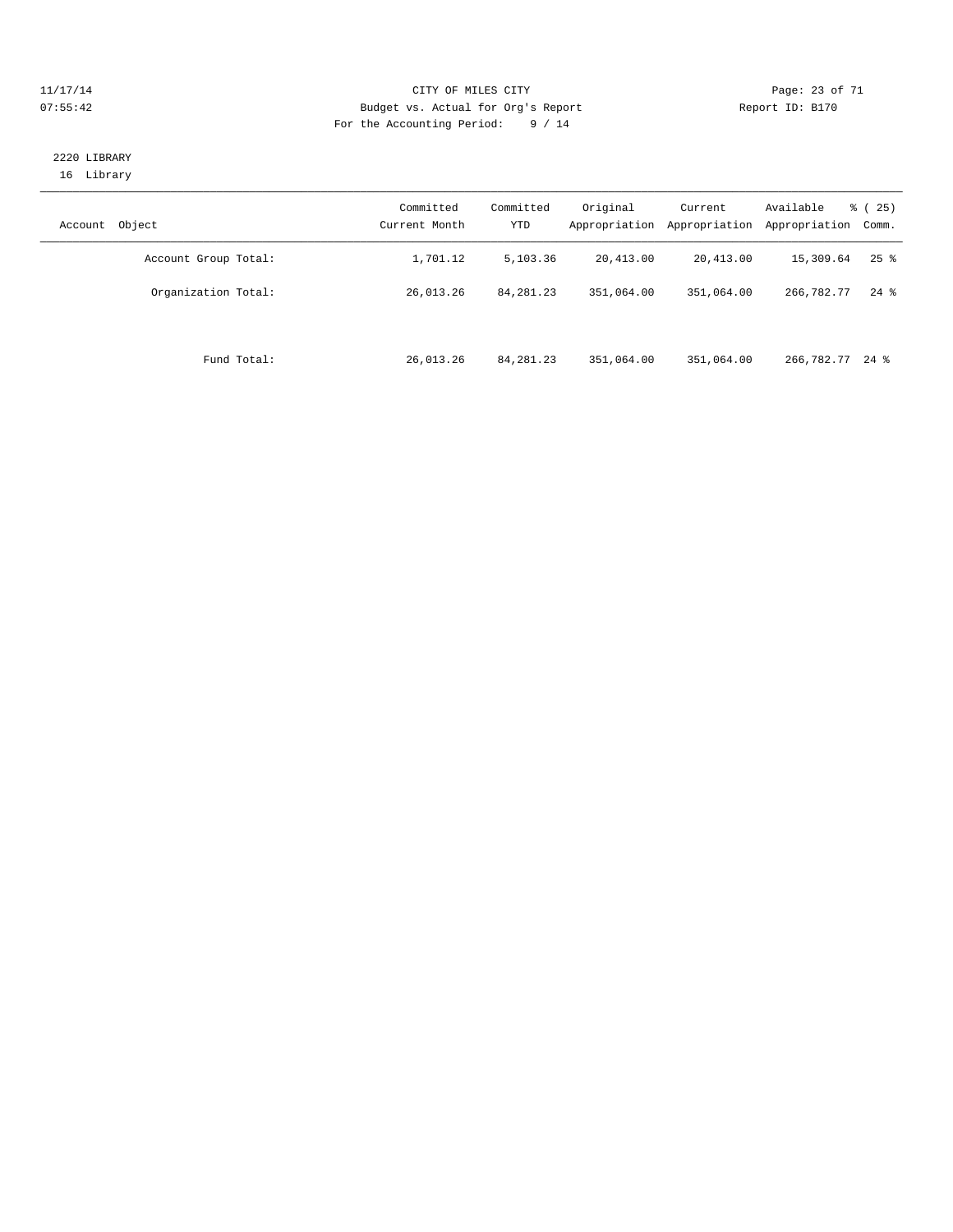#### 11/17/14 Page: 23 of 71 07:55:42 Budget vs. Actual for Org's Report Changer Report ID: B170 For the Accounting Period: 9 / 14

## 2220 LIBRARY 16 Library

| Object<br>Account    | Committed<br>Current Month | Committed<br><b>YTD</b> | Original<br>Appropriation | Current<br>Appropriation | Available<br>Appropriation | $\frac{3}{6}$ ( 25 )<br>Comm. |
|----------------------|----------------------------|-------------------------|---------------------------|--------------------------|----------------------------|-------------------------------|
| Account Group Total: | 1,701.12                   | 5,103.36                | 20,413.00                 | 20,413.00                | 15,309.64                  | $25$ $\frac{6}{5}$            |
| Organization Total:  | 26,013.26                  | 84, 281. 23             | 351,064.00                | 351,064.00               | 266,782.77                 | $24$ %                        |
| Fund Total:          | 26,013.26                  | 84, 281. 23             | 351,064.00                | 351,064.00               | 266,782.77 24 %            |                               |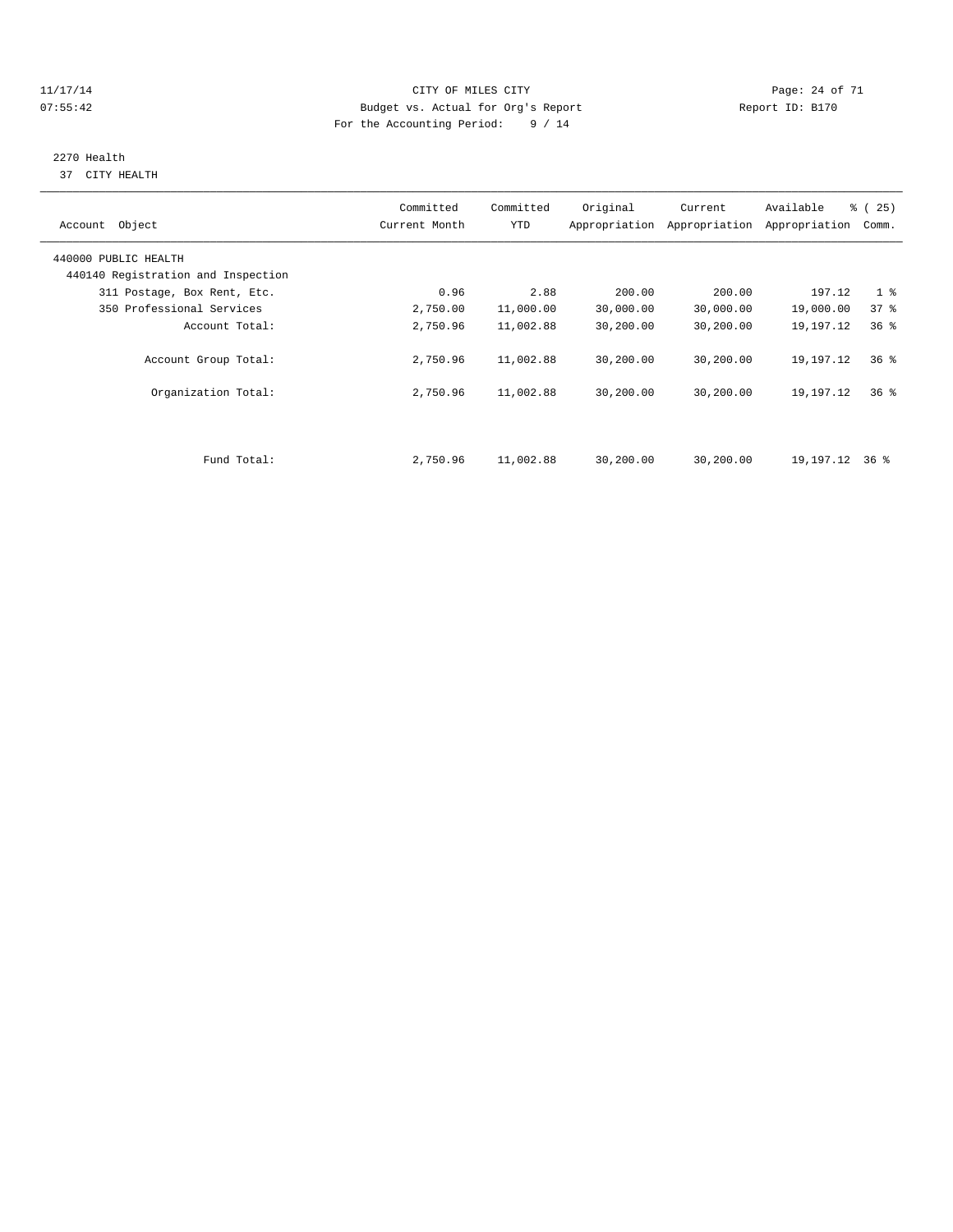#### 11/17/14 Page: 24 of 71 07:55:42 Budget vs. Actual for Org's Report Changer Report ID: B170 For the Accounting Period: 9 / 14

# 2270 Health

37 CITY HEALTH

| Account Object                     | Committed<br>Current Month | Committed<br><b>YTD</b> | Original  | Current<br>Appropriation Appropriation | Available<br>Appropriation | $\frac{3}{6}$ ( 25 )<br>Comm. |
|------------------------------------|----------------------------|-------------------------|-----------|----------------------------------------|----------------------------|-------------------------------|
| 440000 PUBLIC HEALTH               |                            |                         |           |                                        |                            |                               |
| 440140 Registration and Inspection |                            |                         |           |                                        |                            |                               |
| 311 Postage, Box Rent, Etc.        | 0.96                       | 2.88                    | 200.00    | 200.00                                 | 197.12                     | 1 <sub>8</sub>                |
| 350 Professional Services          | 2,750.00                   | 11,000.00               | 30,000.00 | 30,000.00                              | 19,000.00                  | 37%                           |
| Account Total:                     | 2,750.96                   | 11,002.88               | 30,200.00 | 30,200.00                              | 19,197.12                  | 36 <sup>8</sup>               |
| Account Group Total:               | 2,750.96                   | 11,002.88               | 30,200.00 | 30,200.00                              | 19,197.12                  | 36%                           |
| Organization Total:                | 2,750.96                   | 11,002.88               | 30,200.00 | 30,200.00                              | 19,197.12                  | 36%                           |
|                                    |                            |                         |           |                                        |                            |                               |
| Fund Total:                        | 2,750.96                   | 11,002.88               | 30,200.00 | 30,200.00                              | 19,197.12                  | 36 %                          |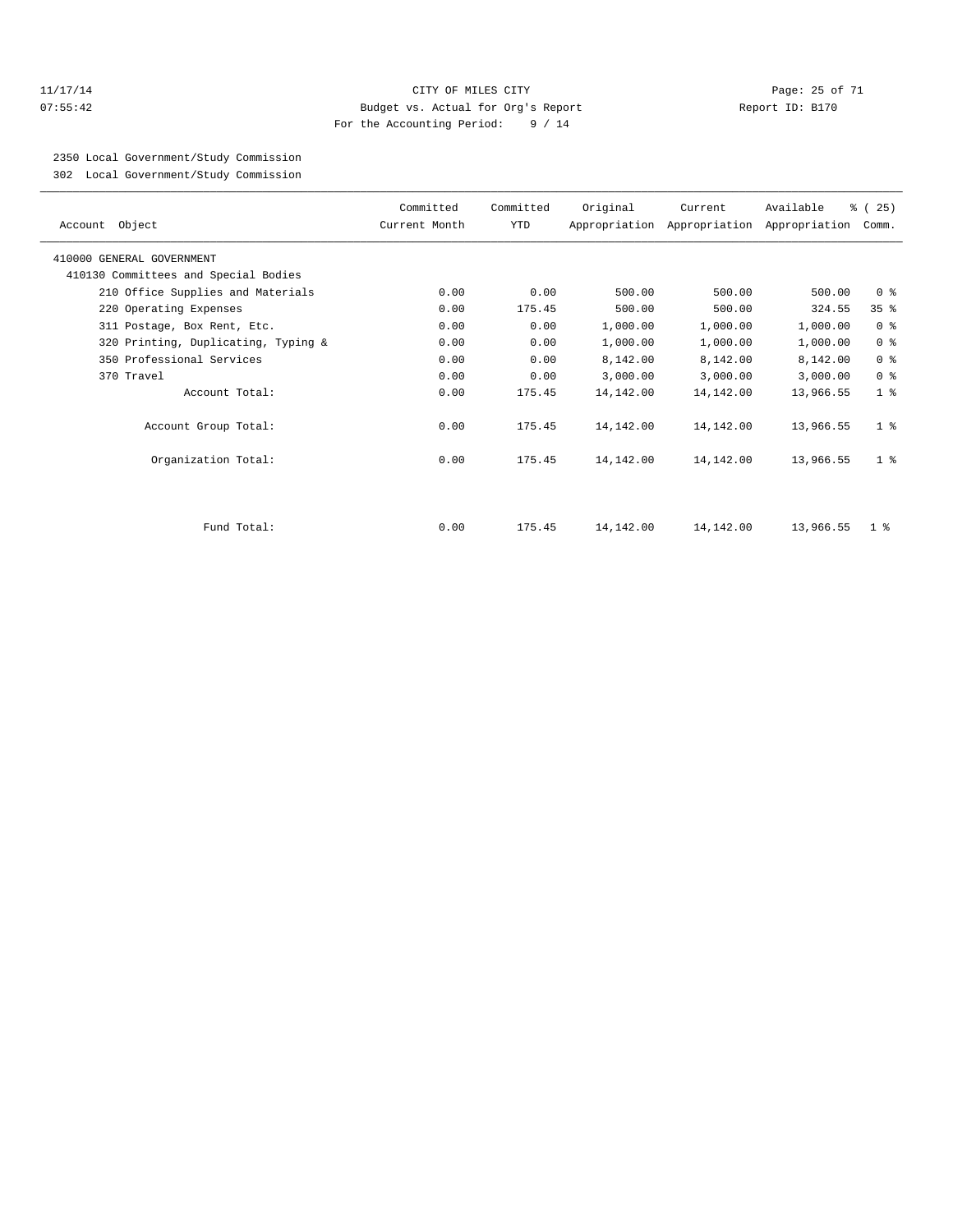#### 11/17/14 Page: 25 of 71 07:55:42 Budget vs. Actual for Org's Report Report ID: B170 For the Accounting Period: 9 / 14

2350 Local Government/Study Commission

302 Local Government/Study Commission

| Account Object                       | Committed<br>Current Month | Committed<br><b>YTD</b> | Original  | Current   | Available<br>Appropriation Appropriation Appropriation | % (25)<br>Comm. |
|--------------------------------------|----------------------------|-------------------------|-----------|-----------|--------------------------------------------------------|-----------------|
| 410000 GENERAL GOVERNMENT            |                            |                         |           |           |                                                        |                 |
| 410130 Committees and Special Bodies |                            |                         |           |           |                                                        |                 |
| 210 Office Supplies and Materials    | 0.00                       | 0.00                    | 500.00    | 500.00    | 500.00                                                 | 0 <sup>8</sup>  |
| 220 Operating Expenses               | 0.00                       | 175.45                  | 500.00    | 500.00    | 324.55                                                 | 35 <sup>8</sup> |
| 311 Postage, Box Rent, Etc.          | 0.00                       | 0.00                    | 1,000.00  | 1,000.00  | 1,000.00                                               | 0 <sup>8</sup>  |
| 320 Printing, Duplicating, Typing &  | 0.00                       | 0.00                    | 1,000.00  | 1,000.00  | 1,000.00                                               | 0 <sup>8</sup>  |
| 350 Professional Services            | 0.00                       | 0.00                    | 8,142.00  | 8,142.00  | 8,142.00                                               | 0 <sup>8</sup>  |
| 370 Travel                           | 0.00                       | 0.00                    | 3,000.00  | 3,000.00  | 3,000.00                                               | 0 <sup>8</sup>  |
| Account Total:                       | 0.00                       | 175.45                  | 14,142.00 | 14,142.00 | 13,966.55                                              | 1 <sup>8</sup>  |
| Account Group Total:                 | 0.00                       | 175.45                  | 14,142.00 | 14,142.00 | 13,966.55                                              | 1 <sup>8</sup>  |
| Organization Total:                  | 0.00                       | 175.45                  | 14,142.00 | 14,142.00 | 13,966.55                                              | 1 <sup>8</sup>  |
|                                      |                            |                         |           |           |                                                        |                 |
| Fund Total:                          | 0.00                       | 175.45                  | 14,142.00 | 14,142.00 | 13,966.55                                              | $1 \circ$       |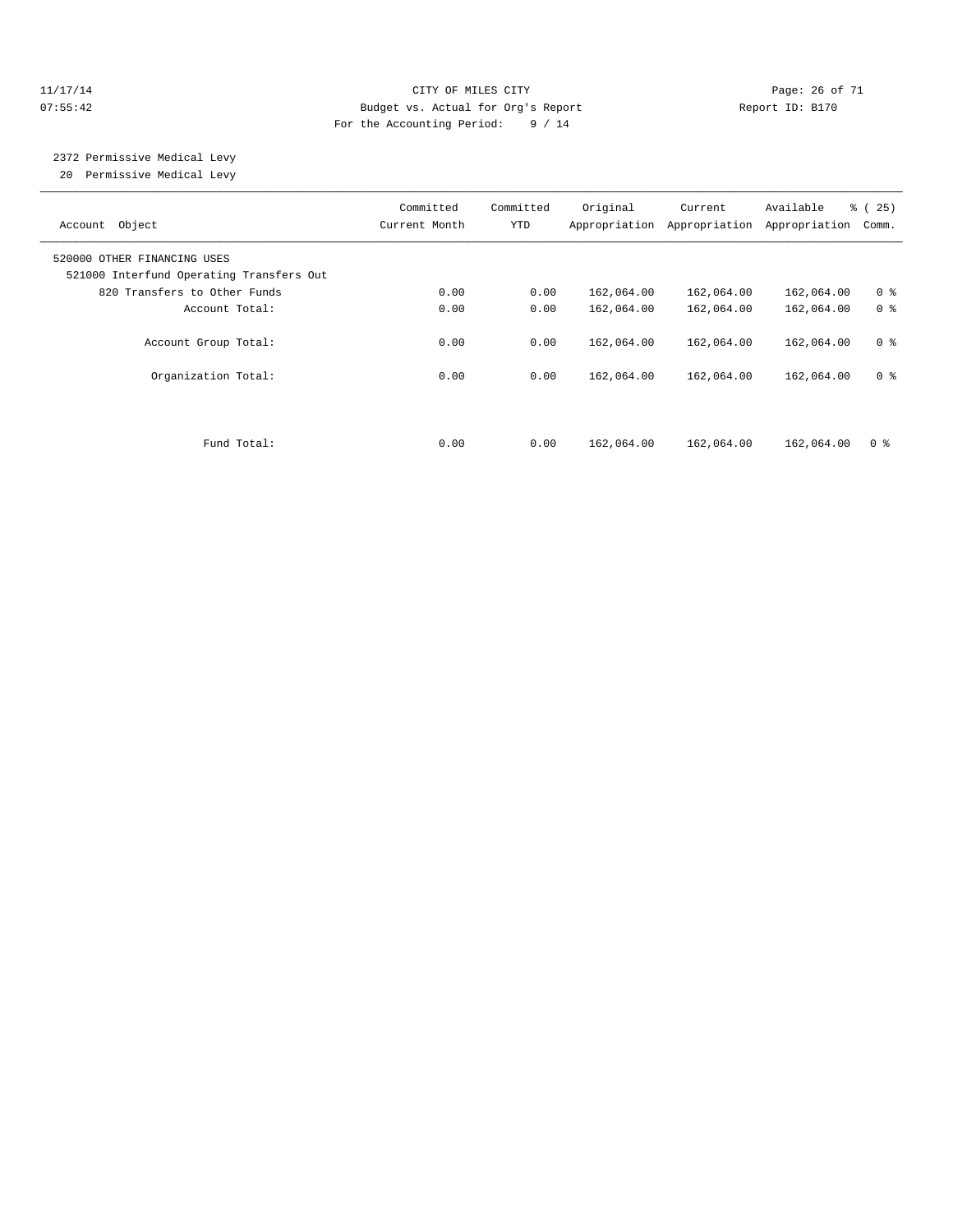#### 11/17/14 Page: 26 of 71 07:55:42 Budget vs. Actual for Org's Report Changer Report ID: B170 For the Accounting Period: 9 / 14

 2372 Permissive Medical Levy 20 Permissive Medical Levy

| Object<br>Account                                                       | Committed<br>Current Month | Committed<br>YTD | Original<br>Appropriation | Current<br>Appropriation | Available<br>Appropriation | % (25)<br>Comm. |
|-------------------------------------------------------------------------|----------------------------|------------------|---------------------------|--------------------------|----------------------------|-----------------|
| 520000 OTHER FINANCING USES<br>521000 Interfund Operating Transfers Out |                            |                  |                           |                          |                            |                 |
| 820 Transfers to Other Funds                                            | 0.00                       | 0.00             | 162,064.00                | 162,064.00               | 162,064.00                 | 0 <sup>8</sup>  |
| Account Total:                                                          | 0.00                       | 0.00             | 162,064.00                | 162,064.00               | 162,064.00                 | 0 <sup>8</sup>  |
| Account Group Total:                                                    | 0.00                       | 0.00             | 162,064.00                | 162,064.00               | 162,064.00                 | 0 <sup>8</sup>  |
| Organization Total:                                                     | 0.00                       | 0.00             | 162,064.00                | 162,064.00               | 162,064.00                 | 0 <sup>8</sup>  |
| Fund Total:                                                             | 0.00                       | 0.00             | 162,064.00                | 162,064.00               | 162,064.00                 | 0 <sup>8</sup>  |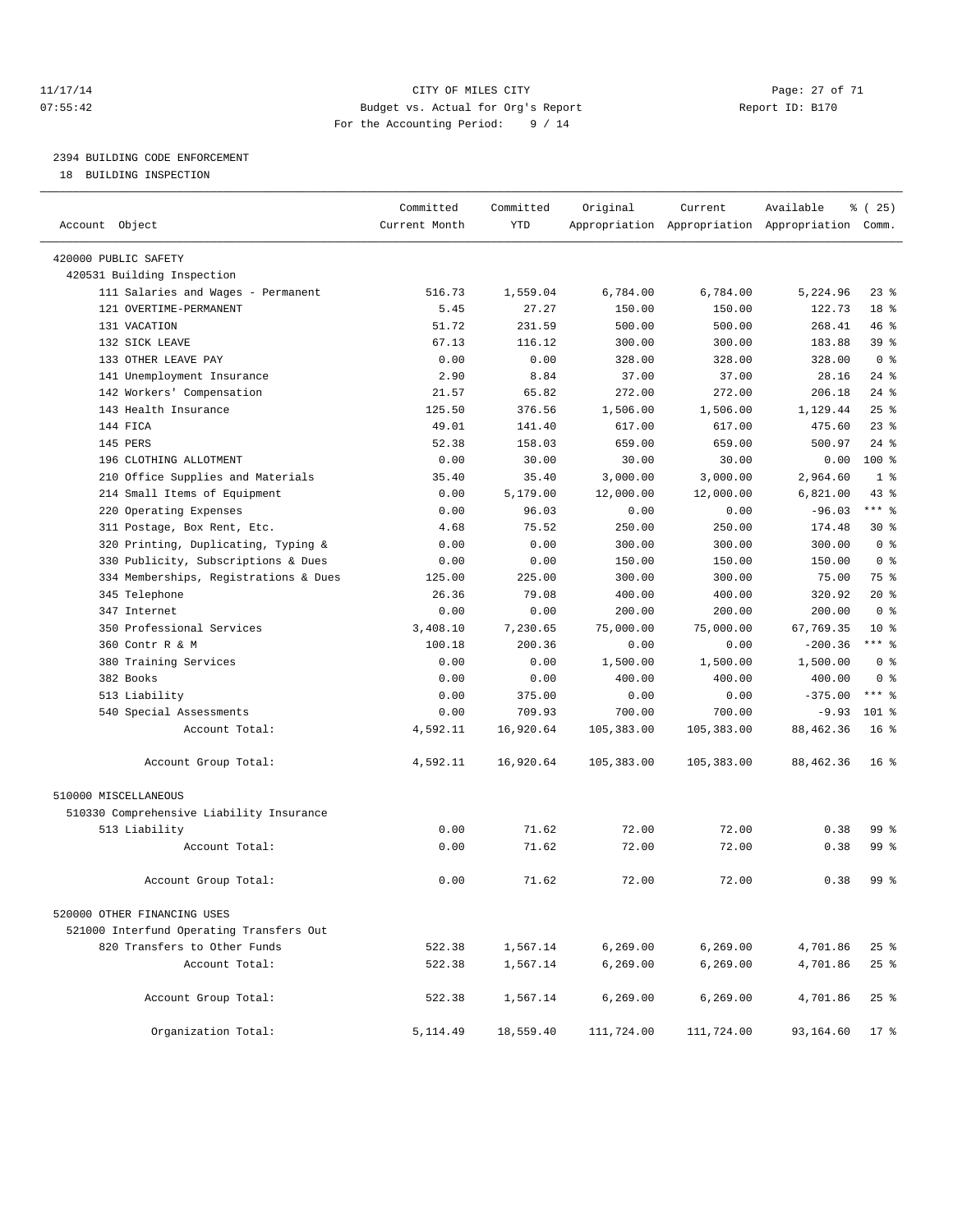#### 11/17/14 Page: 27 of 71 07:55:42 Budget vs. Actual for Org's Report Report ID: B170 For the Accounting Period: 9 / 14

————————————————————————————————————————————————————————————————————————————————————————————————————————————————————————————————————

# 2394 BUILDING CODE ENFORCEMENT

18 BUILDING INSPECTION

|                                          | Committed     | Committed | Original   | Current    | Available                                       | % (25)          |
|------------------------------------------|---------------|-----------|------------|------------|-------------------------------------------------|-----------------|
| Account Object                           | Current Month | YTD       |            |            | Appropriation Appropriation Appropriation Comm. |                 |
| 420000 PUBLIC SAFETY                     |               |           |            |            |                                                 |                 |
| 420531 Building Inspection               |               |           |            |            |                                                 |                 |
| 111 Salaries and Wages - Permanent       | 516.73        | 1,559.04  | 6,784.00   | 6,784.00   | 5,224.96                                        | $23$ %          |
| 121 OVERTIME-PERMANENT                   | 5.45          | 27.27     | 150.00     | 150.00     | 122.73                                          | 18 %            |
| 131 VACATION                             | 51.72         | 231.59    | 500.00     | 500.00     | 268.41                                          | 46%             |
| 132 SICK LEAVE                           | 67.13         | 116.12    | 300.00     | 300.00     | 183.88                                          | 39 %            |
| 133 OTHER LEAVE PAY                      | 0.00          | 0.00      | 328.00     | 328.00     | 328.00                                          | 0 <sup>8</sup>  |
| 141 Unemployment Insurance               | 2.90          | 8.84      | 37.00      | 37.00      | 28.16                                           | $24$ %          |
| 142 Workers' Compensation                | 21.57         | 65.82     | 272.00     | 272.00     | 206.18                                          | $24$ %          |
| 143 Health Insurance                     | 125.50        | 376.56    | 1,506.00   | 1,506.00   | 1,129.44                                        | 25%             |
| 144 FICA                                 | 49.01         | 141.40    | 617.00     | 617.00     | 475.60                                          | $23$ $%$        |
| 145 PERS                                 | 52.38         | 158.03    | 659.00     | 659.00     | 500.97                                          | $24$ %          |
| 196 CLOTHING ALLOTMENT                   | 0.00          | 30.00     | 30.00      | 30.00      | 0.00                                            | 100 %           |
| 210 Office Supplies and Materials        | 35.40         | 35.40     | 3,000.00   | 3,000.00   | 2,964.60                                        | 1 <sup>8</sup>  |
| 214 Small Items of Equipment             | 0.00          | 5,179.00  | 12,000.00  | 12,000.00  | 6,821.00                                        | 43 %            |
| 220 Operating Expenses                   | 0.00          | 96.03     | 0.00       | 0.00       | $-96.03$                                        | $***$ 8         |
| 311 Postage, Box Rent, Etc.              | 4.68          | 75.52     | 250.00     | 250.00     | 174.48                                          | $30*$           |
| 320 Printing, Duplicating, Typing &      | 0.00          | 0.00      | 300.00     | 300.00     | 300.00                                          | 0 <sup>8</sup>  |
| 330 Publicity, Subscriptions & Dues      | 0.00          | 0.00      | 150.00     | 150.00     | 150.00                                          | 0 <sup>8</sup>  |
| 334 Memberships, Registrations & Dues    | 125.00        | 225.00    | 300.00     | 300.00     | 75.00                                           | 75 %            |
| 345 Telephone                            | 26.36         | 79.08     | 400.00     | 400.00     | 320.92                                          | $20*$           |
| 347 Internet                             | 0.00          | 0.00      | 200.00     | 200.00     | 200.00                                          | 0 <sup>8</sup>  |
| 350 Professional Services                | 3,408.10      | 7,230.65  | 75,000.00  | 75,000.00  | 67,769.35                                       | $10*$           |
| 360 Contr R & M                          | 100.18        | 200.36    | 0.00       | 0.00       | $-200.36$                                       | $***$ $_{8}$    |
| 380 Training Services                    | 0.00          | 0.00      | 1,500.00   | 1,500.00   | 1,500.00                                        | 0 <sup>8</sup>  |
| 382 Books                                | 0.00          | 0.00      | 400.00     | 400.00     | 400.00                                          | 0 <sup>8</sup>  |
| 513 Liability                            | 0.00          | 375.00    | 0.00       | 0.00       | $-375.00$                                       | $***$ $%$       |
| 540 Special Assessments                  | 0.00          | 709.93    | 700.00     | 700.00     | $-9.93$                                         | $101$ %         |
| Account Total:                           | 4,592.11      | 16,920.64 | 105,383.00 | 105,383.00 | 88, 462.36                                      | 16 <sup>8</sup> |
| Account Group Total:                     | 4,592.11      | 16,920.64 | 105,383.00 | 105,383.00 | 88,462.36                                       | 16 <sup>8</sup> |
| 510000 MISCELLANEOUS                     |               |           |            |            |                                                 |                 |
| 510330 Comprehensive Liability Insurance |               |           |            |            |                                                 |                 |
| 513 Liability                            | 0.00          | 71.62     | 72.00      | 72.00      | 0.38                                            | 99 %            |
| Account Total:                           | 0.00          | 71.62     | 72.00      | 72.00      | 0.38                                            | $99*$           |
| Account Group Total:                     | 0.00          | 71.62     | 72.00      | 72.00      | 0.38                                            | 99 %            |
| 520000 OTHER FINANCING USES              |               |           |            |            |                                                 |                 |
| 521000 Interfund Operating Transfers Out |               |           |            |            |                                                 |                 |
| 820 Transfers to Other Funds             | 522.38        | 1,567.14  | 6,269.00   | 6, 269.00  | 4,701.86                                        | $25$ $%$        |
| Account Total:                           | 522.38        | 1,567.14  | 6, 269.00  | 6, 269.00  | 4,701.86                                        | 25%             |
|                                          |               |           |            |            |                                                 |                 |
| Account Group Total:                     | 522.38        | 1,567.14  | 6, 269.00  | 6, 269.00  | 4,701.86                                        | 25%             |
| Organization Total:                      | 5,114.49      | 18,559.40 | 111,724.00 | 111,724.00 | 93,164.60                                       | $17*$           |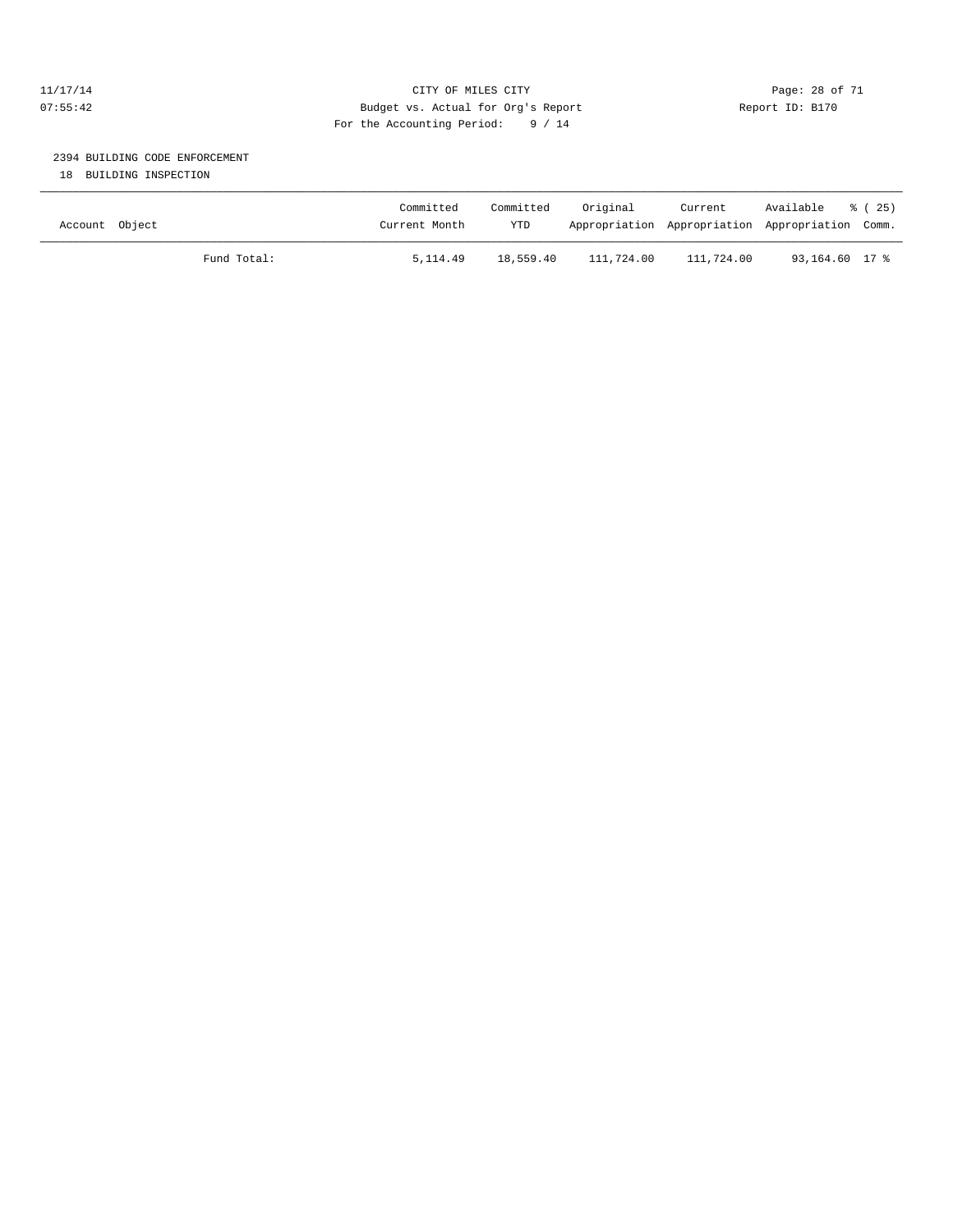#### 11/17/14 Page: 28 of 71 07:55:42 Budget vs. Actual for Org's Report Report ID: B170 For the Accounting Period: 9 / 14

# 2394 BUILDING CODE ENFORCEMENT

18 BUILDING INSPECTION

| Account Object |             | Committed<br>Current Month | Committed<br><b>YTD</b> | Original   | Current<br>Appropriation Appropriation Appropriation Comm. | Available      | 8 (25) |
|----------------|-------------|----------------------------|-------------------------|------------|------------------------------------------------------------|----------------|--------|
|                | Fund Total: | 5, 114, 49                 | 18,559.40               | 111,724.00 | 111,724.00                                                 | 93,164.60 17 % |        |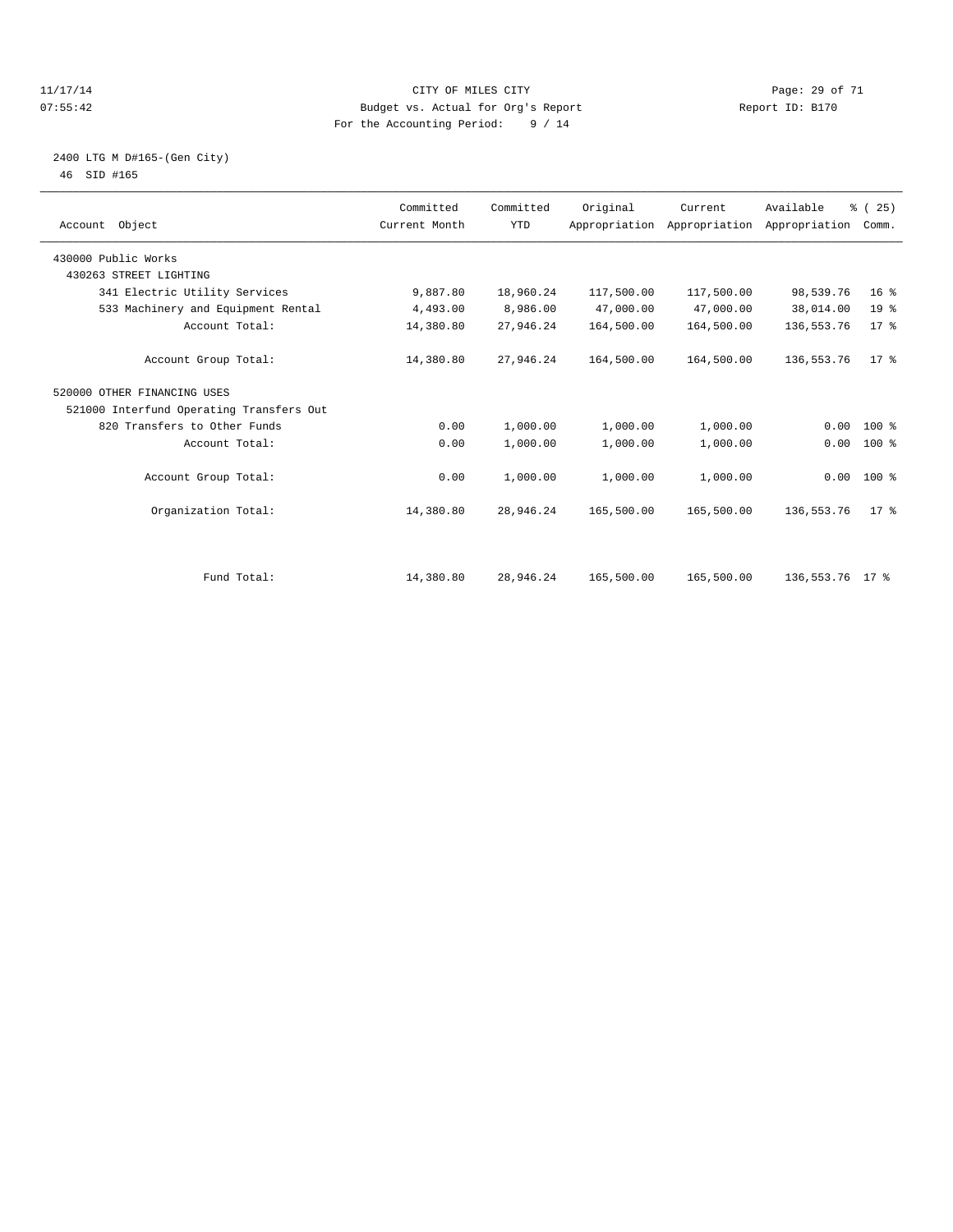#### 11/17/14 Page: 29 of 71 07:55:42 Budget vs. Actual for Org's Report Changer Report ID: B170 For the Accounting Period: 9 / 14

#### 2400 LTG M D#165-(Gen City) 46 SID #165

| Account Object                           | Committed<br>Current Month | Committed<br><b>YTD</b> | Original   | Current<br>Appropriation Appropriation Appropriation | Available       | % (25)<br>Comm. |  |
|------------------------------------------|----------------------------|-------------------------|------------|------------------------------------------------------|-----------------|-----------------|--|
| 430000 Public Works                      |                            |                         |            |                                                      |                 |                 |  |
| 430263 STREET LIGHTING                   |                            |                         |            |                                                      |                 |                 |  |
| 341 Electric Utility Services            | 9,887.80                   | 18,960.24               | 117,500.00 | 117,500.00                                           | 98,539.76       | 16 <sup>°</sup> |  |
| 533 Machinery and Equipment Rental       | 4,493.00                   | 8,986.00                | 47,000.00  | 47,000.00                                            | 38,014.00       | 19 <sup>°</sup> |  |
| Account Total:                           | 14,380.80                  | 27,946.24               | 164,500.00 | 164,500.00                                           | 136, 553. 76    | 17.8            |  |
| Account Group Total:                     | 14,380.80                  | 27,946.24               | 164,500.00 | 164,500.00                                           | 136, 553. 76    | $17*$           |  |
| 520000 OTHER FINANCING USES              |                            |                         |            |                                                      |                 |                 |  |
| 521000 Interfund Operating Transfers Out |                            |                         |            |                                                      |                 |                 |  |
| 820 Transfers to Other Funds             | 0.00                       | 1,000.00                | 1,000.00   | 1,000.00                                             | 0.00            | $100*$          |  |
| Account Total:                           | 0.00                       | 1,000.00                | 1,000.00   | 1,000.00                                             | 0.00            | 100 %           |  |
| Account Group Total:                     | 0.00                       | 1,000.00                | 1,000.00   | 1,000.00                                             |                 | $0.00$ 100 %    |  |
| Organization Total:                      | 14,380.80                  | 28,946.24               | 165,500.00 | 165,500.00                                           | 136, 553. 76    | 17 <sup>8</sup> |  |
|                                          |                            |                         |            |                                                      |                 |                 |  |
| Fund Total:                              | 14,380.80                  | 28,946.24               | 165,500.00 | 165,500.00                                           | 136,553.76 17 % |                 |  |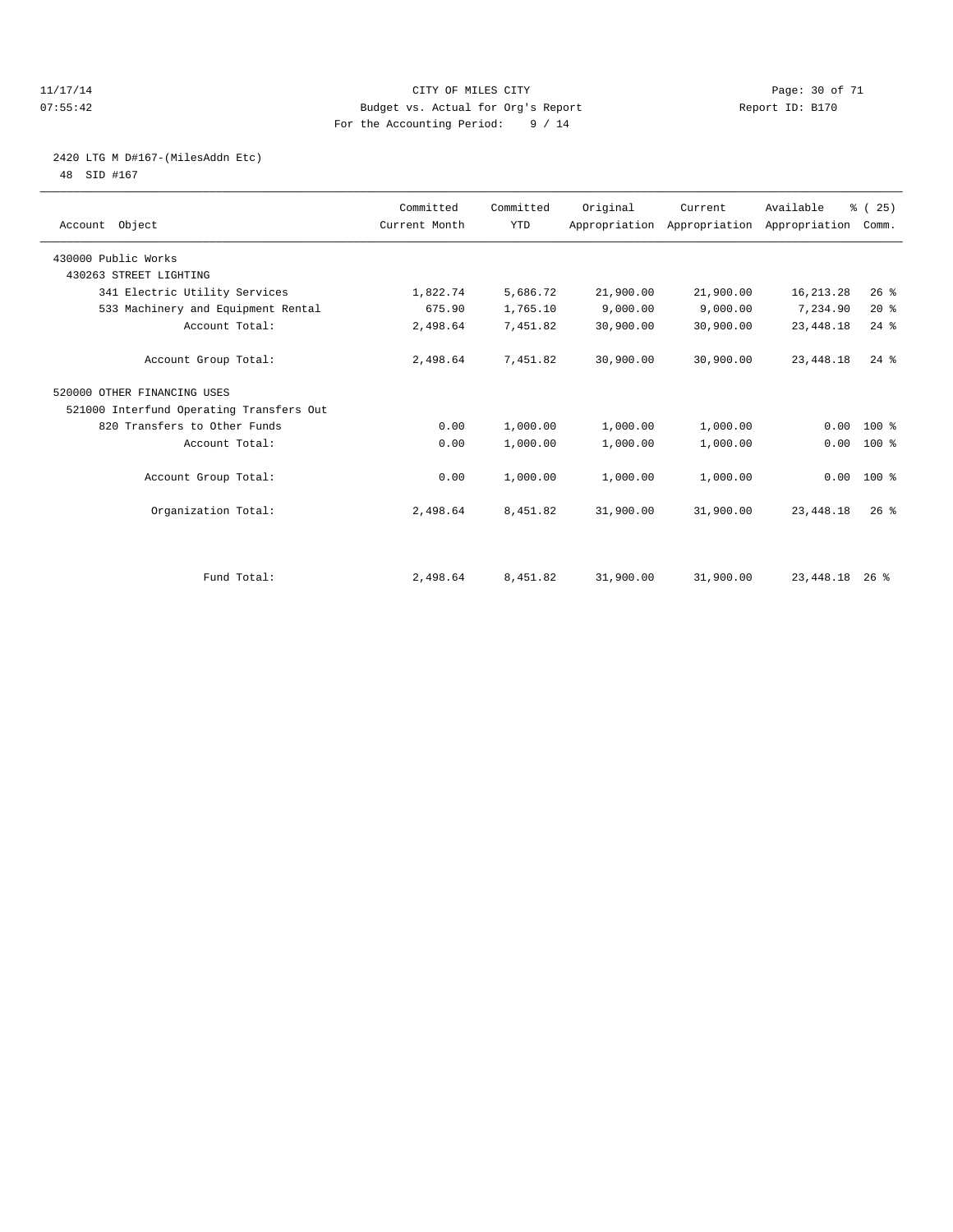#### 11/17/14 Page: 30 of 71 07:55:42 Budget vs. Actual for Org's Report Report ID: B170 For the Accounting Period: 9 / 14

# 2420 LTG M D#167-(MilesAddn Etc)

48 SID #167

| Account Object                           | Committed<br>Current Month | Committed<br><b>YTD</b> | Original  | Current<br>Appropriation Appropriation Appropriation | Available   | % (25)<br>Comm. |  |
|------------------------------------------|----------------------------|-------------------------|-----------|------------------------------------------------------|-------------|-----------------|--|
| 430000 Public Works                      |                            |                         |           |                                                      |             |                 |  |
| 430263 STREET LIGHTING                   |                            |                         |           |                                                      |             |                 |  |
| 341 Electric Utility Services            | 1,822.74                   | 5,686.72                | 21,900.00 | 21,900.00                                            | 16, 213. 28 | 26%             |  |
| 533 Machinery and Equipment Rental       | 675.90                     | 1,765.10                | 9,000.00  | 9,000.00                                             | 7,234.90    | 20%             |  |
| Account Total:                           | 2,498.64                   | 7,451.82                | 30,900.00 | 30,900.00                                            | 23, 448.18  | $24$ $%$        |  |
| Account Group Total:                     | 2,498.64                   | 7,451.82                | 30,900.00 | 30,900.00                                            | 23, 448.18  | $24$ $%$        |  |
| 520000 OTHER FINANCING USES              |                            |                         |           |                                                      |             |                 |  |
| 521000 Interfund Operating Transfers Out |                            |                         |           |                                                      |             |                 |  |
| 820 Transfers to Other Funds             | 0.00                       | 1,000.00                | 1,000.00  | 1,000.00                                             | 0.00        | $100*$          |  |
| Account Total:                           | 0.00                       | 1,000.00                | 1,000.00  | 1,000.00                                             | 0.00        | 100 %           |  |
| Account Group Total:                     | 0.00                       | 1,000.00                | 1,000.00  | 1,000.00                                             |             | $0.00$ 100 %    |  |
| Organization Total:                      | 2,498.64                   | 8,451.82                | 31,900.00 | 31,900.00                                            | 23, 448. 18 | $26$ $%$        |  |
|                                          |                            |                         |           |                                                      |             |                 |  |
| Fund Total:                              | 2,498.64                   | 8,451.82                | 31,900.00 | 31,900.00                                            | 23,448.18   | $26$ %          |  |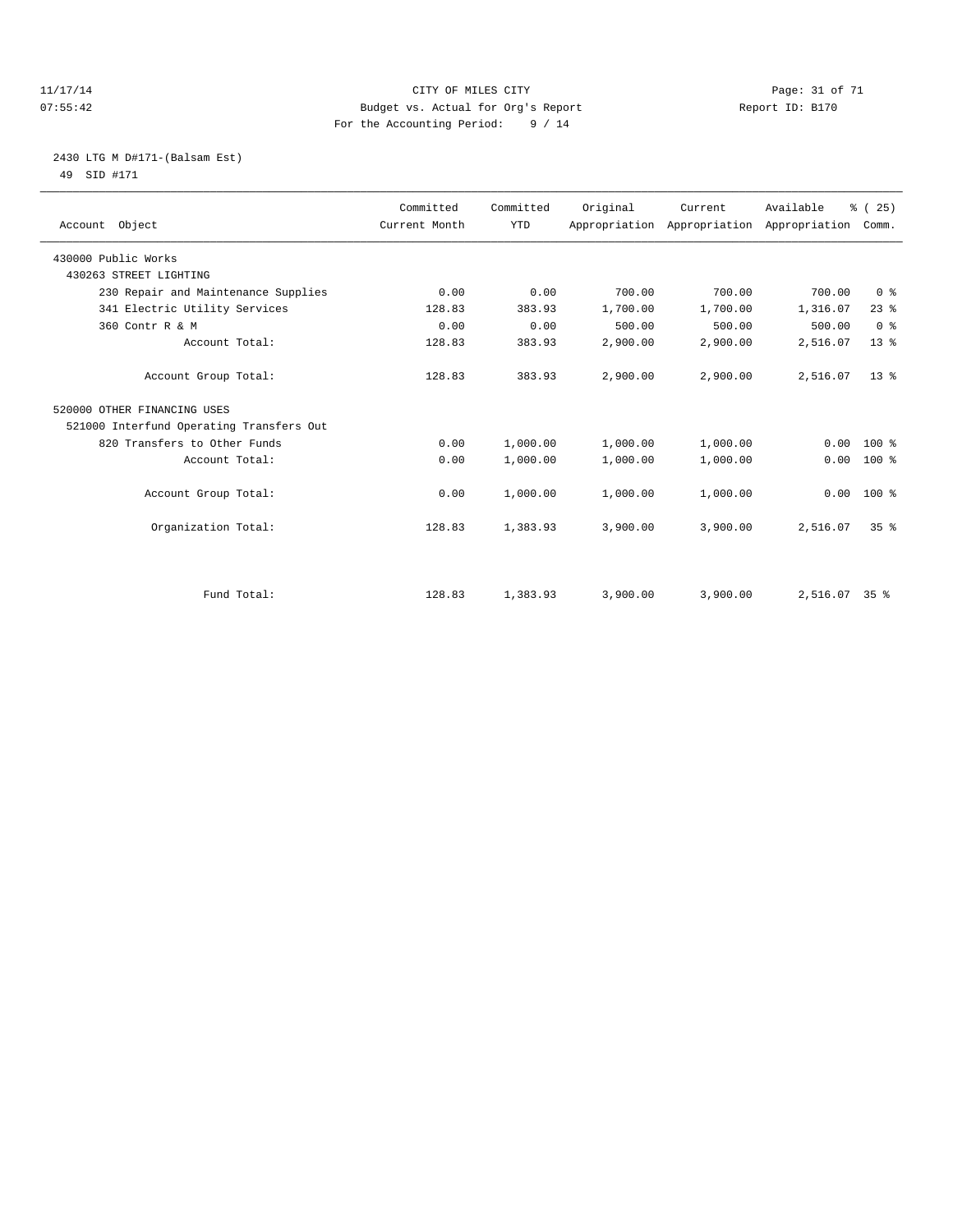#### 11/17/14 Page: 31 of 71 07:55:42 Budget vs. Actual for Org's Report Changer Report ID: B170 For the Accounting Period: 9 / 14

### 2430 LTG M D#171-(Balsam Est) 49 SID #171

| Account Object                           | Committed<br>Current Month | Committed<br><b>YTD</b> | Original | Current<br>Appropriation Appropriation | Available<br>Appropriation | % (25)<br>Comm. |
|------------------------------------------|----------------------------|-------------------------|----------|----------------------------------------|----------------------------|-----------------|
| 430000 Public Works                      |                            |                         |          |                                        |                            |                 |
| 430263 STREET LIGHTING                   |                            |                         |          |                                        |                            |                 |
| 230 Repair and Maintenance Supplies      | 0.00                       | 0.00                    | 700.00   | 700.00                                 | 700.00                     | 0 <sup>8</sup>  |
| 341 Electric Utility Services            | 128.83                     | 383.93                  | 1,700.00 | 1,700.00                               | 1,316.07                   | $23$ $%$        |
| 360 Contr R & M                          | 0.00                       | 0.00                    | 500.00   | 500.00                                 | 500.00                     | 0 <sup>8</sup>  |
| Account Total:                           | 128.83                     | 383.93                  | 2,900.00 | 2,900.00                               | 2,516.07                   | 13 <sup>°</sup> |
| Account Group Total:                     | 128.83                     | 383.93                  | 2,900.00 | 2,900.00                               | 2,516.07                   | 13 <sup>8</sup> |
| 520000 OTHER FINANCING USES              |                            |                         |          |                                        |                            |                 |
| 521000 Interfund Operating Transfers Out |                            |                         |          |                                        |                            |                 |
| 820 Transfers to Other Funds             | 0.00                       | 1,000.00                | 1,000.00 | 1,000.00                               | 0.00                       | $100*$          |
| Account Total:                           | 0.00                       | 1,000.00                | 1,000.00 | 1,000.00                               | 0.00                       | $100*$          |
| Account Group Total:                     | 0.00                       | 1,000.00                | 1,000.00 | 1,000.00                               | 0.00                       | $100*$          |
| Organization Total:                      | 128.83                     | 1,383.93                | 3,900.00 | 3,900.00                               | 2,516.07                   | 35 <sup>8</sup> |
|                                          |                            |                         |          |                                        |                            |                 |
| Fund Total:                              | 128.83                     | 1,383.93                | 3,900.00 | 3,900.00                               | 2,516.07 35 %              |                 |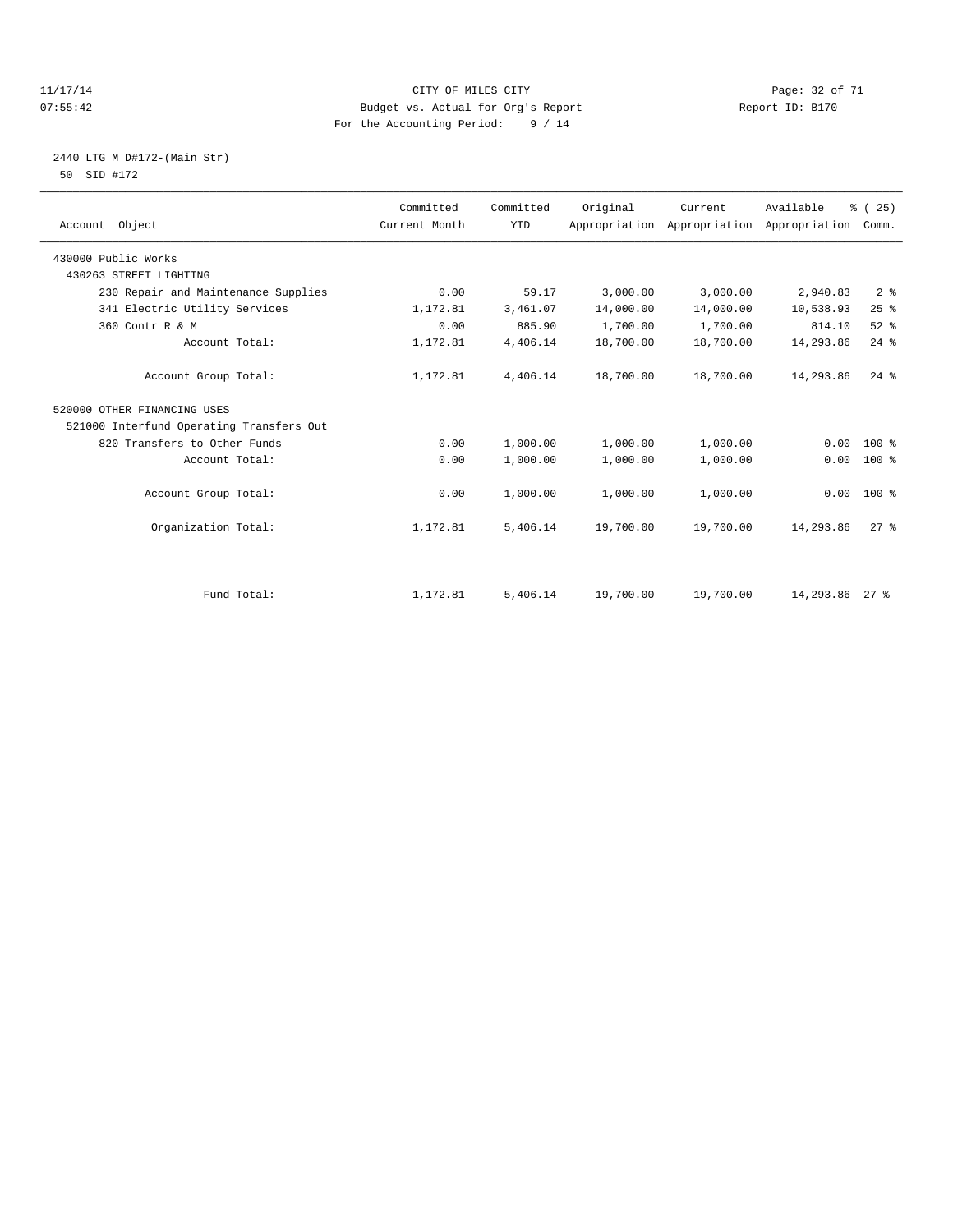#### 11/17/14 Page: 32 of 71 07:55:42 Budget vs. Actual for Org's Report Changer Report ID: B170 For the Accounting Period: 9 / 14

### 2440 LTG M D#172-(Main Str) 50 SID #172

| Account Object                           | Committed<br>Current Month | Committed<br><b>YTD</b> | Original  | Current<br>Appropriation Appropriation | Available<br>Appropriation | % (25)<br>Comm. |  |
|------------------------------------------|----------------------------|-------------------------|-----------|----------------------------------------|----------------------------|-----------------|--|
| 430000 Public Works                      |                            |                         |           |                                        |                            |                 |  |
| 430263 STREET LIGHTING                   |                            |                         |           |                                        |                            |                 |  |
| 230 Repair and Maintenance Supplies      | 0.00                       | 59.17                   | 3,000.00  | 3,000.00                               | 2,940.83                   | 2 <sup>°</sup>  |  |
| 341 Electric Utility Services            | 1,172.81                   | 3,461.07                | 14,000.00 | 14,000.00                              | 10,538.93                  | 25%             |  |
| 360 Contr R & M                          | 0.00                       | 885.90                  | 1,700.00  | 1,700.00                               | 814.10                     | $52$ $%$        |  |
| Account Total:                           | 1,172.81                   | 4,406.14                | 18,700.00 | 18,700.00                              | 14,293.86                  | $24$ $%$        |  |
| Account Group Total:                     | 1,172.81                   | 4,406.14                | 18,700.00 | 18,700.00                              | 14,293.86                  | $24$ $%$        |  |
| 520000 OTHER FINANCING USES              |                            |                         |           |                                        |                            |                 |  |
| 521000 Interfund Operating Transfers Out |                            |                         |           |                                        |                            |                 |  |
| 820 Transfers to Other Funds             | 0.00                       | 1,000.00                | 1,000.00  | 1,000.00                               | 0.00                       | $100*$          |  |
| Account Total:                           | 0.00                       | 1,000.00                | 1,000.00  | 1,000.00                               | 0.00                       | 100 %           |  |
| Account Group Total:                     | 0.00                       | 1,000.00                | 1,000.00  | 1,000.00                               | 0.00                       | 100 %           |  |
| Organization Total:                      | 1,172.81                   | 5,406.14                | 19,700.00 | 19,700.00                              | 14,293.86                  | $27$ $%$        |  |
|                                          |                            |                         |           |                                        |                            |                 |  |
| Fund Total:                              | 1,172.81                   | 5,406.14                | 19,700.00 | 19,700.00                              | 14,293.86 27 %             |                 |  |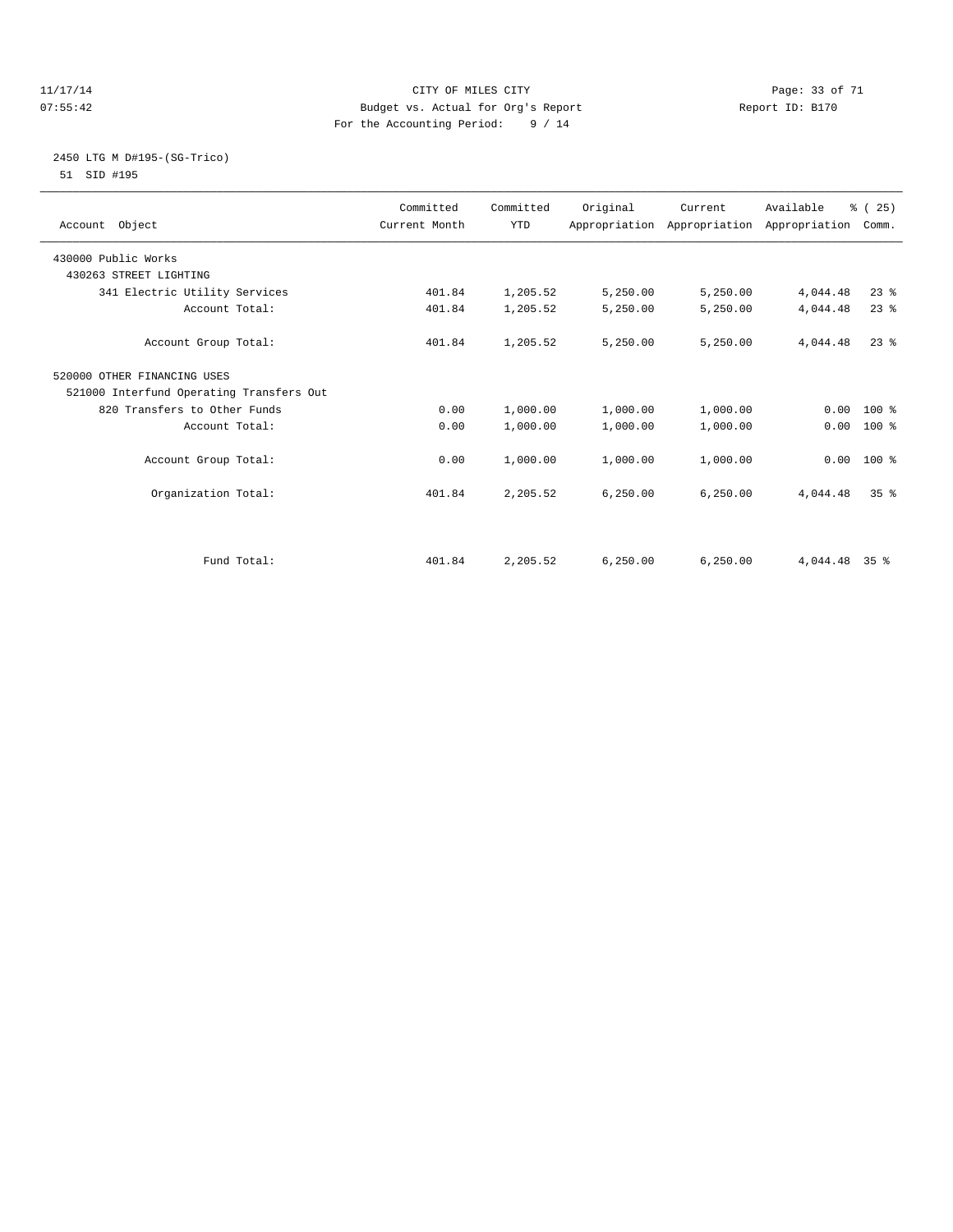#### 11/17/14 Page: 33 of 71 07:55:42 Budget vs. Actual for Org's Report Changer Report ID: B170 For the Accounting Period: 9 / 14

#### 2450 LTG M D#195-(SG-Trico) 51 SID #195

| Account Object                           | Committed<br>Current Month | Committed<br><b>YTD</b> | Original  | Current<br>Appropriation Appropriation Appropriation | Available | % (25)<br>Comm. |  |
|------------------------------------------|----------------------------|-------------------------|-----------|------------------------------------------------------|-----------|-----------------|--|
| 430000 Public Works                      |                            |                         |           |                                                      |           |                 |  |
| 430263 STREET LIGHTING                   |                            |                         |           |                                                      |           |                 |  |
| 341 Electric Utility Services            | 401.84                     | 1,205.52                | 5,250.00  | 5,250.00                                             | 4,044.48  | 23%             |  |
| Account Total:                           | 401.84                     | 1,205.52                | 5,250.00  | 5,250.00                                             | 4,044.48  | 23%             |  |
| Account Group Total:                     | 401.84                     | 1,205.52                | 5,250.00  | 5,250.00                                             | 4,044.48  | $23$ $%$        |  |
| 520000 OTHER FINANCING USES              |                            |                         |           |                                                      |           |                 |  |
| 521000 Interfund Operating Transfers Out |                            |                         |           |                                                      |           |                 |  |
| 820 Transfers to Other Funds             | 0.00                       | 1,000.00                | 1,000.00  | 1,000.00                                             |           | $0.00 100$ %    |  |
| Account Total:                           | 0.00                       | 1,000.00                | 1,000.00  | 1,000.00                                             | 0.00      | 100 %           |  |
| Account Group Total:                     | 0.00                       | 1,000.00                | 1,000.00  | 1,000.00                                             |           | $0.00$ 100 %    |  |
| Organization Total:                      | 401.84                     | 2,205.52                | 6, 250.00 | 6, 250.00                                            | 4,044.48  | 35 <sup>8</sup> |  |
|                                          |                            |                         |           |                                                      |           |                 |  |
| Fund Total:                              | 401.84                     | 2,205.52                | 6, 250.00 | 6, 250.00                                            | 4,044.48  | 35 <sup>8</sup> |  |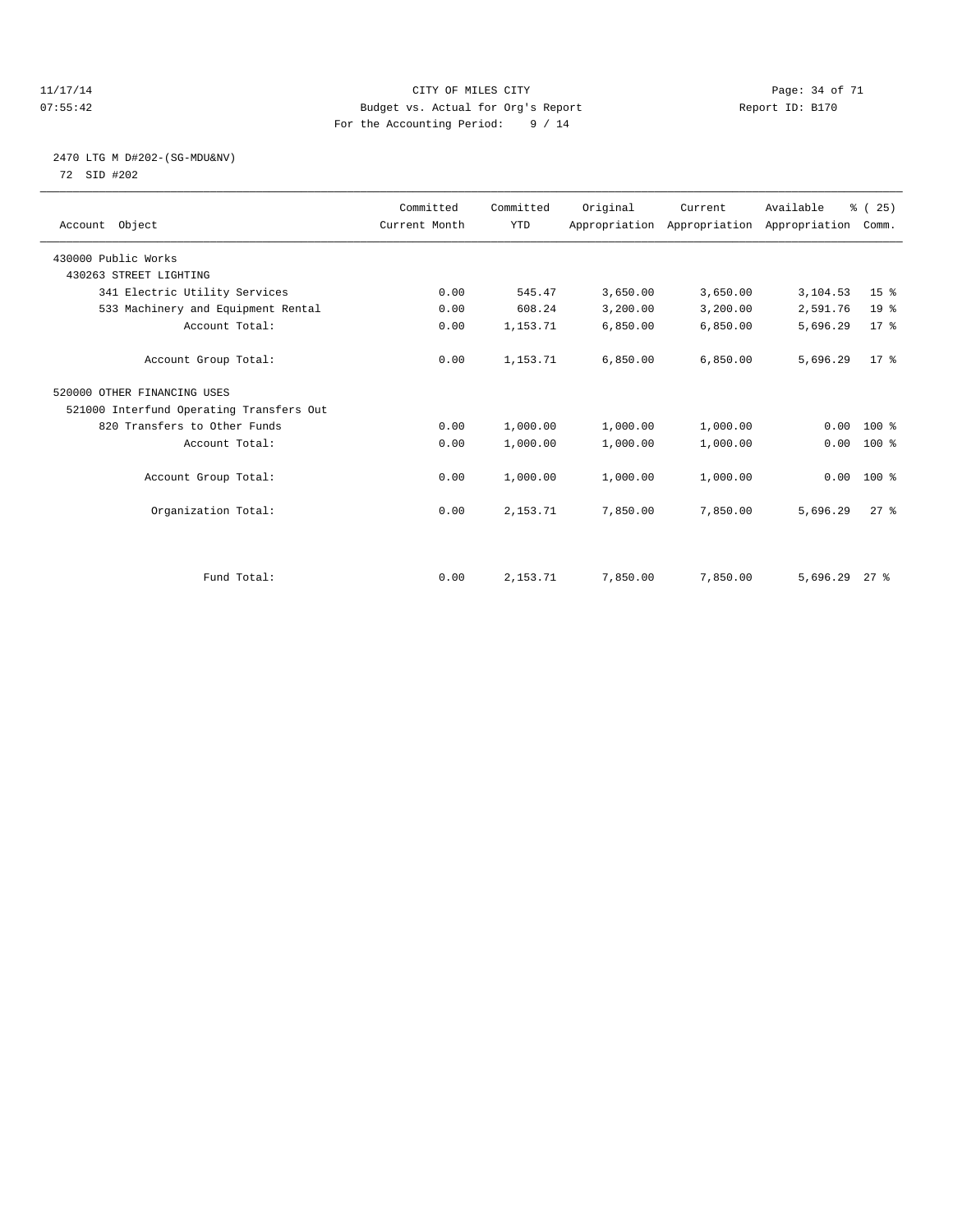#### 11/17/14 Page: 34 of 71 07:55:42 Budget vs. Actual for Org's Report Changer Report ID: B170 For the Accounting Period: 9 / 14

### 2470 LTG M D#202-(SG-MDU&NV) 72 SID #202

| Account Object                           | Committed<br>Current Month | Committed<br><b>YTD</b> | Original | Current<br>Appropriation Appropriation Appropriation | Available | % (25)<br>Comm. |  |
|------------------------------------------|----------------------------|-------------------------|----------|------------------------------------------------------|-----------|-----------------|--|
| 430000 Public Works                      |                            |                         |          |                                                      |           |                 |  |
| 430263 STREET LIGHTING                   |                            |                         |          |                                                      |           |                 |  |
| 341 Electric Utility Services            | 0.00                       | 545.47                  | 3,650.00 | 3,650.00                                             | 3,104.53  | 15 <sup>8</sup> |  |
| 533 Machinery and Equipment Rental       | 0.00                       | 608.24                  | 3,200.00 | 3,200.00                                             | 2,591.76  | 19 <sup>°</sup> |  |
| Account Total:                           | 0.00                       | 1, 153. 71              | 6,850.00 | 6,850.00                                             | 5,696.29  | $17*$           |  |
| Account Group Total:                     | 0.00                       | 1,153.71                | 6,850.00 | 6,850.00                                             | 5,696.29  | $17*$           |  |
| 520000 OTHER FINANCING USES              |                            |                         |          |                                                      |           |                 |  |
| 521000 Interfund Operating Transfers Out |                            |                         |          |                                                      |           |                 |  |
| 820 Transfers to Other Funds             | 0.00                       | 1,000.00                | 1,000.00 | 1,000.00                                             | 0.00      | 100 %           |  |
| Account Total:                           | 0.00                       | 1,000.00                | 1,000.00 | 1,000.00                                             | 0.00      | 100 %           |  |
| Account Group Total:                     | 0.00                       | 1,000.00                | 1,000.00 | 1,000.00                                             | 0.00      | 100 %           |  |
| Organization Total:                      | 0.00                       | 2,153.71                | 7,850.00 | 7,850.00                                             | 5,696.29  | $27$ $%$        |  |
|                                          |                            |                         |          |                                                      |           |                 |  |
| Fund Total:                              | 0.00                       | 2,153.71                | 7,850.00 | 7,850.00                                             | 5,696.29  | $27$ %          |  |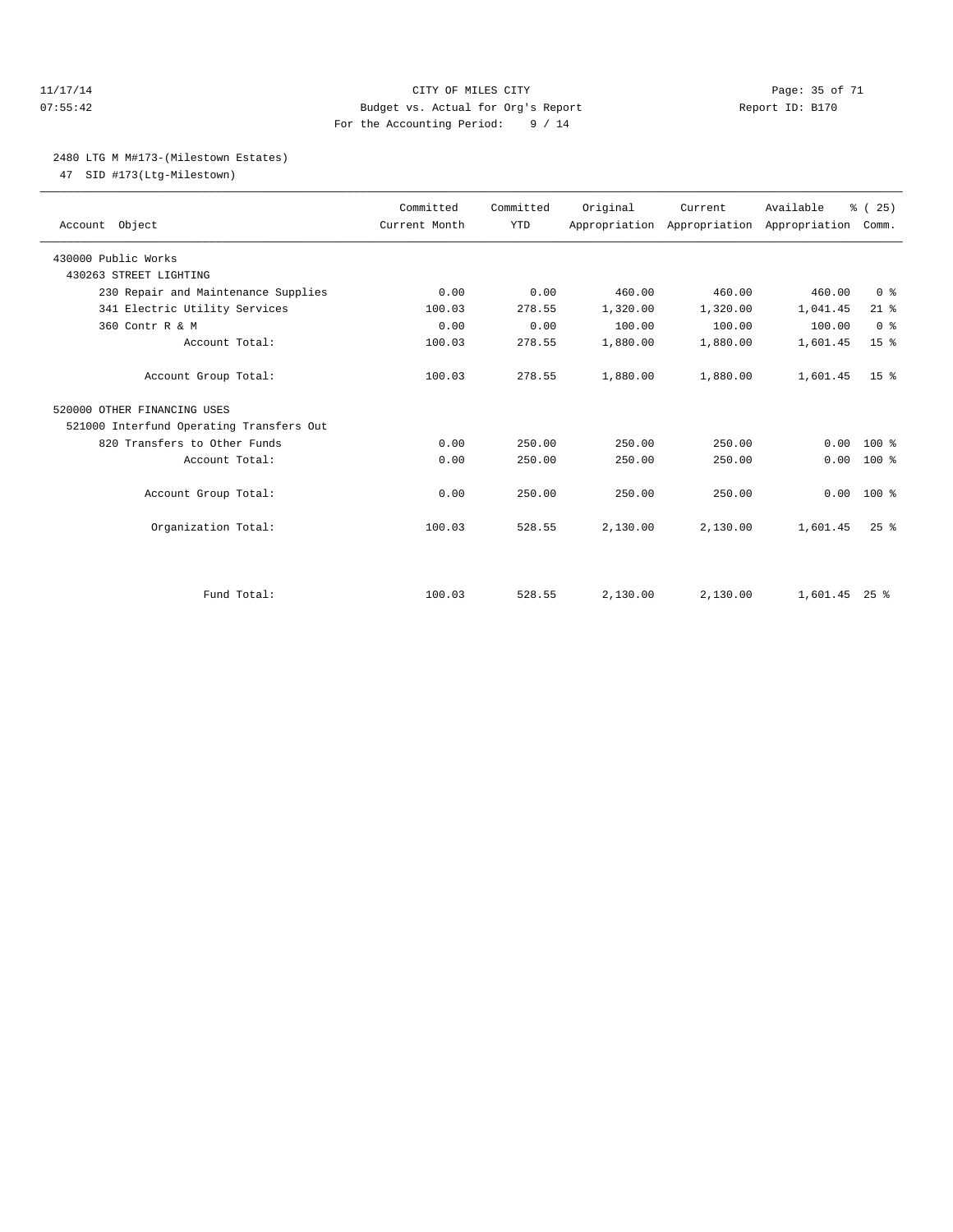#### 11/17/14 Page: 35 of 71 07:55:42 Budget vs. Actual for Org's Report Report ID: B170 For the Accounting Period: 9 / 14

#### 2480 LTG M M#173-(Milestown Estates)

47 SID #173(Ltg-Milestown)

| Account Object                           | Committed<br>Current Month | Committed<br><b>YTD</b> | Original | Current<br>Appropriation Appropriation Appropriation | Available     | % (25)<br>Comm. |
|------------------------------------------|----------------------------|-------------------------|----------|------------------------------------------------------|---------------|-----------------|
| 430000 Public Works                      |                            |                         |          |                                                      |               |                 |
| 430263 STREET LIGHTING                   |                            |                         |          |                                                      |               |                 |
| 230 Repair and Maintenance Supplies      | 0.00                       | 0.00                    | 460.00   | 460.00                                               | 460.00        | 0 <sup>8</sup>  |
| 341 Electric Utility Services            | 100.03                     | 278.55                  | 1,320.00 | 1,320.00                                             | 1,041.45      | $21$ %          |
| 360 Contr R & M                          | 0.00                       | 0.00                    | 100.00   | 100.00                                               | 100.00        | 0 <sup>8</sup>  |
| Account Total:                           | 100.03                     | 278.55                  | 1,880.00 | 1,880.00                                             | 1,601.45      | 15 <sup>°</sup> |
| Account Group Total:                     | 100.03                     | 278.55                  | 1,880.00 | 1,880.00                                             | 1,601.45      | 15 <sup>8</sup> |
| 520000 OTHER FINANCING USES              |                            |                         |          |                                                      |               |                 |
| 521000 Interfund Operating Transfers Out |                            |                         |          |                                                      |               |                 |
| 820 Transfers to Other Funds             | 0.00                       | 250.00                  | 250.00   | 250.00                                               | 0.00          | $100*$          |
| Account Total:                           | 0.00                       | 250.00                  | 250.00   | 250.00                                               | 0.00          | $100*$          |
| Account Group Total:                     | 0.00                       | 250.00                  | 250.00   | 250.00                                               | 0.00          | $100*$          |
| Organization Total:                      | 100.03                     | 528.55                  | 2,130.00 | 2,130.00                                             | 1,601.45      | $25$ $%$        |
| Fund Total:                              |                            |                         |          |                                                      |               |                 |
|                                          | 100.03                     | 528.55                  | 2,130.00 | 2,130.00                                             | 1,601.45 25 % |                 |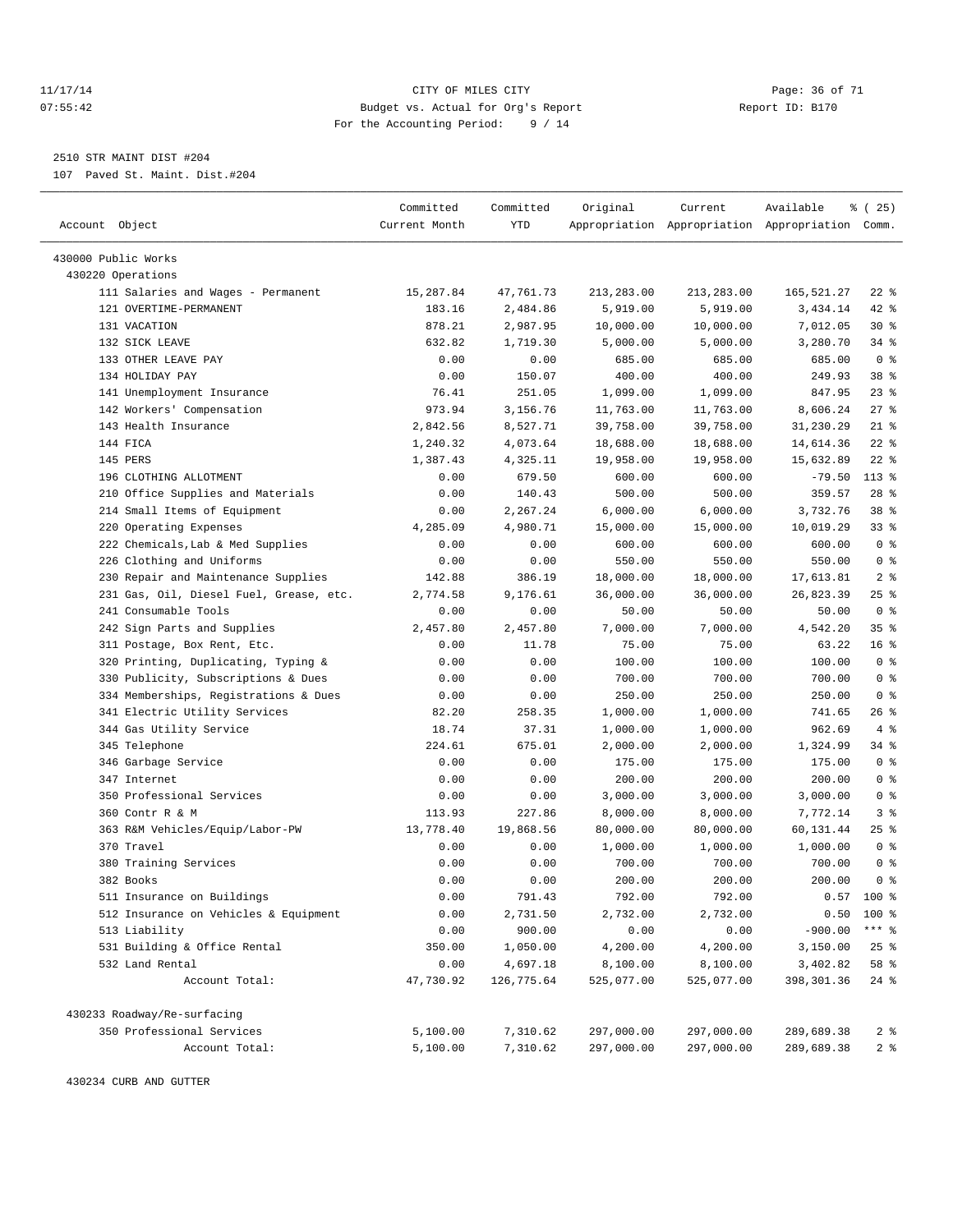#### 11/17/14 CITY OF MILES CITY Page: 36 of 71 07:55:42 Budget vs. Actual for Org's Report Changer Report ID: B170 For the Accounting Period: 9 / 14

————————————————————————————————————————————————————————————————————————————————————————————————————————————————————————————————————

2510 STR MAINT DIST #204

107 Paved St. Maint. Dist.#204

|                                                              | Committed      | Committed            | Original           | Current            | Available                                       | 8 (25)                     |
|--------------------------------------------------------------|----------------|----------------------|--------------------|--------------------|-------------------------------------------------|----------------------------|
| Account Object                                               | Current Month  | YTD                  |                    |                    | Appropriation Appropriation Appropriation Comm. |                            |
|                                                              |                |                      |                    |                    |                                                 |                            |
| 430000 Public Works                                          |                |                      |                    |                    |                                                 |                            |
| 430220 Operations                                            | 15,287.84      | 47,761.73            |                    | 213,283.00         |                                                 | $22$ %                     |
| 111 Salaries and Wages - Permanent<br>121 OVERTIME-PERMANENT |                |                      | 213,283.00         |                    | 165,521.27<br>3,434.14                          | $42$ %                     |
|                                                              | 183.16         | 2,484.86             | 5,919.00           | 5,919.00           |                                                 |                            |
| 131 VACATION                                                 | 878.21         | 2,987.95             | 10,000.00          | 10,000.00          | 7,012.05                                        | $30*$                      |
| 132 SICK LEAVE<br>133 OTHER LEAVE PAY                        | 632.82<br>0.00 | 1,719.30<br>0.00     | 5,000.00<br>685.00 | 5,000.00<br>685.00 | 3,280.70<br>685.00                              | $34$ $%$<br>0 <sup>8</sup> |
| 134 HOLIDAY PAY                                              |                |                      | 400.00             |                    |                                                 |                            |
|                                                              | 0.00           | 150.07               |                    | 400.00             | 249.93                                          | 38 <sup>8</sup><br>23%     |
| 141 Unemployment Insurance                                   | 76.41          | 251.05               | 1,099.00           | 1,099.00           | 847.95                                          |                            |
| 142 Workers' Compensation                                    | 973.94         | 3,156.76<br>8,527.71 | 11,763.00          | 11,763.00          | 8,606.24                                        | $27$ %                     |
| 143 Health Insurance                                         | 2,842.56       |                      | 39,758.00          | 39,758.00          | 31,230.29                                       | $21$ %                     |
| 144 FICA                                                     | 1,240.32       | 4,073.64             | 18,688.00          | 18,688.00          | 14,614.36                                       | $22$ %                     |
| 145 PERS                                                     | 1,387.43       | 4,325.11             | 19,958.00          | 19,958.00          | 15,632.89                                       | $22$ %                     |
| 196 CLOTHING ALLOTMENT                                       | 0.00           | 679.50               | 600.00             | 600.00             | $-79.50$                                        | $113*$                     |
| 210 Office Supplies and Materials                            | 0.00           | 140.43               | 500.00             | 500.00             | 359.57                                          | $28$ %                     |
| 214 Small Items of Equipment                                 | 0.00           | 2,267.24             | 6,000.00           | 6,000.00           | 3,732.76                                        | 38 %                       |
| 220 Operating Expenses                                       | 4,285.09       | 4,980.71             | 15,000.00          | 15,000.00          | 10,019.29                                       | 338                        |
| 222 Chemicals, Lab & Med Supplies                            | 0.00           | 0.00                 | 600.00             | 600.00             | 600.00                                          | 0 <sup>8</sup>             |
| 226 Clothing and Uniforms                                    | 0.00           | 0.00                 | 550.00             | 550.00             | 550.00                                          | 0 <sup>8</sup>             |
| 230 Repair and Maintenance Supplies                          | 142.88         | 386.19               | 18,000.00          | 18,000.00          | 17,613.81                                       | 2 <sub>8</sub>             |
| 231 Gas, Oil, Diesel Fuel, Grease, etc.                      | 2,774.58       | 9,176.61             | 36,000.00          | 36,000.00          | 26,823.39                                       | $25$ %                     |
| 241 Consumable Tools                                         | 0.00           | 0.00                 | 50.00              | 50.00              | 50.00                                           | 0 <sup>8</sup>             |
| 242 Sign Parts and Supplies                                  | 2,457.80       | 2,457.80             | 7,000.00           | 7,000.00           | 4,542.20                                        | 35 <sup>8</sup>            |
| 311 Postage, Box Rent, Etc.                                  | 0.00           | 11.78                | 75.00              | 75.00              | 63.22                                           | 16 <sup>8</sup>            |
| 320 Printing, Duplicating, Typing &                          | 0.00           | 0.00                 | 100.00             | 100.00             | 100.00                                          | 0 <sup>8</sup>             |
| 330 Publicity, Subscriptions & Dues                          | 0.00           | 0.00                 | 700.00             | 700.00             | 700.00                                          | 0 <sup>8</sup>             |
| 334 Memberships, Registrations & Dues                        | 0.00           | 0.00                 | 250.00             | 250.00             | 250.00                                          | 0 <sup>8</sup>             |
| 341 Electric Utility Services                                | 82.20          | 258.35               | 1,000.00           | 1,000.00           | 741.65                                          | $26$ %                     |
| 344 Gas Utility Service                                      | 18.74          | 37.31                | 1,000.00           | 1,000.00           | 962.69                                          | 4%                         |
| 345 Telephone                                                | 224.61         | 675.01               | 2,000.00           | 2,000.00           | 1,324.99                                        | 34 %                       |
| 346 Garbage Service                                          | 0.00           | 0.00                 | 175.00             | 175.00             | 175.00                                          | 0 <sup>8</sup>             |
| 347 Internet                                                 | 0.00           | 0.00                 | 200.00             | 200.00             | 200.00                                          | 0 <sup>8</sup>             |
| 350 Professional Services                                    | 0.00           | 0.00                 | 3,000.00           | 3,000.00           | 3,000.00                                        | 0 <sup>8</sup>             |
| 360 Contr R & M                                              | 113.93         | 227.86               | 8,000.00           | 8,000.00           | 7,772.14                                        | 3%                         |
| 363 R&M Vehicles/Equip/Labor-PW                              | 13,778.40      | 19,868.56            | 80,000.00          | 80,000.00          | 60,131.44                                       | $25$ %                     |
| 370 Travel                                                   | 0.00           | 0.00                 | 1,000.00           | 1,000.00           | 1,000.00                                        | 0 <sup>8</sup>             |
| 380 Training Services                                        | 0.00           | 0.00                 | 700.00             | 700.00             | 700.00                                          | 0 <sup>8</sup>             |
| 382 Books                                                    | 0.00           | 0.00                 | 200.00             | 200.00             | 200.00                                          | 0 <sup>8</sup>             |
| 511 Insurance on Buildings                                   | 0.00           | 791.43               | 792.00             | 792.00             |                                                 | $0.57$ 100 %               |
| 512 Insurance on Vehicles & Equipment                        | 0.00           | 2,731.50             | 2,732.00           | 2,732.00           | 0.50                                            | 100 %                      |
| 513 Liability                                                | 0.00           | 900.00               | 0.00               | 0.00               | $-900.00$                                       | $***$ $_{8}$               |
| 531 Building & Office Rental                                 | 350.00         | 1,050.00             | 4,200.00           | 4,200.00           | 3,150.00                                        | $25$ %                     |
| 532 Land Rental                                              | 0.00           | 4,697.18             | 8,100.00           | 8,100.00           | 3,402.82                                        | 58 %                       |
| Account Total:                                               | 47,730.92      | 126,775.64           | 525,077.00         | 525,077.00         | 398, 301.36                                     | $24$ %                     |
| 430233 Roadway/Re-surfacing                                  |                |                      |                    |                    |                                                 |                            |
| 350 Professional Services                                    | 5,100.00       | 7,310.62             | 297,000.00         | 297,000.00         | 289,689.38                                      | 2 <sub>8</sub>             |
| Account Total:                                               | 5,100.00       | 7,310.62             | 297,000.00         | 297,000.00         | 289,689.38                                      | 2 %                        |
|                                                              |                |                      |                    |                    |                                                 |                            |

430234 CURB AND GUTTER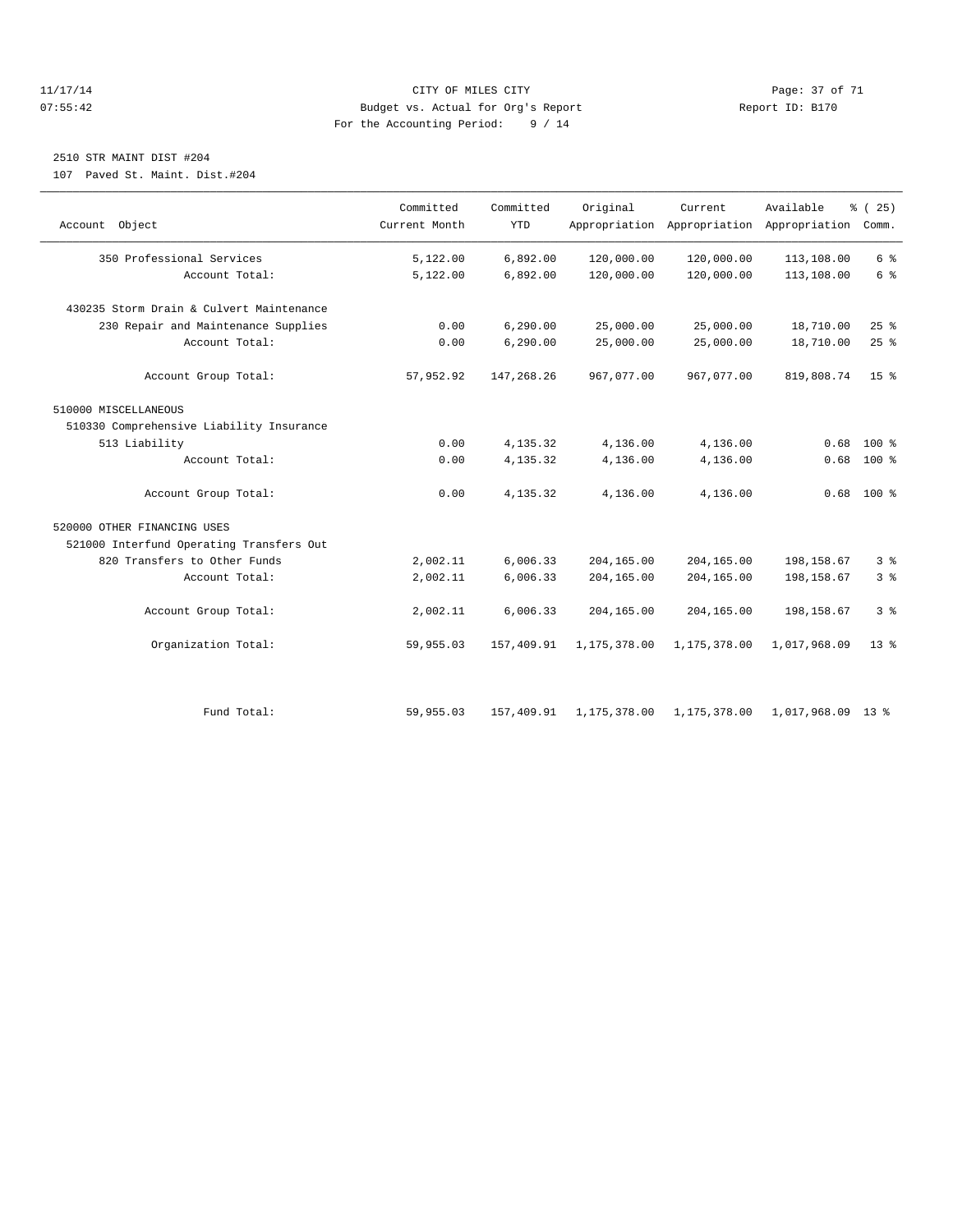#### 11/17/14 Page: 37 of 71 07:55:42 Budget vs. Actual for Org's Report Changer Report ID: B170 For the Accounting Period: 9 / 14

# 2510 STR MAINT DIST #204

107 Paved St. Maint. Dist.#204

| Account Object                           | Committed<br>Current Month | Committed<br><b>YTD</b> | Original     | Current      | Available<br>Appropriation Appropriation Appropriation Comm. | % (25)          |
|------------------------------------------|----------------------------|-------------------------|--------------|--------------|--------------------------------------------------------------|-----------------|
| 350 Professional Services                | 5,122.00                   | 6,892.00                | 120,000.00   | 120,000.00   | 113,108.00                                                   | $6\degree$      |
| Account Total:                           | 5,122.00                   | 6,892.00                | 120,000.00   | 120,000.00   | 113,108.00                                                   | 6 <sup>°</sup>  |
| 430235 Storm Drain & Culvert Maintenance |                            |                         |              |              |                                                              |                 |
| 230 Repair and Maintenance Supplies      | 0.00                       | 6, 290.00               | 25,000.00    | 25,000.00    | 18,710.00                                                    | 25%             |
| Account Total:                           | 0.00                       | 6, 290.00               | 25,000.00    | 25,000.00    | 18,710.00                                                    | 25%             |
| Account Group Total:                     | 57,952.92                  | 147,268.26              | 967,077.00   | 967,077.00   | 819,808.74                                                   | 15 <sup>8</sup> |
| 510000 MISCELLANEOUS                     |                            |                         |              |              |                                                              |                 |
| 510330 Comprehensive Liability Insurance |                            |                         |              |              |                                                              |                 |
| 513 Liability                            | 0.00                       | 4,135.32                | 4,136.00     | 4,136.00     | 0.68                                                         | $100*$          |
| Account Total:                           | 0.00                       | 4,135.32                | 4,136.00     | 4,136.00     | 0.68                                                         | 100 %           |
| Account Group Total:                     | 0.00                       | 4,135.32                | 4,136.00     | 4,136.00     | 0.68                                                         | $100*$          |
| 520000 OTHER FINANCING USES              |                            |                         |              |              |                                                              |                 |
| 521000 Interfund Operating Transfers Out |                            |                         |              |              |                                                              |                 |
| 820 Transfers to Other Funds             | 2,002.11                   | 6,006.33                | 204,165.00   | 204,165.00   | 198,158.67                                                   | 3 <sup>°</sup>  |
| Account Total:                           | 2,002.11                   | 6,006.33                | 204,165.00   | 204,165.00   | 198,158.67                                                   | 3 <sup>8</sup>  |
| Account Group Total:                     | 2,002.11                   | 6,006.33                | 204,165.00   | 204,165.00   | 198, 158.67                                                  | 3 <sup>8</sup>  |
| Organization Total:                      | 59,955.03                  | 157,409.91              | 1,175,378.00 | 1,175,378.00 | 1,017,968.09                                                 | $13*$           |
|                                          |                            |                         |              |              |                                                              |                 |
| Fund Total:                              | 59,955.03                  | 157,409.91              | 1,175,378.00 | 1,175,378.00 | 1,017,968.09 13 %                                            |                 |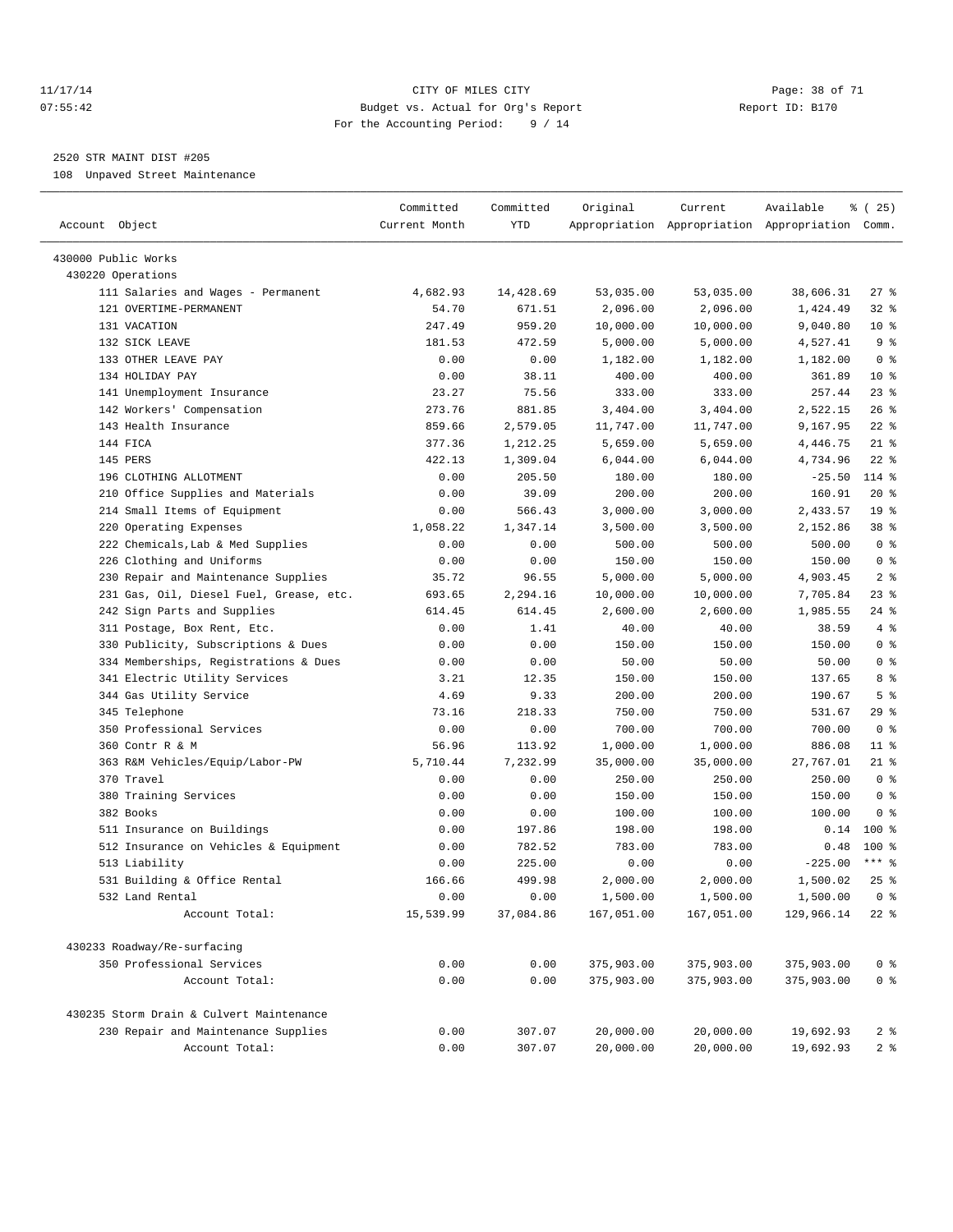#### 11/17/14 Page: 38 of 71 07:55:42 Budget vs. Actual for Org's Report Report ID: B170 For the Accounting Period: 9 / 14

————————————————————————————————————————————————————————————————————————————————————————————————————————————————————————————————————

# 2520 STR MAINT DIST #205

108 Unpaved Street Maintenance

|                                          | Committed     | Committed | Original   | Current    | Available                                       | <sub>है</sub> (25) |
|------------------------------------------|---------------|-----------|------------|------------|-------------------------------------------------|--------------------|
| Account Object                           | Current Month | YTD       |            |            | Appropriation Appropriation Appropriation Comm. |                    |
|                                          |               |           |            |            |                                                 |                    |
| 430000 Public Works                      |               |           |            |            |                                                 |                    |
| 430220 Operations                        |               |           |            |            |                                                 |                    |
| 111 Salaries and Wages - Permanent       | 4,682.93      | 14,428.69 | 53,035.00  | 53,035.00  | 38,606.31                                       | $27$ %             |
| 121 OVERTIME-PERMANENT                   | 54.70         | 671.51    | 2,096.00   | 2,096.00   | 1,424.49                                        | 328                |
| 131 VACATION                             | 247.49        | 959.20    | 10,000.00  | 10,000.00  | 9,040.80                                        | $10*$              |
| 132 SICK LEAVE                           | 181.53        | 472.59    | 5,000.00   | 5,000.00   | 4,527.41                                        | 9%                 |
| 133 OTHER LEAVE PAY                      | 0.00          | 0.00      | 1,182.00   | 1,182.00   | 1,182.00                                        | 0 <sup>8</sup>     |
| 134 HOLIDAY PAY                          | 0.00          | 38.11     | 400.00     | 400.00     | 361.89                                          | $10*$              |
| 141 Unemployment Insurance               | 23.27         | 75.56     | 333.00     | 333.00     | 257.44                                          | $23$ $%$           |
| 142 Workers' Compensation                | 273.76        | 881.85    | 3,404.00   | 3,404.00   | 2,522.15                                        | 26%                |
| 143 Health Insurance                     | 859.66        | 2,579.05  | 11,747.00  | 11,747.00  | 9,167.95                                        | $22$ %             |
| 144 FICA                                 | 377.36        | 1,212.25  | 5,659.00   | 5,659.00   | 4,446.75                                        | $21$ %             |
| 145 PERS                                 | 422.13        | 1,309.04  | 6,044.00   | 6,044.00   | 4,734.96                                        | $22$ %             |
| 196 CLOTHING ALLOTMENT                   | 0.00          | 205.50    | 180.00     | 180.00     | $-25.50$                                        | 114 %              |
| 210 Office Supplies and Materials        | 0.00          | 39.09     | 200.00     | 200.00     | 160.91                                          | $20*$              |
| 214 Small Items of Equipment             | 0.00          | 566.43    | 3,000.00   | 3,000.00   | 2,433.57                                        | 19 <sup>°</sup>    |
| 220 Operating Expenses                   | 1,058.22      | 1,347.14  | 3,500.00   | 3,500.00   | 2,152.86                                        | 38 %               |
| 222 Chemicals, Lab & Med Supplies        | 0.00          | 0.00      | 500.00     | 500.00     | 500.00                                          | 0 <sup>8</sup>     |
| 226 Clothing and Uniforms                | 0.00          | 0.00      | 150.00     | 150.00     | 150.00                                          | 0 <sup>8</sup>     |
| 230 Repair and Maintenance Supplies      | 35.72         | 96.55     | 5,000.00   | 5,000.00   | 4,903.45                                        | 2 <sup>°</sup>     |
| 231 Gas, Oil, Diesel Fuel, Grease, etc.  | 693.65        | 2,294.16  | 10,000.00  | 10,000.00  | 7,705.84                                        | 23 %               |
| 242 Sign Parts and Supplies              | 614.45        | 614.45    | 2,600.00   | 2,600.00   | 1,985.55                                        | 24 %               |
| 311 Postage, Box Rent, Etc.              | 0.00          | 1.41      | 40.00      | 40.00      | 38.59                                           | 4%                 |
| 330 Publicity, Subscriptions & Dues      | 0.00          | 0.00      | 150.00     | 150.00     | 150.00                                          | 0 <sup>8</sup>     |
| 334 Memberships, Registrations & Dues    | 0.00          | 0.00      | 50.00      | 50.00      | 50.00                                           | 0 <sup>8</sup>     |
| 341 Electric Utility Services            | 3.21          | 12.35     | 150.00     | 150.00     | 137.65                                          | 8 %                |
| 344 Gas Utility Service                  | 4.69          | 9.33      | 200.00     | 200.00     | 190.67                                          | 5 <sup>°</sup>     |
| 345 Telephone                            | 73.16         | 218.33    | 750.00     | 750.00     | 531.67                                          | $29$ %             |
| 350 Professional Services                | 0.00          | 0.00      | 700.00     | 700.00     | 700.00                                          | 0 <sup>8</sup>     |
| 360 Contr R & M                          | 56.96         | 113.92    | 1,000.00   | 1,000.00   | 886.08                                          | $11$ %             |
| 363 R&M Vehicles/Equip/Labor-PW          | 5,710.44      | 7,232.99  | 35,000.00  | 35,000.00  | 27,767.01                                       | $21$ %             |
| 370 Travel                               | 0.00          | 0.00      | 250.00     | 250.00     | 250.00                                          | 0 <sup>8</sup>     |
| 380 Training Services                    | 0.00          | 0.00      | 150.00     | 150.00     | 150.00                                          | 0 <sup>8</sup>     |
| 382 Books                                | 0.00          | 0.00      | 100.00     | 100.00     | 100.00                                          | 0 <sup>8</sup>     |
| 511 Insurance on Buildings               | 0.00          | 197.86    | 198.00     | 198.00     | 0.14                                            | $100*$             |
| 512 Insurance on Vehicles & Equipment    | 0.00          | 782.52    | 783.00     | 783.00     | 0.48                                            | $100*$             |
| 513 Liability                            | 0.00          | 225.00    | 0.00       | 0.00       | $-225.00$                                       | $***$ $%$          |
| 531 Building & Office Rental             | 166.66        | 499.98    | 2,000.00   | 2,000.00   | 1,500.02                                        | $25$ $%$           |
| 532 Land Rental                          | 0.00          | 0.00      | 1,500.00   | 1,500.00   | $1,500.00$ 0%                                   |                    |
| Account Total:                           | 15,539.99     | 37,084.86 | 167,051.00 | 167,051.00 | 129,966.14                                      | $22$ %             |
|                                          |               |           |            |            |                                                 |                    |
| 430233 Roadway/Re-surfacing              |               |           |            |            |                                                 |                    |
| 350 Professional Services                | 0.00          | 0.00      | 375,903.00 | 375,903.00 | 375,903.00                                      | 0 <sup>8</sup>     |
| Account Total:                           | 0.00          | 0.00      | 375,903.00 | 375,903.00 | 375,903.00                                      | $0$ %              |
| 430235 Storm Drain & Culvert Maintenance |               |           |            |            |                                                 |                    |
| 230 Repair and Maintenance Supplies      | 0.00          | 307.07    | 20,000.00  | 20,000.00  | 19,692.93                                       | 2 <sup>8</sup>     |
| Account Total:                           | 0.00          | 307.07    | 20,000.00  | 20,000.00  | 19,692.93                                       | 2 <sub>8</sub>     |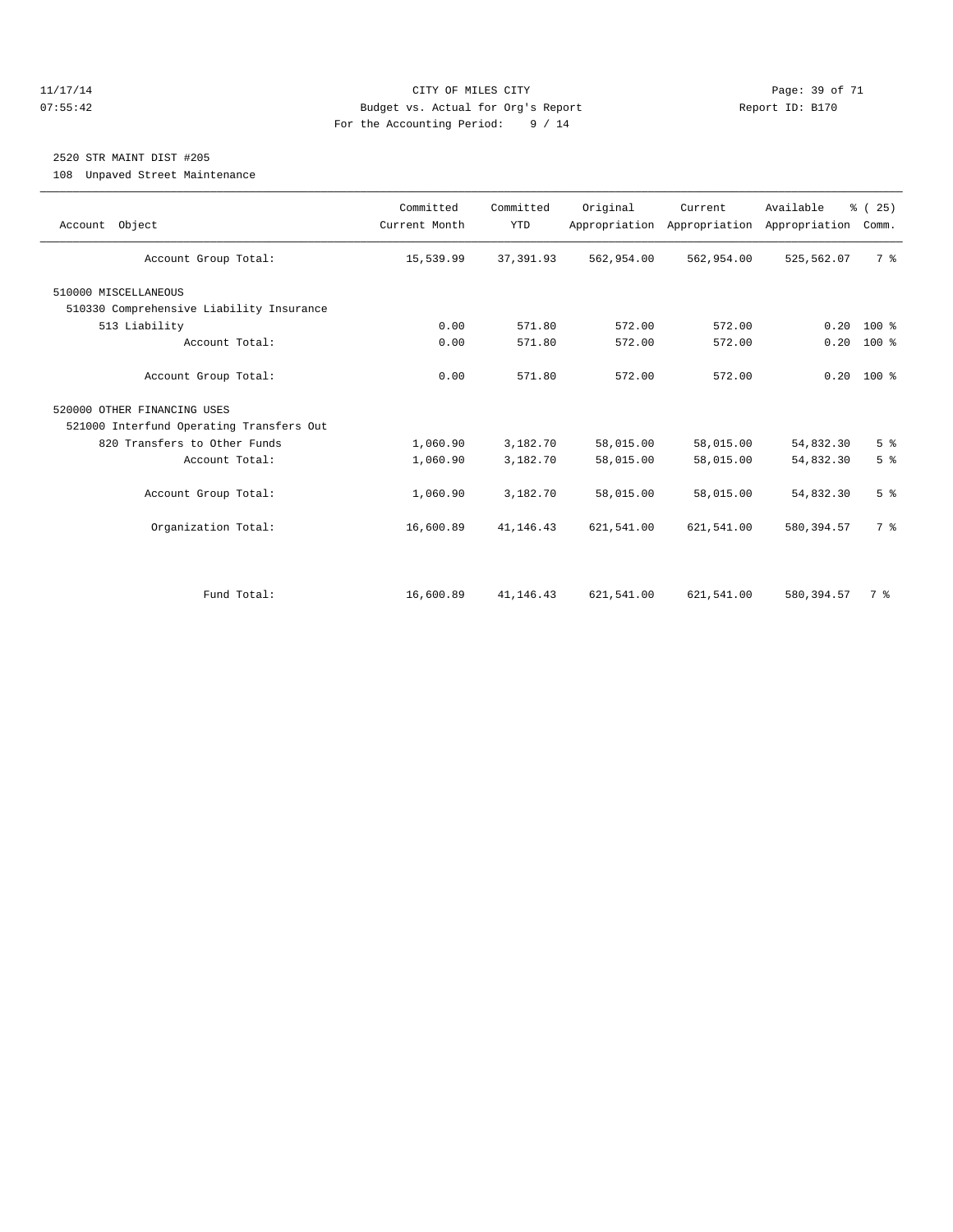#### 11/17/14 CITY OF MILES CITY Page: 39 of 71 07:55:42 Budget vs. Actual for Org's Report Report ID: B170 For the Accounting Period: 9 / 14

# 2520 STR MAINT DIST #205

108 Unpaved Street Maintenance

| Account Object                           | Committed<br>Current Month | Committed<br><b>YTD</b> | Original   | Current<br>Appropriation Appropriation | Available<br>Appropriation | % (25)<br>Comm. |
|------------------------------------------|----------------------------|-------------------------|------------|----------------------------------------|----------------------------|-----------------|
| Account Group Total:                     | 15,539.99                  | 37, 391.93              | 562,954.00 | 562,954.00                             | 525,562.07                 | 7 %             |
| 510000 MISCELLANEOUS                     |                            |                         |            |                                        |                            |                 |
| 510330 Comprehensive Liability Insurance |                            |                         |            |                                        |                            |                 |
| 513 Liability                            | 0.00                       | 571.80                  | 572.00     | 572.00                                 | 0.20                       | $100*$          |
| Account Total:                           | 0.00                       | 571.80                  | 572.00     | 572.00                                 | 0.20                       | 100 %           |
| Account Group Total:                     | 0.00                       | 571.80                  | 572.00     | 572.00                                 | 0.20                       | $100*$          |
| 520000 OTHER FINANCING USES              |                            |                         |            |                                        |                            |                 |
| 521000 Interfund Operating Transfers Out |                            |                         |            |                                        |                            |                 |
| 820 Transfers to Other Funds             | 1,060.90                   | 3,182.70                | 58,015.00  | 58,015.00                              | 54,832.30                  | 5 <sup>°</sup>  |
| Account Total:                           | 1,060.90                   | 3,182.70                | 58,015.00  | 58,015.00                              | 54,832.30                  | 5 <sup>°</sup>  |
| Account Group Total:                     | 1,060.90                   | 3,182.70                | 58,015.00  | 58,015.00                              | 54,832.30                  | 5 <sup>°</sup>  |
| Organization Total:                      | 16,600.89                  | 41, 146. 43             | 621,541.00 | 621,541.00                             | 580, 394.57                | 7 %             |
|                                          |                            |                         |            |                                        |                            |                 |
| Fund Total:                              | 16,600.89                  | 41,146.43               | 621,541.00 | 621,541.00                             | 580, 394.57                | 7 %             |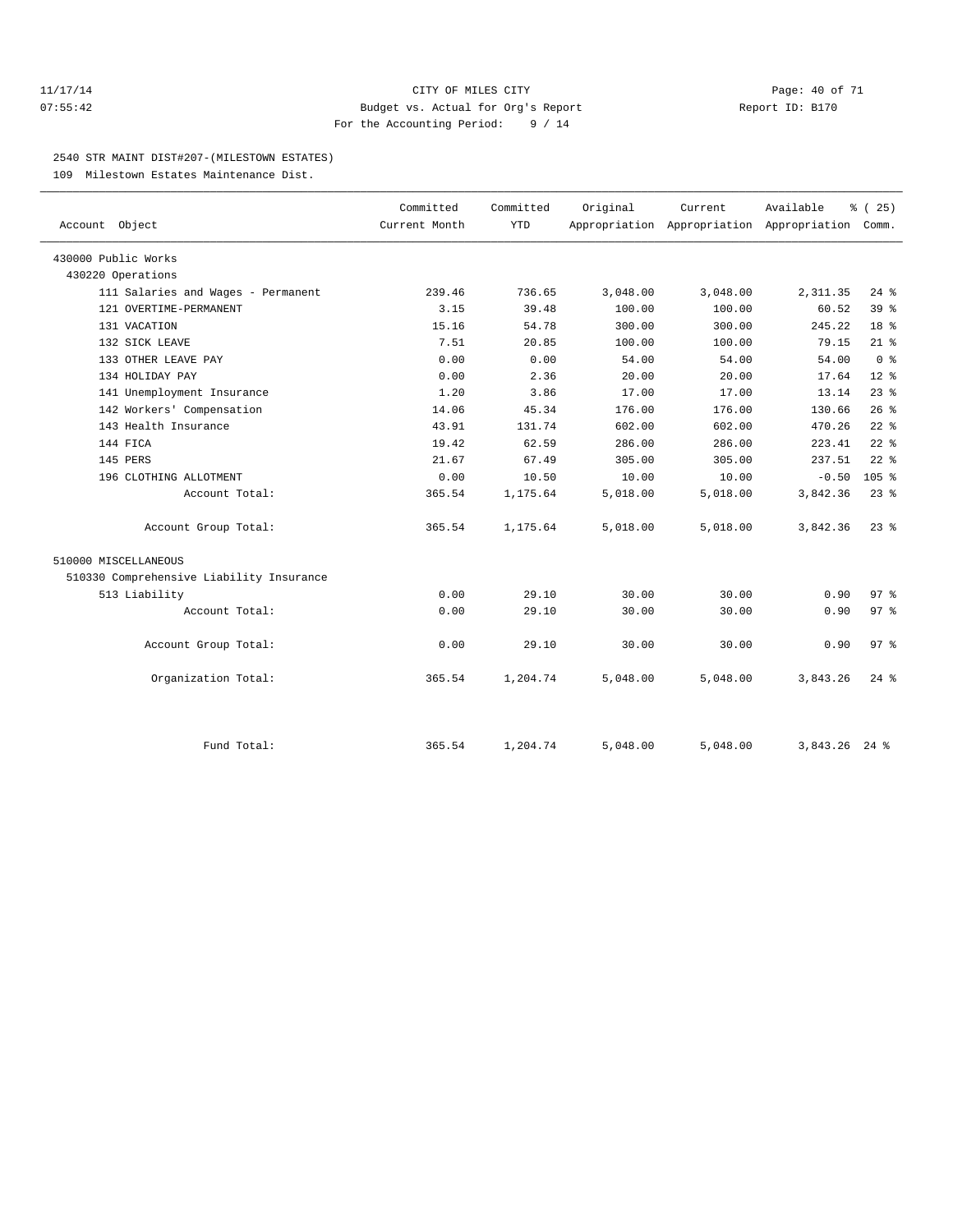#### 11/17/14 Page: 40 of 71 07:55:42 Budget vs. Actual for Org's Report Report ID: B170 For the Accounting Period: 9 / 14

#### 2540 STR MAINT DIST#207-(MILESTOWN ESTATES)

109 Milestown Estates Maintenance Dist.

|                                          | Committed     | Committed  | Original | Current  | Available                                 | % (25)             |  |
|------------------------------------------|---------------|------------|----------|----------|-------------------------------------------|--------------------|--|
| Account Object                           | Current Month | <b>YTD</b> |          |          | Appropriation Appropriation Appropriation | Comm.              |  |
| 430000 Public Works                      |               |            |          |          |                                           |                    |  |
| 430220 Operations                        |               |            |          |          |                                           |                    |  |
| 111 Salaries and Wages - Permanent       | 239.46        | 736.65     | 3,048.00 | 3,048.00 | 2,311.35                                  | $24$ $%$           |  |
| 121 OVERTIME-PERMANENT                   | 3.15          | 39.48      | 100.00   | 100.00   | 60.52                                     | 39 <sup>8</sup>    |  |
| 131 VACATION                             | 15.16         | 54.78      | 300.00   | 300.00   | 245.22                                    | 18 <sup>8</sup>    |  |
| 132 SICK LEAVE                           | 7.51          | 20.85      | 100.00   | 100.00   | 79.15                                     | $21$ %             |  |
| 133 OTHER LEAVE PAY                      | 0.00          | 0.00       | 54.00    | 54.00    | 54.00                                     | 0 <sup>8</sup>     |  |
| 134 HOLIDAY PAY                          | 0.00          | 2.36       | 20.00    | 20.00    | 17.64                                     | $12*$              |  |
| 141 Unemployment Insurance               | 1.20          | 3.86       | 17.00    | 17.00    | 13.14                                     | $23$ $%$           |  |
| 142 Workers' Compensation                | 14.06         | 45.34      | 176.00   | 176.00   | 130.66                                    | 26%                |  |
| 143 Health Insurance                     | 43.91         | 131.74     | 602.00   | 602.00   | 470.26                                    | $22$ $%$           |  |
| 144 FICA                                 | 19.42         | 62.59      | 286.00   | 286.00   | 223.41                                    | $22$ $%$           |  |
| 145 PERS                                 | 21.67         | 67.49      | 305.00   | 305.00   | 237.51                                    | $22$ $%$           |  |
| 196 CLOTHING ALLOTMENT                   | 0.00          | 10.50      | 10.00    | 10.00    | $-0.50$                                   | 105 <sup>8</sup>   |  |
| Account Total:                           | 365.54        | 1,175.64   | 5,018.00 | 5,018.00 | 3,842.36                                  | $23$ $%$           |  |
| Account Group Total:                     | 365.54        | 1,175.64   | 5,018.00 | 5,018.00 | 3,842.36                                  | $23$ $%$           |  |
| 510000 MISCELLANEOUS                     |               |            |          |          |                                           |                    |  |
| 510330 Comprehensive Liability Insurance |               |            |          |          |                                           |                    |  |
| 513 Liability                            | 0.00          | 29.10      | 30.00    | 30.00    | 0.90                                      | 97%                |  |
| Account Total:                           | 0.00          | 29.10      | 30.00    | 30.00    | 0.90                                      | 97%                |  |
| Account Group Total:                     | 0.00          | 29.10      | 30.00    | 30.00    | 0.90                                      | 97%                |  |
| Organization Total:                      | 365.54        | 1,204.74   | 5,048.00 | 5,048.00 | 3,843.26                                  | $24$ $\frac{6}{5}$ |  |
|                                          |               |            |          |          |                                           |                    |  |
| Fund Total:                              | 365.54        | 1,204.74   | 5,048.00 | 5,048.00 | 3,843.26 24 %                             |                    |  |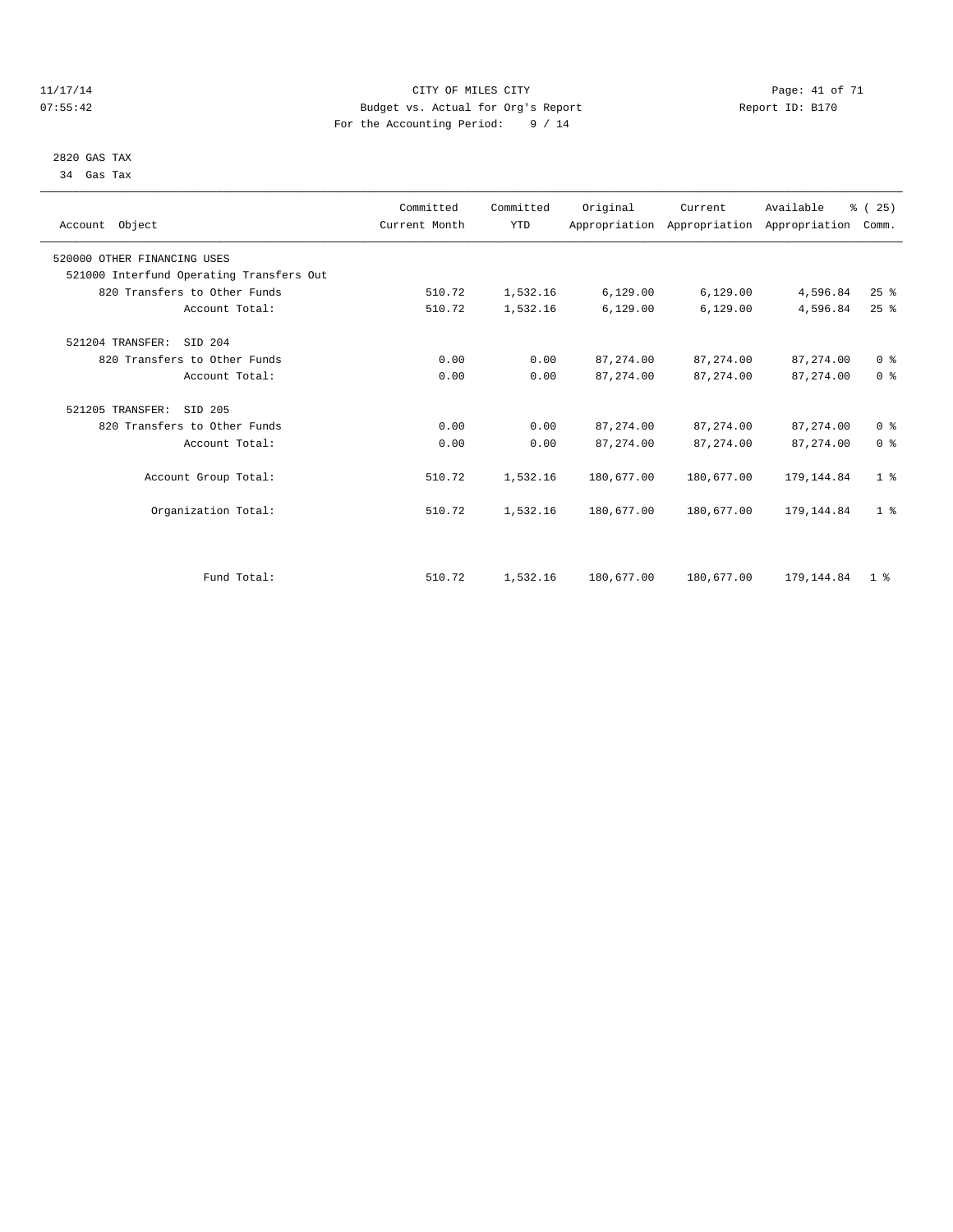#### 11/17/14 Page: 41 of 71 07:55:42 Budget vs. Actual for Org's Report Changer Report ID: B170 For the Accounting Period: 9 / 14

 2820 GAS TAX 34 Gas Tax

| Account Object                           | Committed<br>Current Month | Committed<br><b>YTD</b> | Original   | Current<br>Appropriation Appropriation Appropriation | Available   | % (25)<br>Comm. |  |
|------------------------------------------|----------------------------|-------------------------|------------|------------------------------------------------------|-------------|-----------------|--|
| 520000 OTHER FINANCING USES              |                            |                         |            |                                                      |             |                 |  |
| 521000 Interfund Operating Transfers Out |                            |                         |            |                                                      |             |                 |  |
| 820 Transfers to Other Funds             | 510.72                     | 1,532.16                | 6,129.00   | 6, 129.00                                            | 4,596.84    | 25%             |  |
| Account Total:                           | 510.72                     | 1,532.16                | 6,129.00   | 6,129.00                                             | 4,596.84    | 25%             |  |
| 521204 TRANSFER:<br>SID 204              |                            |                         |            |                                                      |             |                 |  |
| 820 Transfers to Other Funds             | 0.00                       | 0.00                    | 87, 274.00 | 87, 274, 00                                          | 87, 274, 00 | 0 <sup>8</sup>  |  |
| Account Total:                           | 0.00                       | 0.00                    | 87, 274.00 | 87, 274.00                                           | 87, 274.00  | 0 <sup>8</sup>  |  |
| 521205 TRANSFER:<br>SID 205              |                            |                         |            |                                                      |             |                 |  |
| 820 Transfers to Other Funds             | 0.00                       | 0.00                    | 87, 274.00 | 87, 274.00                                           | 87, 274.00  | 0 <sup>8</sup>  |  |
| Account Total:                           | 0.00                       | 0.00                    | 87, 274.00 | 87, 274.00                                           | 87, 274.00  | 0 <sup>8</sup>  |  |
| Account Group Total:                     | 510.72                     | 1,532.16                | 180,677.00 | 180,677.00                                           | 179, 144.84 | 1 <sup>8</sup>  |  |
| Organization Total:                      | 510.72                     | 1,532.16                | 180,677.00 | 180,677.00                                           | 179, 144.84 | 1 <sup>8</sup>  |  |
|                                          |                            |                         |            |                                                      |             |                 |  |
| Fund Total:                              | 510.72                     | 1,532.16                | 180,677.00 | 180,677.00                                           | 179, 144.84 | 1 <sup>8</sup>  |  |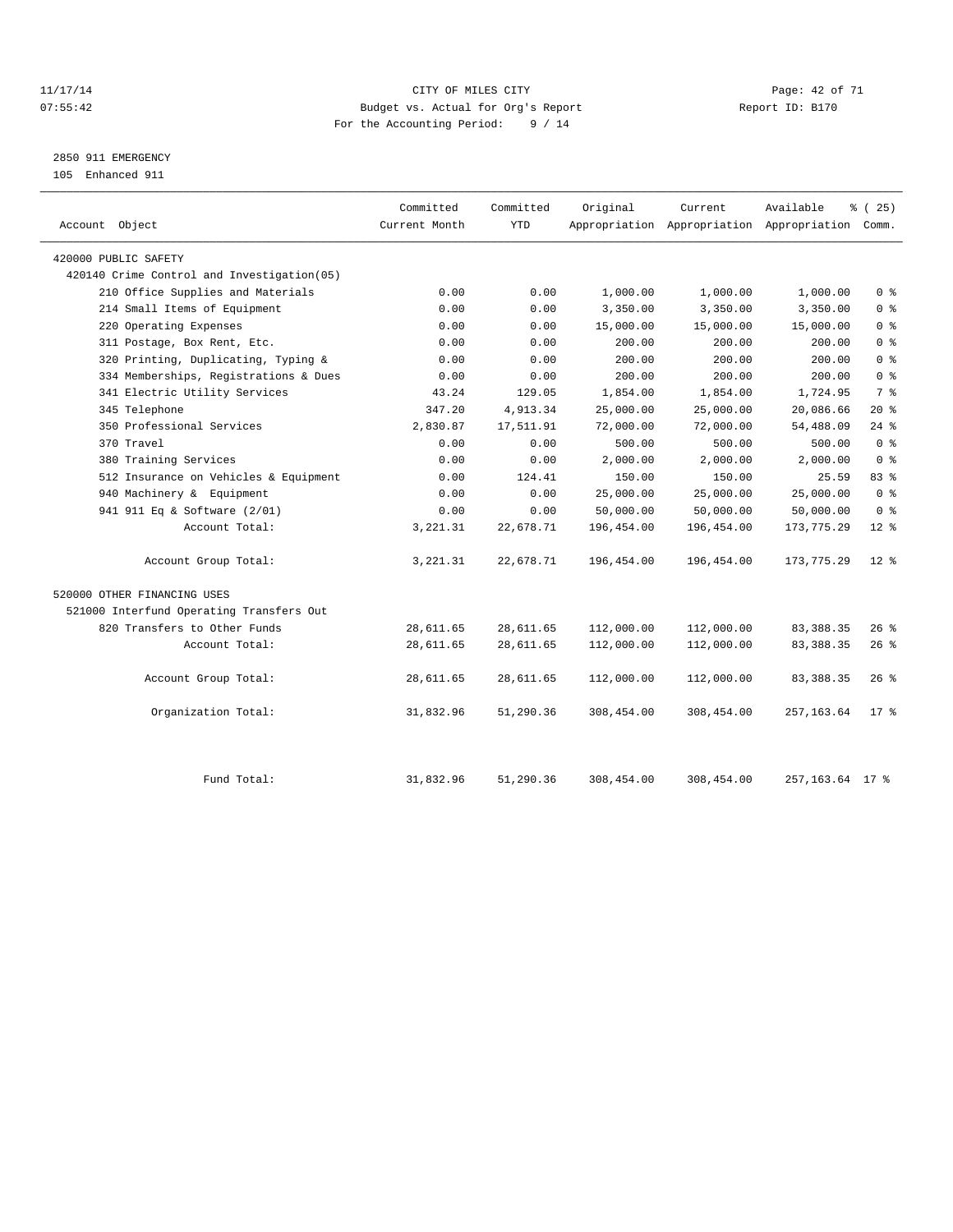#### 11/17/14 Page: 42 of 71 07:55:42 Budget vs. Actual for Org's Report Changer Report ID: B170 For the Accounting Period: 9 / 14

2850 911 EMERGENCY

105 Enhanced 911

| Account Object                             | Committed<br>Current Month | Committed<br><b>YTD</b> | Original   | Current    | Available<br>Appropriation Appropriation Appropriation Comm. | % (25)         |
|--------------------------------------------|----------------------------|-------------------------|------------|------------|--------------------------------------------------------------|----------------|
| 420000 PUBLIC SAFETY                       |                            |                         |            |            |                                                              |                |
| 420140 Crime Control and Investigation(05) |                            |                         |            |            |                                                              |                |
| 210 Office Supplies and Materials          | 0.00                       | 0.00                    | 1,000.00   | 1,000.00   | 1,000.00                                                     | 0 <sup>8</sup> |
| 214 Small Items of Equipment               | 0.00                       | 0.00                    | 3,350.00   | 3,350.00   | 3,350.00                                                     | 0 <sup>8</sup> |
| 220 Operating Expenses                     | 0.00                       | 0.00                    | 15,000.00  | 15,000.00  | 15,000.00                                                    | 0 <sup>8</sup> |
| 311 Postage, Box Rent, Etc.                | 0.00                       | 0.00                    | 200.00     | 200.00     | 200.00                                                       | 0 <sup>8</sup> |
| 320 Printing, Duplicating, Typing &        | 0.00                       | 0.00                    | 200.00     | 200.00     | 200.00                                                       | 0 <sup>8</sup> |
| 334 Memberships, Registrations & Dues      | 0.00                       | 0.00                    | 200.00     | 200.00     | 200.00                                                       | 0 <sup>8</sup> |
| 341 Electric Utility Services              | 43.24                      | 129.05                  | 1,854.00   | 1,854.00   | 1,724.95                                                     | 7 %            |
| 345 Telephone                              | 347.20                     | 4,913.34                | 25,000.00  | 25,000.00  | 20,086.66                                                    | $20*$          |
| 350 Professional Services                  | 2,830.87                   | 17,511.91               | 72,000.00  | 72,000.00  | 54,488.09                                                    | $24$ %         |
| 370 Travel                                 | 0.00                       | 0.00                    | 500.00     | 500.00     | 500.00                                                       | 0 <sup>8</sup> |
| 380 Training Services                      | 0.00                       | 0.00                    | 2,000.00   | 2,000.00   | 2,000.00                                                     | 0 <sup>8</sup> |
| 512 Insurance on Vehicles & Equipment      | 0.00                       | 124.41                  | 150.00     | 150.00     | 25.59                                                        | 83%            |
| 940 Machinery & Equipment                  | 0.00                       | 0.00                    | 25,000.00  | 25,000.00  | 25,000.00                                                    | 0 <sup>8</sup> |
| 941 911 Eq & Software (2/01)               | 0.00                       | 0.00                    | 50,000.00  | 50,000.00  | 50,000.00                                                    | 0 <sup>8</sup> |
| Account Total:                             | 3, 221.31                  | 22,678.71               | 196,454.00 | 196,454.00 | 173, 775.29                                                  | $12*$          |
| Account Group Total:                       | 3,221.31                   | 22,678.71               | 196,454.00 | 196,454.00 | 173, 775.29                                                  | $12*$          |
| 520000 OTHER FINANCING USES                |                            |                         |            |            |                                                              |                |
| 521000 Interfund Operating Transfers Out   |                            |                         |            |            |                                                              |                |
| 820 Transfers to Other Funds               | 28,611.65                  | 28,611.65               | 112,000.00 | 112,000.00 | 83, 388.35                                                   | $26$ %         |
| Account Total:                             | 28,611.65                  | 28,611.65               | 112,000.00 | 112,000.00 | 83, 388.35                                                   | 26%            |
| Account Group Total:                       | 28,611.65                  | 28,611.65               | 112,000.00 | 112,000.00 | 83, 388.35                                                   | $26$ %         |
| Organization Total:                        | 31,832.96                  | 51,290.36               | 308,454.00 | 308,454.00 | 257, 163.64                                                  | $17$ %         |
| Fund Total:                                | 31,832.96                  | 51,290.36               | 308,454.00 | 308,454.00 | 257, 163.64 17 %                                             |                |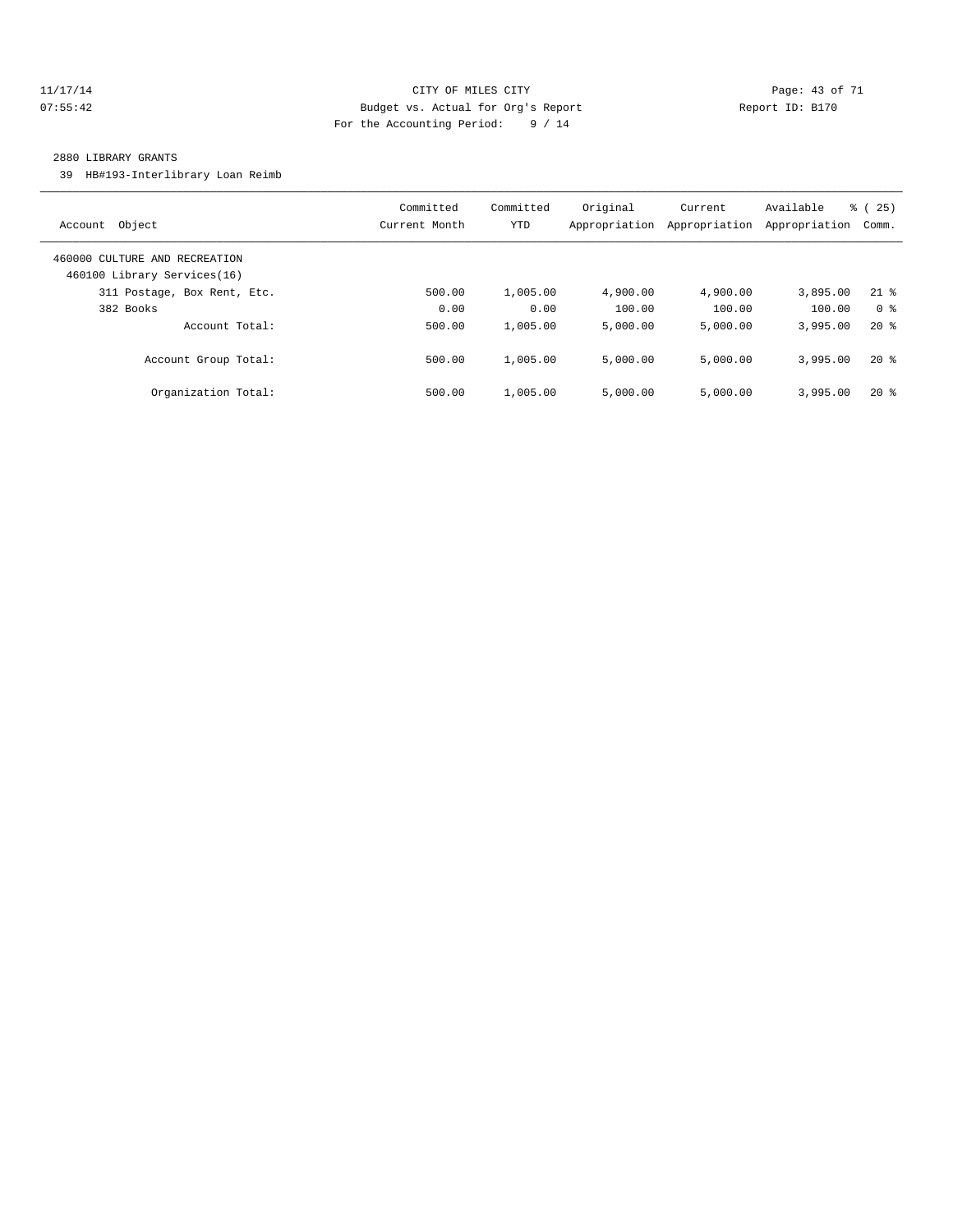#### 11/17/14 CITY OF MILES CITY Page: 43 of 71 07:55:42 Budget vs. Actual for Org's Report Changer Report ID: B170 For the Accounting Period: 9 / 14

#### 2880 LIBRARY GRANTS

39 HB#193-Interlibrary Loan Reimb

| Object<br>Account                                            | Committed<br>Current Month | Committed<br>YTD | Original<br>Appropriation | Current<br>Appropriation | Available<br>Appropriation | 25)<br>ී (<br>Comm. |
|--------------------------------------------------------------|----------------------------|------------------|---------------------------|--------------------------|----------------------------|---------------------|
| 460000 CULTURE AND RECREATION<br>460100 Library Services(16) |                            |                  |                           |                          |                            |                     |
| 311 Postage, Box Rent, Etc.                                  | 500.00                     | 1,005.00         | 4,900.00                  | 4,900.00                 | 3,895.00                   | $21$ %              |
| 382 Books                                                    | 0.00                       | 0.00             | 100.00                    | 100.00                   | 100.00                     | 0 <sup>8</sup>      |
| Account Total:                                               | 500.00                     | 1,005.00         | 5.000.00                  | 5.000.00                 | 3,995.00                   | $20*$               |
| Account Group Total:                                         | 500.00                     | 1,005.00         | 5.000.00                  | 5,000.00                 | 3,995.00                   | $20*$               |
| Organization Total:                                          | 500.00                     | 1,005.00         | 5.000.00                  | 5.000.00                 | 3,995.00                   | $20*$               |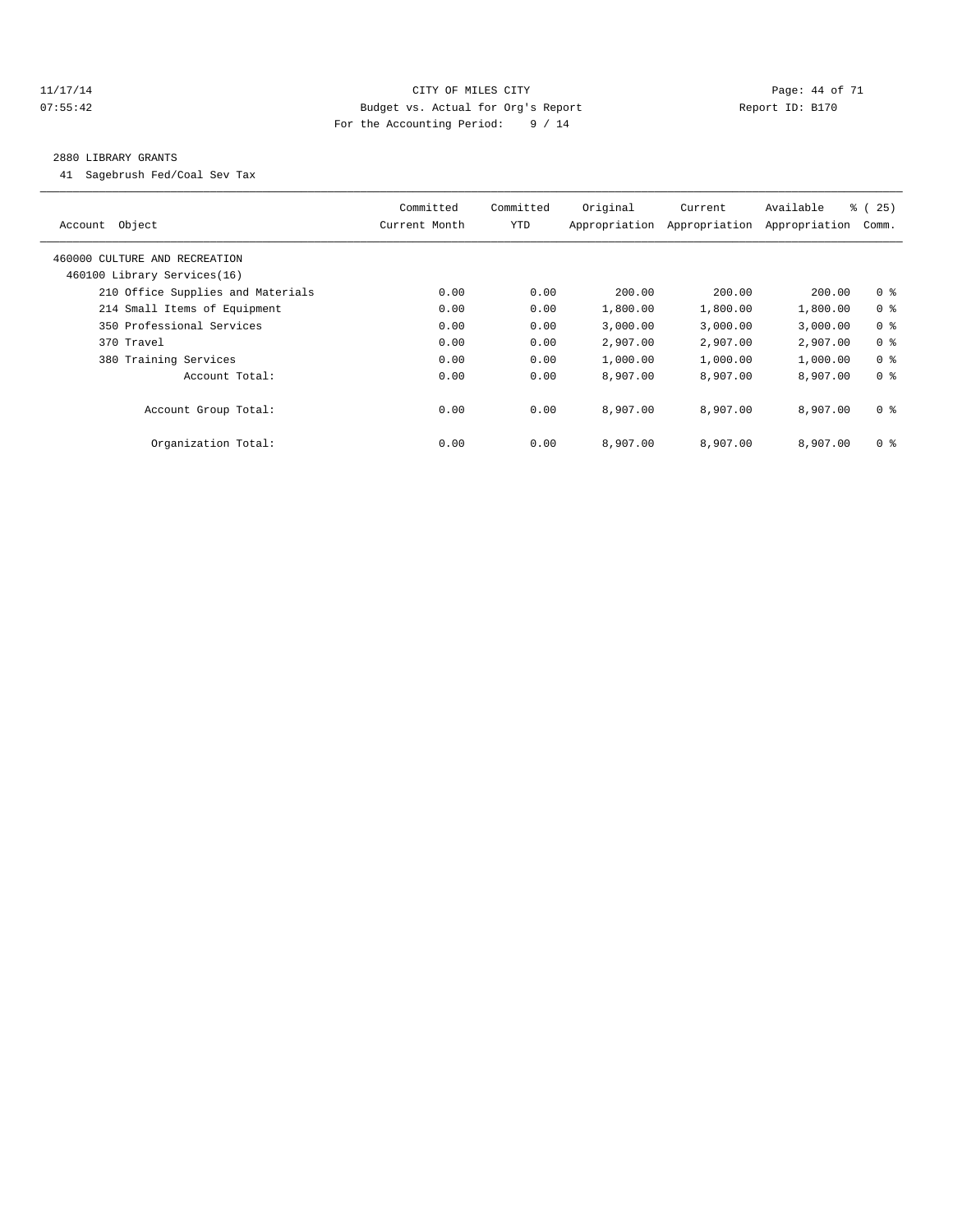#### 11/17/14 Page: 44 of 71 07:55:42 Budget vs. Actual for Org's Report Changer Report ID: B170 For the Accounting Period: 9 / 14

#### 2880 LIBRARY GRANTS

41 Sagebrush Fed/Coal Sev Tax

| Object<br>Account                 | Committed<br>Current Month | Committed<br>YTD | Original<br>Appropriation | Current<br>Appropriation | Available<br>Appropriation | $\frac{6}{6}$ (<br>25)<br>Comm. |
|-----------------------------------|----------------------------|------------------|---------------------------|--------------------------|----------------------------|---------------------------------|
| 460000 CULTURE AND RECREATION     |                            |                  |                           |                          |                            |                                 |
| 460100 Library Services(16)       |                            |                  |                           |                          |                            |                                 |
| 210 Office Supplies and Materials | 0.00                       | 0.00             | 200.00                    | 200.00                   | 200.00                     | 0 <sup>8</sup>                  |
| 214 Small Items of Equipment      | 0.00                       | 0.00             | 1,800.00                  | 1,800.00                 | 1,800.00                   | 0 <sup>8</sup>                  |
| 350 Professional Services         | 0.00                       | 0.00             | 3,000.00                  | 3,000.00                 | 3,000.00                   | 0 <sup>8</sup>                  |
| 370 Travel                        | 0.00                       | 0.00             | 2,907.00                  | 2,907.00                 | 2,907.00                   | 0 <sup>8</sup>                  |
| 380 Training Services             | 0.00                       | 0.00             | 1,000.00                  | 1,000.00                 | 1,000.00                   | 0 <sup>8</sup>                  |
| Account Total:                    | 0.00                       | 0.00             | 8,907.00                  | 8,907.00                 | 8,907.00                   | 0 <sup>8</sup>                  |
| Account Group Total:              | 0.00                       | 0.00             | 8,907.00                  | 8,907.00                 | 8,907.00                   | 0 <sup>8</sup>                  |
| Organization Total:               | 0.00                       | 0.00             | 8,907.00                  | 8,907.00                 | 8,907.00                   | 0 <sup>8</sup>                  |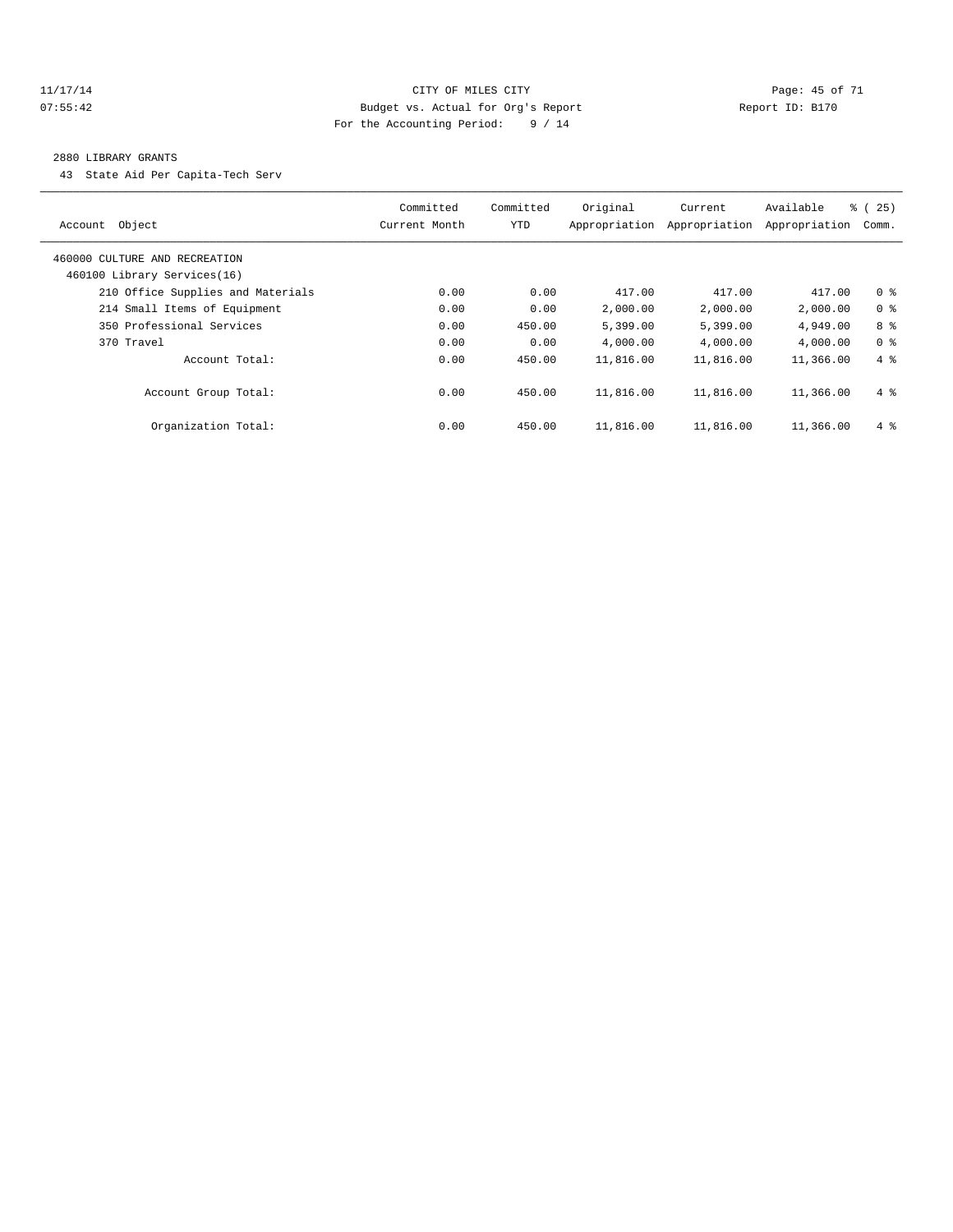#### 11/17/14 Page: 45 of 71 07:55:42 Budget vs. Actual for Org's Report Changer Report ID: B170 For the Accounting Period: 9 / 14

#### 2880 LIBRARY GRANTS

43 State Aid Per Capita-Tech Serv

| Object<br>Account                                            | Committed<br>Current Month | Committed<br><b>YTD</b> | Original<br>Appropriation | Current<br>Appropriation | Available<br>Appropriation | $\frac{3}{6}$ ( 25 )<br>Comm. |
|--------------------------------------------------------------|----------------------------|-------------------------|---------------------------|--------------------------|----------------------------|-------------------------------|
| 460000 CULTURE AND RECREATION<br>460100 Library Services(16) |                            |                         |                           |                          |                            |                               |
| 210 Office Supplies and Materials                            | 0.00                       | 0.00                    | 417.00                    | 417.00                   | 417.00                     | 0 <sup>8</sup>                |
| 214 Small Items of Equipment                                 | 0.00                       | 0.00                    | 2,000.00                  | 2,000.00                 | 2,000.00                   | 0 <sup>8</sup>                |
| 350 Professional Services                                    | 0.00                       | 450.00                  | 5,399.00                  | 5,399.00                 | 4,949.00                   | 8 %                           |
| 370 Travel                                                   | 0.00                       | 0.00                    | 4,000.00                  | 4,000.00                 | 4,000.00                   | 0 <sup>8</sup>                |
| Account Total:                                               | 0.00                       | 450.00                  | 11,816.00                 | 11,816.00                | 11,366.00                  | $4\degree$                    |
| Account Group Total:                                         | 0.00                       | 450.00                  | 11,816.00                 | 11,816.00                | 11,366.00                  | $4 \text{ }$                  |
| Organization Total:                                          | 0.00                       | 450.00                  | 11,816.00                 | 11,816.00                | 11,366.00                  | $4\degree$                    |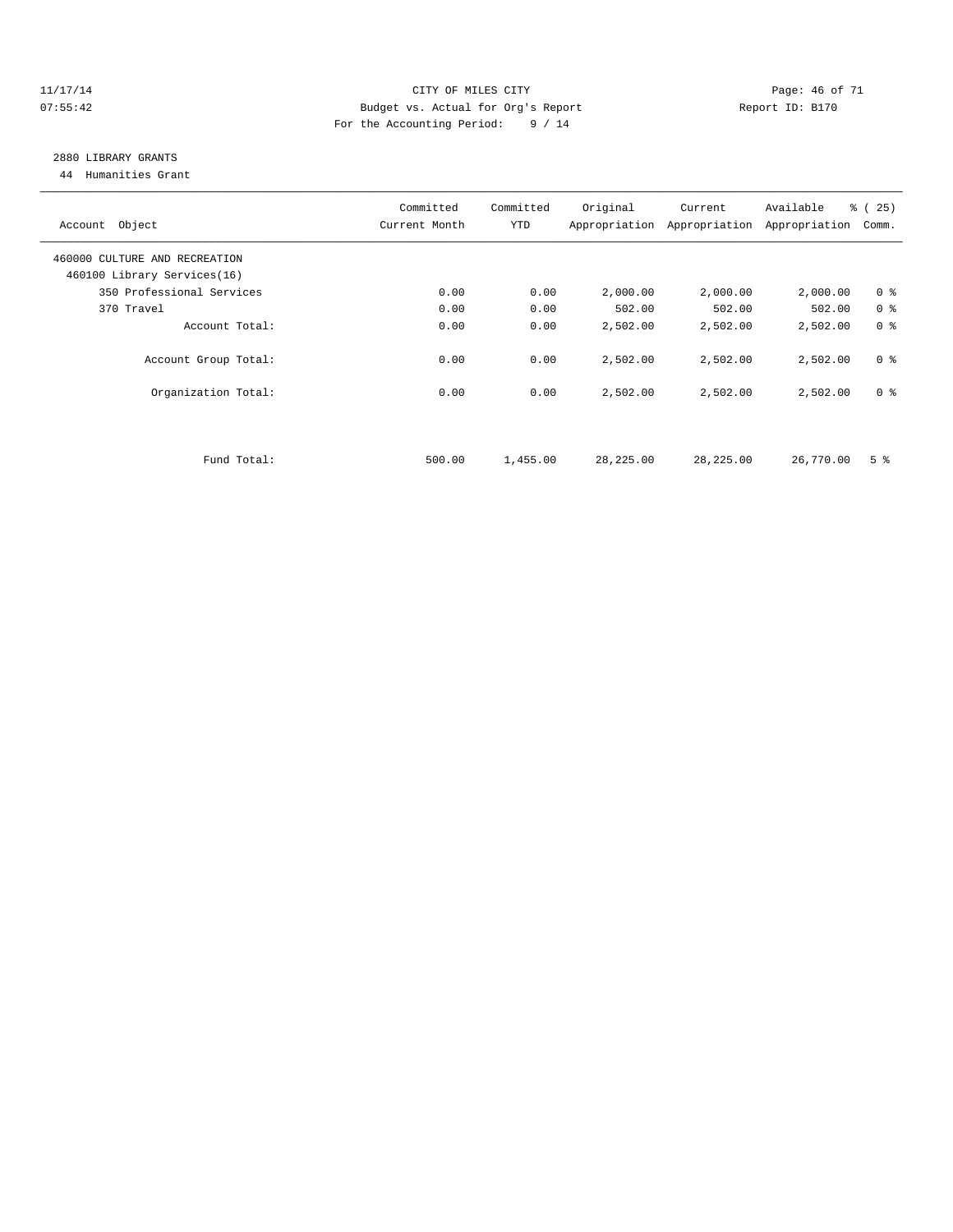#### 11/17/14 Page: 46 of 71 07:55:42 Budget vs. Actual for Org's Report Changer Report ID: B170 For the Accounting Period: 9 / 14

# 2880 LIBRARY GRANTS

44 Humanities Grant

| Account Object                | Committed<br>Current Month | Committed<br><b>YTD</b> | Original   | Current<br>Appropriation Appropriation | Available<br>Appropriation | % (25)<br>Comm. |
|-------------------------------|----------------------------|-------------------------|------------|----------------------------------------|----------------------------|-----------------|
| 460000 CULTURE AND RECREATION |                            |                         |            |                                        |                            |                 |
| 460100 Library Services(16)   |                            |                         |            |                                        |                            |                 |
| 350 Professional Services     | 0.00                       | 0.00                    | 2,000.00   | 2,000.00                               | 2,000.00                   | 0 <sup>8</sup>  |
| 370 Travel                    | 0.00                       | 0.00                    | 502.00     | 502.00                                 | 502.00                     | 0 <sup>8</sup>  |
| Account Total:                | 0.00                       | 0.00                    | 2,502.00   | 2,502.00                               | 2,502.00                   | 0 <sup>8</sup>  |
| Account Group Total:          | 0.00                       | 0.00                    | 2,502.00   | 2,502.00                               | 2,502.00                   | 0 <sup>8</sup>  |
| Organization Total:           | 0.00                       | 0.00                    | 2,502.00   | 2,502.00                               | 2,502.00                   | 0 <sup>8</sup>  |
|                               |                            |                         |            |                                        |                            |                 |
| Fund Total:                   | 500.00                     | 1,455.00                | 28, 225.00 | 28,225.00                              | 26,770.00                  | 5 <sup>8</sup>  |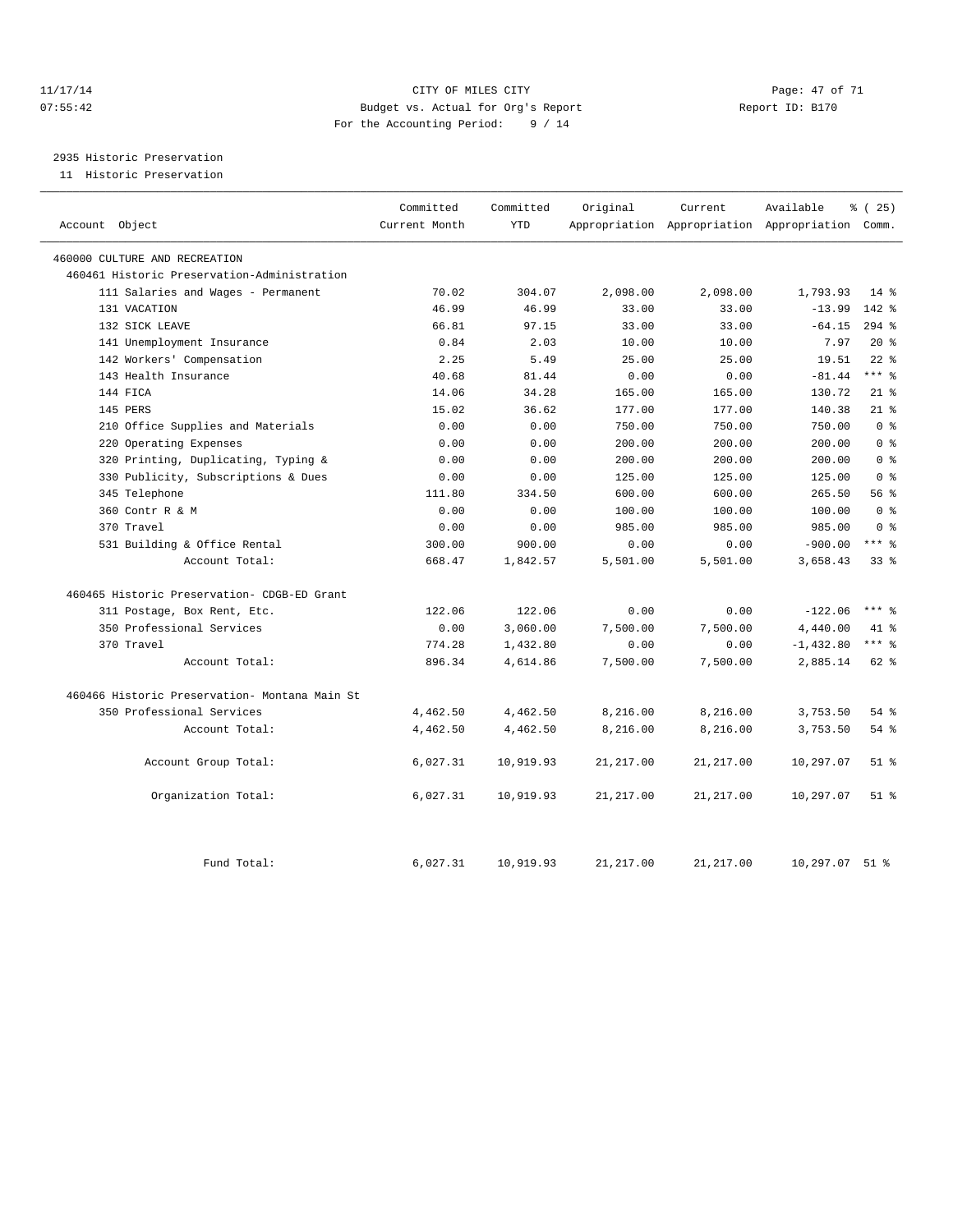#### 11/17/14 Page: 47 of 71 07:55:42 Budget vs. Actual for Org's Report Changer Report ID: B170 For the Accounting Period: 9 / 14

2935 Historic Preservation

11 Historic Preservation

| Account Object                                | Committed<br>Current Month | Committed<br><b>YTD</b> | Original   | Current    | Available<br>Appropriation Appropriation Appropriation Comm. | % (25)          |
|-----------------------------------------------|----------------------------|-------------------------|------------|------------|--------------------------------------------------------------|-----------------|
| 460000 CULTURE AND RECREATION                 |                            |                         |            |            |                                                              |                 |
| 460461 Historic Preservation-Administration   |                            |                         |            |            |                                                              |                 |
| 111 Salaries and Wages - Permanent            | 70.02                      | 304.07                  | 2,098.00   | 2,098.00   | 1,793.93                                                     | $14*$           |
| 131 VACATION                                  | 46.99                      | 46.99                   | 33.00      | 33.00      | $-13.99$                                                     | $142*$          |
| 132 SICK LEAVE                                | 66.81                      | 97.15                   | 33.00      | 33.00      | $-64.15$                                                     | $294$ $%$       |
| 141 Unemployment Insurance                    | 0.84                       | 2.03                    | 10.00      | 10.00      | 7.97                                                         | $20*$           |
| 142 Workers' Compensation                     | 2.25                       | 5.49                    | 25.00      | 25.00      | 19.51                                                        | $22$ $%$        |
| 143 Health Insurance                          | 40.68                      | 81.44                   | 0.00       | 0.00       | $-81.44$                                                     | $***$ $=$       |
| 144 FICA                                      | 14.06                      | 34.28                   | 165.00     | 165.00     | 130.72                                                       | $21$ %          |
| 145 PERS                                      | 15.02                      | 36.62                   | 177.00     | 177.00     | 140.38                                                       | $21*$           |
| 210 Office Supplies and Materials             | 0.00                       | 0.00                    | 750.00     | 750.00     | 750.00                                                       | 0 <sup>8</sup>  |
| 220 Operating Expenses                        | 0.00                       | 0.00                    | 200.00     | 200.00     | 200.00                                                       | 0 <sup>8</sup>  |
| 320 Printing, Duplicating, Typing &           | 0.00                       | 0.00                    | 200.00     | 200.00     | 200.00                                                       | 0 <sup>8</sup>  |
| 330 Publicity, Subscriptions & Dues           | 0.00                       | 0.00                    | 125.00     | 125.00     | 125.00                                                       | 0 <sup>8</sup>  |
| 345 Telephone                                 | 111.80                     | 334.50                  | 600.00     | 600.00     | 265.50                                                       | 56%             |
| 360 Contr R & M                               | 0.00                       | 0.00                    | 100.00     | 100.00     | 100.00                                                       | 0 <sup>8</sup>  |
| 370 Travel                                    | 0.00                       | 0.00                    | 985.00     | 985.00     | 985.00                                                       | 0 <sup>8</sup>  |
| 531 Building & Office Rental                  | 300.00                     | 900.00                  | 0.00       | 0.00       | $-900.00$                                                    | $***$ 8         |
| Account Total:                                | 668.47                     | 1,842.57                | 5,501.00   | 5,501.00   | 3,658.43                                                     | 33 <sup>8</sup> |
| 460465 Historic Preservation- CDGB-ED Grant   |                            |                         |            |            |                                                              |                 |
| 311 Postage, Box Rent, Etc.                   | 122.06                     | 122.06                  | 0.00       | 0.00       | $-122.06$                                                    | $***$ $%$       |
| 350 Professional Services                     | 0.00                       | 3,060.00                | 7,500.00   | 7,500.00   | 4,440.00                                                     | 41 %            |
| 370 Travel                                    | 774.28                     | 1,432.80                | 0.00       | 0.00       | $-1,432.80$                                                  | $***$ 8         |
| Account Total:                                | 896.34                     | 4,614.86                | 7,500.00   | 7,500.00   | 2,885.14                                                     | 62 %            |
| 460466 Historic Preservation- Montana Main St |                            |                         |            |            |                                                              |                 |
| 350 Professional Services                     | 4,462.50                   | 4,462.50                | 8,216.00   | 8,216.00   | 3,753.50                                                     | $54$ $%$        |
| Account Total:                                | 4,462.50                   | 4,462.50                | 8,216.00   | 8,216.00   | 3,753.50                                                     | $54$ %          |
| Account Group Total:                          | 6,027.31                   | 10,919.93               | 21, 217.00 | 21, 217.00 | 10,297.07                                                    | $51$ %          |
| Organization Total:                           | 6,027.31                   | 10,919.93               | 21, 217.00 | 21, 217.00 | 10,297.07                                                    | $51$ %          |
| Fund Total:                                   | 6,027.31                   | 10,919.93               | 21, 217.00 | 21, 217.00 | 10,297.07                                                    | $51$ $%$        |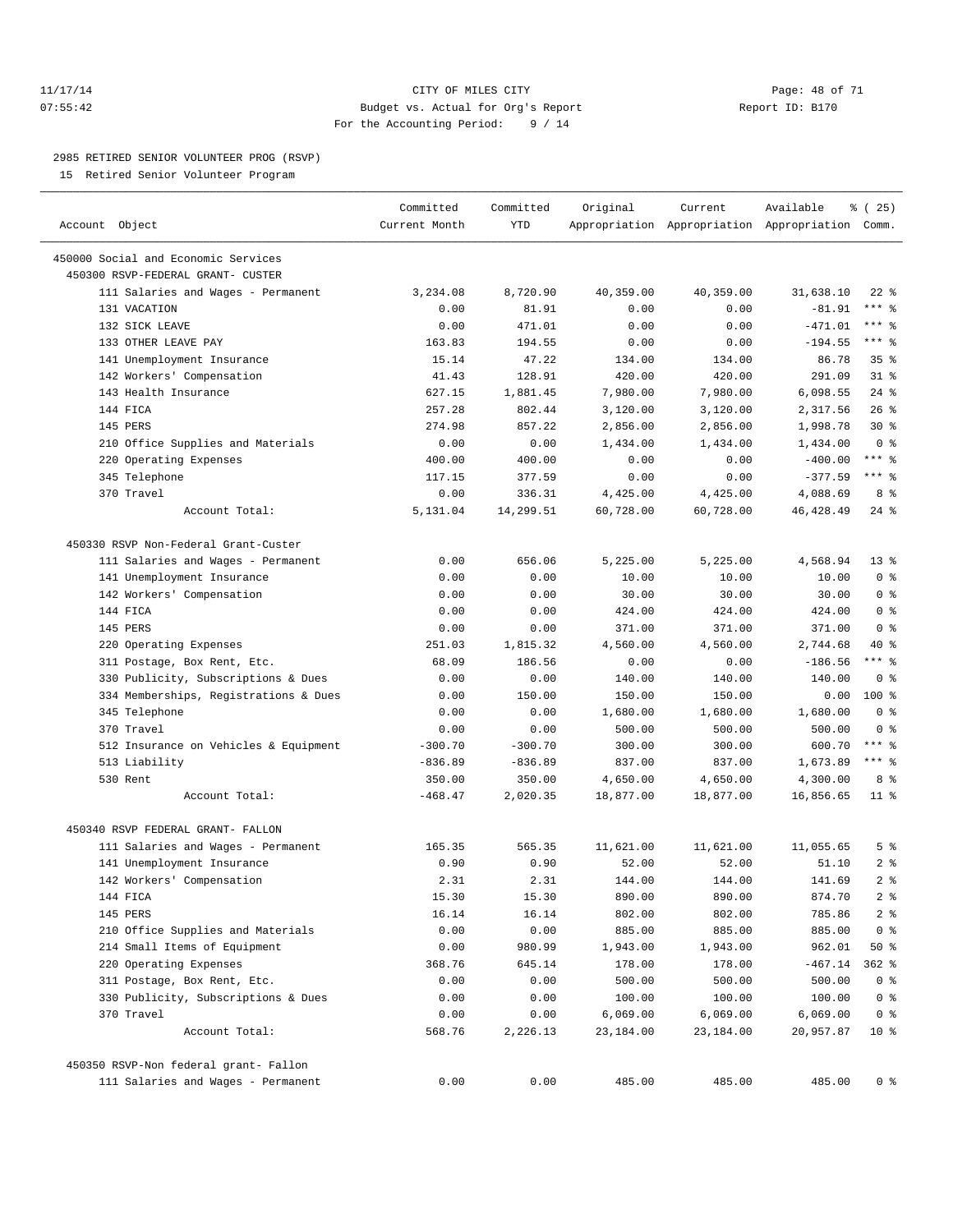#### 11/17/14 CITY OF MILES CITY Page: 48 of 71 07:55:42 Budget vs. Actual for Org's Report Report ID: B170 For the Accounting Period: 9 / 14

————————————————————————————————————————————————————————————————————————————————————————————————————————————————————————————————————

#### 2985 RETIRED SENIOR VOLUNTEER PROG (RSVP)

15 Retired Senior Volunteer Program

|                                       | Committed     | Committed | Original  | Current   | Available                                       | 8 (25)            |  |
|---------------------------------------|---------------|-----------|-----------|-----------|-------------------------------------------------|-------------------|--|
| Account Object                        | Current Month | YTD       |           |           | Appropriation Appropriation Appropriation Comm. |                   |  |
| 450000 Social and Economic Services   |               |           |           |           |                                                 |                   |  |
| 450300 RSVP-FEDERAL GRANT- CUSTER     |               |           |           |           |                                                 |                   |  |
| 111 Salaries and Wages - Permanent    | 3,234.08      | 8,720.90  | 40,359.00 | 40,359.00 | 31,638.10                                       | $22$ %            |  |
| 131 VACATION                          | 0.00          | 81.91     | 0.00      | 0.00      | $-81.91$                                        | $***$ $=$         |  |
| 132 SICK LEAVE                        | 0.00          | 471.01    | 0.00      | 0.00      | $-471.01$                                       | $***$ 8           |  |
| 133 OTHER LEAVE PAY                   | 163.83        | 194.55    | 0.00      | 0.00      | $-194.55$                                       | $***$ $-$         |  |
| 141 Unemployment Insurance            | 15.14         | 47.22     | 134.00    | 134.00    | 86.78                                           | 35%               |  |
| 142 Workers' Compensation             | 41.43         | 128.91    | 420.00    | 420.00    | 291.09                                          | 31.8              |  |
| 143 Health Insurance                  | 627.15        | 1,881.45  | 7,980.00  | 7,980.00  | 6,098.55                                        | $24$ %            |  |
| 144 FICA                              | 257.28        | 802.44    | 3,120.00  | 3,120.00  | 2,317.56                                        | 26%               |  |
| 145 PERS                              | 274.98        | 857.22    | 2,856.00  | 2,856.00  | 1,998.78                                        | $30*$             |  |
| 210 Office Supplies and Materials     | 0.00          | 0.00      | 1,434.00  | 1,434.00  | 1,434.00                                        | 0 <sup>8</sup>    |  |
| 220 Operating Expenses                | 400.00        | 400.00    | 0.00      | 0.00      | $-400.00$                                       | $***$ $-$         |  |
| 345 Telephone                         | 117.15        | 377.59    | 0.00      | 0.00      | $-377.59$                                       | $***$ $=$         |  |
| 370 Travel                            | 0.00          | 336.31    | 4,425.00  | 4,425.00  | 4,088.69                                        | 8 %               |  |
| Account Total:                        | 5,131.04      | 14,299.51 | 60,728.00 | 60,728.00 | 46, 428.49                                      | $24$ %            |  |
| 450330 RSVP Non-Federal Grant-Custer  |               |           |           |           |                                                 |                   |  |
| 111 Salaries and Wages - Permanent    | 0.00          | 656.06    | 5,225.00  | 5,225.00  | 4,568.94                                        | $13*$             |  |
| 141 Unemployment Insurance            | 0.00          | 0.00      | 10.00     | 10.00     | 10.00                                           | 0 <sup>8</sup>    |  |
| 142 Workers' Compensation             | 0.00          | 0.00      | 30.00     | 30.00     | 30.00                                           | 0 <sup>8</sup>    |  |
| 144 FICA                              | 0.00          | 0.00      | 424.00    | 424.00    | 424.00                                          | 0 <sup>8</sup>    |  |
| 145 PERS                              | 0.00          | 0.00      | 371.00    | 371.00    | 371.00                                          | 0 <sup>8</sup>    |  |
| 220 Operating Expenses                | 251.03        | 1,815.32  | 4,560.00  | 4,560.00  | 2,744.68                                        | 40 %              |  |
| 311 Postage, Box Rent, Etc.           | 68.09         | 186.56    | 0.00      | 0.00      | $-186.56$                                       | $***$ $-$         |  |
| 330 Publicity, Subscriptions & Dues   | 0.00          | 0.00      | 140.00    | 140.00    | 140.00                                          | 0 <sup>8</sup>    |  |
| 334 Memberships, Registrations & Dues | 0.00          | 150.00    | 150.00    | 150.00    | 0.00                                            | $100*$            |  |
| 345 Telephone                         | 0.00          | 0.00      | 1,680.00  | 1,680.00  | 1,680.00                                        | 0 <sup>8</sup>    |  |
| 370 Travel                            | 0.00          | 0.00      | 500.00    | 500.00    | 500.00                                          | 0 <sup>8</sup>    |  |
| 512 Insurance on Vehicles & Equipment | $-300.70$     | $-300.70$ | 300.00    | 300.00    | 600.70                                          | $***$ $-$         |  |
| 513 Liability                         | $-836.89$     | $-836.89$ | 837.00    | 837.00    | 1,673.89                                        | $***$ $-$         |  |
| 530 Rent                              | 350.00        | 350.00    | 4,650.00  | 4,650.00  | 4,300.00                                        | 8 %               |  |
| Account Total:                        | $-468.47$     | 2,020.35  | 18,877.00 | 18,877.00 | 16,856.65                                       | $11$ %            |  |
| 450340 RSVP FEDERAL GRANT- FALLON     |               |           |           |           |                                                 |                   |  |
| 111 Salaries and Wages - Permanent    | 165.35        | 565.35    | 11,621.00 | 11,621.00 | 11,055.65                                       | 5 <sup>°</sup>    |  |
| 141 Unemployment Insurance            | 0.90          | 0.90      | 52.00     | 52.00     | 51.10                                           | 2 <sub>8</sub>    |  |
| 142 Workers' Compensation             | 2.31          | 2.31      | 144.00    | 144.00    | 141.69                                          | 2 <sup>°</sup>    |  |
| 144 FICA                              | 15.30         | 15.30     | 890.00    | 890.00    | 874.70                                          | 2 <sup>8</sup>    |  |
| 145 PERS                              | 16.14         | 16.14     | 802.00    | 802.00    | 785.86                                          | $2$ $\frac{6}{9}$ |  |
| 210 Office Supplies and Materials     | 0.00          | 0.00      | 885.00    | 885.00    | 885.00                                          | 0 <sup>8</sup>    |  |
| 214 Small Items of Equipment          | 0.00          | 980.99    | 1,943.00  | 1,943.00  | 962.01                                          | 50 %              |  |
| 220 Operating Expenses                | 368.76        | 645.14    | 178.00    | 178.00    | $-467.14$                                       | $362$ $%$         |  |
| 311 Postage, Box Rent, Etc.           | 0.00          | 0.00      | 500.00    | 500.00    | 500.00                                          | 0 <sup>8</sup>    |  |
| 330 Publicity, Subscriptions & Dues   | 0.00          | 0.00      | 100.00    | 100.00    | 100.00                                          | 0 <sup>8</sup>    |  |
| 370 Travel                            | 0.00          | 0.00      | 6,069.00  | 6,069.00  | 6,069.00                                        | 0 <sup>8</sup>    |  |
| Account Total:                        | 568.76        | 2,226.13  | 23,184.00 | 23,184.00 | 20,957.87                                       | 10 <sub>8</sub>   |  |
| 450350 RSVP-Non federal grant- Fallon |               |           |           |           |                                                 |                   |  |
| 111 Salaries and Wages - Permanent    | 0.00          | 0.00      | 485.00    | 485.00    | 485.00                                          | 0 <sup>8</sup>    |  |
|                                       |               |           |           |           |                                                 |                   |  |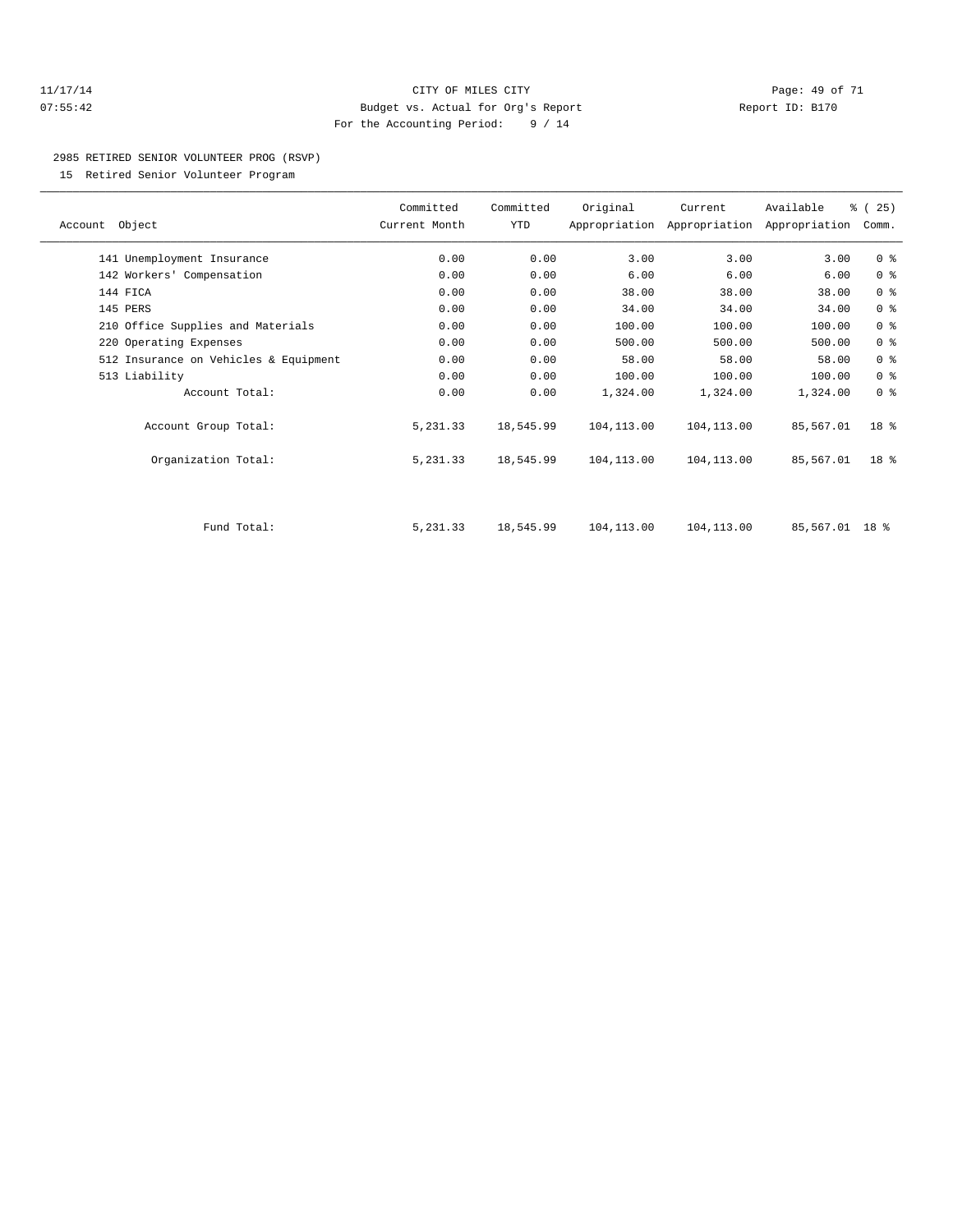#### 11/17/14 CITY OF MILES CITY Page: 49 of 71 07:55:42 Budget vs. Actual for Org's Report Report ID: B170 For the Accounting Period: 9 / 14

#### 2985 RETIRED SENIOR VOLUNTEER PROG (RSVP)

15 Retired Senior Volunteer Program

|                |                                       | Committed     | Committed | Original    | Current     | Available                                 | % (25)          |  |
|----------------|---------------------------------------|---------------|-----------|-------------|-------------|-------------------------------------------|-----------------|--|
| Account Object |                                       | Current Month | YTD       |             |             | Appropriation Appropriation Appropriation | Comm.           |  |
|                |                                       |               |           |             |             |                                           |                 |  |
|                | 141 Unemployment Insurance            | 0.00          | 0.00      | 3.00        | 3.00        | 3.00                                      | 0 <sup>8</sup>  |  |
|                | 142 Workers' Compensation             | 0.00          | 0.00      | 6.00        | 6.00        | 6.00                                      | 0 <sup>8</sup>  |  |
| 144 FICA       |                                       | 0.00          | 0.00      | 38.00       | 38.00       | 38.00                                     | 0 <sup>8</sup>  |  |
| 145 PERS       |                                       | 0.00          | 0.00      | 34.00       | 34.00       | 34.00                                     | 0 <sup>°</sup>  |  |
|                | 210 Office Supplies and Materials     | 0.00          | 0.00      | 100.00      | 100.00      | 100.00                                    | 0 <sup>8</sup>  |  |
|                | 220 Operating Expenses                | 0.00          | 0.00      | 500.00      | 500.00      | 500.00                                    | 0 <sup>8</sup>  |  |
|                | 512 Insurance on Vehicles & Equipment | 0.00          | 0.00      | 58.00       | 58.00       | 58.00                                     | 0 <sup>8</sup>  |  |
| 513 Liability  |                                       | 0.00          | 0.00      | 100.00      | 100.00      | 100.00                                    | 0 <sup>8</sup>  |  |
|                | Account Total:                        | 0.00          | 0.00      | 1,324.00    | 1,324.00    | 1,324.00                                  | 0 <sup>8</sup>  |  |
|                | Account Group Total:                  | 5,231.33      | 18,545.99 | 104, 113.00 | 104, 113.00 | 85,567.01                                 | 18 <sup>8</sup> |  |
|                | Organization Total:                   | 5,231.33      | 18,545.99 | 104,113.00  | 104,113.00  | 85,567.01                                 | $18*$           |  |
|                |                                       |               |           |             |             |                                           |                 |  |
|                | Fund Total:                           | 5, 231.33     | 18,545.99 | 104, 113.00 | 104, 113.00 | 85,567.01 18 %                            |                 |  |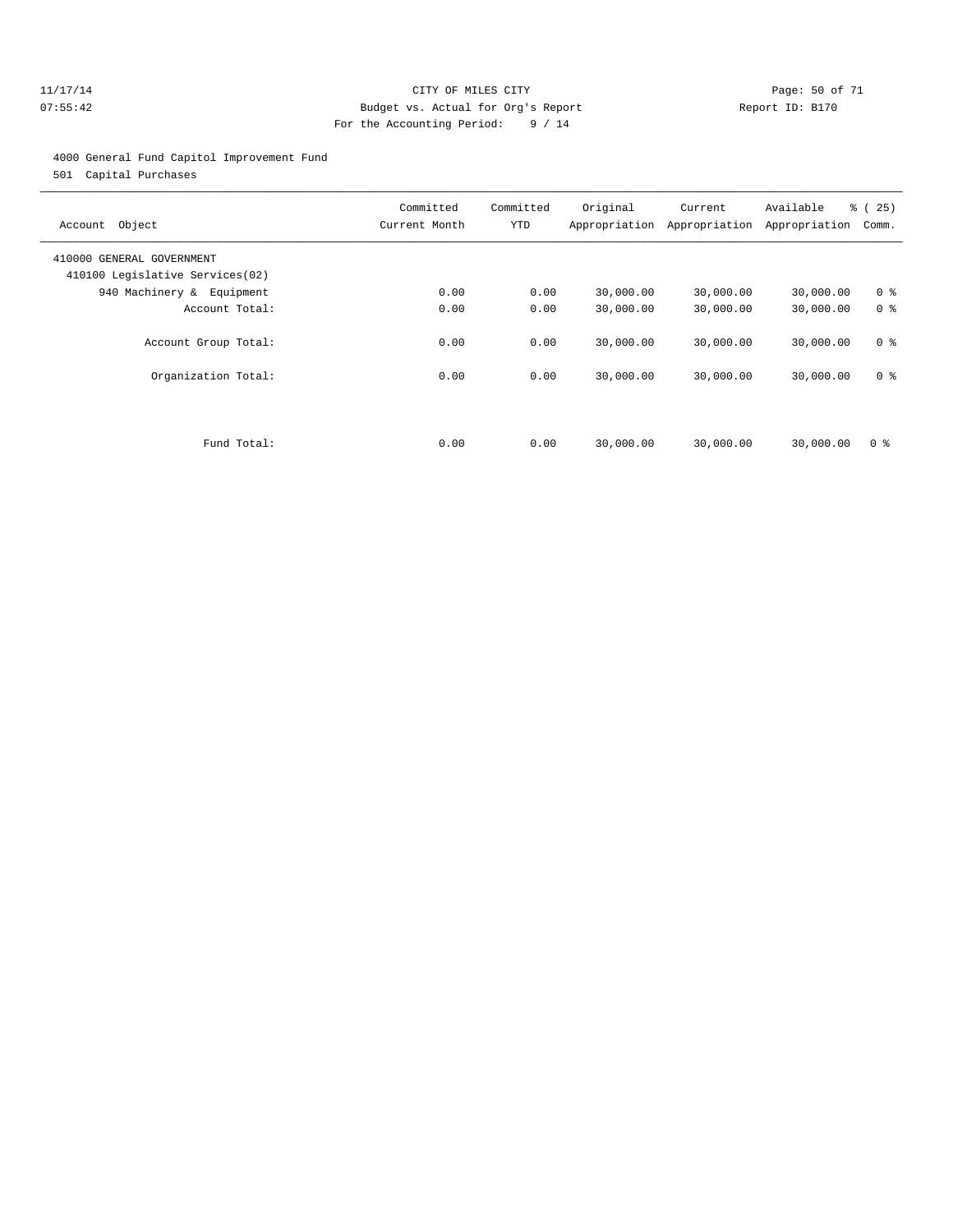#### 11/17/14 Page: 50 of 71 07:55:42 Budget vs. Actual for Org's Report Changer Report ID: B170 For the Accounting Period: 9 / 14

#### 4000 General Fund Capitol Improvement Fund

501 Capital Purchases

| Object<br>Account                                            | Committed<br>Current Month | Committed<br>YTD | Original  | Current<br>Appropriation Appropriation | Available<br>Appropriation | <b>%</b> (<br>25)<br>Comm. |
|--------------------------------------------------------------|----------------------------|------------------|-----------|----------------------------------------|----------------------------|----------------------------|
| 410000 GENERAL GOVERNMENT<br>410100 Legislative Services(02) |                            |                  |           |                                        |                            |                            |
| 940 Machinery & Equipment                                    | 0.00                       | 0.00             | 30,000.00 | 30,000.00                              | 30,000.00                  | 0 <sup>8</sup>             |
| Account Total:                                               | 0.00                       | 0.00             | 30,000.00 | 30,000.00                              | 30,000.00                  | 0 <sup>8</sup>             |
| Account Group Total:                                         | 0.00                       | 0.00             | 30,000.00 | 30,000.00                              | 30,000.00                  | 0 <sup>8</sup>             |
| Organization Total:                                          | 0.00                       | 0.00             | 30,000.00 | 30,000.00                              | 30,000.00                  | 0 <sup>8</sup>             |
|                                                              |                            |                  |           |                                        |                            |                            |
| Fund Total:                                                  | 0.00                       | 0.00             | 30,000.00 | 30,000.00                              | 30,000.00                  | 0 <sup>8</sup>             |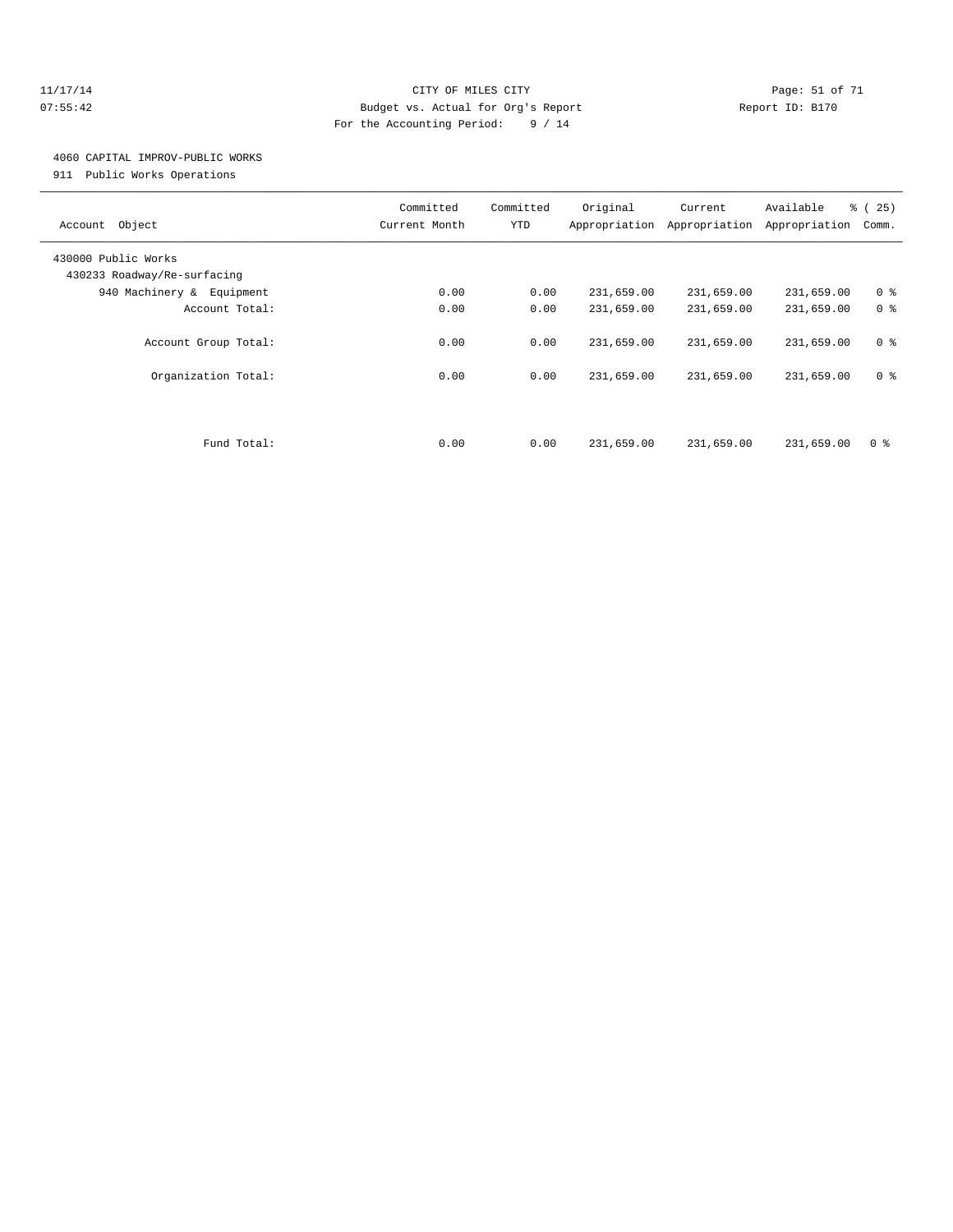#### 11/17/14 Page: 51 of 71 07:55:42 Budget vs. Actual for Org's Report Changer Report ID: B170 For the Accounting Period: 9 / 14

# 4060 CAPITAL IMPROV-PUBLIC WORKS

911 Public Works Operations

| Object<br>Account                                  | Committed<br>Current Month | Committed<br>YTD | Original   | Current<br>Appropriation Appropriation | Available<br>Appropriation | % (25)<br>Comm. |
|----------------------------------------------------|----------------------------|------------------|------------|----------------------------------------|----------------------------|-----------------|
| 430000 Public Works<br>430233 Roadway/Re-surfacing |                            |                  |            |                                        |                            |                 |
| 940 Machinery & Equipment                          | 0.00                       | 0.00             | 231,659.00 | 231,659.00                             | 231,659.00                 | 0 <sup>8</sup>  |
| Account Total:                                     | 0.00                       | 0.00             | 231,659.00 | 231,659.00                             | 231,659.00                 | 0 <sup>8</sup>  |
| Account Group Total:                               | 0.00                       | 0.00             | 231,659.00 | 231,659.00                             | 231,659.00                 | 0 <sup>8</sup>  |
| Organization Total:                                | 0.00                       | 0.00             | 231,659.00 | 231,659.00                             | 231,659.00                 | 0 <sup>8</sup>  |
|                                                    |                            |                  |            |                                        |                            |                 |
| Fund Total:                                        | 0.00                       | 0.00             | 231,659.00 | 231,659.00                             | 231,659.00                 | 0 <sup>8</sup>  |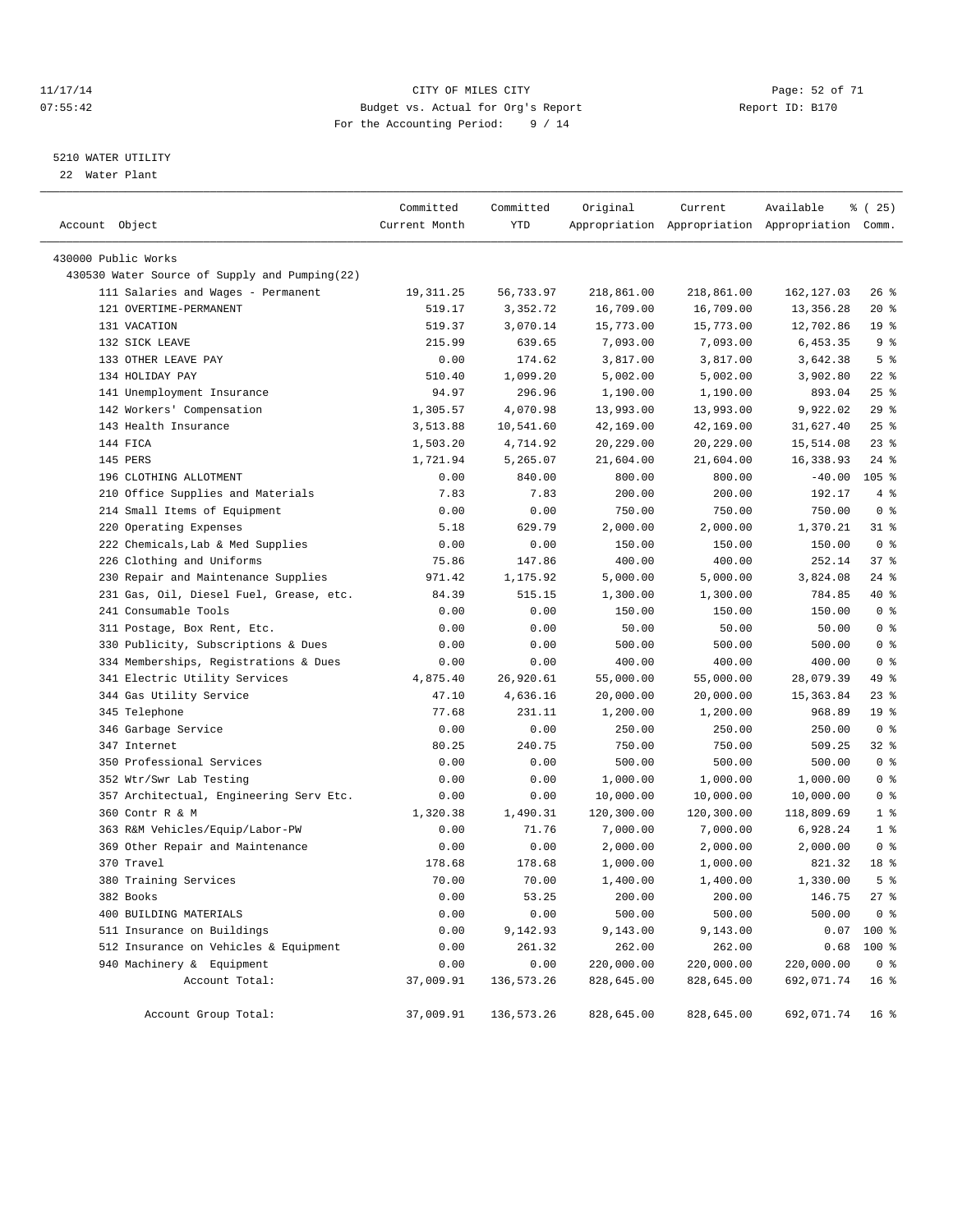#### 11/17/14 Page: 52 of 71 07:55:42 Budget vs. Actual for Org's Report Changer Report ID: B170 For the Accounting Period: 9 / 14

————————————————————————————————————————————————————————————————————————————————————————————————————————————————————————————————————

#### 5210 WATER UTILITY

22 Water Plant

|                                               | Committed     | Committed    | Original   | Current    | Available                                       | % (25)          |
|-----------------------------------------------|---------------|--------------|------------|------------|-------------------------------------------------|-----------------|
| Account Object                                | Current Month | YTD          |            |            | Appropriation Appropriation Appropriation Comm. |                 |
| 430000 Public Works                           |               |              |            |            |                                                 |                 |
| 430530 Water Source of Supply and Pumping(22) |               |              |            |            |                                                 |                 |
| 111 Salaries and Wages - Permanent            | 19,311.25     | 56,733.97    | 218,861.00 | 218,861.00 | 162, 127.03                                     | $26$ %          |
| 121 OVERTIME-PERMANENT                        | 519.17        | 3,352.72     | 16,709.00  | 16,709.00  | 13, 356. 28                                     | $20*$           |
| 131 VACATION                                  | 519.37        | 3,070.14     | 15,773.00  | 15,773.00  | 12,702.86                                       | 19 <sup>°</sup> |
| 132 SICK LEAVE                                | 215.99        | 639.65       | 7,093.00   | 7,093.00   | 6,453.35                                        | 9%              |
| 133 OTHER LEAVE PAY                           | 0.00          | 174.62       | 3,817.00   | 3,817.00   | 3,642.38                                        | 5 <sup>8</sup>  |
| 134 HOLIDAY PAY                               | 510.40        | 1,099.20     | 5,002.00   | 5,002.00   | 3,902.80                                        | $22$ %          |
| 141 Unemployment Insurance                    | 94.97         | 296.96       | 1,190.00   | 1,190.00   | 893.04                                          | $25$ %          |
| 142 Workers' Compensation                     | 1,305.57      | 4,070.98     | 13,993.00  | 13,993.00  | 9,922.02                                        | 29%             |
| 143 Health Insurance                          | 3,513.88      | 10,541.60    | 42,169.00  | 42,169.00  | 31,627.40                                       | $25$ $%$        |
| 144 FICA                                      | 1,503.20      | 4,714.92     | 20,229.00  | 20,229.00  | 15,514.08                                       | $23$ $%$        |
| 145 PERS                                      | 1,721.94      | 5,265.07     | 21,604.00  | 21,604.00  | 16,338.93                                       | $24$ %          |
| 196 CLOTHING ALLOTMENT                        | 0.00          | 840.00       | 800.00     | 800.00     | $-40.00$                                        | $105$ %         |
| 210 Office Supplies and Materials             | 7.83          | 7.83         | 200.00     | 200.00     | 192.17                                          | 4%              |
| 214 Small Items of Equipment                  | 0.00          | 0.00         | 750.00     | 750.00     | 750.00                                          | 0 <sup>8</sup>  |
| 220 Operating Expenses                        | 5.18          | 629.79       | 2,000.00   | 2,000.00   | 1,370.21                                        | $31$ %          |
| 222 Chemicals, Lab & Med Supplies             | 0.00          | 0.00         | 150.00     | 150.00     | 150.00                                          | 0 <sup>8</sup>  |
| 226 Clothing and Uniforms                     | 75.86         | 147.86       | 400.00     | 400.00     | 252.14                                          | 37%             |
| 230 Repair and Maintenance Supplies           | 971.42        | 1,175.92     | 5,000.00   | 5,000.00   | 3,824.08                                        | $24$ %          |
| 231 Gas, Oil, Diesel Fuel, Grease, etc.       | 84.39         | 515.15       | 1,300.00   | 1,300.00   | 784.85                                          | 40 %            |
| 241 Consumable Tools                          | 0.00          | 0.00         | 150.00     | 150.00     | 150.00                                          | 0 <sup>8</sup>  |
| 311 Postage, Box Rent, Etc.                   | 0.00          | 0.00         | 50.00      | 50.00      | 50.00                                           | 0 <sup>8</sup>  |
| 330 Publicity, Subscriptions & Dues           | 0.00          | 0.00         | 500.00     | 500.00     | 500.00                                          | 0 <sup>8</sup>  |
| 334 Memberships, Registrations & Dues         | 0.00          | 0.00         | 400.00     | 400.00     | 400.00                                          | 0 <sup>8</sup>  |
| 341 Electric Utility Services                 | 4,875.40      | 26,920.61    | 55,000.00  | 55,000.00  | 28,079.39                                       | 49 %            |
| 344 Gas Utility Service                       | 47.10         | 4,636.16     | 20,000.00  | 20,000.00  | 15, 363.84                                      | $23$ $%$        |
| 345 Telephone                                 | 77.68         | 231.11       | 1,200.00   | 1,200.00   | 968.89                                          | 19 <sup>°</sup> |
| 346 Garbage Service                           | 0.00          | 0.00         | 250.00     | 250.00     | 250.00                                          | 0 <sup>8</sup>  |
| 347 Internet                                  | 80.25         | 240.75       | 750.00     | 750.00     | 509.25                                          | 328             |
| 350 Professional Services                     | 0.00          | 0.00         | 500.00     | 500.00     | 500.00                                          | 0 <sup>8</sup>  |
| 352 Wtr/Swr Lab Testing                       | 0.00          | 0.00         | 1,000.00   | 1,000.00   | 1,000.00                                        | 0 <sup>8</sup>  |
| 357 Architectual, Engineering Serv Etc.       | 0.00          | 0.00         | 10,000.00  | 10,000.00  | 10,000.00                                       | 0 <sup>8</sup>  |
| 360 Contr R & M                               | 1,320.38      | 1,490.31     | 120,300.00 | 120,300.00 | 118,809.69                                      | 1 <sup>°</sup>  |
| 363 R&M Vehicles/Equip/Labor-PW               | 0.00          | 71.76        | 7,000.00   | 7,000.00   | 6,928.24                                        | 1 <sup>8</sup>  |
| 369 Other Repair and Maintenance              | 0.00          | 0.00         | 2,000.00   | 2,000.00   | 2,000.00                                        | 0 <sup>8</sup>  |
| 370 Travel                                    | 178.68        | 178.68       | 1,000.00   | 1,000.00   | 821.32                                          | 18 %            |
| 380 Training Services                         | 70.00         | 70.00        | 1,400.00   | 1,400.00   | 1,330.00                                        | 5 <sup>°</sup>  |
| 382 Books                                     | 0.00          | 53.25        | 200.00     | 200.00     | 146.75                                          | $27$ %          |
| 400 BUILDING MATERIALS                        | 0.00          | 0.00         | 500.00     | 500.00     | 500.00                                          | 0 <sup>8</sup>  |
| 511 Insurance on Buildings                    | 0.00          | 9,142.93     | 9,143.00   | 9,143.00   |                                                 | $0.07$ 100 %    |
| 512 Insurance on Vehicles & Equipment         | 0.00          | 261.32       | 262.00     | 262.00     | 0.68                                            | 100 %           |
| 940 Machinery & Equipment                     | 0.00          | 0.00         | 220,000.00 | 220,000.00 | 220,000.00                                      | 0 <sup>8</sup>  |
| Account Total:                                | 37,009.91     | 136, 573. 26 | 828,645.00 | 828,645.00 | 692,071.74                                      | 16 <sup>8</sup> |
| Account Group Total:                          | 37,009.91     | 136, 573. 26 | 828,645.00 | 828,645.00 | 692,071.74                                      | 16 <sup>°</sup> |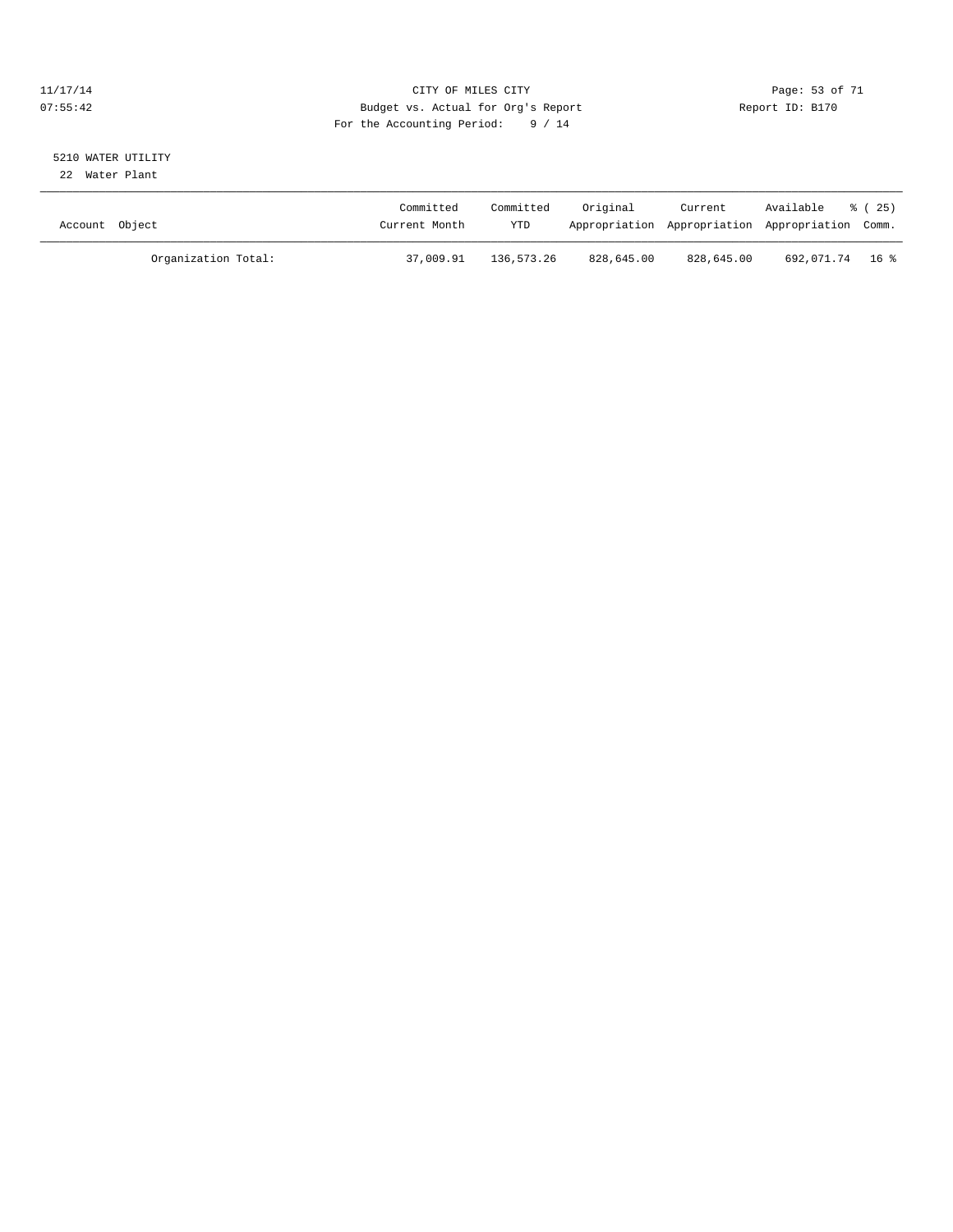#### 11/17/14 Page: 53 of 71 07:55:42 Budget vs. Actual for Org's Report Changer Report ID: B170 For the Accounting Period: 9 / 14

# 5210 WATER UTILITY

22 Water Plant

| Account Object      | Committed<br>Current Month | Committed<br><b>YTD</b> | Original   | Current    | Available<br>Appropriation Appropriation Appropriation Comm. | % (25) |
|---------------------|----------------------------|-------------------------|------------|------------|--------------------------------------------------------------|--------|
| Organization Total: | 37,009.91                  | 136,573.26              | 828,645.00 | 828,645.00 | 692,071.74 16%                                               |        |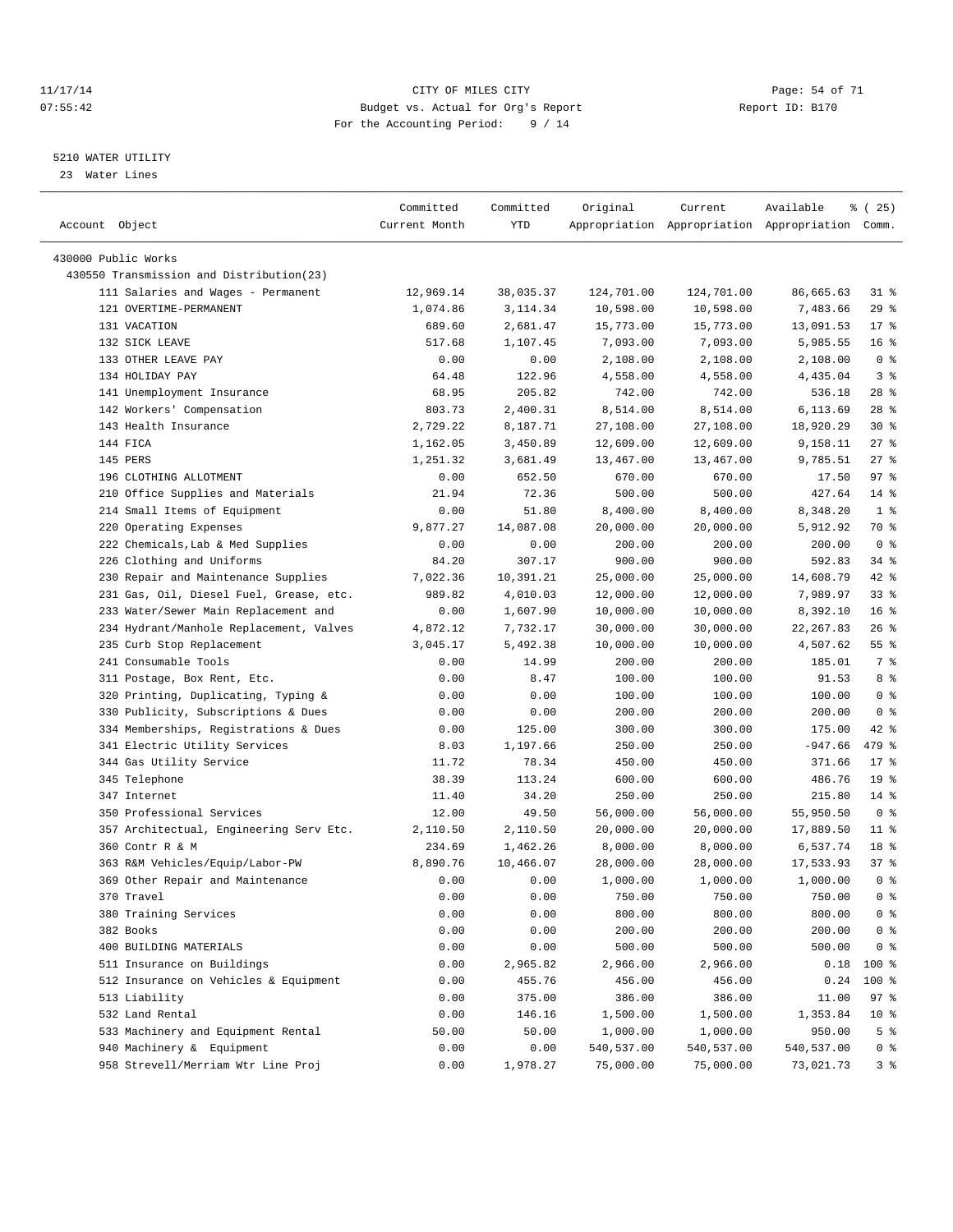#### 11/17/14 Page: 54 of 71 07:55:42 Budget vs. Actual for Org's Report Changer Report ID: B170 For the Accounting Period: 9 / 14

————————————————————————————————————————————————————————————————————————————————————————————————————————————————————————————————————

#### 5210 WATER UTILITY

23 Water Lines

|                                          | Committed      | Committed        | Original              | Current              | Available                                       | <sub>है</sub> (25) |
|------------------------------------------|----------------|------------------|-----------------------|----------------------|-------------------------------------------------|--------------------|
| Account Object                           | Current Month  | YTD              |                       |                      | Appropriation Appropriation Appropriation Comm. |                    |
| 430000 Public Works                      |                |                  |                       |                      |                                                 |                    |
| 430550 Transmission and Distribution(23) |                |                  |                       |                      |                                                 |                    |
| 111 Salaries and Wages - Permanent       | 12,969.14      | 38,035.37        | 124,701.00            | 124,701.00           | 86,665.63                                       | 31 %               |
| 121 OVERTIME-PERMANENT                   | 1,074.86       | 3, 114.34        |                       |                      | 7,483.66                                        | 29%                |
| 131 VACATION                             |                |                  | 10,598.00             | 10,598.00            |                                                 | $17*$              |
| 132 SICK LEAVE                           | 689.60         | 2,681.47         | 15,773.00<br>7,093.00 | 15,773.00            | 13,091.53                                       | 16 <sup>°</sup>    |
| 133 OTHER LEAVE PAY                      | 517.68<br>0.00 | 1,107.45<br>0.00 |                       | 7,093.00<br>2,108.00 | 5,985.55                                        | 0 <sup>8</sup>     |
| 134 HOLIDAY PAY                          | 64.48          | 122.96           | 2,108.00              |                      | 2,108.00                                        | 3%                 |
| 141 Unemployment Insurance               | 68.95          | 205.82           | 4,558.00              | 4,558.00<br>742.00   | 4,435.04<br>536.18                              | $28$ %             |
|                                          | 803.73         |                  | 742.00<br>8,514.00    |                      |                                                 | $28$ %             |
| 142 Workers' Compensation                |                | 2,400.31         |                       | 8,514.00             | 6,113.69                                        |                    |
| 143 Health Insurance                     | 2,729.22       | 8,187.71         | 27,108.00             | 27,108.00            | 18,920.29                                       | $30*$              |
| 144 FICA                                 | 1,162.05       | 3,450.89         | 12,609.00             | 12,609.00            | 9,158.11                                        | $27$ %             |
| 145 PERS                                 | 1,251.32       | 3,681.49         | 13,467.00             | 13,467.00            | 9,785.51                                        | $27$ %             |
| 196 CLOTHING ALLOTMENT                   | 0.00           | 652.50           | 670.00                | 670.00               | 17.50                                           | 97%                |
| 210 Office Supplies and Materials        | 21.94          | 72.36            | 500.00                | 500.00               | 427.64                                          | $14$ %             |
| 214 Small Items of Equipment             | 0.00           | 51.80            | 8,400.00              | 8,400.00             | 8,348.20                                        | 1 <sup>°</sup>     |
| 220 Operating Expenses                   | 9,877.27       | 14,087.08        | 20,000.00             | 20,000.00            | 5,912.92                                        | 70 %               |
| 222 Chemicals, Lab & Med Supplies        | 0.00           | 0.00             | 200.00                | 200.00               | 200.00                                          | 0 <sup>8</sup>     |
| 226 Clothing and Uniforms                | 84.20          | 307.17           | 900.00                | 900.00               | 592.83                                          | 34 %               |
| 230 Repair and Maintenance Supplies      | 7,022.36       | 10,391.21        | 25,000.00             | 25,000.00            | 14,608.79                                       | 42 %               |
| 231 Gas, Oil, Diesel Fuel, Grease, etc.  | 989.82         | 4,010.03         | 12,000.00             | 12,000.00            | 7,989.97                                        | $33$ $%$           |
| 233 Water/Sewer Main Replacement and     | 0.00           | 1,607.90         | 10,000.00             | 10,000.00            | 8,392.10                                        | 16 <sup>°</sup>    |
| 234 Hydrant/Manhole Replacement, Valves  | 4,872.12       | 7,732.17         | 30,000.00             | 30,000.00            | 22, 267.83                                      | $26$ %             |
| 235 Curb Stop Replacement                | 3,045.17       | 5,492.38         | 10,000.00             | 10,000.00            | 4,507.62                                        | $55$ $%$           |
| 241 Consumable Tools                     | 0.00           | 14.99            | 200.00                | 200.00               | 185.01                                          | 7 %                |
| 311 Postage, Box Rent, Etc.              | 0.00           | 8.47             | 100.00                | 100.00               | 91.53                                           | 8 %                |
| 320 Printing, Duplicating, Typing &      | 0.00           | 0.00             | 100.00                | 100.00               | 100.00                                          | 0 <sup>8</sup>     |
| 330 Publicity, Subscriptions & Dues      | 0.00           | 0.00             | 200.00                | 200.00               | 200.00                                          | 0 <sup>8</sup>     |
| 334 Memberships, Registrations & Dues    | 0.00           | 125.00           | 300.00                | 300.00               | 175.00                                          | $42$ %             |
| 341 Electric Utility Services            | 8.03           | 1,197.66         | 250.00                | 250.00               | $-947.66$                                       | 479 %              |
| 344 Gas Utility Service                  | 11.72          | 78.34            | 450.00                | 450.00               | 371.66                                          | $17*$              |
| 345 Telephone                            | 38.39          | 113.24           | 600.00                | 600.00               | 486.76                                          | 19 <sup>°</sup>    |
| 347 Internet                             | 11.40          | 34.20            | 250.00                | 250.00               | 215.80                                          | $14*$              |
| 350 Professional Services                | 12.00          | 49.50            | 56,000.00             | 56,000.00            | 55,950.50                                       | 0 <sup>8</sup>     |
| 357 Architectual, Engineering Serv Etc.  | 2,110.50       | 2,110.50         | 20,000.00             | 20,000.00            | 17,889.50                                       | $11*$              |
| 360 Contr R & M                          | 234.69         | 1,462.26         | 8,000.00              | 8,000.00             | 6,537.74                                        | 18 <sup>°</sup>    |
| 363 R&M Vehicles/Equip/Labor-PW          | 8,890.76       | 10,466.07        | 28,000.00             | 28,000.00            | 17,533.93                                       | 37%                |
| 369 Other Repair and Maintenance         | 0.00           | 0.00             | 1,000.00              | 1,000.00             | 1,000.00                                        | 0 <sup>8</sup>     |
| 370 Travel                               | 0.00           | 0.00             | 750.00                | 750.00               | 750.00                                          | 0 <sup>8</sup>     |
| 380 Training Services                    | 0.00           | 0.00             | 800.00                | 800.00               | 800.00                                          | 0 <sup>8</sup>     |
| 382 Books                                | 0.00           | 0.00             | 200.00                | 200.00               | 200.00                                          | 0 <sup>8</sup>     |
| 400 BUILDING MATERIALS                   | 0.00           | 0.00             | 500.00                | 500.00               | 500.00                                          | 0 <sup>8</sup>     |
| 511 Insurance on Buildings               | 0.00           | 2,965.82         | 2,966.00              | 2,966.00             | 0.18                                            | 100 %              |
| 512 Insurance on Vehicles & Equipment    | 0.00           | 455.76           | 456.00                | 456.00               | 0.24                                            | 100 %              |
| 513 Liability                            | 0.00           | 375.00           | 386.00                | 386.00               | 11.00                                           | 97%                |
| 532 Land Rental                          | 0.00           | 146.16           | 1,500.00              | 1,500.00             | 1,353.84                                        | $10*$              |
| 533 Machinery and Equipment Rental       | 50.00          | 50.00            | 1,000.00              | 1,000.00             | 950.00                                          | 5 <sup>°</sup>     |
| 940 Machinery & Equipment                | 0.00           | 0.00             | 540,537.00            | 540,537.00           | 540,537.00                                      | 0 <sup>8</sup>     |
| 958 Strevell/Merriam Wtr Line Proj       | 0.00           | 1,978.27         | 75,000.00             | 75,000.00            | 73,021.73                                       | 3%                 |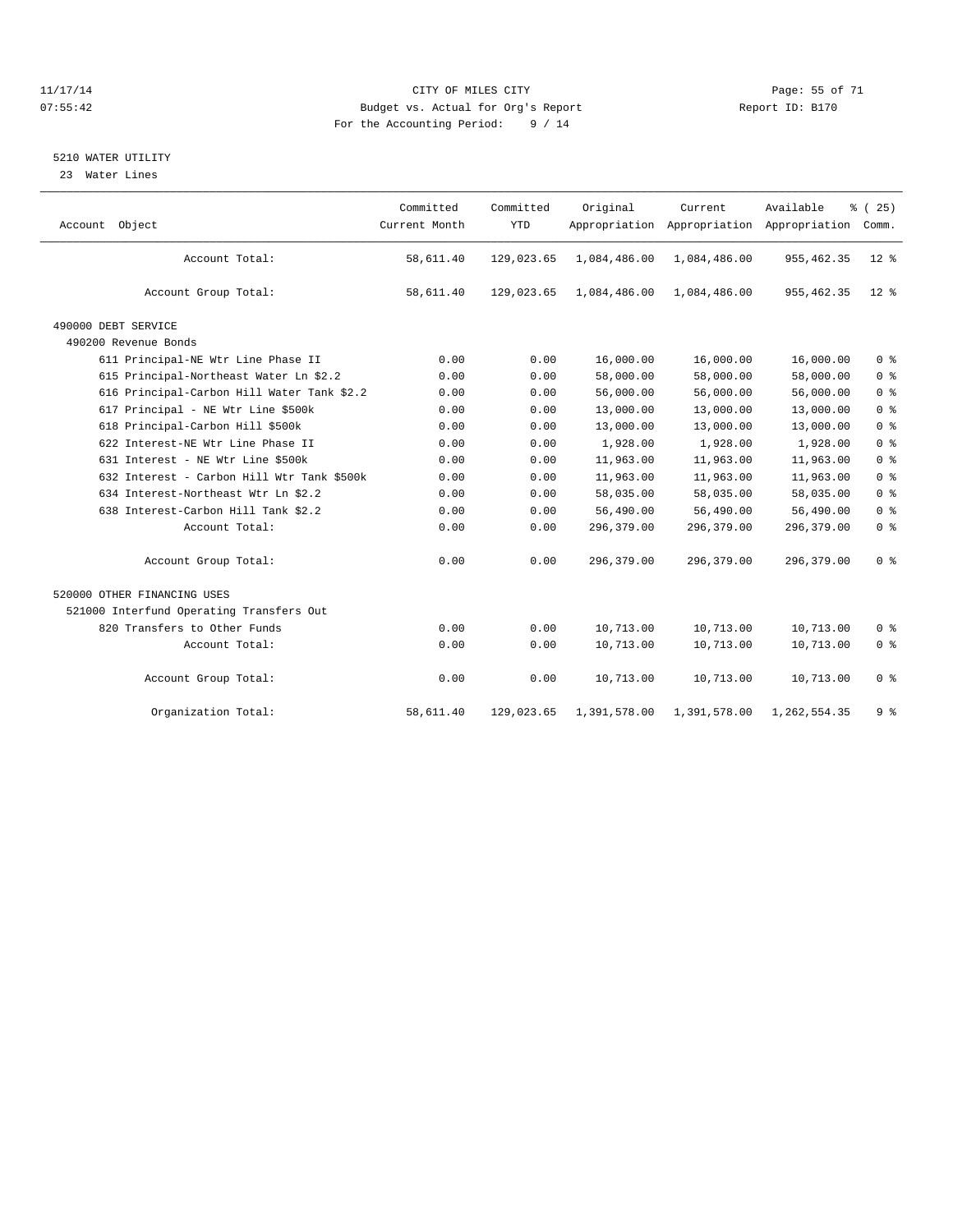#### 11/17/14 Page: 55 of 71 07:55:42 Budget vs. Actual for Org's Report Changer Report ID: B170 For the Accounting Period: 9 / 14

#### 5210 WATER UTILITY

23 Water Lines

| Account Object                             | Committed<br>Current Month | Committed<br><b>YTD</b> | Original     | Current      | Available<br>Appropriation Appropriation Appropriation | % (25)<br>Comm. |
|--------------------------------------------|----------------------------|-------------------------|--------------|--------------|--------------------------------------------------------|-----------------|
| Account Total:                             | 58,611.40                  | 129,023.65              | 1,084,486.00 | 1,084,486.00 | 955, 462.35                                            | $12*$           |
| Account Group Total:                       | 58,611.40                  | 129,023.65              | 1,084,486.00 | 1,084,486.00 | 955, 462.35                                            | $12*$           |
| 490000 DEBT SERVICE                        |                            |                         |              |              |                                                        |                 |
| 490200 Revenue Bonds                       |                            |                         |              |              |                                                        |                 |
| 611 Principal-NE Wtr Line Phase II         | 0.00                       | 0.00                    | 16,000.00    | 16,000.00    | 16,000.00                                              | 0 <sup>8</sup>  |
| 615 Principal-Northeast Water Ln \$2.2     | 0.00                       | 0.00                    | 58,000.00    | 58,000.00    | 58,000.00                                              | 0 <sup>°</sup>  |
| 616 Principal-Carbon Hill Water Tank \$2.2 | 0.00                       | 0.00                    | 56,000.00    | 56,000.00    | 56,000.00                                              | 0 <sup>8</sup>  |
| 617 Principal - NE Wtr Line \$500k         | 0.00                       | 0.00                    | 13,000.00    | 13,000.00    | 13,000.00                                              | 0 <sup>°</sup>  |
| 618 Principal-Carbon Hill \$500k           | 0.00                       | 0.00                    | 13,000.00    | 13,000.00    | 13,000.00                                              | 0 <sup>8</sup>  |
| 622 Interest-NE Wtr Line Phase II          | 0.00                       | 0.00                    | 1,928.00     | 1,928.00     | 1,928.00                                               | 0 <sup>8</sup>  |
| 631 Interest - NE Wtr Line \$500k          | 0.00                       | 0.00                    | 11,963.00    | 11,963.00    | 11,963.00                                              | 0 <sup>8</sup>  |
| 632 Interest - Carbon Hill Wtr Tank \$500k | 0.00                       | 0.00                    | 11,963.00    | 11,963.00    | 11,963.00                                              | 0 <sup>8</sup>  |
| 634 Interest-Northeast Wtr Ln \$2.2        | 0.00                       | 0.00                    | 58,035.00    | 58,035.00    | 58,035.00                                              | 0 <sup>8</sup>  |
| 638 Interest-Carbon Hill Tank \$2.2        | 0.00                       | 0.00                    | 56,490.00    | 56,490.00    | 56,490.00                                              | 0 <sup>8</sup>  |
| Account Total:                             | 0.00                       | 0.00                    | 296,379.00   | 296,379.00   | 296,379.00                                             | 0 <sup>8</sup>  |
| Account Group Total:                       | 0.00                       | 0.00                    | 296,379.00   | 296,379.00   | 296,379.00                                             | 0 <sup>8</sup>  |
| 520000 OTHER FINANCING USES                |                            |                         |              |              |                                                        |                 |
| 521000 Interfund Operating Transfers Out   |                            |                         |              |              |                                                        |                 |
| 820 Transfers to Other Funds               | 0.00                       | 0.00                    | 10,713.00    | 10,713.00    | 10,713.00                                              | 0 <sup>8</sup>  |
| Account Total:                             | 0.00                       | 0.00                    | 10,713.00    | 10,713.00    | 10,713.00                                              | 0 <sup>8</sup>  |
| Account Group Total:                       | 0.00                       | 0.00                    | 10,713.00    | 10,713.00    | 10,713.00                                              | 0 <sup>8</sup>  |
| Organization Total:                        | 58,611.40                  | 129,023.65              | 1,391,578.00 | 1,391,578.00 | 1,262,554.35                                           | 9%              |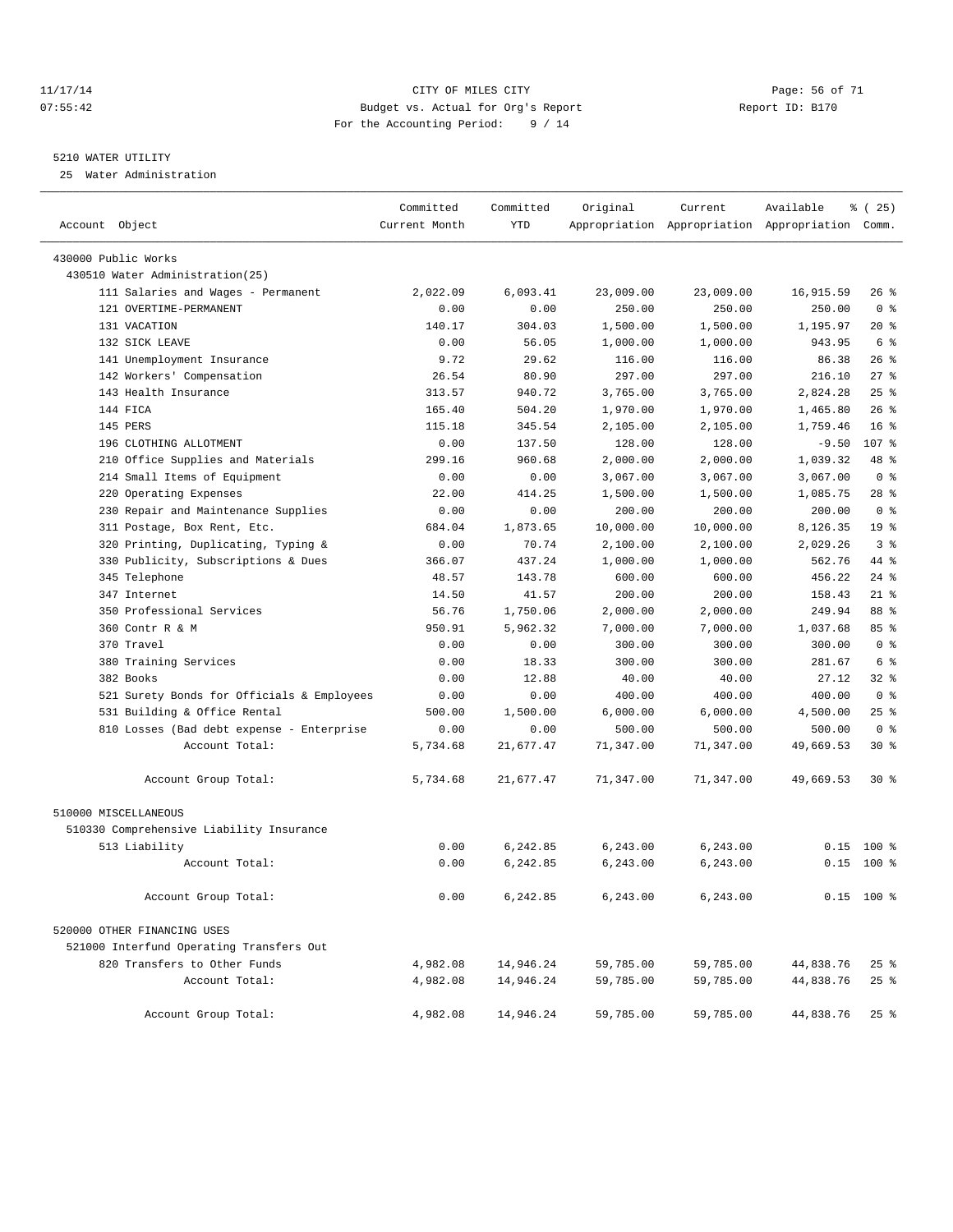#### 11/17/14 Page: 56 of 71 07:55:42 Budget vs. Actual for Org's Report Changer Report ID: B170 For the Accounting Period: 9 / 14

#### 5210 WATER UTILITY

25 Water Administration

| Account Object                             | Committed<br>Current Month | Committed<br><b>YTD</b> | Original  | Current   | Available<br>Appropriation Appropriation Appropriation Comm. | % (25)           |
|--------------------------------------------|----------------------------|-------------------------|-----------|-----------|--------------------------------------------------------------|------------------|
| 430000 Public Works                        |                            |                         |           |           |                                                              |                  |
| 430510 Water Administration(25)            |                            |                         |           |           |                                                              |                  |
| 111 Salaries and Wages - Permanent         | 2,022.09                   | 6,093.41                | 23,009.00 | 23,009.00 | 16,915.59                                                    | $26$ %           |
| 121 OVERTIME-PERMANENT                     | 0.00                       | 0.00                    | 250.00    | 250.00    | 250.00                                                       | 0 <sup>8</sup>   |
| 131 VACATION                               | 140.17                     | 304.03                  | 1,500.00  | 1,500.00  | 1,195.97                                                     | $20*$            |
| 132 STCK LEAVE                             | 0.00                       | 56.05                   | 1,000.00  | 1,000.00  | 943.95                                                       | 6 %              |
| 141 Unemployment Insurance                 | 9.72                       | 29.62                   | 116.00    | 116.00    | 86.38                                                        | 26%              |
| 142 Workers' Compensation                  | 26.54                      | 80.90                   | 297.00    | 297.00    | 216.10                                                       | $27$ %           |
| 143 Health Insurance                       | 313.57                     | 940.72                  | 3,765.00  | 3,765.00  | 2,824.28                                                     | 25%              |
| 144 FICA                                   | 165.40                     | 504.20                  | 1,970.00  | 1,970.00  | 1,465.80                                                     | $26$ %           |
| 145 PERS                                   | 115.18                     | 345.54                  | 2,105.00  | 2,105.00  | 1,759.46                                                     | 16 <sup>8</sup>  |
| 196 CLOTHING ALLOTMENT                     | 0.00                       | 137.50                  | 128.00    | 128.00    | $-9.50$                                                      | 107 <sub>8</sub> |
| 210 Office Supplies and Materials          | 299.16                     | 960.68                  | 2,000.00  | 2,000.00  | 1,039.32                                                     | 48 %             |
| 214 Small Items of Equipment               | 0.00                       | 0.00                    | 3,067.00  | 3,067.00  | 3,067.00                                                     | 0 <sup>8</sup>   |
| Operating Expenses<br>220                  | 22.00                      | 414.25                  | 1,500.00  | 1,500.00  | 1,085.75                                                     | $28$ %           |
| 230 Repair and Maintenance Supplies        | 0.00                       | 0.00                    | 200.00    | 200.00    | 200.00                                                       | 0 <sup>8</sup>   |
| 311 Postage, Box Rent, Etc.                | 684.04                     | 1,873.65                | 10,000.00 | 10,000.00 | 8,126.35                                                     | 19 <sup>°</sup>  |
| 320 Printing, Duplicating, Typing &        | 0.00                       | 70.74                   | 2,100.00  | 2,100.00  | 2,029.26                                                     | 3%               |
| 330 Publicity, Subscriptions & Dues        | 366.07                     | 437.24                  | 1,000.00  | 1,000.00  | 562.76                                                       | 44 %             |
| 345 Telephone                              | 48.57                      | 143.78                  | 600.00    | 600.00    | 456.22                                                       | $24$ %           |
| 347 Internet                               | 14.50                      | 41.57                   | 200.00    | 200.00    | 158.43                                                       | $21$ %           |
| 350 Professional Services                  | 56.76                      | 1,750.06                | 2,000.00  | 2,000.00  | 249.94                                                       | 88 %             |
| 360 Contr R & M                            | 950.91                     | 5.962.32                | 7,000.00  | 7,000.00  | 1,037.68                                                     | 85%              |
| 370 Travel                                 | 0.00                       | 0.00                    | 300.00    | 300.00    | 300.00                                                       | 0 <sup>8</sup>   |
| 380 Training Services                      | 0.00                       | 18.33                   | 300.00    | 300.00    | 281.67                                                       | 6 %              |
| 382 Books                                  | 0.00                       | 12.88                   | 40.00     | 40.00     | 27.12                                                        | $32*$            |
| 521 Surety Bonds for Officials & Employees | 0.00                       | 0.00                    | 400.00    | 400.00    | 400.00                                                       | 0 <sup>8</sup>   |
| 531 Building & Office Rental               | 500.00                     | 1,500.00                | 6,000.00  | 6,000.00  | 4,500.00                                                     | $25$ %           |
| 810 Losses (Bad debt expense - Enterprise  | 0.00                       | 0.00                    | 500.00    | 500.00    | 500.00                                                       | 0 <sup>8</sup>   |
| Account Total:                             | 5,734.68                   | 21,677.47               | 71,347.00 | 71,347.00 | 49,669.53                                                    | $30*$            |
| Account Group Total:                       | 5,734.68                   | 21,677.47               | 71,347.00 | 71,347.00 | 49,669.53                                                    | $30*$            |
| 510000 MISCELLANEOUS                       |                            |                         |           |           |                                                              |                  |
| 510330 Comprehensive Liability Insurance   |                            |                         |           |           |                                                              |                  |
| 513 Liability                              | 0.00                       | 6,242.85                | 6, 243.00 | 6,243.00  | 0.15                                                         | $100*$           |
| Account Total:                             | 0.00                       | 6,242.85                | 6, 243.00 | 6,243.00  | 0.15                                                         | $100*$           |
| Account Group Total:                       | 0.00                       | 6,242.85                | 6,243.00  | 6,243.00  |                                                              | $0.15$ 100 %     |
| 520000 OTHER FINANCING USES                |                            |                         |           |           |                                                              |                  |
| 521000 Interfund Operating Transfers Out   |                            |                         |           |           |                                                              |                  |
| 820 Transfers to Other Funds               | 4,982.08                   | 14,946.24               | 59,785.00 | 59,785.00 | 44,838.76                                                    | $25$ $%$         |
| Account Total:                             | 4,982.08                   | 14,946.24               | 59,785.00 | 59,785.00 | 44,838.76                                                    | $25$ $%$         |
| Account Group Total:                       | 4,982.08                   | 14,946.24               | 59,785.00 | 59,785.00 | 44,838.76                                                    | $25$ %           |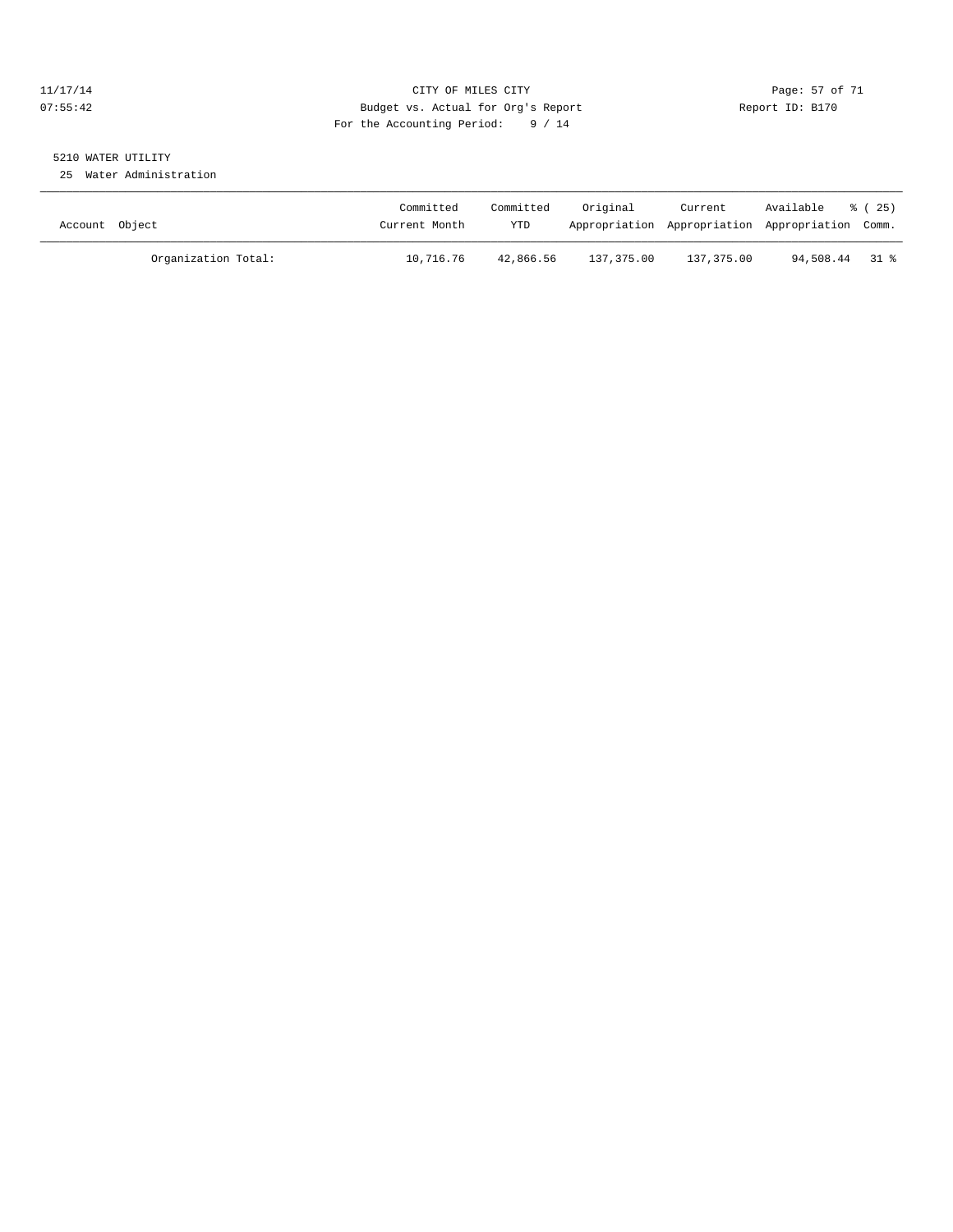#### 11/17/14 Page: 57 of 71 07:55:42 Budget vs. Actual for Org's Report Changer Report ID: B170 For the Accounting Period: 9 / 14

# 5210 WATER UTILITY

25 Water Administration

| Account Object      | Committed<br>Current Month | Committed<br><b>YTD</b> | Original   | Current    | Available<br>Appropriation Appropriation Appropriation Comm. | 8 (25) |
|---------------------|----------------------------|-------------------------|------------|------------|--------------------------------------------------------------|--------|
| Organization Total: | 10,716.76                  | 42,866.56               | 137,375.00 | 137,375.00 | 94,508.44 31 %                                               |        |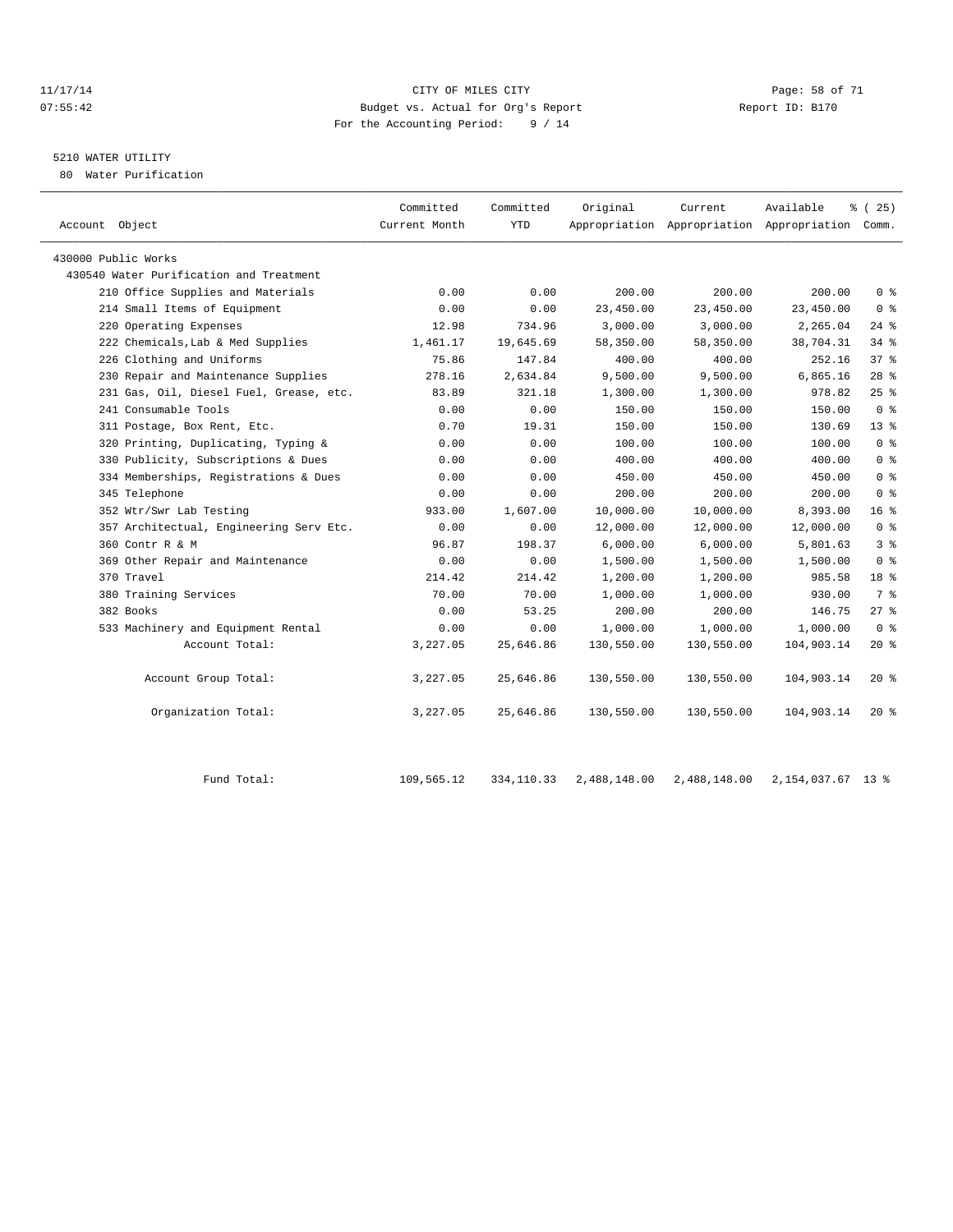#### 11/17/14 Page: 58 of 71 07:55:42 Budget vs. Actual for Org's Report Report ID: B170 For the Accounting Period: 9 / 14

# 5210 WATER UTILITY

80 Water Purification

|            | Appropriation Appropriation Appropriation Comm. |                          |                          |
|------------|-------------------------------------------------|--------------------------|--------------------------|
|            |                                                 |                          |                          |
|            |                                                 |                          |                          |
| 200.00     | 200.00                                          | 200.00                   | 0 <sup>8</sup>           |
| 23,450.00  | 23,450.00<br>23,450.00                          |                          | 0 <sup>8</sup>           |
| 3,000.00   | 3,000.00                                        | 2,265.04                 | $24$ %                   |
| 58,350.00  | 58,350.00<br>38,704.31                          |                          | $34$ $%$                 |
| 400.00     | 400.00                                          | 252.16                   | 37%                      |
| 9,500.00   | 9,500.00<br>6,865.16                            |                          | 28%                      |
| 1,300.00   | 1,300.00                                        | 978.82                   | 25%                      |
| 150.00     | 150.00                                          | 150.00                   | 0 <sup>8</sup>           |
| 150.00     | 150.00                                          | 130.69                   | $13*$                    |
| 100.00     | 100.00                                          | 100.00                   | 0 <sup>8</sup>           |
| 400.00     | 400.00                                          | 400.00                   | 0 <sup>8</sup>           |
| 450.00     | 450.00                                          | 450.00                   | 0 <sup>°</sup>           |
| 200.00     | 200.00                                          | 200.00                   | 0 <sup>8</sup>           |
| 10,000.00  | 10,000.00                                       | 8,393.00                 | 16 <sup>8</sup>          |
| 12,000.00  | 12,000.00<br>12,000.00                          |                          | 0 <sup>8</sup>           |
| 6,000.00   | 6,000.00                                        | 5,801.63                 | 3 <sup>8</sup>           |
| 1,500.00   | 1,500.00<br>1,500.00                            |                          | 0 <sup>8</sup>           |
| 1,200.00   | 1,200.00                                        | 985.58                   | 18 %                     |
| 1,000.00   | 1,000.00                                        | 930.00                   | 7 %                      |
| 200.00     | 200.00                                          | 146.75                   | $27$ %                   |
| 1,000.00   | 1,000.00<br>1,000.00                            |                          | 0 <sup>8</sup>           |
| 130,550.00 | 130,550.00<br>104,903.14                        |                          | $20*$                    |
| 130,550.00 |                                                 |                          | $20*$                    |
| 130,550.00 |                                                 |                          | $20*$                    |
|            |                                                 | 130,550.00<br>130,550.00 | 104,903.14<br>104,903.14 |

Fund Total: 109,565.12 334,110.33 2,488,148.00 2,488,148.00 2,154,037.67 13 %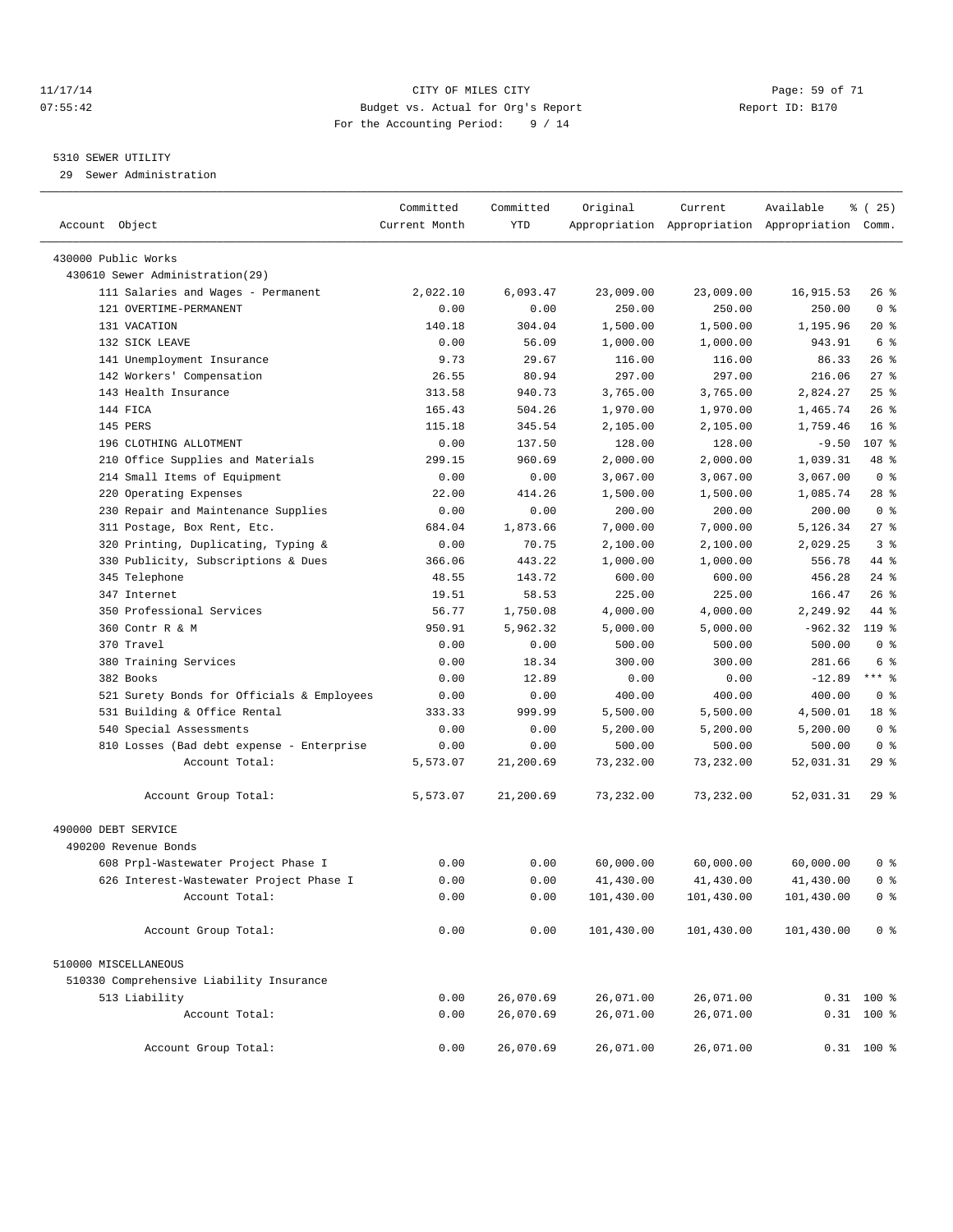#### 11/17/14 Page: 59 of 71 07:55:42 Budget vs. Actual for Org's Report Changer Report ID: B170 For the Accounting Period: 9 / 14

————————————————————————————————————————————————————————————————————————————————————————————————————————————————————————————————————

#### 5310 SEWER UTILITY

29 Sewer Administration

|                                                         | Committed     | Committed        | Original           | Current            | Available                                       | $\frac{1}{6}$ ( 25)      |
|---------------------------------------------------------|---------------|------------------|--------------------|--------------------|-------------------------------------------------|--------------------------|
| Account Object                                          | Current Month | YTD              |                    |                    | Appropriation Appropriation Appropriation Comm. |                          |
|                                                         |               |                  |                    |                    |                                                 |                          |
| 430000 Public Works<br>430610 Sewer Administration(29)  |               |                  |                    |                    |                                                 |                          |
| 111 Salaries and Wages - Permanent                      | 2,022.10      | 6,093.47         |                    | 23,009.00          | 16,915.53                                       | 26%                      |
| 121 OVERTIME-PERMANENT                                  |               |                  | 23,009.00          |                    |                                                 | 0 <sup>8</sup>           |
|                                                         | 0.00          | 0.00             | 250.00             | 250.00             | 250.00                                          |                          |
| 131 VACATION                                            | 140.18        | 304.04           | 1,500.00           | 1,500.00           | 1,195.96                                        | 20 %                     |
| 132 SICK LEAVE                                          | 0.00          | 56.09            | 1,000.00           | 1,000.00           | 943.91                                          | 6 %<br>$26$ %            |
| 141 Unemployment Insurance<br>142 Workers' Compensation | 9.73          | 29.67            | 116.00             | 116.00             | 86.33                                           | $27$ %                   |
| 143 Health Insurance                                    | 26.55         | 80.94            | 297.00<br>3,765.00 | 297.00<br>3,765.00 | 216.06<br>2,824.27                              | $25$ $%$                 |
|                                                         | 313.58        | 940.73           |                    |                    |                                                 |                          |
| 144 FICA                                                | 165.43        | 504.26           | 1,970.00           | 1,970.00           | 1,465.74                                        | $26$ %                   |
| 145 PERS<br>196 CLOTHING ALLOTMENT                      | 115.18        | 345.54           | 2,105.00           | 2,105.00           | 1,759.46                                        | 16 <sup>8</sup><br>107 % |
|                                                         | 0.00          | 137.50           | 128.00             | 128.00             | $-9.50$                                         | 48 %                     |
| 210 Office Supplies and Materials                       | 299.15        | 960.69           | 2,000.00           | 2,000.00           | 1,039.31                                        | 0 <sup>8</sup>           |
| 214 Small Items of Equipment                            | 0.00          | 0.00             | 3,067.00           | 3,067.00           | 3,067.00                                        |                          |
| 220 Operating Expenses                                  | 22.00         | 414.26           | 1,500.00           | 1,500.00           | 1,085.74                                        | 28 %                     |
| 230 Repair and Maintenance Supplies                     | 0.00          | 0.00<br>1,873.66 | 200.00             | 200.00             | 200.00                                          | 0 <sup>8</sup>           |
| 311 Postage, Box Rent, Etc.                             | 684.04        |                  | 7,000.00           | 7,000.00           | 5,126.34                                        | $27$ %                   |
| 320 Printing, Duplicating, Typing &                     | 0.00          | 70.75            | 2,100.00           | 2,100.00           | 2,029.25                                        | 3 <sup>8</sup>           |
| 330 Publicity, Subscriptions & Dues                     | 366.06        | 443.22           | 1,000.00           | 1,000.00           | 556.78                                          | 44 %                     |
| 345 Telephone                                           | 48.55         | 143.72           | 600.00             | 600.00             | 456.28                                          | $24$ %                   |
| 347 Internet<br>350 Professional Services               | 19.51         | 58.53            | 225.00             | 225.00             | 166.47                                          | 26%                      |
| 360 Contr R & M                                         | 56.77         | 1,750.08         | 4,000.00           | 4,000.00           | 2,249.92                                        | 44 %<br>119 %            |
| 370 Travel                                              | 950.91        | 5,962.32         | 5,000.00           | 5,000.00           | $-962.32$                                       |                          |
|                                                         | 0.00          | 0.00             | 500.00             | 500.00             | 500.00                                          | 0 <sup>8</sup>           |
| 380 Training Services                                   | 0.00          | 18.34            | 300.00             | 300.00             | 281.66                                          | 6 %<br>$***$ $-$         |
| 382 Books                                               | 0.00          | 12.89            | 0.00               | 0.00               | $-12.89$                                        | 0 <sup>8</sup>           |
| 521 Surety Bonds for Officials & Employees              | 0.00          | 0.00             | 400.00             | 400.00             | 400.00                                          | 18 <sup>8</sup>          |
| 531 Building & Office Rental                            | 333.33        | 999.99           | 5,500.00           | 5,500.00           | 4,500.01                                        |                          |
| 540 Special Assessments                                 | 0.00          | 0.00             | 5,200.00           | 5,200.00           | 5,200.00                                        | 0 <sup>8</sup>           |
| 810 Losses (Bad debt expense - Enterprise               | 0.00          | 0.00             | 500.00             | 500.00             | 500.00                                          | 0 <sup>8</sup>           |
| Account Total:                                          | 5,573.07      | 21,200.69        | 73,232.00          | 73,232.00          | 52,031.31                                       | 29%                      |
| Account Group Total:                                    | 5,573.07      | 21,200.69        | 73,232.00          | 73,232.00          | 52,031.31                                       | $29$ $%$                 |
| 490000 DEBT SERVICE                                     |               |                  |                    |                    |                                                 |                          |
| 490200 Revenue Bonds                                    |               |                  |                    |                    |                                                 |                          |
| 608 Prpl-Wastewater Project Phase I                     | 0.00          | 0.00             | 60,000.00          | 60,000.00          | 60,000.00                                       | 0 %                      |
| 626 Interest-Wastewater Project Phase I                 | 0.00          | 0.00             | 41,430.00          | 41,430.00          | 41,430.00                                       | 0 <sup>8</sup>           |
| Account Total:                                          | 0.00          | 0.00             | 101,430.00         | 101,430.00         | 101,430.00                                      | 0 <sup>8</sup>           |
| Account Group Total:                                    | 0.00          | 0.00             | 101,430.00         | 101,430.00         | 101,430.00                                      | 0 <sup>8</sup>           |
|                                                         |               |                  |                    |                    |                                                 |                          |
| 510000 MISCELLANEOUS                                    |               |                  |                    |                    |                                                 |                          |
| 510330 Comprehensive Liability Insurance                |               |                  |                    |                    |                                                 |                          |
| 513 Liability                                           | 0.00          | 26,070.69        | 26,071.00          | 26,071.00          |                                                 | $0.31$ 100 %             |
| Account Total:                                          | 0.00          | 26,070.69        | 26,071.00          | 26,071.00          |                                                 | $0.31$ 100 %             |
| Account Group Total:                                    | 0.00          | 26,070.69        | 26,071.00          | 26,071.00          |                                                 | $0.31$ 100 %             |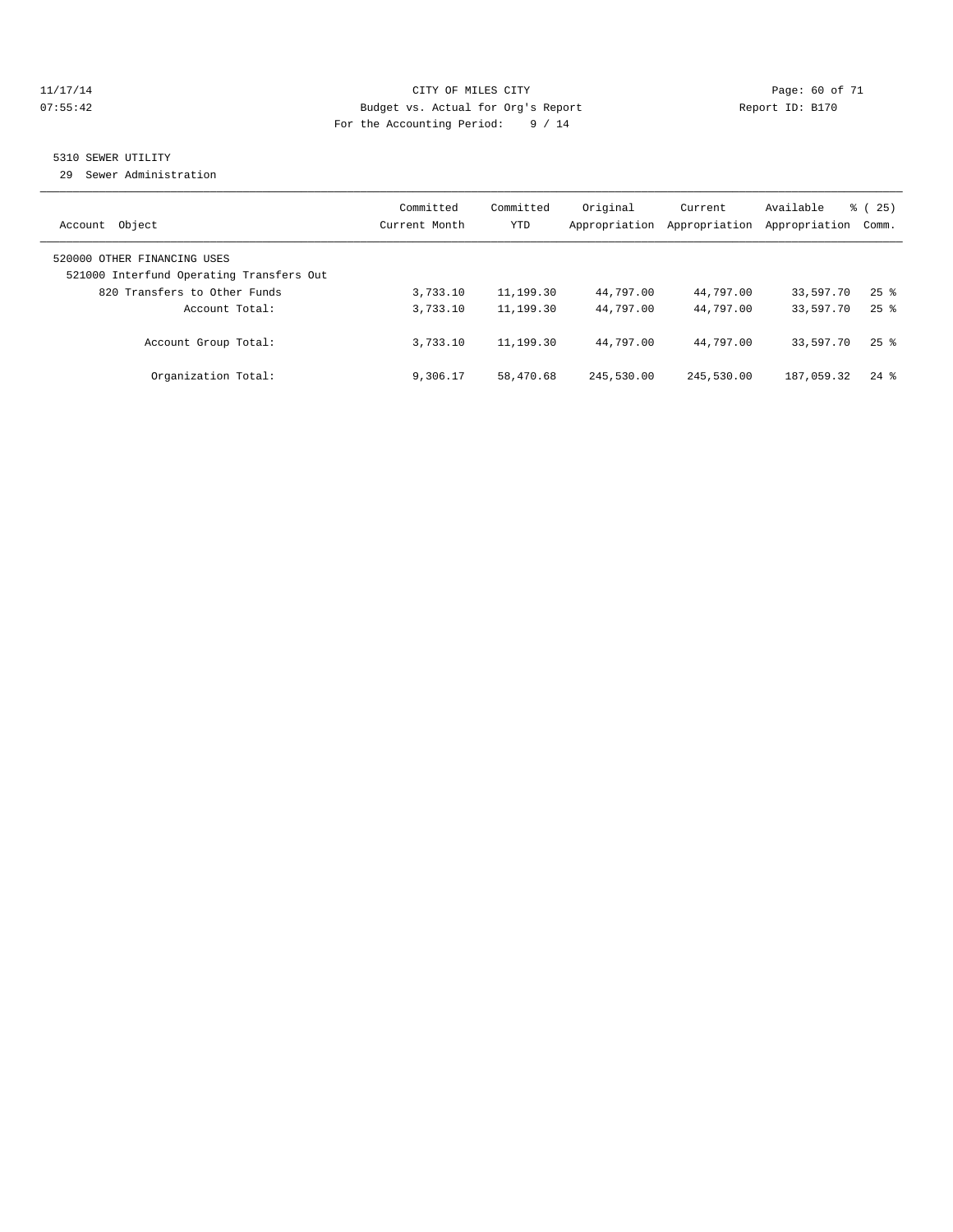#### 11/17/14 Page: 60 of 71 07:55:42 Budget vs. Actual for Org's Report Changer Report ID: B170 For the Accounting Period: 9 / 14

# 5310 SEWER UTILITY

29 Sewer Administration

| Object<br>Account                                                                                       | Committed<br>Current Month | Committed<br><b>YTD</b> | Original<br>Appropriation | Current<br>Appropriation | Available<br>Appropriation | $\frac{3}{6}$ ( 25 )<br>Comm. |
|---------------------------------------------------------------------------------------------------------|----------------------------|-------------------------|---------------------------|--------------------------|----------------------------|-------------------------------|
| 520000 OTHER FINANCING USES<br>521000 Interfund Operating Transfers Out<br>820 Transfers to Other Funds | 3,733.10                   | 11,199.30               | 44,797.00                 | 44,797.00                | 33,597.70                  | $25$ $\frac{6}{5}$            |
| Account Total:                                                                                          | 3,733.10                   | 11,199.30               | 44,797.00                 | 44,797.00                | 33,597.70                  | $25$ $\frac{6}{5}$            |
| Account Group Total:                                                                                    | 3,733.10                   | 11,199.30               | 44,797.00                 | 44,797.00                | 33,597.70                  | $25$ $\frac{6}{5}$            |
| Organization Total:                                                                                     | 9,306.17                   | 58,470.68               | 245,530.00                | 245,530.00               | 187,059.32                 | $24$ $%$                      |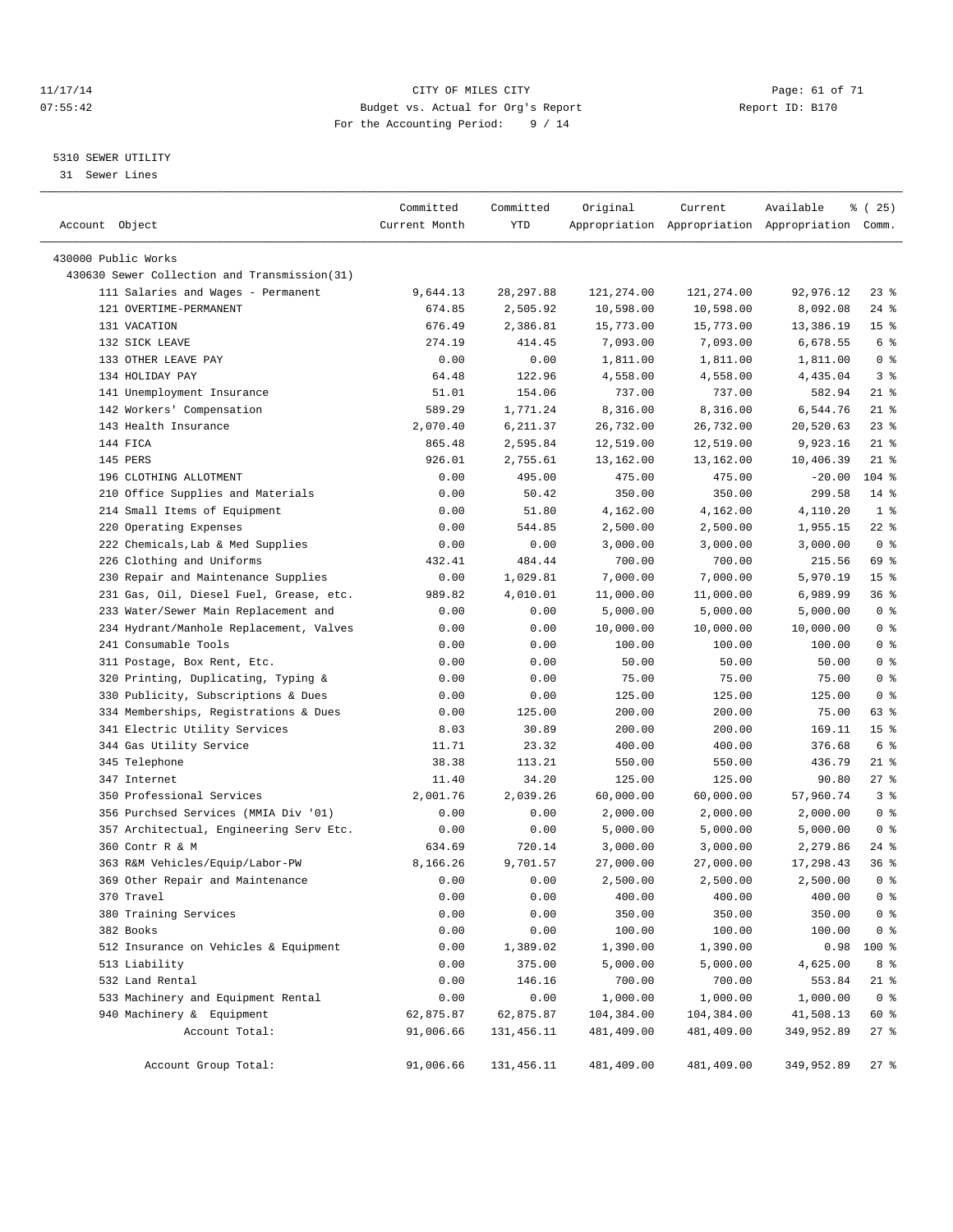#### 11/17/14 Page: 61 of 71 07:55:42 Budget vs. Actual for Org's Report Changer Report ID: B170 For the Accounting Period: 9 / 14

————————————————————————————————————————————————————————————————————————————————————————————————————————————————————————————————————

#### 5310 SEWER UTILITY

31 Sewer Lines

| Account Object                               | Committed<br>Current Month | Committed<br>YTD | Original   | Current    | Available<br>Appropriation Appropriation Appropriation Comm. | 8 (25)          |
|----------------------------------------------|----------------------------|------------------|------------|------------|--------------------------------------------------------------|-----------------|
| 430000 Public Works                          |                            |                  |            |            |                                                              |                 |
| 430630 Sewer Collection and Transmission(31) |                            |                  |            |            |                                                              |                 |
| 111 Salaries and Wages - Permanent           | 9,644.13                   | 28, 297.88       | 121,274.00 | 121,274.00 | 92,976.12                                                    | $23$ $%$        |
| 121 OVERTIME-PERMANENT                       | 674.85                     | 2,505.92         | 10,598.00  | 10,598.00  | 8,092.08                                                     | 24 %            |
| 131 VACATION                                 | 676.49                     | 2,386.81         | 15,773.00  | 15,773.00  | 13,386.19                                                    | 15 <sup>°</sup> |
| 132 SICK LEAVE                               | 274.19                     | 414.45           | 7,093.00   | 7,093.00   | 6,678.55                                                     | 6 <sup>°</sup>  |
| 133 OTHER LEAVE PAY                          | 0.00                       | 0.00             | 1,811.00   | 1,811.00   | 1,811.00                                                     | 0 <sup>8</sup>  |
| 134 HOLIDAY PAY                              | 64.48                      | 122.96           | 4,558.00   | 4,558.00   | 4,435.04                                                     | 3 <sup>8</sup>  |
| 141 Unemployment Insurance                   | 51.01                      | 154.06           | 737.00     | 737.00     | 582.94                                                       | 21 %            |
| 142 Workers' Compensation                    | 589.29                     | 1,771.24         | 8,316.00   | 8,316.00   | 6,544.76                                                     | $21$ %          |
| 143 Health Insurance                         | 2,070.40                   | 6,211.37         | 26,732.00  | 26,732.00  | 20,520.63                                                    | $23$ $%$        |
| 144 FICA                                     | 865.48                     | 2,595.84         | 12,519.00  | 12,519.00  | 9,923.16                                                     | $21$ %          |
| 145 PERS                                     | 926.01                     | 2,755.61         | 13,162.00  | 13,162.00  | 10,406.39                                                    | $21$ %          |
| 196 CLOTHING ALLOTMENT                       | 0.00                       | 495.00           | 475.00     | 475.00     | $-20.00$                                                     | $104$ %         |
| 210 Office Supplies and Materials            | 0.00                       | 50.42            | 350.00     | 350.00     | 299.58                                                       | $14*$           |
| 214 Small Items of Equipment                 | 0.00                       | 51.80            | 4,162.00   | 4,162.00   | 4,110.20                                                     | 1 <sup>8</sup>  |
| 220 Operating Expenses                       | 0.00                       | 544.85           | 2,500.00   | 2,500.00   | 1,955.15                                                     | $22$ %          |
| 222 Chemicals, Lab & Med Supplies            | 0.00                       | 0.00             | 3,000.00   | 3,000.00   | 3,000.00                                                     | 0 <sup>8</sup>  |
| 226 Clothing and Uniforms                    | 432.41                     | 484.44           | 700.00     | 700.00     | 215.56                                                       | 69 %            |
| 230 Repair and Maintenance Supplies          | 0.00                       | 1,029.81         | 7,000.00   | 7,000.00   | 5,970.19                                                     | 15 <sup>8</sup> |
| 231 Gas, Oil, Diesel Fuel, Grease, etc.      | 989.82                     | 4,010.01         | 11,000.00  | 11,000.00  | 6,989.99                                                     | 36 %            |
| 233 Water/Sewer Main Replacement and         | 0.00                       | 0.00             | 5,000.00   | 5,000.00   | 5,000.00                                                     | 0 <sup>8</sup>  |
| 234 Hydrant/Manhole Replacement, Valves      | 0.00                       | 0.00             | 10,000.00  | 10,000.00  | 10,000.00                                                    | 0 <sup>8</sup>  |
| 241 Consumable Tools                         | 0.00                       | 0.00             | 100.00     | 100.00     | 100.00                                                       | 0 <sup>8</sup>  |
| 311 Postage, Box Rent, Etc.                  | 0.00                       | 0.00             | 50.00      | 50.00      | 50.00                                                        | 0 <sup>8</sup>  |
| 320 Printing, Duplicating, Typing &          | 0.00                       | 0.00             | 75.00      | 75.00      | 75.00                                                        | 0 <sup>8</sup>  |
| 330 Publicity, Subscriptions & Dues          | 0.00                       | 0.00             | 125.00     | 125.00     | 125.00                                                       | 0 <sup>8</sup>  |
| 334 Memberships, Registrations & Dues        | 0.00                       | 125.00           | 200.00     | 200.00     | 75.00                                                        | 63 %            |
| 341 Electric Utility Services                | 8.03                       | 30.89            | 200.00     | 200.00     | 169.11                                                       | 15 <sup>8</sup> |
| 344 Gas Utility Service                      | 11.71                      | 23.32            | 400.00     | 400.00     | 376.68                                                       | 6 %             |
| 345 Telephone                                | 38.38                      | 113.21           | 550.00     | 550.00     | 436.79                                                       | $21$ %          |
| 347 Internet                                 | 11.40                      | 34.20            | 125.00     | 125.00     | 90.80                                                        | $27$ %          |
| 350 Professional Services                    | 2,001.76                   | 2,039.26         | 60,000.00  | 60,000.00  | 57,960.74                                                    | 3%              |
| 356 Purchsed Services (MMIA Div '01)         | 0.00                       | 0.00             | 2,000.00   | 2,000.00   | 2,000.00                                                     | 0 <sup>8</sup>  |
| 357 Architectual, Engineering Serv Etc.      | 0.00                       | 0.00             | 5,000.00   | 5,000.00   | 5,000.00                                                     | 0 <sup>8</sup>  |
| 360 Contr R & M                              | 634.69                     | 720.14           | 3,000.00   | 3,000.00   | 2,279.86                                                     | 24 %            |
| 363 R&M Vehicles/Equip/Labor-PW              | 8,166.26                   | 9,701.57         | 27,000.00  | 27,000.00  | 17,298.43                                                    | 36%             |
| 369 Other Repair and Maintenance             | 0.00                       | 0.00             | 2,500.00   | 2,500.00   | 2,500.00                                                     | 0 <sup>8</sup>  |
| 370 Travel                                   | 0.00                       | 0.00             | 400.00     | 400.00     | 400.00                                                       | $0$ %           |
| 380 Training Services                        | 0.00                       | 0.00             | 350.00     | 350.00     | 350.00                                                       | 0 <sup>8</sup>  |
| 382 Books                                    | 0.00                       | 0.00             | 100.00     | 100.00     | 100.00                                                       | $0$ %           |
| 512 Insurance on Vehicles & Equipment        | 0.00                       | 1,389.02         | 1,390.00   | 1,390.00   | 0.98                                                         | 100 %           |
| 513 Liability                                | 0.00                       | 375.00           | 5,000.00   | 5,000.00   | 4,625.00                                                     | 8 %             |
| 532 Land Rental                              | 0.00                       | 146.16           | 700.00     | 700.00     | 553.84                                                       | $21$ %          |
| 533 Machinery and Equipment Rental           | 0.00                       | 0.00             | 1,000.00   | 1,000.00   | 1,000.00                                                     | 0 <sup>8</sup>  |
| 940 Machinery & Equipment                    | 62,875.87                  | 62,875.87        | 104,384.00 | 104,384.00 | 41,508.13                                                    | 60 %            |
| Account Total:                               | 91,006.66                  | 131, 456.11      | 481,409.00 | 481,409.00 | 349,952.89                                                   | $27$ %          |
| Account Group Total:                         | 91,006.66                  | 131,456.11       | 481,409.00 | 481,409.00 | 349,952.89                                                   | $27$ %          |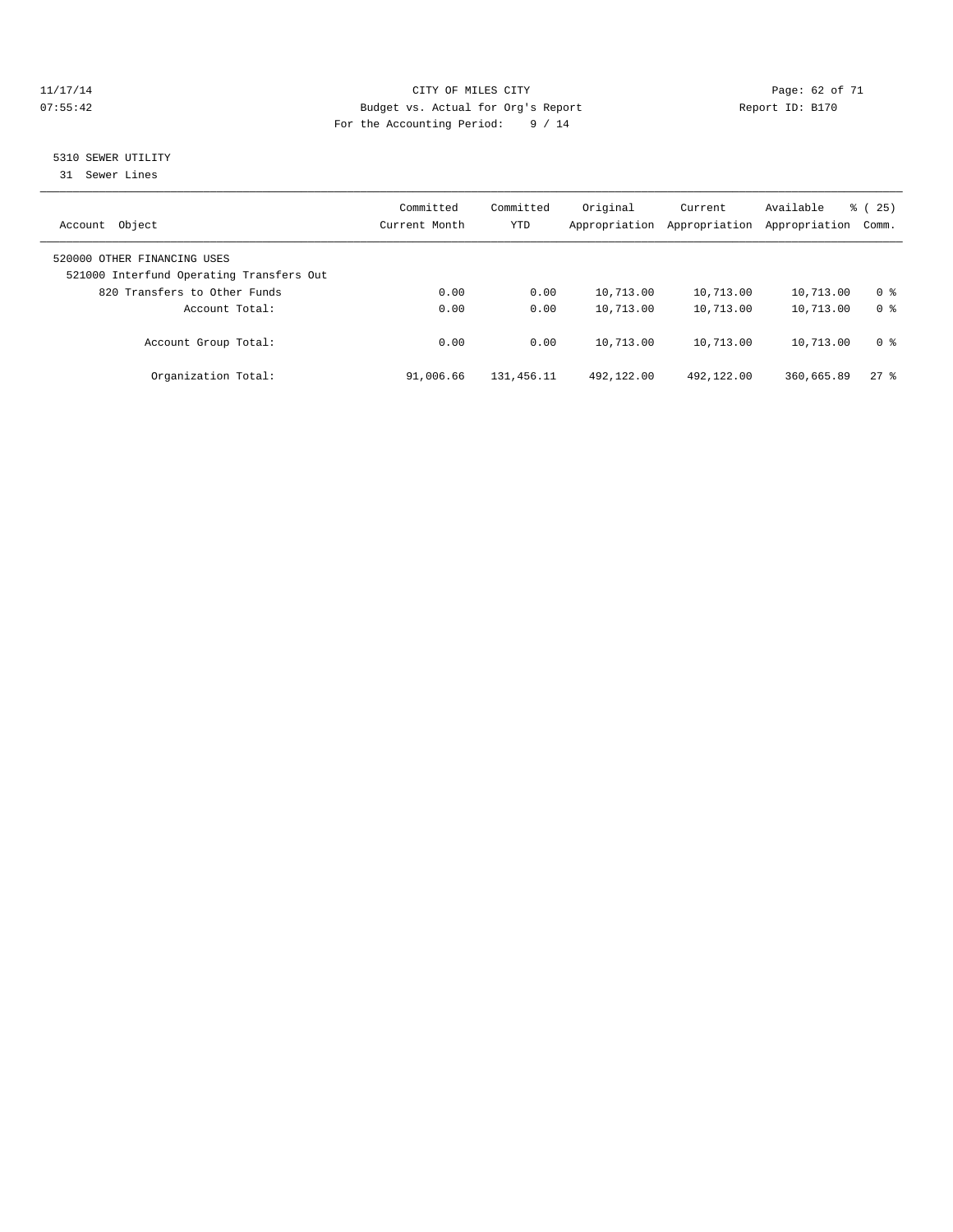#### 11/17/14 Page: 62 of 71 07:55:42 Budget vs. Actual for Org's Report Changer Report ID: B170 For the Accounting Period: 9 / 14

### 5310 SEWER UTILITY

31 Sewer Lines

| Object<br>Account                                                       | Committed<br>Current Month | Committed<br><b>YTD</b> | Original<br>Appropriation | Current<br>Appropriation | Available<br>Appropriation | $\frac{3}{6}$ ( 25 )<br>Comm.    |
|-------------------------------------------------------------------------|----------------------------|-------------------------|---------------------------|--------------------------|----------------------------|----------------------------------|
| 520000 OTHER FINANCING USES<br>521000 Interfund Operating Transfers Out |                            |                         |                           |                          |                            |                                  |
| 820 Transfers to Other Funds<br>Account Total:                          | 0.00<br>0.00               | 0.00<br>0.00            | 10,713.00<br>10,713.00    | 10,713.00<br>10,713.00   | 10,713.00<br>10,713.00     | 0 <sup>8</sup><br>0 <sup>8</sup> |
| Account Group Total:                                                    | 0.00                       | 0.00                    | 10,713.00                 | 10,713.00                | 10,713.00                  | 0 <sup>8</sup>                   |
| Organization Total:                                                     | 91,006.66                  | 131, 456.11             | 492,122.00                | 492,122.00               | 360,665.89                 | $27$ %                           |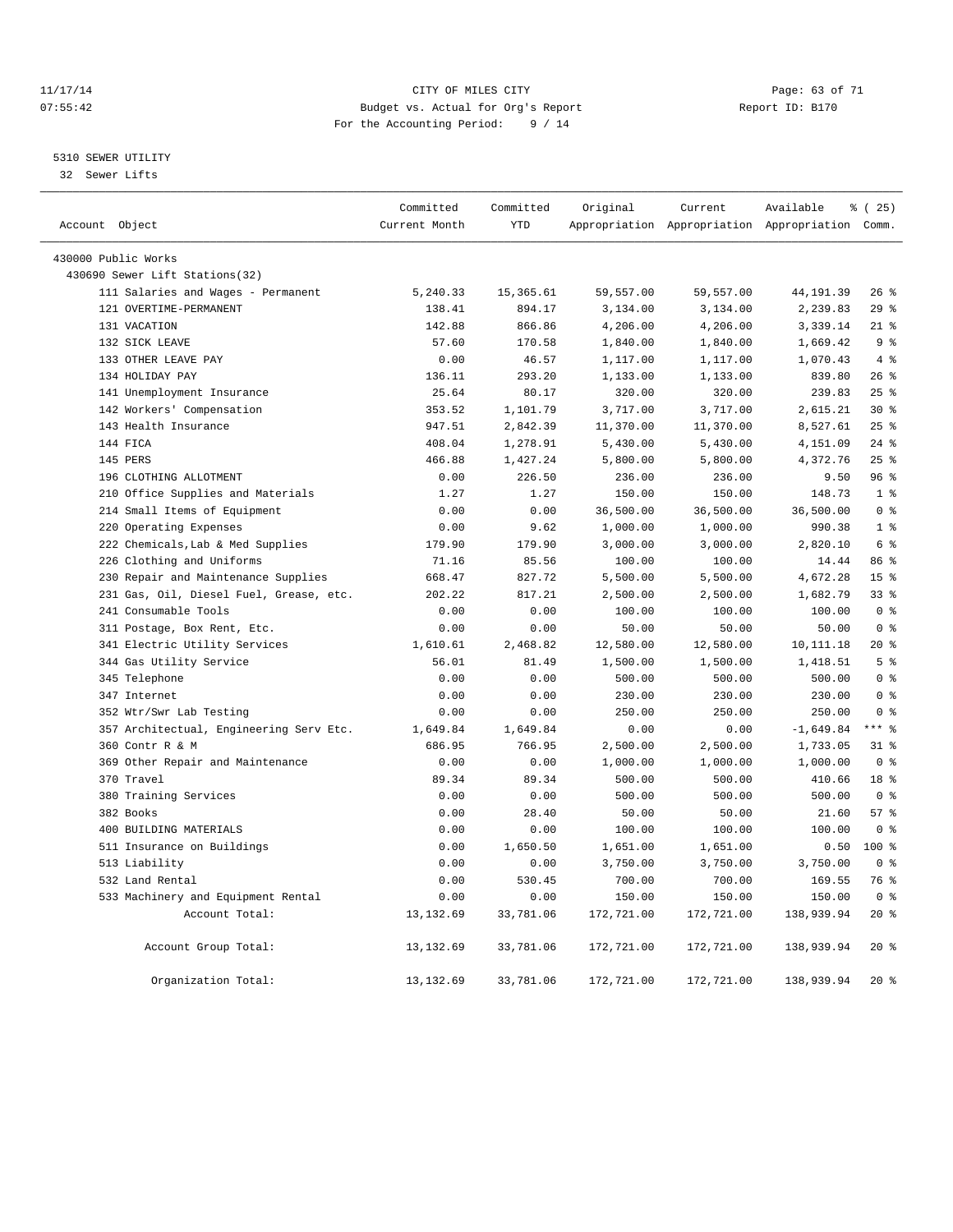#### 11/17/14 Page: 63 of 71 07:55:42 Budget vs. Actual for Org's Report Changer Report ID: B170 For the Accounting Period: 9 / 14

#### 5310 SEWER UTILITY

32 Sewer Lifts

|                                         | Committed     | Committed  | Original   | Current    | Available                                       | % (25)          |
|-----------------------------------------|---------------|------------|------------|------------|-------------------------------------------------|-----------------|
| Account Object                          | Current Month | <b>YTD</b> |            |            | Appropriation Appropriation Appropriation Comm. |                 |
| 430000 Public Works                     |               |            |            |            |                                                 |                 |
| 430690 Sewer Lift Stations(32)          |               |            |            |            |                                                 |                 |
| 111 Salaries and Wages - Permanent      | 5,240.33      | 15,365.61  | 59,557.00  | 59,557.00  | 44, 191.39                                      | $26$ %          |
| 121 OVERTIME-PERMANENT                  | 138.41        | 894.17     | 3,134.00   | 3,134.00   | 2,239.83                                        | 29%             |
| 131 VACATION                            | 142.88        | 866.86     | 4,206.00   | 4,206.00   | 3,339.14                                        | $21$ %          |
| 132 SICK LEAVE                          | 57.60         | 170.58     | 1,840.00   | 1,840.00   | 1,669.42                                        | 9 <sup>°</sup>  |
| 133 OTHER LEAVE PAY                     | 0.00          | 46.57      | 1,117.00   | 1,117.00   | 1,070.43                                        | 4%              |
| 134 HOLIDAY PAY                         | 136.11        | 293.20     | 1,133.00   | 1,133.00   | 839.80                                          | 26%             |
| 141 Unemployment Insurance              | 25.64         | 80.17      | 320.00     | 320.00     | 239.83                                          | 25%             |
| 142 Workers' Compensation               | 353.52        | 1,101.79   | 3,717.00   | 3,717.00   | 2,615.21                                        | $30*$           |
| 143 Health Insurance                    | 947.51        | 2,842.39   | 11,370.00  | 11,370.00  | 8,527.61                                        | 25%             |
| 144 FICA                                | 408.04        | 1,278.91   | 5,430.00   | 5,430.00   | 4,151.09                                        | $24$ %          |
| 145 PERS                                | 466.88        | 1,427.24   | 5,800.00   | 5,800.00   | 4,372.76                                        | 25%             |
| 196 CLOTHING ALLOTMENT                  | 0.00          | 226.50     | 236.00     | 236.00     | 9.50                                            | 96%             |
| 210 Office Supplies and Materials       | 1.27          | 1.27       | 150.00     | 150.00     | 148.73                                          | 1 <sup>8</sup>  |
| 214 Small Items of Equipment            | 0.00          | 0.00       | 36,500.00  | 36,500.00  | 36,500.00                                       | 0 <sup>8</sup>  |
| 220 Operating Expenses                  | 0.00          | 9.62       | 1,000.00   | 1,000.00   | 990.38                                          | 1 <sup>8</sup>  |
| 222 Chemicals, Lab & Med Supplies       | 179.90        | 179.90     | 3,000.00   | 3,000.00   | 2,820.10                                        | 6 <sup>8</sup>  |
| 226 Clothing and Uniforms               | 71.16         | 85.56      | 100.00     | 100.00     | 14.44                                           | 86 %            |
| 230 Repair and Maintenance Supplies     | 668.47        | 827.72     | 5,500.00   | 5,500.00   | 4,672.28                                        | 15 <sup>8</sup> |
| 231 Gas, Oil, Diesel Fuel, Grease, etc. | 202.22        | 817.21     | 2,500.00   | 2,500.00   | 1,682.79                                        | 33 <sup>8</sup> |
| 241 Consumable Tools                    | 0.00          | 0.00       | 100.00     | 100.00     | 100.00                                          | 0 <sup>8</sup>  |
| 311 Postage, Box Rent, Etc.             | 0.00          | 0.00       | 50.00      | 50.00      | 50.00                                           | 0 <sup>8</sup>  |
| 341 Electric Utility Services           | 1,610.61      | 2,468.82   | 12,580.00  | 12,580.00  | 10, 111.18                                      | 20%             |
| 344 Gas Utility Service                 | 56.01         | 81.49      | 1,500.00   | 1,500.00   | 1,418.51                                        | 5 <sup>8</sup>  |
| 345 Telephone                           | 0.00          | 0.00       | 500.00     | 500.00     | 500.00                                          | 0 <sup>8</sup>  |
| 347 Internet                            | 0.00          | 0.00       | 230.00     | 230.00     | 230.00                                          | 0 <sup>8</sup>  |
| 352 Wtr/Swr Lab Testing                 | 0.00          | 0.00       | 250.00     | 250.00     | 250.00                                          | 0 <sup>8</sup>  |
| 357 Architectual, Engineering Serv Etc. | 1,649.84      | 1,649.84   | 0.00       | 0.00       | $-1,649.84$                                     | $***$ $%$       |
| 360 Contr R & M                         | 686.95        | 766.95     | 2,500.00   | 2,500.00   | 1,733.05                                        | 31.8            |
| 369 Other Repair and Maintenance        | 0.00          | 0.00       | 1,000.00   | 1,000.00   | 1,000.00                                        | 0 <sup>8</sup>  |
| 370 Travel                              | 89.34         | 89.34      | 500.00     | 500.00     | 410.66                                          | 18 <sup>°</sup> |
| 380 Training Services                   | 0.00          | 0.00       | 500.00     | 500.00     | 500.00                                          | 0 <sup>8</sup>  |
| 382 Books                               | 0.00          | 28.40      | 50.00      | 50.00      | 21.60                                           | 57%             |
| 400 BUILDING MATERIALS                  | 0.00          | 0.00       | 100.00     | 100.00     | 100.00                                          | 0 <sup>8</sup>  |
| 511 Insurance on Buildings              | 0.00          | 1,650.50   | 1,651.00   | 1,651.00   | 0.50                                            | $100*$          |
| 513 Liability                           | 0.00          | 0.00       | 3,750.00   | 3,750.00   | 3,750.00                                        | 0 <sup>8</sup>  |
| 532 Land Rental                         | 0.00          | 530.45     | 700.00     | 700.00     | 169.55                                          | 76 %            |
| 533 Machinery and Equipment Rental      | 0.00          | 0.00       | 150.00     | 150.00     | 150.00                                          | 0 <sup>°</sup>  |
| Account Total:                          | 13, 132.69    | 33,781.06  | 172,721.00 | 172,721.00 | 138,939.94                                      | $20*$           |
| Account Group Total:                    | 13,132.69     | 33,781.06  | 172,721.00 | 172,721.00 | 138,939.94                                      | $20*$           |
| Organization Total:                     | 13, 132.69    | 33,781.06  | 172,721.00 | 172,721.00 | 138,939.94                                      | $20*$           |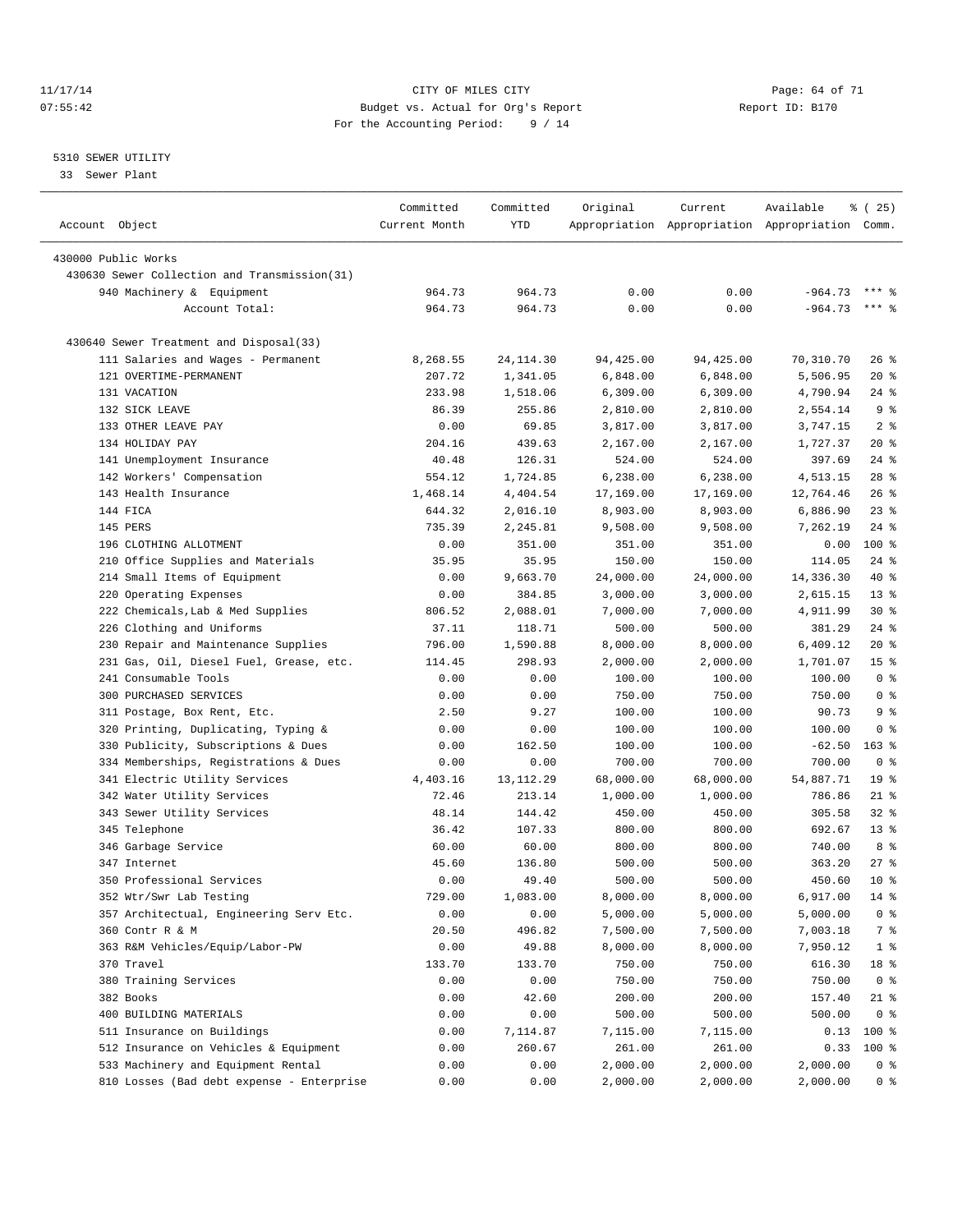#### 11/17/14 Page: 64 of 71 07:55:42 Budget vs. Actual for Org's Report Changer Report ID: B170 For the Accounting Period: 9 / 14

————————————————————————————————————————————————————————————————————————————————————————————————————————————————————————————————————

#### 5310 SEWER UTILITY

33 Sewer Plant

|                |                                              | Committed      | Committed      | Original         | Current                                         | Available | % (25)                 |
|----------------|----------------------------------------------|----------------|----------------|------------------|-------------------------------------------------|-----------|------------------------|
| Account Object |                                              | Current Month  | YTD            |                  | Appropriation Appropriation Appropriation Comm. |           |                        |
|                | 430000 Public Works                          |                |                |                  |                                                 |           |                        |
|                | 430630 Sewer Collection and Transmission(31) |                |                |                  |                                                 |           |                        |
|                | 940 Machinery & Equipment                    | 964.73         | 964.73         | 0.00             | 0.00                                            | $-964.73$ | $***$ $%$              |
|                | Account Total:                               | 964.73         | 964.73         | 0.00             | 0.00                                            | $-964.73$ | $***$ $%$              |
|                |                                              |                |                |                  |                                                 |           |                        |
|                | 430640 Sewer Treatment and Disposal(33)      |                |                |                  |                                                 |           |                        |
|                | 111 Salaries and Wages - Permanent           | 8,268.55       | 24,114.30      | 94,425.00        | 94,425.00                                       | 70,310.70 | $26$ %                 |
|                | 121 OVERTIME-PERMANENT                       | 207.72         | 1,341.05       | 6,848.00         | 6,848.00                                        | 5,506.95  | $20*$                  |
|                | 131 VACATION                                 | 233.98         | 1,518.06       | 6,309.00         | 6,309.00                                        | 4,790.94  | 24 %                   |
|                | 132 SICK LEAVE                               | 86.39          | 255.86         | 2,810.00         | 2,810.00                                        | 2,554.14  | 9 <sup>8</sup>         |
|                | 133 OTHER LEAVE PAY                          | 0.00           | 69.85          | 3,817.00         | 3,817.00                                        | 3,747.15  | 2 <sup>8</sup>         |
|                | 134 HOLIDAY PAY                              | 204.16         | 439.63         | 2,167.00         | 2,167.00                                        | 1,727.37  | $20*$                  |
|                | 141 Unemployment Insurance                   | 40.48          | 126.31         | 524.00           | 524.00                                          | 397.69    | 24 %                   |
|                | 142 Workers' Compensation                    | 554.12         | 1,724.85       | 6,238.00         | 6,238.00                                        | 4,513.15  | $28$ %                 |
|                | 143 Health Insurance                         | 1,468.14       | 4,404.54       | 17,169.00        | 17,169.00                                       | 12,764.46 | $26$ %                 |
|                | 144 FICA                                     | 644.32         | 2,016.10       | 8,903.00         | 8,903.00                                        | 6,886.90  | $23$ $%$               |
|                | 145 PERS                                     | 735.39         | 2,245.81       | 9,508.00         | 9,508.00                                        | 7,262.19  | $24$ %                 |
|                | 196 CLOTHING ALLOTMENT                       | 0.00           | 351.00         | 351.00           | 351.00                                          | 0.00      | 100 %                  |
|                | 210 Office Supplies and Materials            | 35.95          | 35.95          | 150.00           | 150.00                                          | 114.05    | $24$ %                 |
|                | 214 Small Items of Equipment                 | 0.00           | 9,663.70       | 24,000.00        | 24,000.00                                       | 14,336.30 | 40 %                   |
|                | 220 Operating Expenses                       | 0.00           | 384.85         | 3,000.00         | 3,000.00                                        | 2,615.15  | $13*$                  |
|                | 222 Chemicals, Lab & Med Supplies            | 806.52         | 2,088.01       | 7,000.00         | 7,000.00                                        | 4,911.99  | $30*$                  |
|                | 226 Clothing and Uniforms                    | 37.11          | 118.71         | 500.00           | 500.00                                          | 381.29    | $24$ %                 |
|                | 230 Repair and Maintenance Supplies          | 796.00         | 1,590.88       | 8,000.00         | 8,000.00                                        | 6,409.12  | $20*$                  |
|                | 231 Gas, Oil, Diesel Fuel, Grease, etc.      | 114.45         | 298.93         | 2,000.00         | 2,000.00                                        | 1,701.07  | 15 <sup>°</sup>        |
|                | 241 Consumable Tools                         | 0.00           | 0.00           | 100.00           | 100.00                                          | 100.00    | 0 <sup>8</sup>         |
|                | 300 PURCHASED SERVICES                       | 0.00           | 0.00           | 750.00           | 750.00                                          | 750.00    | 0 <sup>8</sup>         |
|                | 311 Postage, Box Rent, Etc.                  | 2.50           | 9.27           | 100.00           | 100.00                                          | 90.73     | 9%                     |
|                | 320 Printing, Duplicating, Typing &          | 0.00           | 0.00           | 100.00           | 100.00                                          | 100.00    | 0 <sup>8</sup>         |
|                | 330 Publicity, Subscriptions & Dues          | 0.00           | 162.50         | 100.00           | 100.00                                          | $-62.50$  | $163$ %                |
|                | 334 Memberships, Registrations & Dues        | 0.00           | 0.00           | 700.00           | 700.00                                          | 700.00    | 0 <sup>8</sup>         |
|                | 341 Electric Utility Services                | 4,403.16       | 13,112.29      | 68,000.00        | 68,000.00                                       | 54,887.71 | 19 <sup>°</sup>        |
|                | 342 Water Utility Services                   | 72.46          | 213.14         | 1,000.00         | 1,000.00                                        | 786.86    | $21$ %                 |
|                | 343 Sewer Utility Services                   | 48.14          | 144.42         | 450.00           | 450.00                                          | 305.58    | $32$ $%$               |
|                | 345 Telephone                                | 36.42          | 107.33         | 800.00           | 800.00                                          | 692.67    | $13*$                  |
|                | 346 Garbage Service                          | 60.00          | 60.00          | 800.00           | 800.00                                          | 740.00    | 8 %                    |
|                | 347 Internet                                 | 45.60          | 136.80         | 500.00           | 500.00                                          | 363.20    | $27$ %                 |
|                | 350 Professional Services                    | 0.00           | 49.40          | 500.00           | 500.00                                          | 450.60    | $10*$                  |
|                | 352 Wtr/Swr Lab Testing                      | 729.00         | 1,083.00       | 8,000.00         | 8,000.00                                        | 6,917.00  | $14*$                  |
|                | 357 Architectual, Engineering Serv Etc.      | 0.00           | 0.00           | 5,000.00         | 5,000.00                                        | 5,000.00  | 0 <sup>8</sup>         |
|                | 360 Contr R & M                              | 20.50          | 496.82         | 7,500.00         | 7,500.00                                        | 7,003.18  | 7 %                    |
|                | 363 R&M Vehicles/Equip/Labor-PW              | 0.00           | 49.88          | 8,000.00         | 8,000.00                                        | 7,950.12  | 1 <sup>°</sup>         |
|                |                                              |                |                |                  |                                                 | 616.30    |                        |
|                | 370 Travel<br>380 Training Services          | 133.70<br>0.00 | 133.70<br>0.00 | 750.00<br>750.00 | 750.00<br>750.00                                | 750.00    | 18 %<br>0 <sup>8</sup> |
|                |                                              |                |                |                  |                                                 |           |                        |
|                | 382 Books                                    | 0.00           | 42.60          | 200.00           | 200.00                                          | 157.40    | $21$ %                 |
|                | 400 BUILDING MATERIALS                       | 0.00           | 0.00           | 500.00           | 500.00                                          | 500.00    | 0 <sup>8</sup>         |
|                | 511 Insurance on Buildings                   | 0.00           | 7,114.87       | 7,115.00         | 7,115.00                                        | 0.13      | 100 %                  |
|                | 512 Insurance on Vehicles & Equipment        | 0.00           | 260.67         | 261.00           | 261.00                                          | 0.33      | 100 %                  |
|                | 533 Machinery and Equipment Rental           | 0.00           | 0.00           | 2,000.00         | 2,000.00                                        | 2,000.00  | 0 %                    |
|                | 810 Losses (Bad debt expense - Enterprise    | 0.00           | 0.00           | 2,000.00         | 2,000.00                                        | 2,000.00  | 0 %                    |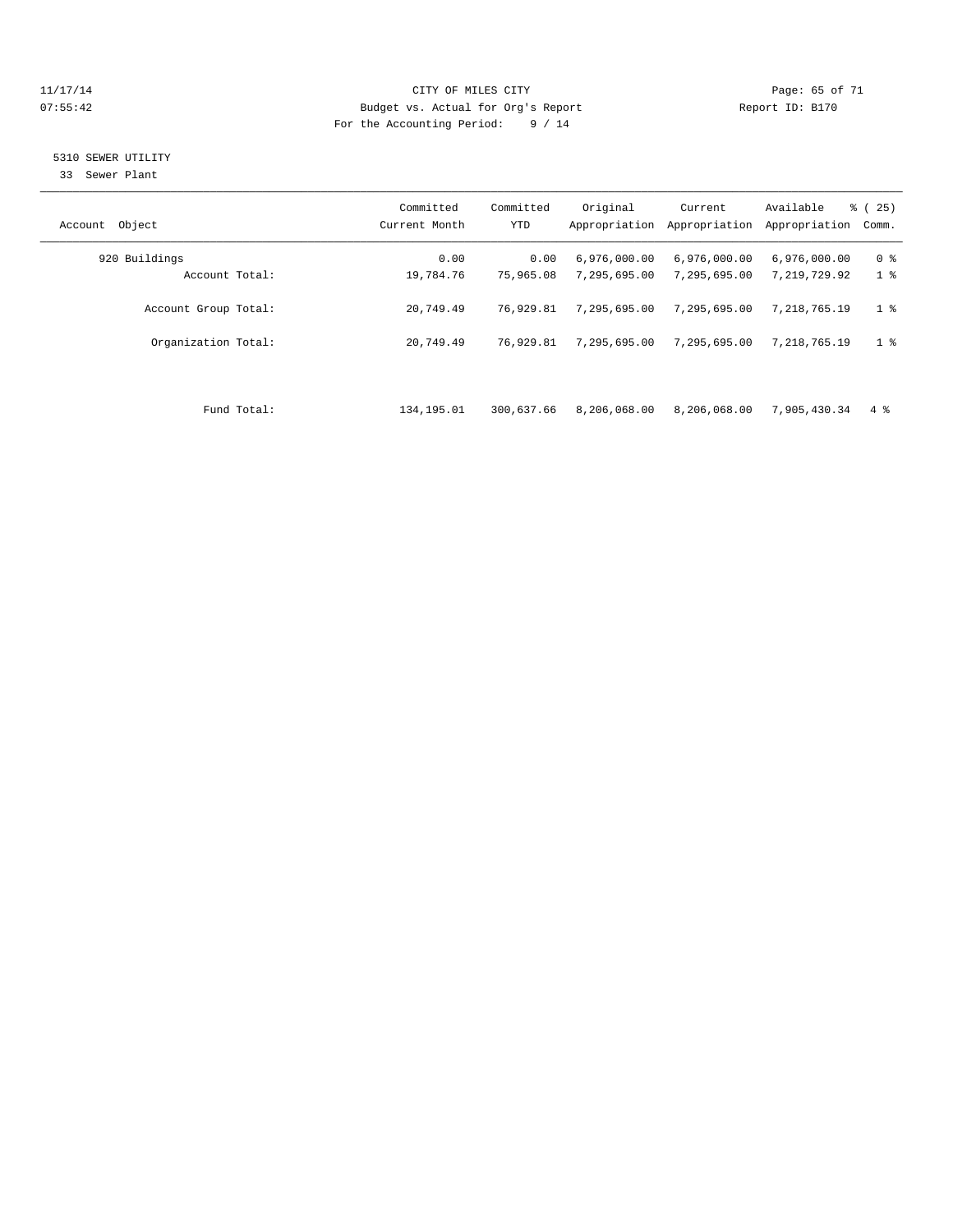#### 11/17/14 Page: 65 of 71 07:55:42 Budget vs. Actual for Org's Report Changer Report ID: B170 For the Accounting Period: 9 / 14

# 5310 SEWER UTILITY

33 Sewer Plant

| Object<br>Account    | Committed<br>Current Month | Committed<br><b>YTD</b> | Original<br>Appropriation | Current<br>Appropriation | Available<br>Appropriation | 25)<br><b>%</b> (<br>Comm. |
|----------------------|----------------------------|-------------------------|---------------------------|--------------------------|----------------------------|----------------------------|
| 920 Buildings        | 0.00                       | 0.00                    | 6,976,000.00              | 6,976,000.00             | 6,976,000.00               | 0 <sup>8</sup>             |
| Account Total:       | 19,784.76                  | 75,965.08               | 7,295,695.00              | 7,295,695.00             | 7,219,729.92               | 1 <sup>°</sup>             |
| Account Group Total: | 20,749.49                  | 76,929.81               | 7,295,695.00              | 7,295,695.00             | 7,218,765.19               | 1 <sup>°</sup>             |
| Organization Total:  | 20,749.49                  | 76,929.81               | 7,295,695.00              | 7,295,695.00             | 7,218,765.19               | 1 <sub>8</sub>             |
|                      |                            |                         |                           |                          |                            |                            |
| Fund Total:          | 134,195.01                 | 300,637.66              | 8,206,068.00              | 8,206,068.00             | 7,905,430.34               | $4\degree$                 |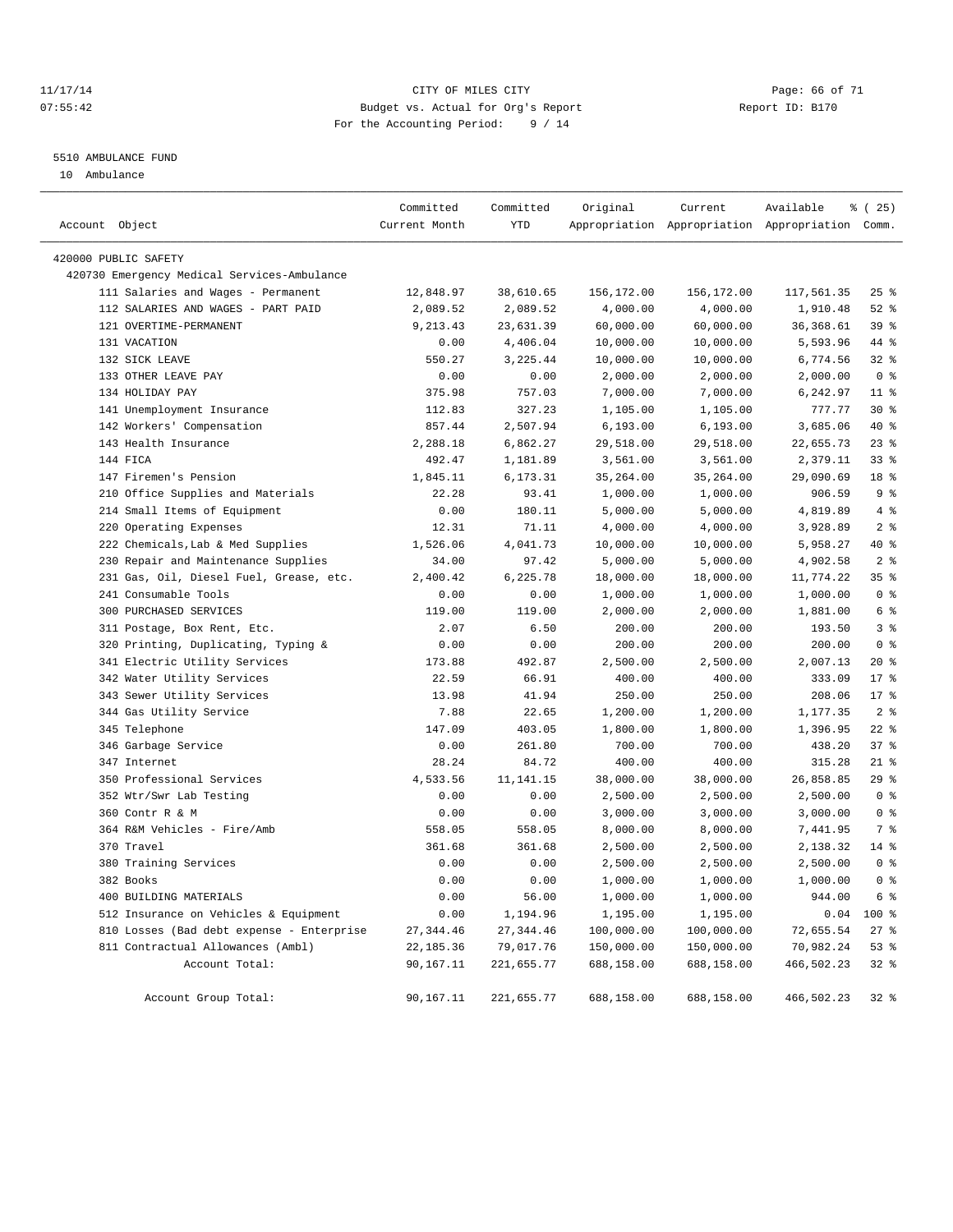#### 11/17/14 Page: 66 of 71 07:55:42 Budget vs. Actual for Org's Report Changer Report ID: B170 For the Accounting Period: 9 / 14

#### 5510 AMBULANCE FUND

10 Ambulance

| Account Object |                                             | Committed<br>Current Month | Committed<br>YTD | Original   | Current    | Available<br>Appropriation Appropriation Appropriation Comm. | $*(25)$         |
|----------------|---------------------------------------------|----------------------------|------------------|------------|------------|--------------------------------------------------------------|-----------------|
|                | 420000 PUBLIC SAFETY                        |                            |                  |            |            |                                                              |                 |
|                | 420730 Emergency Medical Services-Ambulance |                            |                  |            |            |                                                              |                 |
|                | 111 Salaries and Wages - Permanent          | 12,848.97                  | 38,610.65        | 156,172.00 | 156,172.00 | 117,561.35                                                   | $25$ %          |
|                | 112 SALARIES AND WAGES - PART PAID          | 2,089.52                   | 2,089.52         | 4,000.00   | 4,000.00   | 1,910.48                                                     | $52$ $%$        |
|                | 121 OVERTIME-PERMANENT                      | 9,213.43                   | 23,631.39        | 60,000.00  | 60,000.00  | 36, 368.61                                                   | 39 %            |
|                | 131 VACATION                                | 0.00                       | 4,406.04         | 10,000.00  | 10,000.00  | 5,593.96                                                     | 44 %            |
|                | 132 SICK LEAVE                              | 550.27                     | 3,225.44         | 10,000.00  | 10,000.00  | 6,774.56                                                     | $32$ $%$        |
|                | 133 OTHER LEAVE PAY                         | 0.00                       | 0.00             | 2,000.00   | 2,000.00   | 2,000.00                                                     | 0 <sup>8</sup>  |
|                | 134 HOLIDAY PAY                             | 375.98                     | 757.03           | 7,000.00   | 7,000.00   | 6,242.97                                                     | $11*$           |
|                | 141 Unemployment Insurance                  | 112.83                     | 327.23           | 1,105.00   | 1,105.00   | 777.77                                                       | $30*$           |
|                | 142 Workers' Compensation                   | 857.44                     | 2,507.94         | 6, 193.00  | 6, 193.00  | 3,685.06                                                     | 40 %            |
|                | 143 Health Insurance                        | 2,288.18                   | 6,862.27         | 29,518.00  | 29,518.00  | 22,655.73                                                    | 23%             |
|                | 144 FICA                                    | 492.47                     | 1,181.89         | 3,561.00   | 3,561.00   | 2,379.11                                                     | $33$ $%$        |
|                | 147 Firemen's Pension                       | 1,845.11                   | 6,173.31         | 35,264.00  | 35,264.00  | 29,090.69                                                    | 18 %            |
|                | 210 Office Supplies and Materials           | 22.28                      | 93.41            | 1,000.00   | 1,000.00   | 906.59                                                       | 9%              |
|                | 214 Small Items of Equipment                | 0.00                       | 180.11           | 5,000.00   | 5,000.00   | 4,819.89                                                     | 4%              |
|                | 220 Operating Expenses                      | 12.31                      | 71.11            | 4,000.00   | 4,000.00   | 3,928.89                                                     | 2 <sup>°</sup>  |
|                | 222 Chemicals, Lab & Med Supplies           | 1,526.06                   | 4,041.73         | 10,000.00  | 10,000.00  | 5,958.27                                                     | 40 %            |
|                | 230 Repair and Maintenance Supplies         | 34.00                      | 97.42            | 5,000.00   | 5,000.00   | 4,902.58                                                     | 2 <sup>°</sup>  |
|                | 231 Gas, Oil, Diesel Fuel, Grease, etc.     | 2,400.42                   | 6,225.78         | 18,000.00  | 18,000.00  | 11,774.22                                                    | 35 <sup>8</sup> |
|                | 241 Consumable Tools                        | 0.00                       | 0.00             | 1,000.00   | 1,000.00   | 1,000.00                                                     | 0 <sup>8</sup>  |
|                | 300 PURCHASED SERVICES                      | 119.00                     | 119.00           | 2,000.00   | 2,000.00   | 1,881.00                                                     | 6 <sup>°</sup>  |
|                | 311 Postage, Box Rent, Etc.                 | 2.07                       | 6.50             | 200.00     | 200.00     | 193.50                                                       | 3 <sup>8</sup>  |
|                | 320 Printing, Duplicating, Typing &         | 0.00                       | 0.00             | 200.00     | 200.00     | 200.00                                                       | 0 <sup>8</sup>  |
|                | 341 Electric Utility Services               | 173.88                     | 492.87           | 2,500.00   | 2,500.00   | 2,007.13                                                     | 20%             |
|                | 342 Water Utility Services                  | 22.59                      | 66.91            | 400.00     | 400.00     | 333.09                                                       | $17*$           |
|                | 343 Sewer Utility Services                  | 13.98                      | 41.94            | 250.00     | 250.00     | 208.06                                                       | $17*$           |
|                | 344 Gas Utility Service                     | 7.88                       | 22.65            | 1,200.00   | 1,200.00   | 1,177.35                                                     | 2 <sup>°</sup>  |
|                | 345 Telephone                               | 147.09                     | 403.05           | 1,800.00   | 1,800.00   | 1,396.95                                                     | $22$ %          |
|                | 346 Garbage Service                         | 0.00                       | 261.80           | 700.00     | 700.00     | 438.20                                                       | 37%             |
|                | 347 Internet                                | 28.24                      | 84.72            | 400.00     | 400.00     | 315.28                                                       | $21$ %          |
|                | 350 Professional Services                   | 4,533.56                   | 11,141.15        | 38,000.00  | 38,000.00  | 26,858.85                                                    | 29%             |
|                | 352 Wtr/Swr Lab Testing                     | 0.00                       | 0.00             | 2,500.00   | 2,500.00   | 2,500.00                                                     | 0 <sup>8</sup>  |
|                | 360 Contr R & M                             | 0.00                       | 0.00             | 3,000.00   | 3,000.00   | 3,000.00                                                     | 0 <sup>8</sup>  |
|                | 364 R&M Vehicles - Fire/Amb                 | 558.05                     | 558.05           | 8,000.00   | 8,000.00   | 7,441.95                                                     | 7 %             |
|                | 370 Travel                                  | 361.68                     | 361.68           | 2,500.00   | 2,500.00   | 2,138.32                                                     | 14 %            |
|                | 380 Training Services                       | 0.00                       | 0.00             | 2,500.00   | 2,500.00   | 2,500.00                                                     | 0 <sup>8</sup>  |
|                | 382 Books                                   | 0.00                       | 0.00             | 1,000.00   | 1,000.00   | 1,000.00                                                     | 0 <sup>8</sup>  |
|                | 400 BUILDING MATERIALS                      | 0.00                       | 56.00            | 1,000.00   | 1,000.00   | 944.00                                                       | 6 %             |
|                | 512 Insurance on Vehicles & Equipment       | 0.00                       | 1,194.96         | 1,195.00   | 1,195.00   | 0.04                                                         | 100 %           |
|                | 810 Losses (Bad debt expense - Enterprise   | 27, 344.46                 | 27, 344.46       | 100,000.00 | 100,000.00 | 72,655.54                                                    | $27$ %          |
|                | 811 Contractual Allowances (Ambl)           | 22,185.36                  | 79,017.76        | 150,000.00 | 150,000.00 | 70,982.24                                                    | 53%             |
|                | Account Total:                              | 90,167.11                  | 221,655.77       | 688,158.00 | 688,158.00 | 466,502.23                                                   | 32 %            |
|                | Account Group Total:                        | 90,167.11                  | 221,655.77       | 688,158.00 | 688,158.00 | 466,502.23                                                   | 32 %            |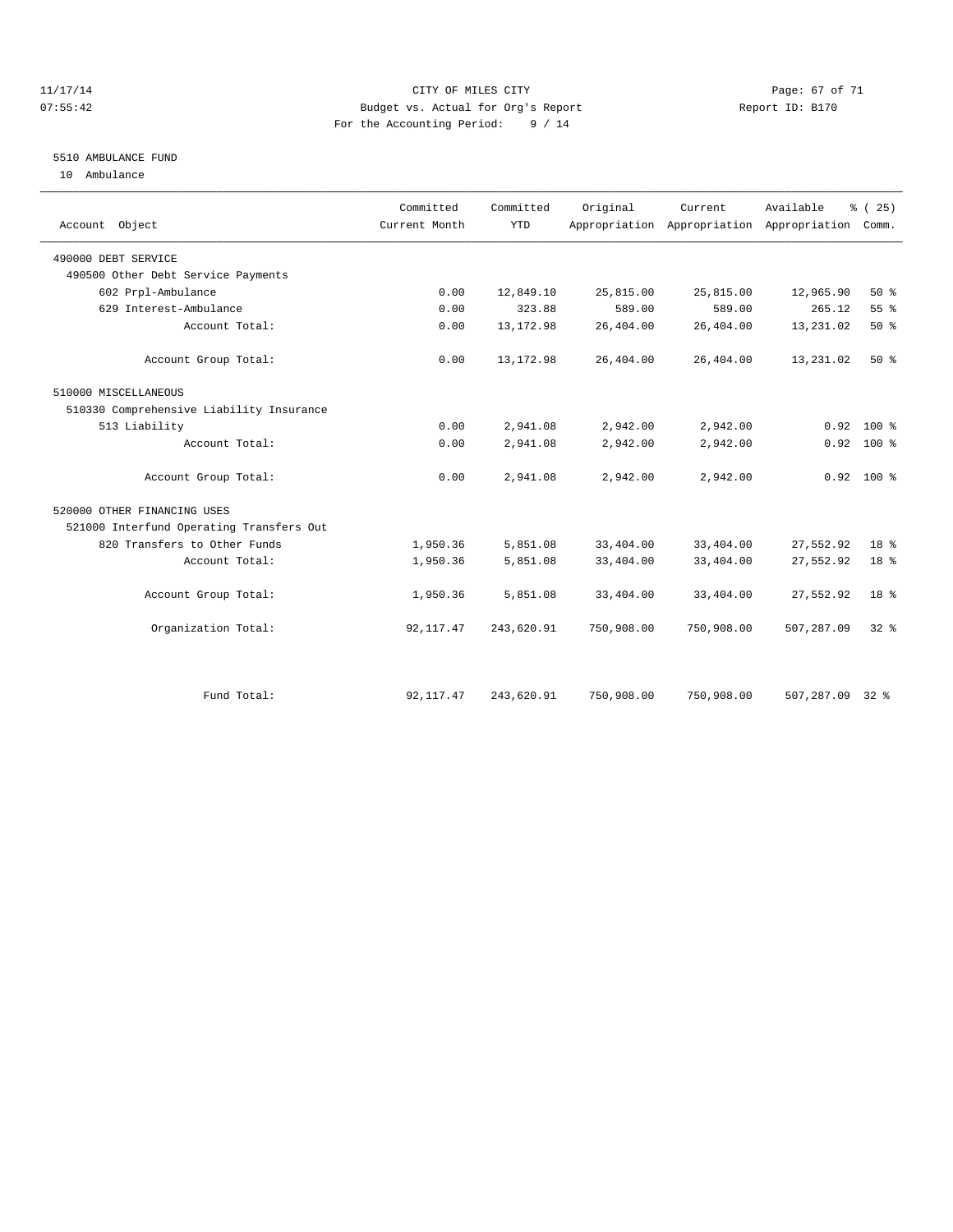#### 11/17/14 Page: 67 of 71 07:55:42 Budget vs. Actual for Org's Report Changer Report ID: B170 For the Accounting Period: 9 / 14

### 5510 AMBULANCE FUND

10 Ambulance

| Account Object                           | Committed<br>Current Month | Committed<br><b>YTD</b> | Original   | Current.   | Available<br>Appropriation Appropriation Appropriation | % (25)<br>Comm. |
|------------------------------------------|----------------------------|-------------------------|------------|------------|--------------------------------------------------------|-----------------|
| 490000 DEBT SERVICE                      |                            |                         |            |            |                                                        |                 |
| 490500 Other Debt Service Payments       |                            |                         |            |            |                                                        |                 |
| 602 Prpl-Ambulance                       | 0.00                       | 12,849.10               | 25,815.00  | 25,815.00  | 12,965.90                                              | 50%             |
| 629 Interest-Ambulance                   | 0.00                       | 323.88                  | 589.00     | 589.00     | 265.12                                                 | 55 %            |
| Account Total:                           | 0.00                       | 13, 172.98              | 26,404.00  | 26,404.00  | 13,231.02                                              | 50%             |
| Account Group Total:                     | 0.00                       | 13, 172.98              | 26,404.00  | 26,404.00  | 13,231.02                                              | 50%             |
| 510000 MISCELLANEOUS                     |                            |                         |            |            |                                                        |                 |
| 510330 Comprehensive Liability Insurance |                            |                         |            |            |                                                        |                 |
| 513 Liability                            | 0.00                       | 2,941.08                | 2,942.00   | 2,942.00   | 0.92                                                   | $100*$          |
| Account Total:                           | 0.00                       | 2,941.08                | 2,942.00   | 2,942.00   | 0.92                                                   | 100 %           |
| Account Group Total:                     | 0.00                       | 2,941.08                | 2,942.00   | 2,942.00   |                                                        | $0.92$ 100 %    |
| 520000 OTHER FINANCING USES              |                            |                         |            |            |                                                        |                 |
| 521000 Interfund Operating Transfers Out |                            |                         |            |            |                                                        |                 |
| 820 Transfers to Other Funds             | 1,950.36                   | 5,851.08                | 33,404.00  | 33,404.00  | 27,552.92                                              | 18 %            |
| Account Total:                           | 1,950.36                   | 5,851.08                | 33,404.00  | 33,404.00  | 27,552.92                                              | 18 %            |
| Account Group Total:                     | 1,950.36                   | 5,851.08                | 33,404.00  | 33,404.00  | 27,552.92                                              | 18 <sup>8</sup> |
| Organization Total:                      | 92, 117.47                 | 243,620.91              | 750,908.00 | 750,908.00 | 507,287.09                                             | 32 <sup>8</sup> |
|                                          |                            |                         |            |            |                                                        |                 |
| Fund Total:                              | 92, 117.47                 | 243,620.91              | 750,908.00 | 750,908.00 | 507,287.09 32 %                                        |                 |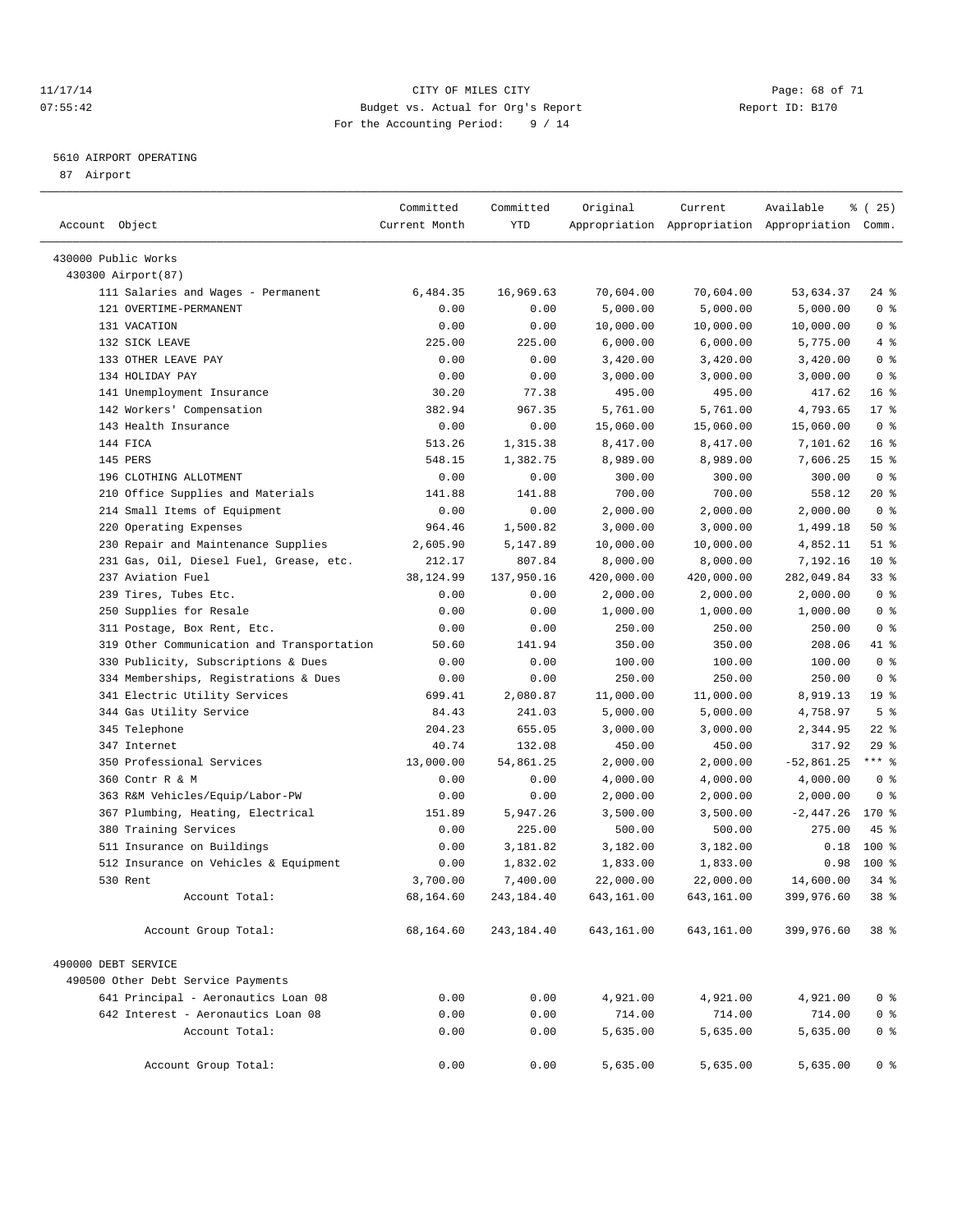#### 11/17/14 Page: 68 of 71 07:55:42 Budget vs. Actual for Org's Report Changer Report ID: B170 For the Accounting Period: 9 / 14

————————————————————————————————————————————————————————————————————————————————————————————————————————————————————————————————————

#### 5610 AIRPORT OPERATING

87 Airport

|                                            | Committed     | Committed  | Original   | Current    | Available                                       | 8 (25)          |  |
|--------------------------------------------|---------------|------------|------------|------------|-------------------------------------------------|-----------------|--|
| Account Object                             | Current Month | YTD        |            |            | Appropriation Appropriation Appropriation Comm. |                 |  |
| 430000 Public Works                        |               |            |            |            |                                                 |                 |  |
| 430300 Airport (87)                        |               |            |            |            |                                                 |                 |  |
| 111 Salaries and Wages - Permanent         | 6,484.35      | 16,969.63  | 70,604.00  | 70,604.00  | 53,634.37                                       | 24 %            |  |
| 121 OVERTIME-PERMANENT                     | 0.00          | 0.00       | 5,000.00   | 5,000.00   | 5,000.00                                        | 0 <sup>8</sup>  |  |
| 131 VACATION                               | 0.00          | 0.00       | 10,000.00  | 10,000.00  | 10,000.00                                       | 0 <sup>8</sup>  |  |
| 132 SICK LEAVE                             | 225.00        | 225.00     | 6,000.00   | 6,000.00   | 5,775.00                                        | 4%              |  |
| 133 OTHER LEAVE PAY                        | 0.00          | 0.00       | 3,420.00   | 3,420.00   | 3,420.00                                        | 0 <sup>8</sup>  |  |
| 134 HOLIDAY PAY                            | 0.00          | 0.00       | 3,000.00   | 3,000.00   | 3,000.00                                        | 0 <sup>8</sup>  |  |
| 141 Unemployment Insurance                 | 30.20         | 77.38      | 495.00     | 495.00     | 417.62                                          | 16 <sup>°</sup> |  |
| 142 Workers' Compensation                  | 382.94        | 967.35     | 5,761.00   | 5,761.00   | 4,793.65                                        | $17*$           |  |
| 143 Health Insurance                       | 0.00          | 0.00       | 15,060.00  | 15,060.00  | 15,060.00                                       | 0 <sup>8</sup>  |  |
| 144 FICA                                   | 513.26        | 1,315.38   | 8,417.00   | 8,417.00   | 7,101.62                                        | 16 <sup>8</sup> |  |
| 145 PERS                                   | 548.15        | 1,382.75   | 8,989.00   | 8,989.00   | 7,606.25                                        | 15 <sup>8</sup> |  |
| 196 CLOTHING ALLOTMENT                     | 0.00          | 0.00       | 300.00     | 300.00     | 300.00                                          | 0 <sup>8</sup>  |  |
| 210 Office Supplies and Materials          | 141.88        | 141.88     | 700.00     | 700.00     | 558.12                                          | $20*$           |  |
| 214 Small Items of Equipment               | 0.00          | 0.00       | 2,000.00   | 2,000.00   | 2,000.00                                        | 0 <sup>8</sup>  |  |
| 220 Operating Expenses                     | 964.46        | 1,500.82   | 3,000.00   | 3,000.00   | 1,499.18                                        | 50%             |  |
| 230 Repair and Maintenance Supplies        | 2,605.90      | 5,147.89   | 10,000.00  | 10,000.00  | 4,852.11                                        | $51$ %          |  |
| 231 Gas, Oil, Diesel Fuel, Grease, etc.    | 212.17        | 807.84     | 8,000.00   | 8,000.00   | 7,192.16                                        | $10*$           |  |
| 237 Aviation Fuel                          | 38,124.99     | 137,950.16 | 420,000.00 | 420,000.00 | 282,049.84                                      | 33%             |  |
| 239 Tires, Tubes Etc.                      | 0.00          | 0.00       | 2,000.00   | 2,000.00   | 2,000.00                                        | 0 <sup>8</sup>  |  |
| 250 Supplies for Resale                    | 0.00          | 0.00       | 1,000.00   | 1,000.00   | 1,000.00                                        | 0 <sup>8</sup>  |  |
| 311 Postage, Box Rent, Etc.                | 0.00          | 0.00       | 250.00     | 250.00     | 250.00                                          | 0 <sup>8</sup>  |  |
| 319 Other Communication and Transportation | 50.60         | 141.94     | 350.00     | 350.00     | 208.06                                          | 41 %            |  |
| 330 Publicity, Subscriptions & Dues        | 0.00          | 0.00       | 100.00     | 100.00     | 100.00                                          | 0 <sup>8</sup>  |  |
| 334 Memberships, Registrations & Dues      | 0.00          | 0.00       | 250.00     | 250.00     | 250.00                                          | 0 <sup>8</sup>  |  |
| 341 Electric Utility Services              | 699.41        | 2,080.87   | 11,000.00  | 11,000.00  | 8,919.13                                        | 19 <sup>°</sup> |  |
| 344 Gas Utility Service                    | 84.43         | 241.03     | 5,000.00   | 5,000.00   | 4,758.97                                        | 5 <sup>°</sup>  |  |
| 345 Telephone                              | 204.23        | 655.05     | 3,000.00   | 3,000.00   | 2,344.95                                        | $22$ %          |  |
| 347 Internet                               | 40.74         | 132.08     | 450.00     | 450.00     | 317.92                                          | 29%             |  |
| 350 Professional Services                  | 13,000.00     | 54,861.25  | 2,000.00   | 2,000.00   | $-52,861.25$                                    | $***$ $-$       |  |
| 360 Contr R & M                            | 0.00          | 0.00       | 4,000.00   | 4,000.00   | 4,000.00                                        | 0 <sup>8</sup>  |  |
| 363 R&M Vehicles/Equip/Labor-PW            | 0.00          | 0.00       | 2,000.00   | 2,000.00   | 2,000.00                                        | 0 <sup>8</sup>  |  |
| 367 Plumbing, Heating, Electrical          | 151.89        | 5,947.26   | 3,500.00   | 3,500.00   | $-2,447.26$                                     | 170 %           |  |
| 380 Training Services                      | 0.00          | 225.00     | 500.00     | 500.00     | 275.00                                          | 45 %            |  |
| 511 Insurance on Buildings                 | 0.00          | 3,181.82   | 3,182.00   | 3,182.00   | 0.18                                            | 100 %           |  |
| 512 Insurance on Vehicles & Equipment      | 0.00          | 1,832.02   | 1,833.00   | 1,833.00   | 0.98                                            | 100 %           |  |
| 530 Rent                                   | 3,700.00      | 7,400.00   | 22,000.00  | 22,000.00  | 14,600.00                                       | $34$ $%$        |  |
| Account Total:                             | 68,164.60     | 243,184.40 | 643,161.00 | 643,161.00 | 399,976.60                                      | 38 %            |  |
| Account Group Total:                       | 68,164.60     | 243,184.40 | 643,161.00 | 643,161.00 | 399,976.60                                      | 38 %            |  |
| 490000 DEBT SERVICE                        |               |            |            |            |                                                 |                 |  |
| 490500 Other Debt Service Payments         |               |            |            |            |                                                 |                 |  |
| 641 Principal - Aeronautics Loan 08        | 0.00          | 0.00       | 4,921.00   | 4,921.00   | 4,921.00                                        | 0 <sup>8</sup>  |  |
| 642 Interest - Aeronautics Loan 08         | 0.00          | 0.00       | 714.00     | 714.00     | 714.00                                          | 0 <sup>8</sup>  |  |
| Account Total:                             | 0.00          | 0.00       | 5,635.00   | 5,635.00   | 5,635.00                                        | 0 <sup>8</sup>  |  |
|                                            |               |            |            |            |                                                 |                 |  |
| Account Group Total:                       | 0.00          | 0.00       | 5,635.00   | 5,635.00   | 5,635.00                                        | $0$ %           |  |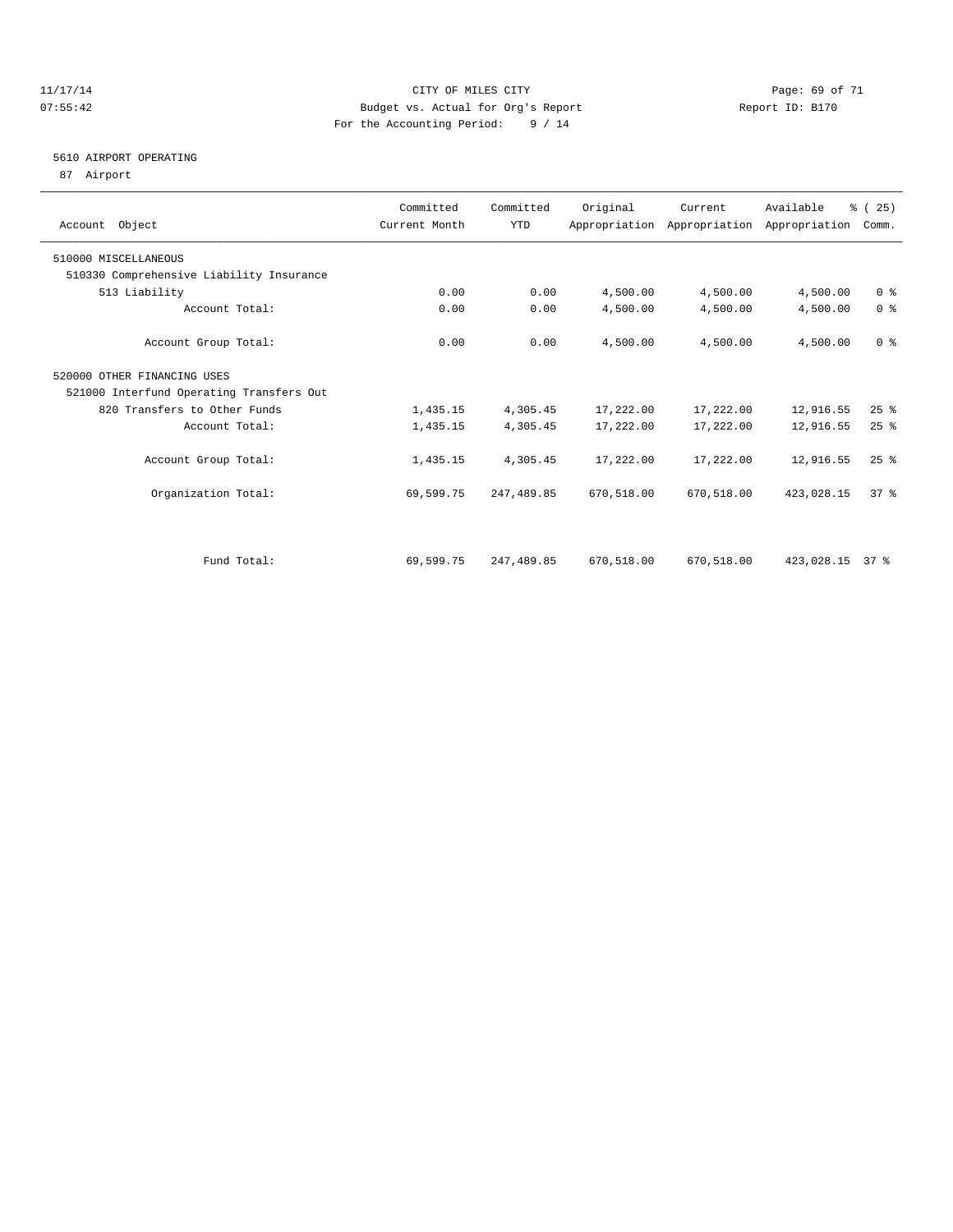#### 11/17/14 Page: 69 of 71 07:55:42 Budget vs. Actual for Org's Report Changer Report ID: B170 For the Accounting Period: 9 / 14

### 5610 AIRPORT OPERATING

87 Airport

| Account Object                           | Committed<br>Current Month | Committed<br><b>YTD</b> | Original   | Current    | Available<br>Appropriation Appropriation Appropriation | % (25)<br>Comm. |
|------------------------------------------|----------------------------|-------------------------|------------|------------|--------------------------------------------------------|-----------------|
| 510000 MISCELLANEOUS                     |                            |                         |            |            |                                                        |                 |
| 510330 Comprehensive Liability Insurance |                            |                         |            |            |                                                        |                 |
| 513 Liability                            | 0.00                       | 0.00                    | 4,500.00   | 4,500.00   | 4,500.00                                               | 0 <sup>8</sup>  |
| Account Total:                           | 0.00                       | 0.00                    | 4,500.00   | 4,500.00   | 4,500.00                                               | 0 <sup>8</sup>  |
| Account Group Total:                     | 0.00                       | 0.00                    | 4,500.00   | 4,500.00   | 4,500.00                                               | 0 <sup>8</sup>  |
| 520000 OTHER FINANCING USES              |                            |                         |            |            |                                                        |                 |
| 521000 Interfund Operating Transfers Out |                            |                         |            |            |                                                        |                 |
| 820 Transfers to Other Funds             | 1,435.15                   | 4,305.45                | 17,222.00  | 17,222.00  | 12,916.55                                              | $25$ $%$        |
| Account Total:                           | 1,435.15                   | 4,305.45                | 17,222.00  | 17,222.00  | 12,916.55                                              | 25%             |
| Account Group Total:                     | 1,435.15                   | 4,305.45                | 17,222.00  | 17,222.00  | 12,916.55                                              | 25%             |
| Organization Total:                      | 69,599.75                  | 247,489.85              | 670,518.00 | 670,518.00 | 423,028.15                                             | 37 <sup>8</sup> |
|                                          |                            |                         |            |            |                                                        |                 |
| Fund Total:                              | 69,599.75                  | 247,489.85              | 670,518.00 | 670,518.00 | 423,028.15 37 %                                        |                 |